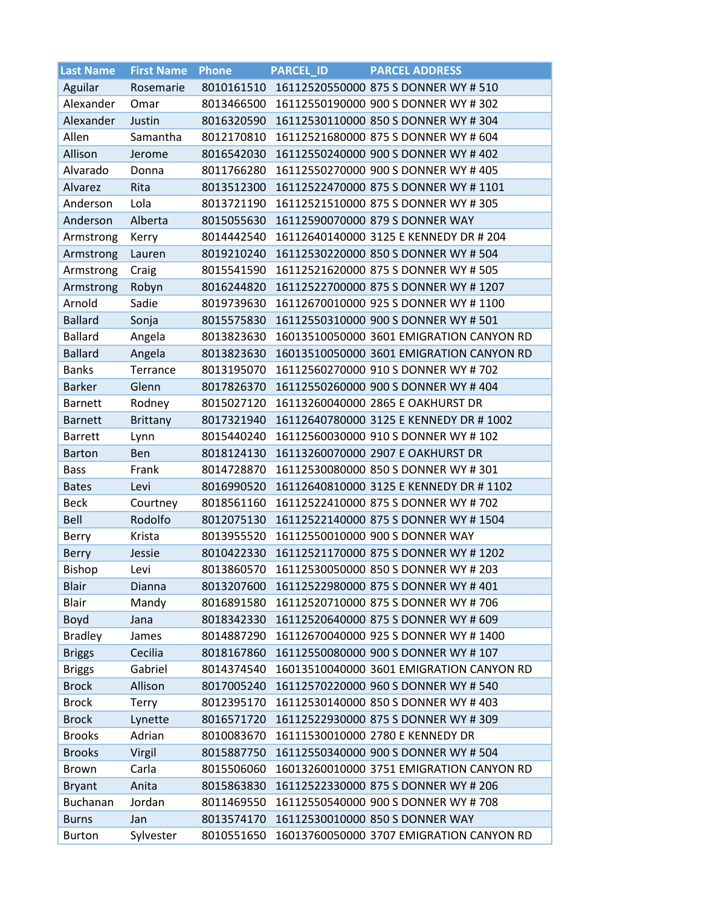| <b>Last Name</b> | <b>First Name</b> | Phone      | <b>PARCEL ID</b> | <b>PARCEL ADDRESS</b>                    |
|------------------|-------------------|------------|------------------|------------------------------------------|
| Aguilar          | Rosemarie         | 8010161510 |                  | 16112520550000 875 S DONNER WY # 510     |
| Alexander        | Omar              | 8013466500 |                  | 16112550190000 900 S DONNER WY # 302     |
| Alexander        | Justin            | 8016320590 |                  | 16112530110000 850 S DONNER WY #304      |
| Allen            | Samantha          | 8012170810 |                  | 16112521680000 875 S DONNER WY # 604     |
| Allison          | Jerome            | 8016542030 |                  | 16112550240000 900 S DONNER WY # 402     |
| Alvarado         | Donna             | 8011766280 |                  | 16112550270000 900 S DONNER WY #405      |
| Alvarez          | Rita              | 8013512300 |                  | 16112522470000 875 S DONNER WY # 1101    |
| Anderson         | Lola              | 8013721190 |                  | 16112521510000 875 S DONNER WY # 305     |
| Anderson         | Alberta           | 8015055630 |                  | 16112590070000 879 S DONNER WAY          |
| Armstrong        | Kerry             | 8014442540 |                  | 16112640140000 3125 E KENNEDY DR # 204   |
| Armstrong        | Lauren            | 8019210240 |                  | 16112530220000 850 S DONNER WY # 504     |
| Armstrong        | Craig             | 8015541590 |                  | 16112521620000 875 S DONNER WY # 505     |
| Armstrong        | Robyn             | 8016244820 |                  | 16112522700000 875 S DONNER WY # 1207    |
| Arnold           | Sadie             | 8019739630 |                  | 16112670010000 925 S DONNER WY # 1100    |
| <b>Ballard</b>   | Sonja             | 8015575830 |                  | 16112550310000 900 S DONNER WY # 501     |
| <b>Ballard</b>   | Angela            | 8013823630 |                  | 16013510050000 3601 EMIGRATION CANYON RD |
| <b>Ballard</b>   | Angela            | 8013823630 |                  | 16013510050000 3601 EMIGRATION CANYON RD |
| <b>Banks</b>     | Terrance          | 8013195070 |                  | 16112560270000 910 S DONNER WY # 702     |
| <b>Barker</b>    | Glenn             | 8017826370 |                  | 16112550260000 900 S DONNER WY #404      |
| <b>Barnett</b>   | Rodney            | 8015027120 |                  | 16113260040000 2865 E OAKHURST DR        |
| <b>Barnett</b>   | <b>Brittany</b>   | 8017321940 |                  | 16112640780000 3125 E KENNEDY DR # 1002  |
| <b>Barrett</b>   | Lynn              | 8015440240 |                  | 16112560030000 910 S DONNER WY # 102     |
| <b>Barton</b>    | Ben               | 8018124130 |                  | 16113260070000 2907 E OAKHURST DR        |
| <b>Bass</b>      | Frank             | 8014728870 |                  | 16112530080000 850 S DONNER WY # 301     |
| <b>Bates</b>     | Levi              | 8016990520 |                  | 16112640810000 3125 E KENNEDY DR # 1102  |
| <b>Beck</b>      | Courtney          | 8018561160 |                  | 16112522410000 875 S DONNER WY # 702     |
| Bell             | Rodolfo           | 8012075130 |                  | 16112522140000 875 S DONNER WY # 1504    |
| Berry            | Krista            | 8013955520 |                  | 16112550010000 900 S DONNER WAY          |
| Berry            | Jessie            | 8010422330 |                  | 16112521170000 875 S DONNER WY # 1202    |
| <b>Bishop</b>    | Levi              | 8013860570 |                  | 16112530050000 850 S DONNER WY # 203     |
| <b>Blair</b>     | Dianna            | 8013207600 |                  | 16112522980000 875 S DONNER WY # 401     |
| Blair            | Mandy             | 8016891580 |                  | 16112520710000 875 S DONNER WY # 706     |
| Boyd             | Jana              | 8018342330 |                  | 16112520640000 875 S DONNER WY # 609     |
| <b>Bradley</b>   | James             | 8014887290 |                  | 16112670040000 925 S DONNER WY # 1400    |
| <b>Briggs</b>    | Cecilia           | 8018167860 |                  | 16112550080000 900 S DONNER WY # 107     |
| <b>Briggs</b>    | Gabriel           | 8014374540 |                  | 16013510040000 3601 EMIGRATION CANYON RD |
| <b>Brock</b>     | Allison           | 8017005240 |                  | 16112570220000 960 S DONNER WY # 540     |
| <b>Brock</b>     | Terry             | 8012395170 |                  | 16112530140000 850 S DONNER WY #403      |
| <b>Brock</b>     | Lynette           | 8016571720 |                  | 16112522930000 875 S DONNER WY # 309     |
| <b>Brooks</b>    | Adrian            | 8010083670 |                  | 16111530010000 2780 E KENNEDY DR         |
| <b>Brooks</b>    | Virgil            | 8015887750 |                  | 16112550340000 900 S DONNER WY # 504     |
| <b>Brown</b>     | Carla             | 8015506060 |                  | 16013260010000 3751 EMIGRATION CANYON RD |
| <b>Bryant</b>    | Anita             | 8015863830 |                  | 16112522330000 875 S DONNER WY # 206     |
| Buchanan         | Jordan            | 8011469550 |                  | 16112550540000 900 S DONNER WY # 708     |
| <b>Burns</b>     | Jan               | 8013574170 |                  | 16112530010000 850 S DONNER WAY          |
| <b>Burton</b>    | Sylvester         | 8010551650 |                  | 16013760050000 3707 EMIGRATION CANYON RD |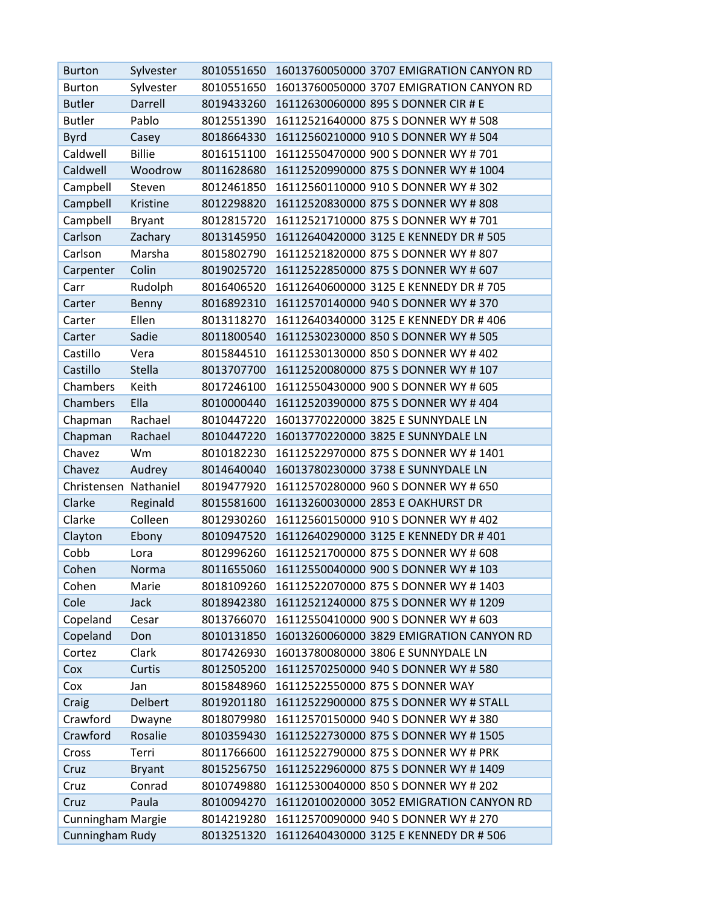| <b>Burton</b>            | Sylvester      | 8010551650 | 16013760050000 3707 EMIGRATION CANYON RD |
|--------------------------|----------------|------------|------------------------------------------|
| <b>Burton</b>            | Sylvester      | 8010551650 | 16013760050000 3707 EMIGRATION CANYON RD |
| <b>Butler</b>            | Darrell        | 8019433260 | 16112630060000 895 S DONNER CIR # E      |
| <b>Butler</b>            | Pablo          | 8012551390 | 16112521640000 875 S DONNER WY # 508     |
| Byrd                     | Casey          | 8018664330 | 16112560210000 910 S DONNER WY # 504     |
| Caldwell                 | <b>Billie</b>  | 8016151100 | 16112550470000 900 S DONNER WY # 701     |
| Caldwell                 | Woodrow        | 8011628680 | 16112520990000 875 S DONNER WY # 1004    |
| Campbell                 | Steven         | 8012461850 | 16112560110000 910 S DONNER WY # 302     |
| Campbell                 | Kristine       | 8012298820 | 16112520830000 875 S DONNER WY # 808     |
| Campbell                 | <b>Bryant</b>  | 8012815720 | 16112521710000 875 S DONNER WY # 701     |
| Carlson                  | Zachary        | 8013145950 | 16112640420000 3125 E KENNEDY DR # 505   |
| Carlson                  | Marsha         | 8015802790 | 16112521820000 875 S DONNER WY # 807     |
| Carpenter                | Colin          | 8019025720 | 16112522850000 875 S DONNER WY # 607     |
| Carr                     | Rudolph        | 8016406520 | 16112640600000 3125 E KENNEDY DR # 705   |
| Carter                   | Benny          | 8016892310 | 16112570140000 940 S DONNER WY # 370     |
| Carter                   | Ellen          | 8013118270 | 16112640340000 3125 E KENNEDY DR #406    |
| Carter                   | Sadie          | 8011800540 | 16112530230000 850 S DONNER WY # 505     |
| Castillo                 | Vera           | 8015844510 | 16112530130000 850 S DONNER WY # 402     |
| Castillo                 | <b>Stella</b>  | 8013707700 | 16112520080000 875 S DONNER WY # 107     |
| Chambers                 | Keith          | 8017246100 | 16112550430000 900 S DONNER WY # 605     |
| Chambers                 | Ella           | 8010000440 | 16112520390000 875 S DONNER WY # 404     |
| Chapman                  | Rachael        | 8010447220 | 16013770220000 3825 E SUNNYDALE LN       |
| Chapman                  | Rachael        | 8010447220 | 16013770220000 3825 E SUNNYDALE LN       |
| Chavez                   | Wm             | 8010182230 | 16112522970000 875 S DONNER WY # 1401    |
| Chavez                   | Audrey         | 8014640040 | 16013780230000 3738 E SUNNYDALE LN       |
| Christensen Nathaniel    |                | 8019477920 | 16112570280000 960 S DONNER WY # 650     |
| Clarke                   | Reginald       | 8015581600 | 16113260030000 2853 E OAKHURST DR        |
| Clarke                   | Colleen        | 8012930260 | 16112560150000 910 S DONNER WY # 402     |
| Clayton                  | Ebony          | 8010947520 | 16112640290000 3125 E KENNEDY DR #401    |
| Cobb                     | Lora           | 8012996260 | 16112521700000 875 S DONNER WY # 608     |
| Cohen                    | Norma          | 8011655060 | 16112550040000 900 S DONNER WY # 103     |
| Cohen                    | Marie          | 8018109260 | 16112522070000 875 S DONNER WY #1403     |
| Cole                     | Jack           | 8018942380 | 16112521240000 875 S DONNER WY # 1209    |
| Copeland                 | Cesar          | 8013766070 | 16112550410000 900 S DONNER WY # 603     |
| Copeland                 | Don            | 8010131850 | 16013260060000 3829 EMIGRATION CANYON RD |
| Cortez                   | Clark          | 8017426930 | 16013780080000 3806 E SUNNYDALE LN       |
| Cox                      | Curtis         | 8012505200 | 16112570250000 940 S DONNER WY # 580     |
| Cox                      | Jan            | 8015848960 | 16112522550000 875 S DONNER WAY          |
| Craig                    | <b>Delbert</b> | 8019201180 | 16112522900000 875 S DONNER WY # STALL   |
| Crawford                 | Dwayne         | 8018079980 | 16112570150000 940 S DONNER WY # 380     |
| Crawford                 | Rosalie        | 8010359430 | 16112522730000 875 S DONNER WY # 1505    |
| Cross                    | Terri          | 8011766600 | 16112522790000 875 S DONNER WY # PRK     |
| Cruz                     | <b>Bryant</b>  | 8015256750 | 16112522960000 875 S DONNER WY # 1409    |
| Cruz                     | Conrad         | 8010749880 | 16112530040000 850 S DONNER WY # 202     |
| Cruz                     | Paula          | 8010094270 | 16112010020000 3052 EMIGRATION CANYON RD |
| <b>Cunningham Margie</b> |                | 8014219280 | 16112570090000 940 S DONNER WY # 270     |
| Cunningham Rudy          |                | 8013251320 | 16112640430000 3125 E KENNEDY DR # 506   |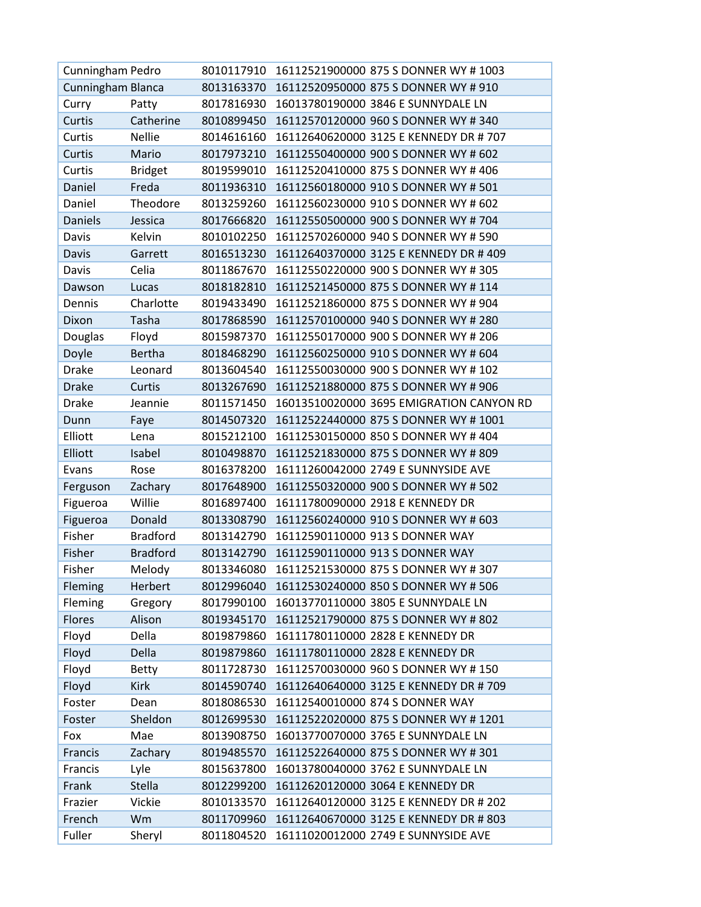| Cunningham Pedro  |                 |            | 8010117910 16112521900000 875 S DONNER WY #1003 |
|-------------------|-----------------|------------|-------------------------------------------------|
| Cunningham Blanca |                 | 8013163370 | 16112520950000 875 S DONNER WY # 910            |
| Curry             | Patty           | 8017816930 | 16013780190000 3846 E SUNNYDALE LN              |
| Curtis            | Catherine       | 8010899450 | 16112570120000 960 S DONNER WY # 340            |
| Curtis            | <b>Nellie</b>   | 8014616160 | 16112640620000 3125 E KENNEDY DR # 707          |
| Curtis            | Mario           | 8017973210 | 16112550400000 900 S DONNER WY # 602            |
| Curtis            | <b>Bridget</b>  | 8019599010 | 16112520410000 875 S DONNER WY #406             |
| Daniel            | Freda           | 8011936310 | 16112560180000 910 S DONNER WY # 501            |
| Daniel            | Theodore        | 8013259260 | 16112560230000 910 S DONNER WY # 602            |
| <b>Daniels</b>    | Jessica         | 8017666820 | 16112550500000 900 S DONNER WY # 704            |
| Davis             | Kelvin          | 8010102250 | 16112570260000 940 S DONNER WY # 590            |
| Davis             | Garrett         | 8016513230 | 16112640370000 3125 E KENNEDY DR # 409          |
| Davis             | Celia           | 8011867670 | 16112550220000 900 S DONNER WY # 305            |
| Dawson            | Lucas           | 8018182810 | 16112521450000 875 S DONNER WY # 114            |
| Dennis            | Charlotte       | 8019433490 | 16112521860000 875 S DONNER WY # 904            |
| Dixon             | Tasha           | 8017868590 | 16112570100000 940 S DONNER WY # 280            |
| Douglas           | Floyd           | 8015987370 | 16112550170000 900 S DONNER WY # 206            |
| Doyle             | <b>Bertha</b>   | 8018468290 | 16112560250000 910 S DONNER WY # 604            |
| <b>Drake</b>      | Leonard         | 8013604540 | 16112550030000 900 S DONNER WY # 102            |
| <b>Drake</b>      | Curtis          | 8013267690 | 16112521880000 875 S DONNER WY # 906            |
| <b>Drake</b>      | Jeannie         | 8011571450 | 16013510020000 3695 EMIGRATION CANYON RD        |
| Dunn              | Faye            | 8014507320 | 16112522440000 875 S DONNER WY # 1001           |
| Elliott           | Lena            | 8015212100 | 16112530150000 850 S DONNER WY # 404            |
| Elliott           | Isabel          | 8010498870 | 16112521830000 875 S DONNER WY # 809            |
| Evans             | Rose            | 8016378200 | 16111260042000 2749 E SUNNYSIDE AVE             |
| Ferguson          | Zachary         | 8017648900 | 16112550320000 900 S DONNER WY # 502            |
| Figueroa          | Willie          | 8016897400 | 16111780090000 2918 E KENNEDY DR                |
| Figueroa          | Donald          | 8013308790 | 16112560240000 910 S DONNER WY # 603            |
| Fisher            | <b>Bradford</b> | 8013142790 | 16112590110000 913 S DONNER WAY                 |
| Fisher            | <b>Bradford</b> | 8013142790 | 16112590110000 913 S DONNER WAY                 |
| Fisher            | Melody          | 8013346080 | 16112521530000 875 S DONNER WY # 307            |
| Fleming           | Herbert         | 8012996040 | 16112530240000 850 S DONNER WY # 506            |
| Fleming           | Gregory         | 8017990100 | 16013770110000 3805 E SUNNYDALE LN              |
| Flores            | Alison          | 8019345170 | 16112521790000 875 S DONNER WY # 802            |
| Floyd             | Della           | 8019879860 | 16111780110000 2828 E KENNEDY DR                |
| Floyd             | Della           | 8019879860 | 16111780110000 2828 E KENNEDY DR                |
| Floyd             | <b>Betty</b>    | 8011728730 | 16112570030000 960 S DONNER WY #150             |
| Floyd             | <b>Kirk</b>     | 8014590740 | 16112640640000 3125 E KENNEDY DR # 709          |
| Foster            | Dean            | 8018086530 | 16112540010000 874 S DONNER WAY                 |
| Foster            | Sheldon         | 8012699530 | 16112522020000 875 S DONNER WY # 1201           |
| Fox               | Mae             | 8013908750 | 16013770070000 3765 E SUNNYDALE LN              |
| Francis           | Zachary         | 8019485570 | 16112522640000 875 S DONNER WY # 301            |
| Francis           | Lyle            | 8015637800 | 16013780040000 3762 E SUNNYDALE LN              |
| Frank             | <b>Stella</b>   | 8012299200 | 16112620120000 3064 E KENNEDY DR                |
| Frazier           | Vickie          | 8010133570 | 16112640120000 3125 E KENNEDY DR # 202          |
| French            | Wm              | 8011709960 | 16112640670000 3125 E KENNEDY DR # 803          |
| Fuller            | Sheryl          | 8011804520 | 16111020012000 2749 E SUNNYSIDE AVE             |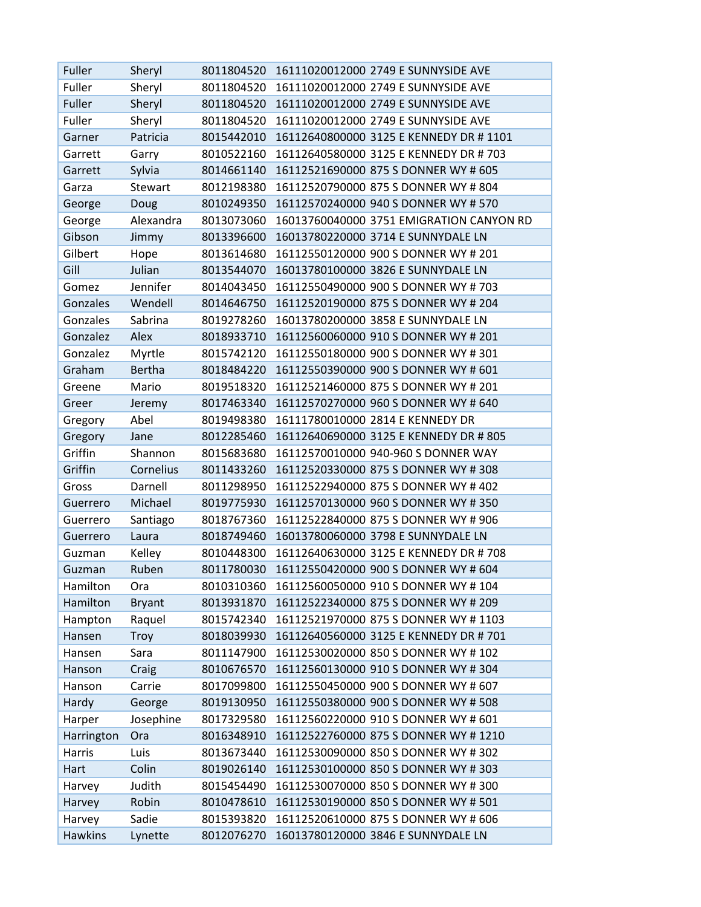| Fuller         | Sheryl        | 8011804520 | 16111020012000 2749 E SUNNYSIDE AVE      |
|----------------|---------------|------------|------------------------------------------|
| Fuller         | Sheryl        | 8011804520 | 16111020012000 2749 E SUNNYSIDE AVE      |
| Fuller         | Sheryl        | 8011804520 | 16111020012000 2749 E SUNNYSIDE AVE      |
| Fuller         | Sheryl        | 8011804520 | 16111020012000 2749 E SUNNYSIDE AVE      |
| Garner         | Patricia      | 8015442010 | 16112640800000 3125 E KENNEDY DR #1101   |
| Garrett        | Garry         | 8010522160 | 16112640580000 3125 E KENNEDY DR # 703   |
| Garrett        | Sylvia        | 8014661140 | 16112521690000 875 S DONNER WY # 605     |
| Garza          | Stewart       | 8012198380 | 16112520790000 875 S DONNER WY # 804     |
| George         | Doug          | 8010249350 | 16112570240000 940 S DONNER WY # 570     |
| George         | Alexandra     | 8013073060 | 16013760040000 3751 EMIGRATION CANYON RD |
| Gibson         | Jimmy         | 8013396600 | 16013780220000 3714 E SUNNYDALE LN       |
| Gilbert        | Hope          | 8013614680 | 16112550120000 900 S DONNER WY # 201     |
| Gill           | Julian        | 8013544070 | 16013780100000 3826 E SUNNYDALE LN       |
| Gomez          | Jennifer      | 8014043450 | 16112550490000 900 S DONNER WY # 703     |
| Gonzales       | Wendell       | 8014646750 | 16112520190000 875 S DONNER WY # 204     |
| Gonzales       | Sabrina       | 8019278260 | 16013780200000 3858 E SUNNYDALE LN       |
| Gonzalez       | Alex          | 8018933710 | 16112560060000 910 S DONNER WY # 201     |
| Gonzalez       | Myrtle        | 8015742120 | 16112550180000 900 S DONNER WY # 301     |
| Graham         | <b>Bertha</b> | 8018484220 | 16112550390000 900 S DONNER WY # 601     |
| Greene         | Mario         | 8019518320 | 16112521460000 875 S DONNER WY # 201     |
| Greer          | Jeremy        | 8017463340 | 16112570270000 960 S DONNER WY # 640     |
| Gregory        | Abel          | 8019498380 | 16111780010000 2814 E KENNEDY DR         |
| Gregory        | Jane          | 8012285460 | 16112640690000 3125 E KENNEDY DR # 805   |
| Griffin        | Shannon       | 8015683680 | 16112570010000 940-960 S DONNER WAY      |
| Griffin        | Cornelius     | 8011433260 | 16112520330000 875 S DONNER WY # 308     |
| Gross          | Darnell       | 8011298950 | 16112522940000 875 S DONNER WY # 402     |
| Guerrero       | Michael       | 8019775930 | 16112570130000 960 S DONNER WY # 350     |
| Guerrero       | Santiago      | 8018767360 | 16112522840000 875 S DONNER WY # 906     |
| Guerrero       | Laura         | 8018749460 | 16013780060000 3798 E SUNNYDALE LN       |
| Guzman         | Kelley        | 8010448300 | 16112640630000 3125 E KENNEDY DR #708    |
| Guzman         | Ruben         | 8011780030 | 16112550420000 900 S DONNER WY # 604     |
| Hamilton       | Ora           | 8010310360 | 16112560050000 910 S DONNER WY #104      |
| Hamilton       | <b>Bryant</b> | 8013931870 | 16112522340000 875 S DONNER WY # 209     |
| Hampton        | Raquel        | 8015742340 | 16112521970000 875 S DONNER WY # 1103    |
| Hansen         | <b>Troy</b>   | 8018039930 | 16112640560000 3125 E KENNEDY DR # 701   |
| Hansen         | Sara          | 8011147900 | 16112530020000 850 S DONNER WY # 102     |
| Hanson         | Craig         | 8010676570 | 16112560130000 910 S DONNER WY #304      |
| Hanson         | Carrie        | 8017099800 | 16112550450000 900 S DONNER WY # 607     |
| Hardy          | George        | 8019130950 | 16112550380000 900 S DONNER WY # 508     |
| Harper         | Josephine     | 8017329580 | 16112560220000 910 S DONNER WY # 601     |
| Harrington     | Ora           | 8016348910 | 16112522760000 875 S DONNER WY # 1210    |
| Harris         | Luis          | 8013673440 | 16112530090000 850 S DONNER WY # 302     |
| Hart           | Colin         | 8019026140 | 16112530100000 850 S DONNER WY # 303     |
| Harvey         | Judith        | 8015454490 | 16112530070000 850 S DONNER WY # 300     |
| Harvey         | Robin         | 8010478610 | 16112530190000 850 S DONNER WY # 501     |
| Harvey         | Sadie         | 8015393820 | 16112520610000 875 S DONNER WY # 606     |
| <b>Hawkins</b> | Lynette       | 8012076270 | 16013780120000 3846 E SUNNYDALE LN       |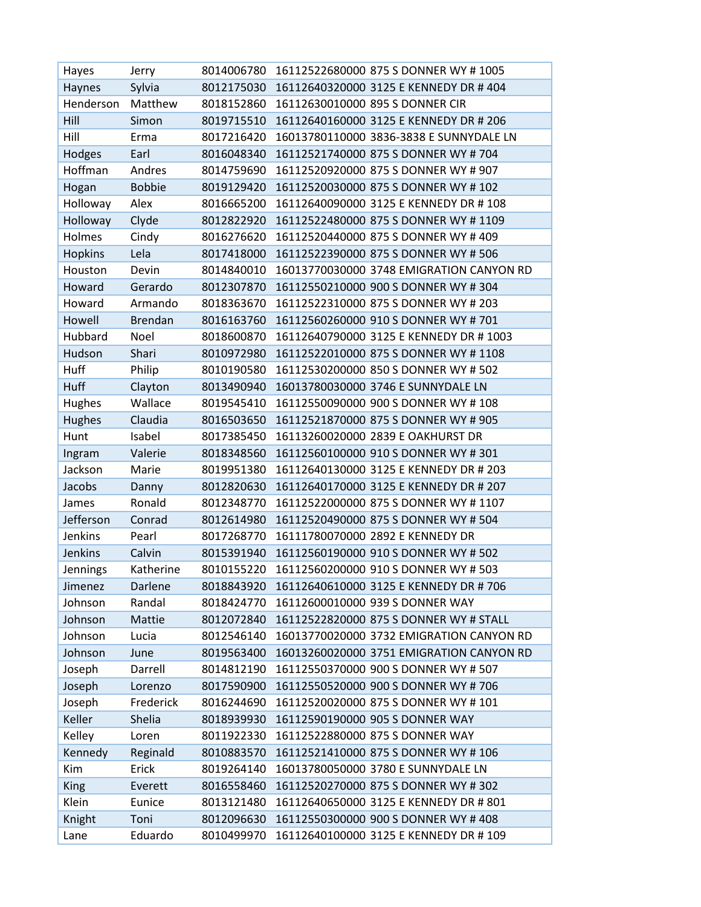| Hayes          | Jerry          | 8014006780 | 16112522680000 875 S DONNER WY #1005     |
|----------------|----------------|------------|------------------------------------------|
| Haynes         | Sylvia         | 8012175030 | 16112640320000 3125 E KENNEDY DR #404    |
| Henderson      | Matthew        | 8018152860 | 16112630010000 895 S DONNER CIR          |
| Hill           | Simon          | 8019715510 | 16112640160000 3125 E KENNEDY DR # 206   |
| Hill           | Erma           | 8017216420 | 16013780110000 3836-3838 E SUNNYDALE LN  |
| Hodges         | Earl           | 8016048340 | 16112521740000 875 S DONNER WY # 704     |
| Hoffman        | Andres         | 8014759690 | 16112520920000 875 S DONNER WY # 907     |
| Hogan          | <b>Bobbie</b>  | 8019129420 | 16112520030000 875 S DONNER WY # 102     |
| Holloway       | Alex           | 8016665200 | 16112640090000 3125 E KENNEDY DR # 108   |
| Holloway       | Clyde          | 8012822920 | 16112522480000 875 S DONNER WY # 1109    |
| Holmes         | Cindy          | 8016276620 | 16112520440000 875 S DONNER WY # 409     |
| <b>Hopkins</b> | Lela           | 8017418000 | 16112522390000 875 S DONNER WY # 506     |
| Houston        | Devin          | 8014840010 | 16013770030000 3748 EMIGRATION CANYON RD |
| Howard         | Gerardo        | 8012307870 | 16112550210000 900 S DONNER WY # 304     |
| Howard         | Armando        | 8018363670 | 16112522310000 875 S DONNER WY # 203     |
| Howell         | <b>Brendan</b> | 8016163760 | 16112560260000 910 S DONNER WY # 701     |
| Hubbard        | Noel           | 8018600870 | 16112640790000 3125 E KENNEDY DR # 1003  |
| Hudson         | Shari          | 8010972980 | 16112522010000 875 S DONNER WY # 1108    |
| Huff           | Philip         | 8010190580 | 16112530200000 850 S DONNER WY # 502     |
| Huff           | Clayton        | 8013490940 | 16013780030000 3746 E SUNNYDALE LN       |
| Hughes         | Wallace        | 8019545410 | 16112550090000 900 S DONNER WY #108      |
| Hughes         | Claudia        | 8016503650 | 16112521870000 875 S DONNER WY # 905     |
| Hunt           | Isabel         | 8017385450 | 16113260020000 2839 E OAKHURST DR        |
| Ingram         | Valerie        | 8018348560 | 16112560100000 910 S DONNER WY # 301     |
| Jackson        | Marie          | 8019951380 | 16112640130000 3125 E KENNEDY DR # 203   |
| Jacobs         | Danny          | 8012820630 | 16112640170000 3125 E KENNEDY DR # 207   |
| James          | Ronald         | 8012348770 | 16112522000000 875 S DONNER WY # 1107    |
| Jefferson      | Conrad         | 8012614980 | 16112520490000 875 S DONNER WY # 504     |
| Jenkins        | Pearl          | 8017268770 | 16111780070000 2892 E KENNEDY DR         |
| Jenkins        | Calvin         | 8015391940 | 16112560190000 910 S DONNER WY # 502     |
| Jennings       | Katherine      | 8010155220 | 16112560200000 910 S DONNER WY # 503     |
| Jimenez        | Darlene        | 8018843920 | 16112640610000 3125 E KENNEDY DR #706    |
| Johnson        | Randal         | 8018424770 | 16112600010000 939 S DONNER WAY          |
| Johnson        | Mattie         | 8012072840 | 16112522820000 875 S DONNER WY # STALL   |
| Johnson        | Lucia          | 8012546140 | 16013770020000 3732 EMIGRATION CANYON RD |
| Johnson        | June           | 8019563400 | 16013260020000 3751 EMIGRATION CANYON RD |
| Joseph         | Darrell        | 8014812190 | 16112550370000 900 S DONNER WY # 507     |
| Joseph         | Lorenzo        | 8017590900 | 16112550520000 900 S DONNER WY # 706     |
| Joseph         | Frederick      | 8016244690 | 16112520020000 875 S DONNER WY # 101     |
| Keller         | Shelia         | 8018939930 | 16112590190000 905 S DONNER WAY          |
| Kelley         | Loren          | 8011922330 | 16112522880000 875 S DONNER WAY          |
| Kennedy        | Reginald       | 8010883570 | 16112521410000 875 S DONNER WY #106      |
| Kim            | Erick          | 8019264140 | 16013780050000 3780 E SUNNYDALE LN       |
| <b>King</b>    | Everett        | 8016558460 | 16112520270000 875 S DONNER WY # 302     |
| Klein          | Eunice         | 8013121480 | 16112640650000 3125 E KENNEDY DR # 801   |
| Knight         | Toni           | 8012096630 | 16112550300000 900 S DONNER WY #408      |
| Lane           | Eduardo        | 8010499970 | 16112640100000 3125 E KENNEDY DR # 109   |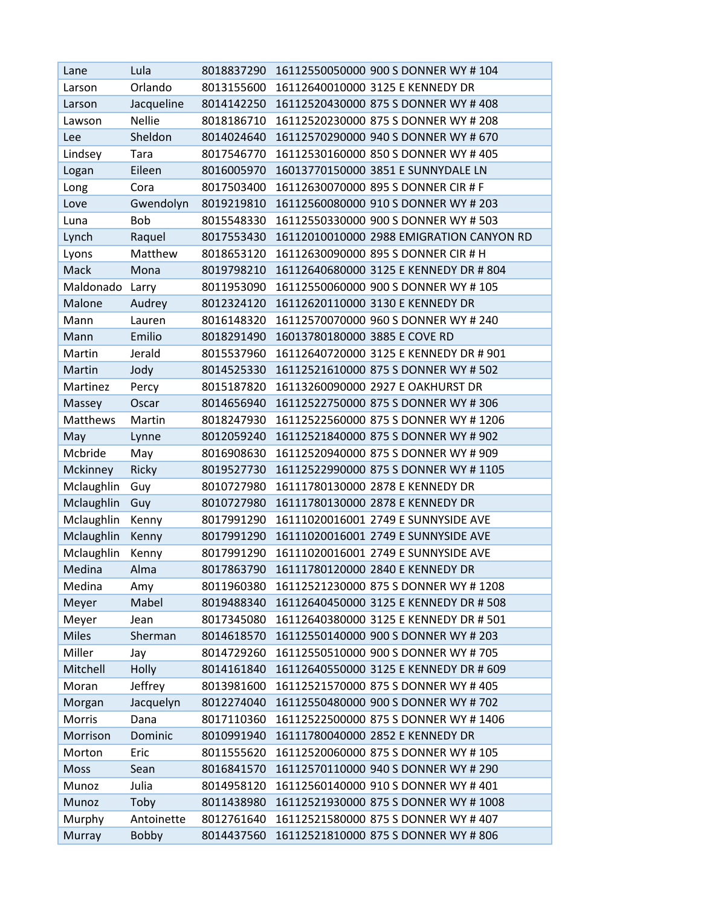| Lane            | Lula          | 8018837290 | 16112550050000 900 S DONNER WY #104      |
|-----------------|---------------|------------|------------------------------------------|
| Larson          | Orlando       | 8013155600 | 16112640010000 3125 E KENNEDY DR         |
| Larson          | Jacqueline    | 8014142250 | 16112520430000 875 S DONNER WY # 408     |
| Lawson          | <b>Nellie</b> | 8018186710 | 16112520230000 875 S DONNER WY # 208     |
| Lee             | Sheldon       | 8014024640 | 16112570290000 940 S DONNER WY # 670     |
| Lindsey         | Tara          | 8017546770 | 16112530160000 850 S DONNER WY # 405     |
| Logan           | Eileen        | 8016005970 | 16013770150000 3851 E SUNNYDALE LN       |
| Long            | Cora          | 8017503400 | 16112630070000 895 S DONNER CIR # F      |
| Love            | Gwendolyn     | 8019219810 | 16112560080000 910 S DONNER WY # 203     |
| Luna            | Bob           | 8015548330 | 16112550330000 900 S DONNER WY # 503     |
| Lynch           | Raquel        | 8017553430 | 16112010010000 2988 EMIGRATION CANYON RD |
| Lyons           | Matthew       | 8018653120 | 16112630090000 895 S DONNER CIR # H      |
| Mack            | Mona          | 8019798210 | 16112640680000 3125 E KENNEDY DR # 804   |
| Maldonado Larry |               | 8011953090 | 16112550060000 900 S DONNER WY # 105     |
| <b>Malone</b>   | Audrey        | 8012324120 | 16112620110000 3130 E KENNEDY DR         |
| Mann            | Lauren        | 8016148320 | 16112570070000 960 S DONNER WY # 240     |
| Mann            | Emilio        | 8018291490 | 16013780180000 3885 E COVE RD            |
| Martin          | Jerald        | 8015537960 | 16112640720000 3125 E KENNEDY DR # 901   |
| Martin          | Jody          | 8014525330 | 16112521610000 875 S DONNER WY # 502     |
| Martinez        | Percy         | 8015187820 | 16113260090000 2927 E OAKHURST DR        |
| Massey          | Oscar         | 8014656940 | 16112522750000 875 S DONNER WY # 306     |
| Matthews        | Martin        | 8018247930 | 16112522560000 875 S DONNER WY #1206     |
| May             | Lynne         | 8012059240 | 16112521840000 875 S DONNER WY # 902     |
| Mcbride         | May           | 8016908630 | 16112520940000 875 S DONNER WY # 909     |
| Mckinney        | Ricky         | 8019527730 | 16112522990000 875 S DONNER WY # 1105    |
| Mclaughlin      | Guy           | 8010727980 | 16111780130000 2878 E KENNEDY DR         |
| Mclaughlin      | Guy           | 8010727980 | 16111780130000 2878 E KENNEDY DR         |
| Mclaughlin      | Kenny         | 8017991290 | 16111020016001 2749 E SUNNYSIDE AVE      |
| Mclaughlin      | Kenny         | 8017991290 | 16111020016001 2749 E SUNNYSIDE AVE      |
| Mclaughlin      | Kenny         | 8017991290 | 16111020016001 2749 E SUNNYSIDE AVE      |
| Medina          | Alma          | 8017863790 | 16111780120000 2840 E KENNEDY DR         |
| Medina          | Amy           | 8011960380 | 16112521230000 875 S DONNER WY #1208     |
| Meyer           | Mabel         | 8019488340 | 16112640450000 3125 E KENNEDY DR # 508   |
| Meyer           | Jean          | 8017345080 | 16112640380000 3125 E KENNEDY DR # 501   |
| <b>Miles</b>    | Sherman       | 8014618570 | 16112550140000 900 S DONNER WY # 203     |
| Miller          | Jay           | 8014729260 | 16112550510000 900 S DONNER WY # 705     |
| Mitchell        | Holly         | 8014161840 | 16112640550000 3125 E KENNEDY DR # 609   |
| Moran           | Jeffrey       | 8013981600 | 16112521570000 875 S DONNER WY # 405     |
| Morgan          | Jacquelyn     | 8012274040 | 16112550480000 900 S DONNER WY # 702     |
| Morris          | Dana          | 8017110360 | 16112522500000 875 S DONNER WY # 1406    |
| Morrison        | Dominic       | 8010991940 | 16111780040000 2852 E KENNEDY DR         |
| Morton          | Eric          | 8011555620 | 16112520060000 875 S DONNER WY # 105     |
| Moss            | Sean          | 8016841570 | 16112570110000 940 S DONNER WY # 290     |
| Munoz           | Julia         | 8014958120 | 16112560140000 910 S DONNER WY #401      |
| Munoz           | Toby          | 8011438980 | 16112521930000 875 S DONNER WY # 1008    |
| Murphy          | Antoinette    | 8012761640 | 16112521580000 875 S DONNER WY # 407     |
| Murray          | <b>Bobby</b>  | 8014437560 | 16112521810000 875 S DONNER WY # 806     |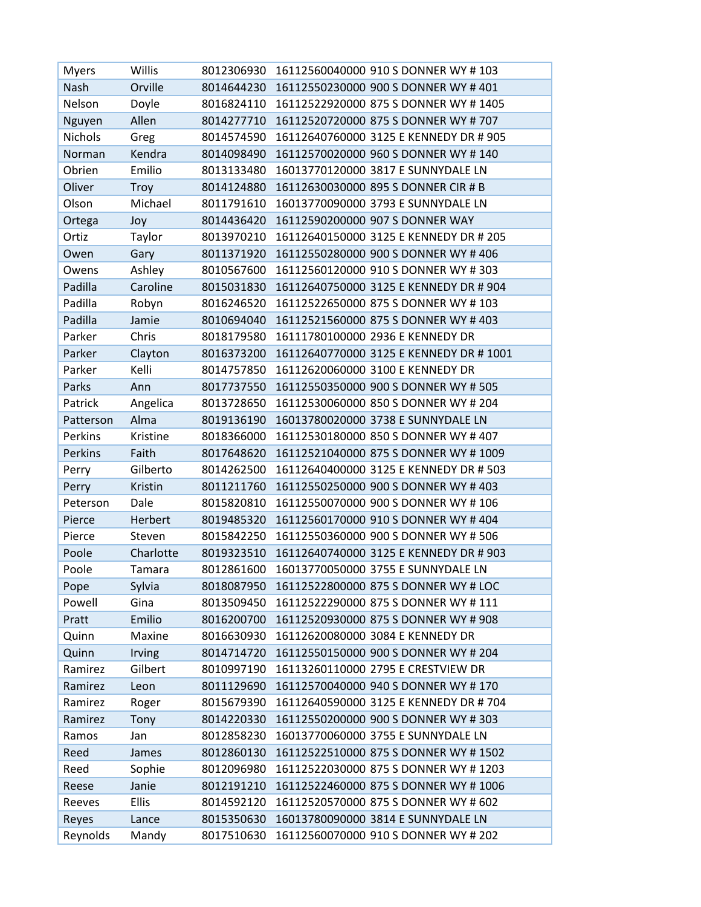| <b>Myers</b>   | Willis       | 8012306930 | 16112560040000 910 S DONNER WY #103    |
|----------------|--------------|------------|----------------------------------------|
| Nash           | Orville      | 8014644230 | 16112550230000 900 S DONNER WY # 401   |
| Nelson         | Doyle        | 8016824110 | 16112522920000 875 S DONNER WY # 1405  |
| Nguyen         | Allen        | 8014277710 | 16112520720000 875 S DONNER WY # 707   |
| <b>Nichols</b> | Greg         | 8014574590 | 16112640760000 3125 E KENNEDY DR # 905 |
| Norman         | Kendra       | 8014098490 | 16112570020000 960 S DONNER WY # 140   |
| Obrien         | Emilio       | 8013133480 | 16013770120000 3817 E SUNNYDALE LN     |
| Oliver         | Troy         | 8014124880 | 16112630030000 895 S DONNER CIR # B    |
| Olson          | Michael      | 8011791610 | 16013770090000 3793 E SUNNYDALE LN     |
| Ortega         | Joy          | 8014436420 | 16112590200000 907 S DONNER WAY        |
| Ortiz          | Taylor       | 8013970210 | 16112640150000 3125 E KENNEDY DR # 205 |
| Owen           | Gary         | 8011371920 | 16112550280000 900 S DONNER WY #406    |
| Owens          | Ashley       | 8010567600 | 16112560120000 910 S DONNER WY # 303   |
| Padilla        | Caroline     | 8015031830 | 16112640750000 3125 E KENNEDY DR # 904 |
| Padilla        | Robyn        | 8016246520 | 16112522650000 875 S DONNER WY # 103   |
| Padilla        | Jamie        | 8010694040 | 16112521560000 875 S DONNER WY # 403   |
| Parker         | Chris        | 8018179580 | 16111780100000 2936 E KENNEDY DR       |
| Parker         | Clayton      | 8016373200 | 16112640770000 3125 E KENNEDY DR #1001 |
| Parker         | Kelli        | 8014757850 | 16112620060000 3100 E KENNEDY DR       |
| Parks          | Ann          | 8017737550 | 16112550350000 900 S DONNER WY # 505   |
| Patrick        | Angelica     | 8013728650 | 16112530060000 850 S DONNER WY # 204   |
| Patterson      | Alma         | 8019136190 | 16013780020000 3738 E SUNNYDALE LN     |
| Perkins        | Kristine     | 8018366000 | 16112530180000 850 S DONNER WY # 407   |
| Perkins        | Faith        | 8017648620 | 16112521040000 875 S DONNER WY # 1009  |
| Perry          | Gilberto     | 8014262500 | 16112640400000 3125 E KENNEDY DR # 503 |
| Perry          | Kristin      | 8011211760 | 16112550250000 900 S DONNER WY # 403   |
| Peterson       | Dale         | 8015820810 | 16112550070000 900 S DONNER WY #106    |
| Pierce         | Herbert      | 8019485320 | 16112560170000 910 S DONNER WY # 404   |
| Pierce         | Steven       | 8015842250 | 16112550360000 900 S DONNER WY # 506   |
| Poole          | Charlotte    | 8019323510 | 16112640740000 3125 E KENNEDY DR # 903 |
| Poole          | Tamara       | 8012861600 | 16013770050000 3755 E SUNNYDALE LN     |
| Pope           | Sylvia       | 8018087950 | 16112522800000 875 S DONNER WY # LOC   |
| Powell         | Gina         | 8013509450 | 16112522290000 875 S DONNER WY # 111   |
| Pratt          | Emilio       | 8016200700 | 16112520930000 875 S DONNER WY # 908   |
| Quinn          | Maxine       | 8016630930 | 16112620080000 3084 E KENNEDY DR       |
| Quinn          | Irving       | 8014714720 | 16112550150000 900 S DONNER WY # 204   |
| Ramirez        | Gilbert      | 8010997190 | 16113260110000 2795 E CRESTVIEW DR     |
| Ramirez        | Leon         | 8011129690 | 16112570040000 940 S DONNER WY # 170   |
| Ramirez        | Roger        | 8015679390 | 16112640590000 3125 E KENNEDY DR # 704 |
| Ramirez        | Tony         | 8014220330 | 16112550200000 900 S DONNER WY # 303   |
| Ramos          | Jan          | 8012858230 | 16013770060000 3755 E SUNNYDALE LN     |
| Reed           | James        | 8012860130 | 16112522510000 875 S DONNER WY # 1502  |
| Reed           | Sophie       | 8012096980 | 16112522030000 875 S DONNER WY # 1203  |
| Reese          | Janie        | 8012191210 | 16112522460000 875 S DONNER WY #1006   |
| Reeves         | <b>Ellis</b> | 8014592120 | 16112520570000 875 S DONNER WY # 602   |
| Reyes          | Lance        | 8015350630 | 16013780090000 3814 E SUNNYDALE LN     |
| Reynolds       | Mandy        | 8017510630 | 16112560070000 910 S DONNER WY # 202   |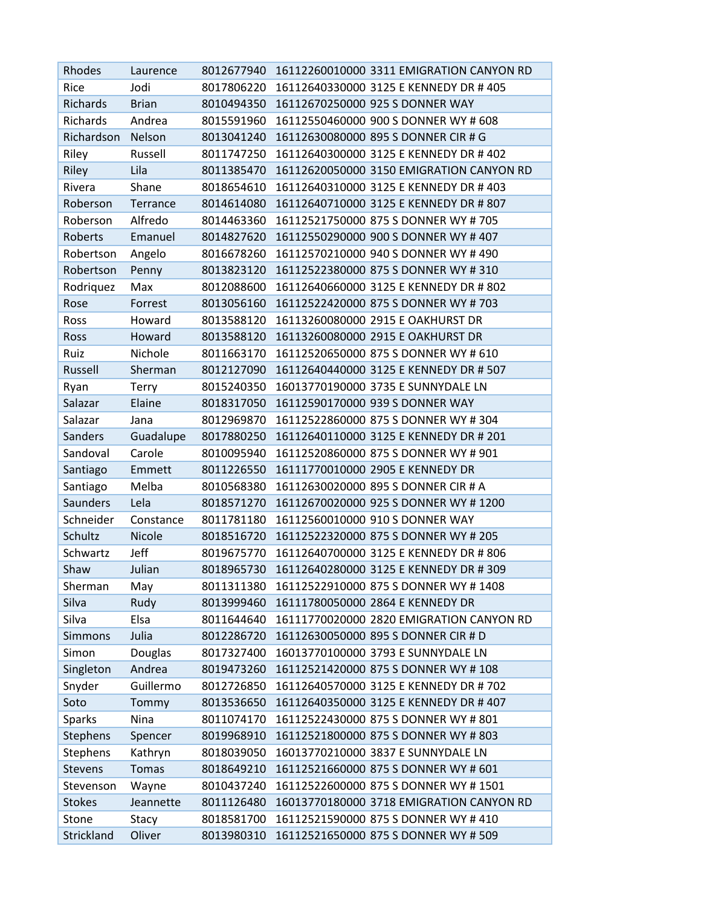| Rhodes          | Laurence     |            | 8012677940 16112260010000 3311 EMIGRATION CANYON RD |
|-----------------|--------------|------------|-----------------------------------------------------|
| Rice            | Jodi         | 8017806220 | 16112640330000 3125 E KENNEDY DR # 405              |
| Richards        | <b>Brian</b> | 8010494350 | 16112670250000 925 S DONNER WAY                     |
| Richards        | Andrea       | 8015591960 | 16112550460000 900 S DONNER WY # 608                |
| Richardson      | Nelson       | 8013041240 | 16112630080000 895 S DONNER CIR # G                 |
| Riley           | Russell      | 8011747250 | 16112640300000 3125 E KENNEDY DR #402               |
| Riley           | Lila         | 8011385470 | 16112620050000 3150 EMIGRATION CANYON RD            |
| Rivera          | Shane        | 8018654610 | 16112640310000 3125 E KENNEDY DR #403               |
| Roberson        | Terrance     | 8014614080 | 16112640710000 3125 E KENNEDY DR # 807              |
| Roberson        | Alfredo      | 8014463360 | 16112521750000 875 S DONNER WY # 705                |
| Roberts         | Emanuel      | 8014827620 | 16112550290000 900 S DONNER WY # 407                |
| Robertson       | Angelo       | 8016678260 | 16112570210000 940 S DONNER WY # 490                |
| Robertson       | Penny        | 8013823120 | 16112522380000 875 S DONNER WY # 310                |
| Rodriquez       | Max          | 8012088600 | 16112640660000 3125 E KENNEDY DR # 802              |
| Rose            | Forrest      | 8013056160 | 16112522420000 875 S DONNER WY # 703                |
| Ross            | Howard       | 8013588120 | 16113260080000 2915 E OAKHURST DR                   |
| Ross            | Howard       | 8013588120 | 16113260080000 2915 E OAKHURST DR                   |
| Ruiz            | Nichole      | 8011663170 | 16112520650000 875 S DONNER WY # 610                |
| Russell         | Sherman      | 8012127090 | 16112640440000 3125 E KENNEDY DR # 507              |
| Ryan            | <b>Terry</b> | 8015240350 | 16013770190000 3735 E SUNNYDALE LN                  |
| Salazar         | Elaine       | 8018317050 | 16112590170000 939 S DONNER WAY                     |
| Salazar         | Jana         | 8012969870 | 16112522860000 875 S DONNER WY # 304                |
| <b>Sanders</b>  | Guadalupe    | 8017880250 | 16112640110000 3125 E KENNEDY DR # 201              |
| Sandoval        | Carole       | 8010095940 | 16112520860000 875 S DONNER WY # 901                |
| Santiago        | Emmett       | 8011226550 | 16111770010000 2905 E KENNEDY DR                    |
| Santiago        | Melba        | 8010568380 | 16112630020000 895 S DONNER CIR # A                 |
| <b>Saunders</b> | Lela         | 8018571270 | 16112670020000 925 S DONNER WY # 1200               |
| Schneider       | Constance    | 8011781180 | 16112560010000 910 S DONNER WAY                     |
| Schultz         | Nicole       | 8018516720 | 16112522320000 875 S DONNER WY # 205                |
| Schwartz        | Jeff         | 8019675770 | 16112640700000 3125 E KENNEDY DR # 806              |
| Shaw            | Julian       | 8018965730 | 16112640280000 3125 E KENNEDY DR # 309              |
| Sherman         | May          |            | 8011311380 16112522910000 875 S DONNER WY #1408     |
| Silva           | Rudy         | 8013999460 | 16111780050000 2864 E KENNEDY DR                    |
| Silva           | Elsa         | 8011644640 | 16111770020000 2820 EMIGRATION CANYON RD            |
| <b>Simmons</b>  | Julia        | 8012286720 | 16112630050000 895 S DONNER CIR # D                 |
| Simon           | Douglas      | 8017327400 | 16013770100000 3793 E SUNNYDALE LN                  |
| Singleton       | Andrea       | 8019473260 | 16112521420000 875 S DONNER WY # 108                |
| Snyder          | Guillermo    | 8012726850 | 16112640570000 3125 E KENNEDY DR # 702              |
| Soto            | Tommy        | 8013536650 | 16112640350000 3125 E KENNEDY DR #407               |
| <b>Sparks</b>   | Nina         | 8011074170 | 16112522430000 875 S DONNER WY # 801                |
| <b>Stephens</b> | Spencer      | 8019968910 | 16112521800000 875 S DONNER WY # 803                |
| <b>Stephens</b> | Kathryn      | 8018039050 | 16013770210000 3837 E SUNNYDALE LN                  |
| Stevens         | <b>Tomas</b> | 8018649210 | 16112521660000 875 S DONNER WY # 601                |
| Stevenson       | Wayne        | 8010437240 | 16112522600000 875 S DONNER WY #1501                |
| <b>Stokes</b>   | Jeannette    | 8011126480 | 16013770180000 3718 EMIGRATION CANYON RD            |
| Stone           | Stacy        | 8018581700 | 16112521590000 875 S DONNER WY # 410                |
| Strickland      | Oliver       | 8013980310 | 16112521650000 875 S DONNER WY # 509                |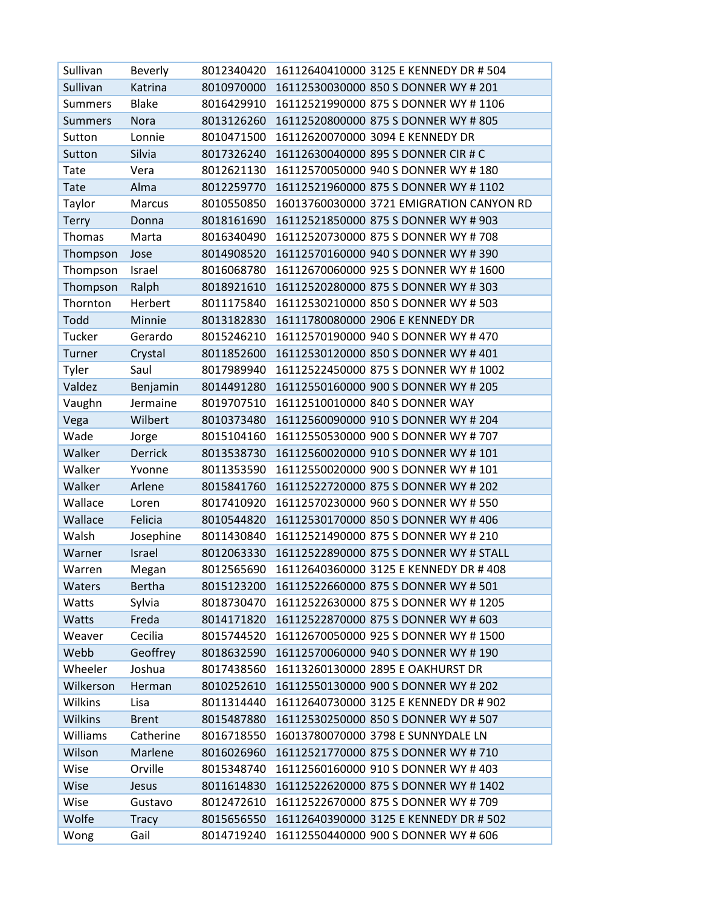| Sullivan       | Beverly        | 8012340420 | 16112640410000 3125 E KENNEDY DR # 504   |
|----------------|----------------|------------|------------------------------------------|
| Sullivan       | Katrina        | 8010970000 | 16112530030000 850 S DONNER WY # 201     |
| <b>Summers</b> | <b>Blake</b>   | 8016429910 | 16112521990000 875 S DONNER WY # 1106    |
| <b>Summers</b> | Nora           | 8013126260 | 16112520800000 875 S DONNER WY # 805     |
| Sutton         | Lonnie         | 8010471500 | 16112620070000 3094 E KENNEDY DR         |
| Sutton         | Silvia         | 8017326240 | 16112630040000 895 S DONNER CIR # C      |
| Tate           | Vera           | 8012621130 | 16112570050000 940 S DONNER WY # 180     |
| <b>Tate</b>    | Alma           | 8012259770 | 16112521960000 875 S DONNER WY # 1102    |
| Taylor         | Marcus         | 8010550850 | 16013760030000 3721 EMIGRATION CANYON RD |
| <b>Terry</b>   | Donna          | 8018161690 | 16112521850000 875 S DONNER WY # 903     |
| Thomas         | Marta          | 8016340490 | 16112520730000 875 S DONNER WY # 708     |
| Thompson       | Jose           | 8014908520 | 16112570160000 940 S DONNER WY # 390     |
| Thompson       | Israel         | 8016068780 | 16112670060000 925 S DONNER WY #1600     |
| Thompson       | Ralph          | 8018921610 | 16112520280000 875 S DONNER WY # 303     |
| Thornton       | Herbert        | 8011175840 | 16112530210000 850 S DONNER WY # 503     |
| Todd           | Minnie         | 8013182830 | 16111780080000 2906 E KENNEDY DR         |
| Tucker         | Gerardo        | 8015246210 | 16112570190000 940 S DONNER WY # 470     |
| Turner         | Crystal        | 8011852600 | 16112530120000 850 S DONNER WY # 401     |
| Tyler          | Saul           | 8017989940 | 16112522450000 875 S DONNER WY # 1002    |
| Valdez         | Benjamin       | 8014491280 | 16112550160000 900 S DONNER WY # 205     |
| Vaughn         | Jermaine       | 8019707510 | 16112510010000 840 S DONNER WAY          |
| Vega           | Wilbert        | 8010373480 | 16112560090000 910 S DONNER WY # 204     |
| Wade           | Jorge          | 8015104160 | 16112550530000 900 S DONNER WY # 707     |
| Walker         | <b>Derrick</b> | 8013538730 | 16112560020000 910 S DONNER WY # 101     |
| Walker         | Yvonne         | 8011353590 | 16112550020000 900 S DONNER WY # 101     |
| Walker         | Arlene         | 8015841760 | 16112522720000 875 S DONNER WY # 202     |
| Wallace        | Loren          | 8017410920 | 16112570230000 960 S DONNER WY # 550     |
| Wallace        | Felicia        | 8010544820 | 16112530170000 850 S DONNER WY # 406     |
| Walsh          | Josephine      | 8011430840 | 16112521490000 875 S DONNER WY # 210     |
| Warner         | Israel         | 8012063330 | 16112522890000 875 S DONNER WY # STALL   |
| Warren         | Megan          | 8012565690 | 16112640360000 3125 E KENNEDY DR #408    |
| Waters         | <b>Bertha</b>  | 8015123200 | 16112522660000 875 S DONNER WY # 501     |
| Watts          | Sylvia         | 8018730470 | 16112522630000 875 S DONNER WY #1205     |
| Watts          | Freda          | 8014171820 | 16112522870000 875 S DONNER WY # 603     |
| Weaver         | Cecilia        | 8015744520 | 16112670050000 925 S DONNER WY #1500     |
| Webb           | Geoffrey       | 8018632590 | 16112570060000 940 S DONNER WY # 190     |
| Wheeler        | Joshua         | 8017438560 | 16113260130000 2895 E OAKHURST DR        |
| Wilkerson      | Herman         | 8010252610 | 16112550130000 900 S DONNER WY # 202     |
| Wilkins        | Lisa           | 8011314440 | 16112640730000 3125 E KENNEDY DR # 902   |
| <b>Wilkins</b> | <b>Brent</b>   | 8015487880 | 16112530250000 850 S DONNER WY # 507     |
| Williams       | Catherine      | 8016718550 | 16013780070000 3798 E SUNNYDALE LN       |
| Wilson         | Marlene        | 8016026960 | 16112521770000 875 S DONNER WY # 710     |
| Wise           | Orville        | 8015348740 | 16112560160000 910 S DONNER WY # 403     |
| Wise           | Jesus          | 8011614830 | 16112522620000 875 S DONNER WY # 1402    |
| Wise           | Gustavo        | 8012472610 | 16112522670000 875 S DONNER WY # 709     |
| Wolfe          | <b>Tracy</b>   | 8015656550 | 16112640390000 3125 E KENNEDY DR # 502   |
| Wong           | Gail           | 8014719240 | 16112550440000 900 S DONNER WY # 606     |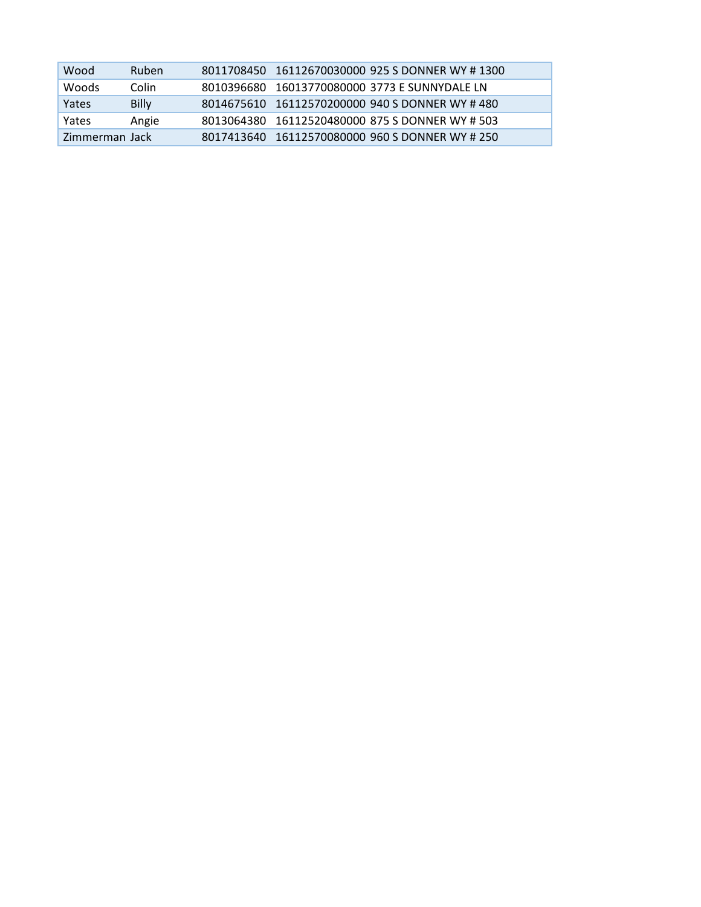| Wood           | <b>Ruben</b> | 8011708450 16112670030000 925 S DONNER WY #1300 |
|----------------|--------------|-------------------------------------------------|
| <b>Woods</b>   | Colin        | 8010396680 16013770080000 3773 E SUNNYDALE LN   |
| Yates          | <b>Billy</b> | 8014675610 16112570200000 940 S DONNER WY #480  |
| Yates          | Angie        | 8013064380 16112520480000 875 S DONNER WY # 503 |
| Zimmerman Jack |              | 8017413640 16112570080000 960 S DONNER WY # 250 |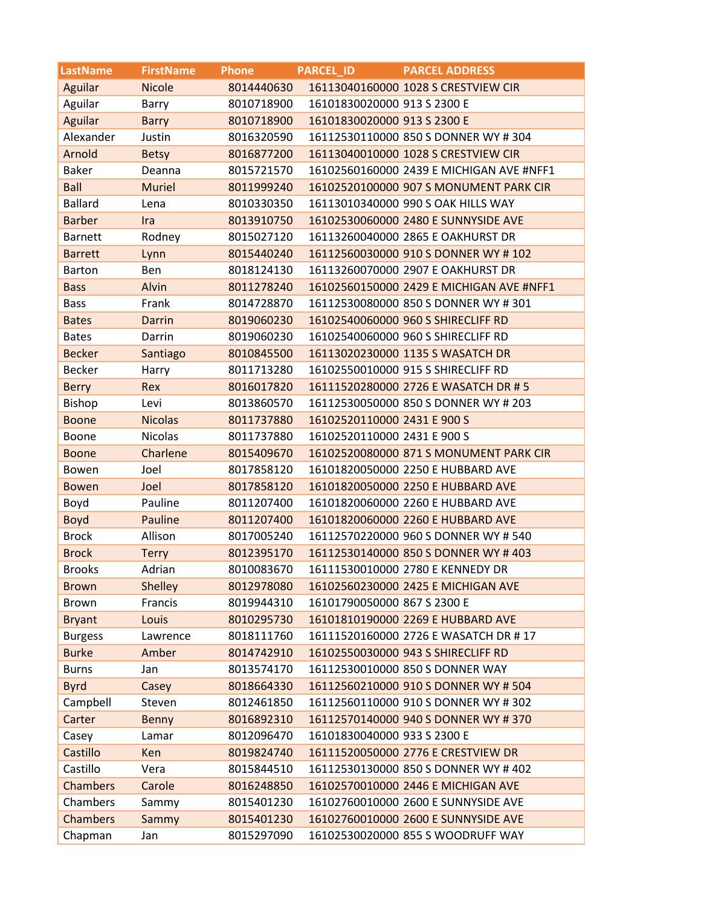| <b>LastName</b> | <b>FirstName</b> | <b>Phone</b> | <b>PARCEL ID</b>            | <b>PARCEL ADDRESS</b>                    |
|-----------------|------------------|--------------|-----------------------------|------------------------------------------|
| Aguilar         | <b>Nicole</b>    | 8014440630   |                             | 16113040160000 1028 S CRESTVIEW CIR      |
| Aguilar         | Barry            | 8010718900   | 16101830020000 913 S 2300 E |                                          |
| Aguilar         | <b>Barry</b>     | 8010718900   | 16101830020000 913 S 2300 E |                                          |
| Alexander       | Justin           | 8016320590   |                             | 16112530110000 850 S DONNER WY #304      |
| Arnold          | <b>Betsy</b>     | 8016877200   |                             | 16113040010000 1028 S CRESTVIEW CIR      |
| <b>Baker</b>    | Deanna           | 8015721570   |                             | 16102560160000 2439 E MICHIGAN AVE #NFF1 |
| <b>Ball</b>     | <b>Muriel</b>    | 8011999240   |                             | 16102520100000 907 S MONUMENT PARK CIR   |
| <b>Ballard</b>  | Lena             | 8010330350   |                             | 16113010340000 990 S OAK HILLS WAY       |
| <b>Barber</b>   | Ira              | 8013910750   |                             | 16102530060000 2480 E SUNNYSIDE AVE      |
| <b>Barnett</b>  | Rodney           | 8015027120   |                             | 16113260040000 2865 E OAKHURST DR        |
| <b>Barrett</b>  | Lynn             | 8015440240   |                             | 16112560030000 910 S DONNER WY #102      |
| <b>Barton</b>   | Ben              | 8018124130   |                             | 16113260070000 2907 E OAKHURST DR        |
| <b>Bass</b>     | Alvin            | 8011278240   |                             | 16102560150000 2429 E MICHIGAN AVE #NFF1 |
| <b>Bass</b>     | Frank            | 8014728870   |                             | 16112530080000 850 S DONNER WY #301      |
| <b>Bates</b>    | <b>Darrin</b>    | 8019060230   |                             | 16102540060000 960 S SHIRECLIFF RD       |
| <b>Bates</b>    | Darrin           | 8019060230   |                             | 16102540060000 960 S SHIRECLIFF RD       |
| <b>Becker</b>   | Santiago         | 8010845500   |                             | 16113020230000 1135 S WASATCH DR         |
| <b>Becker</b>   | Harry            | 8011713280   |                             | 16102550010000 915 S SHIRECLIFF RD       |
| <b>Berry</b>    | Rex              | 8016017820   |                             | 16111520280000 2726 E WASATCH DR #5      |
| Bishop          | Levi             | 8013860570   |                             | 16112530050000 850 S DONNER WY # 203     |
| <b>Boone</b>    | <b>Nicolas</b>   | 8011737880   | 16102520110000 2431 E 900 S |                                          |
| Boone           | <b>Nicolas</b>   | 8011737880   | 16102520110000 2431 E 900 S |                                          |
| <b>Boone</b>    | Charlene         | 8015409670   |                             | 16102520080000 871 S MONUMENT PARK CIR   |
| Bowen           | Joel             | 8017858120   |                             | 16101820050000 2250 E HUBBARD AVE        |
| <b>Bowen</b>    | Joel             | 8017858120   |                             | 16101820050000 2250 E HUBBARD AVE        |
| Boyd            | Pauline          | 8011207400   |                             | 16101820060000 2260 E HUBBARD AVE        |
| <b>Boyd</b>     | Pauline          | 8011207400   |                             | 16101820060000 2260 E HUBBARD AVE        |
| <b>Brock</b>    | Allison          | 8017005240   |                             | 16112570220000 960 S DONNER WY # 540     |
| <b>Brock</b>    | <b>Terry</b>     | 8012395170   |                             | 16112530140000 850 S DONNER WY #403      |
| <b>Brooks</b>   | Adrian           | 8010083670   |                             | 16111530010000 2780 E KENNEDY DR         |
| <b>Brown</b>    | Shelley          | 8012978080   |                             | 16102560230000 2425 E MICHIGAN AVE       |
| <b>Brown</b>    | Francis          | 8019944310   | 16101790050000 867 S 2300 E |                                          |
| <b>Bryant</b>   | Louis            | 8010295730   |                             | 16101810190000 2269 E HUBBARD AVE        |
| <b>Burgess</b>  | Lawrence         | 8018111760   |                             | 16111520160000 2726 E WASATCH DR #17     |
| <b>Burke</b>    | Amber            | 8014742910   |                             | 16102550030000 943 S SHIRECLIFF RD       |
| <b>Burns</b>    | Jan              | 8013574170   |                             | 16112530010000 850 S DONNER WAY          |
| <b>Byrd</b>     | Casey            | 8018664330   |                             | 16112560210000 910 S DONNER WY # 504     |
| Campbell        | Steven           | 8012461850   |                             | 16112560110000 910 S DONNER WY #302      |
| Carter          | <b>Benny</b>     | 8016892310   |                             | 16112570140000 940 S DONNER WY # 370     |
| Casey           | Lamar            | 8012096470   | 16101830040000 933 S 2300 E |                                          |
| Castillo        | Ken              | 8019824740   |                             | 16111520050000 2776 E CRESTVIEW DR       |
| Castillo        | Vera             | 8015844510   |                             | 16112530130000 850 S DONNER WY # 402     |
| Chambers        | Carole           | 8016248850   |                             | 16102570010000 2446 E MICHIGAN AVE       |
| Chambers        | Sammy            | 8015401230   |                             | 16102760010000 2600 E SUNNYSIDE AVE      |
| Chambers        | Sammy            | 8015401230   |                             | 16102760010000 2600 E SUNNYSIDE AVE      |
| Chapman         | Jan              | 8015297090   |                             | 16102530020000 855 S WOODRUFF WAY        |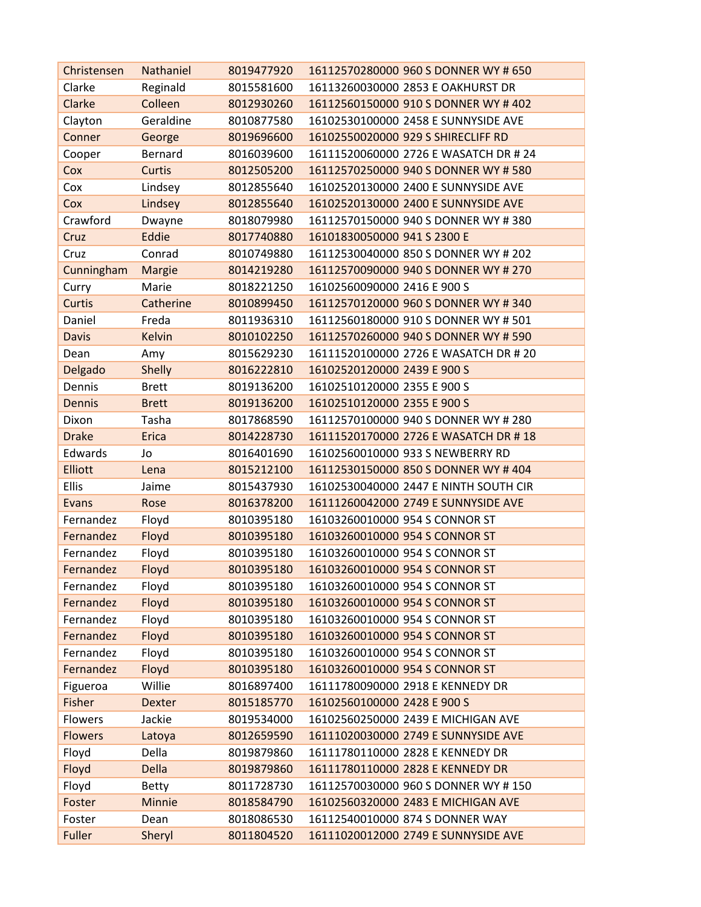| Christensen    | Nathaniel     | 8019477920 | 16112570280000 960 S DONNER WY # 650  |
|----------------|---------------|------------|---------------------------------------|
| Clarke         | Reginald      | 8015581600 | 16113260030000 2853 E OAKHURST DR     |
| Clarke         | Colleen       | 8012930260 | 16112560150000 910 S DONNER WY # 402  |
| Clayton        | Geraldine     | 8010877580 | 16102530100000 2458 E SUNNYSIDE AVE   |
| Conner         | George        | 8019696600 | 16102550020000 929 S SHIRECLIFF RD    |
| Cooper         | Bernard       | 8016039600 | 16111520060000 2726 E WASATCH DR # 24 |
| Cox            | Curtis        | 8012505200 | 16112570250000 940 S DONNER WY # 580  |
| Cox            | Lindsey       | 8012855640 | 16102520130000 2400 E SUNNYSIDE AVE   |
| Cox            | Lindsey       | 8012855640 | 16102520130000 2400 E SUNNYSIDE AVE   |
| Crawford       | Dwayne        | 8018079980 | 16112570150000 940 S DONNER WY # 380  |
| Cruz           | Eddie         | 8017740880 | 16101830050000 941 S 2300 E           |
| Cruz           | Conrad        | 8010749880 | 16112530040000 850 S DONNER WY # 202  |
| Cunningham     | Margie        | 8014219280 | 16112570090000 940 S DONNER WY # 270  |
| Curry          | Marie         | 8018221250 | 16102560090000 2416 E 900 S           |
| <b>Curtis</b>  | Catherine     | 8010899450 | 16112570120000 960 S DONNER WY # 340  |
| Daniel         | Freda         | 8011936310 | 16112560180000 910 S DONNER WY # 501  |
| <b>Davis</b>   | <b>Kelvin</b> | 8010102250 | 16112570260000 940 S DONNER WY # 590  |
| Dean           | Amy           | 8015629230 | 16111520100000 2726 E WASATCH DR # 20 |
| Delgado        | <b>Shelly</b> | 8016222810 | 16102520120000 2439 E 900 S           |
| Dennis         | <b>Brett</b>  | 8019136200 | 16102510120000 2355 E 900 S           |
| <b>Dennis</b>  | <b>Brett</b>  | 8019136200 | 16102510120000 2355 E 900 S           |
| Dixon          | Tasha         | 8017868590 | 16112570100000 940 S DONNER WY # 280  |
| <b>Drake</b>   | <b>Erica</b>  | 8014228730 | 16111520170000 2726 E WASATCH DR #18  |
| Edwards        | Jo            | 8016401690 | 16102560010000 933 S NEWBERRY RD      |
| <b>Elliott</b> | Lena          | 8015212100 | 16112530150000 850 S DONNER WY #404   |
| Ellis          | Jaime         | 8015437930 | 16102530040000 2447 E NINTH SOUTH CIR |
| Evans          | Rose          | 8016378200 | 16111260042000 2749 E SUNNYSIDE AVE   |
| Fernandez      | Floyd         | 8010395180 | 16103260010000 954 S CONNOR ST        |
| Fernandez      | Floyd         | 8010395180 | 16103260010000 954 S CONNOR ST        |
| Fernandez      | Floyd         | 8010395180 | 16103260010000 954 S CONNOR ST        |
| Fernandez      | Floyd         | 8010395180 | 16103260010000 954 S CONNOR ST        |
| Fernandez      | Floyd         | 8010395180 | 16103260010000 954 S CONNOR ST        |
| Fernandez      | Floyd         | 8010395180 | 16103260010000 954 S CONNOR ST        |
| Fernandez      | Floyd         | 8010395180 | 16103260010000 954 S CONNOR ST        |
| Fernandez      | Floyd         | 8010395180 | 16103260010000 954 S CONNOR ST        |
| Fernandez      | Floyd         | 8010395180 | 16103260010000 954 S CONNOR ST        |
| Fernandez      | Floyd         | 8010395180 | 16103260010000 954 S CONNOR ST        |
| Figueroa       | Willie        | 8016897400 | 16111780090000 2918 E KENNEDY DR      |
| Fisher         | <b>Dexter</b> | 8015185770 | 16102560100000 2428 E 900 S           |
| Flowers        | Jackie        | 8019534000 | 16102560250000 2439 E MICHIGAN AVE    |
| <b>Flowers</b> | Latoya        | 8012659590 | 16111020030000 2749 E SUNNYSIDE AVE   |
| Floyd          | Della         | 8019879860 | 16111780110000 2828 E KENNEDY DR      |
| Floyd          | <b>Della</b>  | 8019879860 | 16111780110000 2828 E KENNEDY DR      |
| Floyd          | <b>Betty</b>  | 8011728730 | 16112570030000 960 S DONNER WY #150   |
| Foster         | Minnie        | 8018584790 | 16102560320000 2483 E MICHIGAN AVE    |
| Foster         | Dean          | 8018086530 | 16112540010000 874 S DONNER WAY       |
| Fuller         | Sheryl        | 8011804520 | 16111020012000 2749 E SUNNYSIDE AVE   |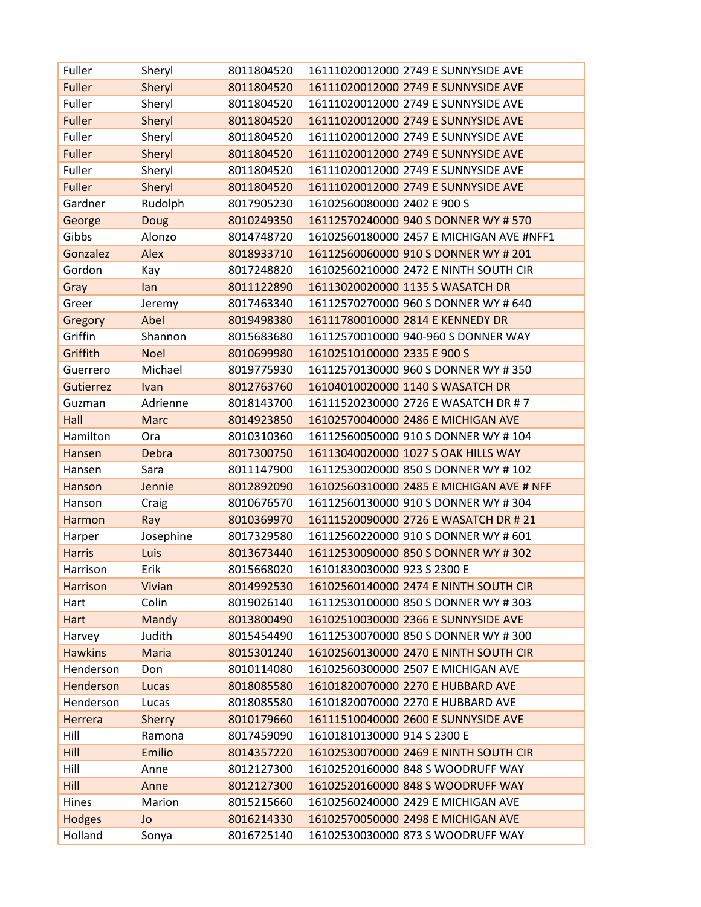| Fuller          | Sheryl        | 8011804520 | 16111020012000 2749 E SUNNYSIDE AVE      |
|-----------------|---------------|------------|------------------------------------------|
| Fuller          | Sheryl        | 8011804520 | 16111020012000 2749 E SUNNYSIDE AVE      |
| Fuller          | Sheryl        | 8011804520 | 16111020012000 2749 E SUNNYSIDE AVE      |
| <b>Fuller</b>   | Sheryl        | 8011804520 | 16111020012000 2749 E SUNNYSIDE AVE      |
| Fuller          | Sheryl        | 8011804520 | 16111020012000 2749 E SUNNYSIDE AVE      |
| <b>Fuller</b>   | Sheryl        | 8011804520 | 16111020012000 2749 E SUNNYSIDE AVE      |
| Fuller          | Sheryl        | 8011804520 | 16111020012000 2749 E SUNNYSIDE AVE      |
| Fuller          | Sheryl        | 8011804520 | 16111020012000 2749 E SUNNYSIDE AVE      |
| Gardner         | Rudolph       | 8017905230 | 16102560080000 2402 E 900 S              |
| George          | Doug          | 8010249350 | 16112570240000 940 S DONNER WY # 570     |
| Gibbs           | Alonzo        | 8014748720 | 16102560180000 2457 E MICHIGAN AVE #NFF1 |
| Gonzalez        | Alex          | 8018933710 | 16112560060000 910 S DONNER WY # 201     |
| Gordon          | Kay           | 8017248820 | 16102560210000 2472 E NINTH SOUTH CIR    |
| Gray            | lan           | 8011122890 | 16113020020000 1135 S WASATCH DR         |
| Greer           | Jeremy        | 8017463340 | 16112570270000 960 S DONNER WY # 640     |
| Gregory         | Abel          | 8019498380 | 16111780010000 2814 E KENNEDY DR         |
| Griffin         | Shannon       | 8015683680 | 16112570010000 940-960 S DONNER WAY      |
| Griffith        | <b>Noel</b>   | 8010699980 | 16102510100000 2335 E 900 S              |
| Guerrero        | Michael       | 8019775930 | 16112570130000 960 S DONNER WY # 350     |
| Gutierrez       | Ivan          | 8012763760 | 16104010020000 1140 S WASATCH DR         |
| Guzman          | Adrienne      | 8018143700 | 16111520230000 2726 E WASATCH DR #7      |
| Hall            | <b>Marc</b>   | 8014923850 | 16102570040000 2486 E MICHIGAN AVE       |
| Hamilton        | Ora           | 8010310360 | 16112560050000 910 S DONNER WY #104      |
| Hansen          | <b>Debra</b>  | 8017300750 | 16113040020000 1027 S OAK HILLS WAY      |
| Hansen          | Sara          | 8011147900 | 16112530020000 850 S DONNER WY #102      |
| Hanson          | Jennie        | 8012892090 | 16102560310000 2485 E MICHIGAN AVE # NFF |
| Hanson          | Craig         | 8010676570 | 16112560130000 910 S DONNER WY #304      |
| Harmon          | Ray           | 8010369970 | 16111520090000 2726 E WASATCH DR # 21    |
| Harper          | Josephine     | 8017329580 | 16112560220000 910 S DONNER WY # 601     |
| <b>Harris</b>   | Luis          | 8013673440 | 16112530090000 850 S DONNER WY #302      |
| Harrison        | Erik          | 8015668020 | 16101830030000 923 S 2300 E              |
| <b>Harrison</b> | Vivian        | 8014992530 | 16102560140000 2474 E NINTH SOUTH CIR    |
| Hart            | Colin         | 8019026140 | 16112530100000 850 S DONNER WY # 303     |
| Hart            | Mandy         | 8013800490 | 16102510030000 2366 E SUNNYSIDE AVE      |
| Harvey          | Judith        | 8015454490 | 16112530070000 850 S DONNER WY # 300     |
| <b>Hawkins</b>  | Maria         | 8015301240 | 16102560130000 2470 E NINTH SOUTH CIR    |
| Henderson       | Don           | 8010114080 | 16102560300000 2507 E MICHIGAN AVE       |
| Henderson       | Lucas         | 8018085580 | 16101820070000 2270 E HUBBARD AVE        |
| Henderson       | Lucas         | 8018085580 | 16101820070000 2270 E HUBBARD AVE        |
| Herrera         | <b>Sherry</b> | 8010179660 | 16111510040000 2600 E SUNNYSIDE AVE      |
| Hill            | Ramona        | 8017459090 | 16101810130000 914 S 2300 E              |
| Hill            | Emilio        | 8014357220 | 16102530070000 2469 E NINTH SOUTH CIR    |
| Hill            | Anne          | 8012127300 | 16102520160000 848 S WOODRUFF WAY        |
| Hill            | Anne          | 8012127300 | 16102520160000 848 S WOODRUFF WAY        |
| Hines           | Marion        | 8015215660 | 16102560240000 2429 E MICHIGAN AVE       |
| <b>Hodges</b>   | Jo            | 8016214330 | 16102570050000 2498 E MICHIGAN AVE       |
| Holland         | Sonya         | 8016725140 | 16102530030000 873 S WOODRUFF WAY        |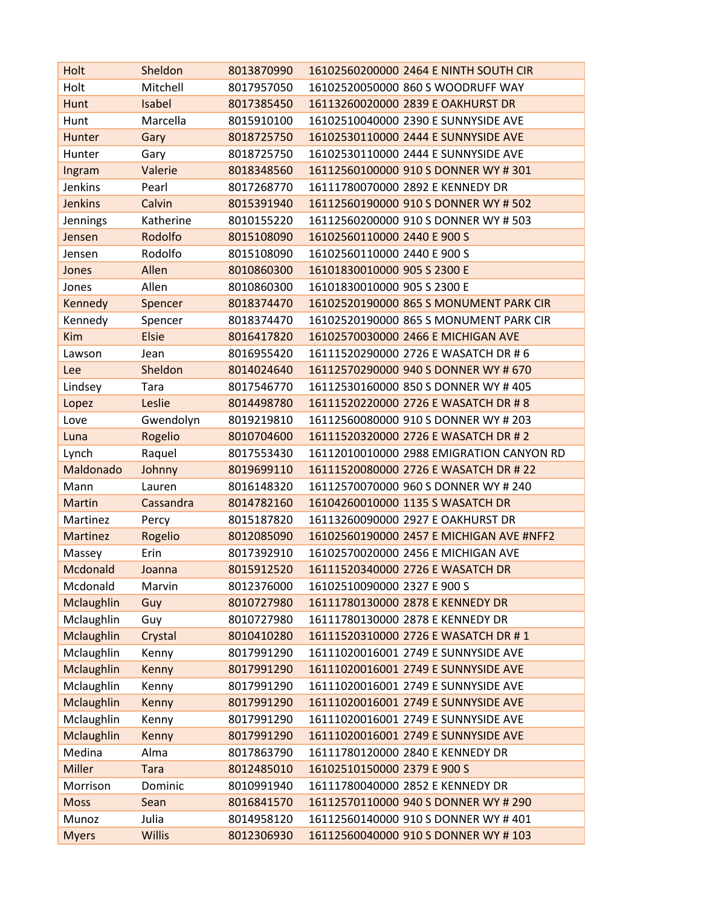| Holt              | Sheldon       | 8013870990 | 16102560200000 2464 E NINTH SOUTH CIR    |
|-------------------|---------------|------------|------------------------------------------|
| Holt              | Mitchell      | 8017957050 | 16102520050000 860 S WOODRUFF WAY        |
| Hunt              | Isabel        | 8017385450 | 16113260020000 2839 E OAKHURST DR        |
| Hunt              | Marcella      | 8015910100 | 16102510040000 2390 E SUNNYSIDE AVE      |
| Hunter            | Gary          | 8018725750 | 16102530110000 2444 E SUNNYSIDE AVE      |
| Hunter            | Gary          | 8018725750 | 16102530110000 2444 E SUNNYSIDE AVE      |
| Ingram            | Valerie       | 8018348560 | 16112560100000 910 S DONNER WY #301      |
| Jenkins           | Pearl         | 8017268770 | 16111780070000 2892 E KENNEDY DR         |
| <b>Jenkins</b>    | Calvin        | 8015391940 | 16112560190000 910 S DONNER WY # 502     |
| Jennings          | Katherine     | 8010155220 | 16112560200000 910 S DONNER WY # 503     |
| Jensen            | Rodolfo       | 8015108090 | 16102560110000 2440 E 900 S              |
| Jensen            | Rodolfo       | 8015108090 | 16102560110000 2440 E 900 S              |
| Jones             | Allen         | 8010860300 | 16101830010000 905 S 2300 E              |
| Jones             | Allen         | 8010860300 | 16101830010000 905 S 2300 E              |
| Kennedy           | Spencer       | 8018374470 | 16102520190000 865 S MONUMENT PARK CIR   |
| Kennedy           | Spencer       | 8018374470 | 16102520190000 865 S MONUMENT PARK CIR   |
| <b>Kim</b>        | <b>Elsie</b>  | 8016417820 | 16102570030000 2466 E MICHIGAN AVE       |
| Lawson            | Jean          | 8016955420 | 16111520290000 2726 E WASATCH DR # 6     |
| Lee               | Sheldon       | 8014024640 | 16112570290000 940 S DONNER WY # 670     |
| Lindsey           | Tara          | 8017546770 | 16112530160000 850 S DONNER WY # 405     |
| Lopez             | Leslie        | 8014498780 | 16111520220000 2726 E WASATCH DR #8      |
| Love              | Gwendolyn     | 8019219810 | 16112560080000 910 S DONNER WY # 203     |
| Luna              | Rogelio       | 8010704600 | 16111520320000 2726 E WASATCH DR # 2     |
| Lynch             | Raquel        | 8017553430 | 16112010010000 2988 EMIGRATION CANYON RD |
| Maldonado         | Johnny        | 8019699110 | 16111520080000 2726 E WASATCH DR # 22    |
| Mann              | Lauren        | 8016148320 | 16112570070000 960 S DONNER WY # 240     |
| <b>Martin</b>     | Cassandra     | 8014782160 | 16104260010000 1135 S WASATCH DR         |
| Martinez          | Percy         | 8015187820 | 16113260090000 2927 E OAKHURST DR        |
| Martinez          | Rogelio       | 8012085090 | 16102560190000 2457 E MICHIGAN AVE #NFF2 |
| Massey            | Erin          | 8017392910 | 16102570020000 2456 E MICHIGAN AVE       |
| Mcdonald          | Joanna        | 8015912520 | 16111520340000 2726 E WASATCH DR         |
| Mcdonald          | Marvin        | 8012376000 | 16102510090000 2327 E 900 S              |
| Mclaughlin        | Guy           | 8010727980 | 16111780130000 2878 E KENNEDY DR         |
| Mclaughlin        | Guy           | 8010727980 | 16111780130000 2878 E KENNEDY DR         |
| <b>Mclaughlin</b> | Crystal       | 8010410280 | 16111520310000 2726 E WASATCH DR #1      |
| Mclaughlin        | Kenny         | 8017991290 | 16111020016001 2749 E SUNNYSIDE AVE      |
| <b>Mclaughlin</b> | Kenny         | 8017991290 | 16111020016001 2749 E SUNNYSIDE AVE      |
| Mclaughlin        | Kenny         | 8017991290 | 16111020016001 2749 E SUNNYSIDE AVE      |
| <b>Mclaughlin</b> | Kenny         | 8017991290 | 16111020016001 2749 E SUNNYSIDE AVE      |
| Mclaughlin        | Kenny         | 8017991290 | 16111020016001 2749 E SUNNYSIDE AVE      |
| <b>Mclaughlin</b> | Kenny         | 8017991290 | 16111020016001 2749 E SUNNYSIDE AVE      |
| Medina            | Alma          | 8017863790 | 16111780120000 2840 E KENNEDY DR         |
| <b>Miller</b>     | <b>Tara</b>   | 8012485010 | 16102510150000 2379 E 900 S              |
| Morrison          | Dominic       | 8010991940 | 16111780040000 2852 E KENNEDY DR         |
| <b>Moss</b>       | Sean          | 8016841570 | 16112570110000 940 S DONNER WY # 290     |
| Munoz             | Julia         | 8014958120 | 16112560140000 910 S DONNER WY #401      |
| <b>Myers</b>      | <b>Willis</b> | 8012306930 | 16112560040000 910 S DONNER WY #103      |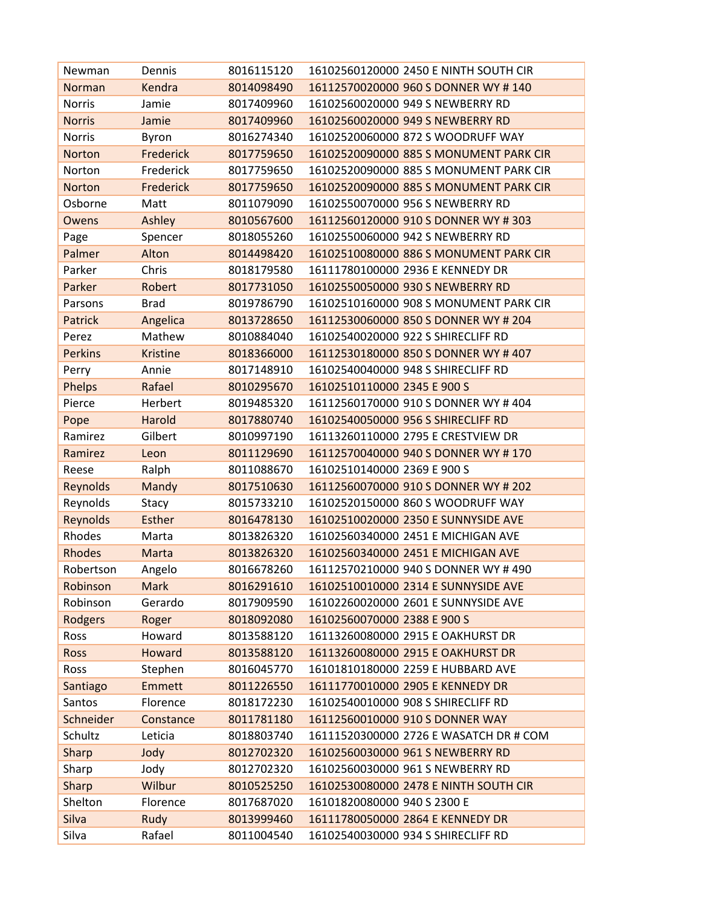| Newman         | Dennis          | 8016115120 | 16102560120000 2450 E NINTH SOUTH CIR  |
|----------------|-----------------|------------|----------------------------------------|
| Norman         | Kendra          | 8014098490 | 16112570020000 960 S DONNER WY #140    |
| Norris         | Jamie           | 8017409960 | 16102560020000 949 S NEWBERRY RD       |
| <b>Norris</b>  | Jamie           | 8017409960 | 16102560020000 949 S NEWBERRY RD       |
| <b>Norris</b>  | Byron           | 8016274340 | 16102520060000 872 S WOODRUFF WAY      |
| Norton         | Frederick       | 8017759650 | 16102520090000 885 S MONUMENT PARK CIR |
| Norton         | Frederick       | 8017759650 | 16102520090000 885 S MONUMENT PARK CIR |
| Norton         | Frederick       | 8017759650 | 16102520090000 885 S MONUMENT PARK CIR |
| Osborne        | Matt            | 8011079090 | 16102550070000 956 S NEWBERRY RD       |
| Owens          | Ashley          | 8010567600 | 16112560120000 910 S DONNER WY #303    |
| Page           | Spencer         | 8018055260 | 16102550060000 942 S NEWBERRY RD       |
| Palmer         | Alton           | 8014498420 | 16102510080000 886 S MONUMENT PARK CIR |
| Parker         | Chris           | 8018179580 | 16111780100000 2936 E KENNEDY DR       |
| Parker         | Robert          | 8017731050 | 16102550050000 930 S NEWBERRY RD       |
| Parsons        | <b>Brad</b>     | 8019786790 | 16102510160000 908 S MONUMENT PARK CIR |
| Patrick        | Angelica        | 8013728650 | 16112530060000 850 S DONNER WY # 204   |
| Perez          | Mathew          | 8010884040 | 16102540020000 922 S SHIRECLIFF RD     |
| <b>Perkins</b> | <b>Kristine</b> | 8018366000 | 16112530180000 850 S DONNER WY #407    |
| Perry          | Annie           | 8017148910 | 16102540040000 948 S SHIRECLIFF RD     |
| Phelps         | Rafael          | 8010295670 | 16102510110000 2345 E 900 S            |
| Pierce         | Herbert         | 8019485320 | 16112560170000 910 S DONNER WY #404    |
| Pope           | Harold          | 8017880740 | 16102540050000 956 S SHIRECLIFF RD     |
| Ramirez        | Gilbert         | 8010997190 | 16113260110000 2795 E CRESTVIEW DR     |
| Ramirez        | Leon            | 8011129690 | 16112570040000 940 S DONNER WY #170    |
| Reese          | Ralph           | 8011088670 | 16102510140000 2369 E 900 S            |
| Reynolds       | Mandy           | 8017510630 | 16112560070000 910 S DONNER WY # 202   |
| Reynolds       | Stacy           | 8015733210 | 16102520150000 860 S WOODRUFF WAY      |
| Reynolds       | <b>Esther</b>   | 8016478130 | 16102510020000 2350 E SUNNYSIDE AVE    |
| Rhodes         | Marta           | 8013826320 | 16102560340000 2451 E MICHIGAN AVE     |
| <b>Rhodes</b>  | Marta           | 8013826320 | 16102560340000 2451 E MICHIGAN AVE     |
| Robertson      | Angelo          | 8016678260 | 16112570210000 940 S DONNER WY #490    |
| Robinson       | <b>Mark</b>     | 8016291610 | 16102510010000 2314 E SUNNYSIDE AVE    |
| Robinson       | Gerardo         | 8017909590 | 16102260020000 2601 E SUNNYSIDE AVE    |
| Rodgers        | Roger           | 8018092080 | 16102560070000 2388 E 900 S            |
| Ross           | Howard          | 8013588120 | 16113260080000 2915 E OAKHURST DR      |
| <b>Ross</b>    | Howard          | 8013588120 | 16113260080000 2915 E OAKHURST DR      |
| Ross           | Stephen         | 8016045770 | 16101810180000 2259 E HUBBARD AVE      |
| Santiago       | <b>Emmett</b>   | 8011226550 | 16111770010000 2905 E KENNEDY DR       |
| Santos         | Florence        | 8018172230 | 16102540010000 908 S SHIRECLIFF RD     |
| Schneider      | Constance       | 8011781180 | 16112560010000 910 S DONNER WAY        |
| Schultz        | Leticia         | 8018803740 | 16111520300000 2726 E WASATCH DR # COM |
| Sharp          | Jody            | 8012702320 | 16102560030000 961 S NEWBERRY RD       |
| Sharp          | Jody            | 8012702320 | 16102560030000 961 S NEWBERRY RD       |
| Sharp          | Wilbur          | 8010525250 | 16102530080000 2478 E NINTH SOUTH CIR  |
| Shelton        | Florence        | 8017687020 | 16101820080000 940 S 2300 E            |
| Silva          | Rudy            | 8013999460 | 16111780050000 2864 E KENNEDY DR       |
| Silva          | Rafael          | 8011004540 | 16102540030000 934 S SHIRECLIFF RD     |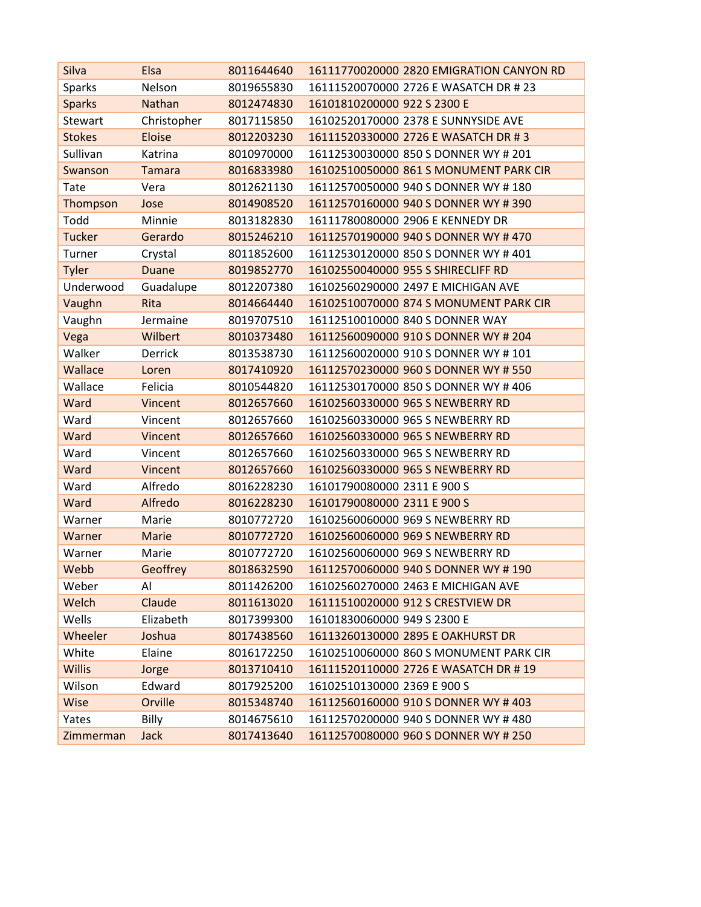| Silva         | Elsa           | 8011644640 | 16111770020000 2820 EMIGRATION CANYON RD |
|---------------|----------------|------------|------------------------------------------|
| <b>Sparks</b> | Nelson         | 8019655830 | 16111520070000 2726 E WASATCH DR # 23    |
| <b>Sparks</b> | <b>Nathan</b>  | 8012474830 | 16101810200000 922 S 2300 E              |
| Stewart       | Christopher    | 8017115850 | 16102520170000 2378 E SUNNYSIDE AVE      |
| <b>Stokes</b> | <b>Eloise</b>  | 8012203230 | 16111520330000 2726 E WASATCH DR #3      |
| Sullivan      | Katrina        | 8010970000 | 16112530030000 850 S DONNER WY # 201     |
| Swanson       | <b>Tamara</b>  | 8016833980 | 16102510050000 861 S MONUMENT PARK CIR   |
| Tate          | Vera           | 8012621130 | 16112570050000 940 S DONNER WY #180      |
| Thompson      | Jose           | 8014908520 | 16112570160000 940 S DONNER WY # 390     |
| Todd          | Minnie         | 8013182830 | 16111780080000 2906 E KENNEDY DR         |
| <b>Tucker</b> | Gerardo        | 8015246210 | 16112570190000 940 S DONNER WY #470      |
| Turner        | Crystal        | 8011852600 | 16112530120000 850 S DONNER WY #401      |
| Tyler         | <b>Duane</b>   | 8019852770 | 16102550040000 955 S SHIRECLIFF RD       |
| Underwood     | Guadalupe      | 8012207380 | 16102560290000 2497 E MICHIGAN AVE       |
| Vaughn        | Rita           | 8014664440 | 16102510070000 874 S MONUMENT PARK CIR   |
| Vaughn        | Jermaine       | 8019707510 | 16112510010000 840 S DONNER WAY          |
| Vega          | Wilbert        | 8010373480 | 16112560090000 910 S DONNER WY # 204     |
| Walker        | <b>Derrick</b> | 8013538730 | 16112560020000 910 S DONNER WY #101      |
| Wallace       | Loren          | 8017410920 | 16112570230000 960 S DONNER WY # 550     |
| Wallace       | Felicia        | 8010544820 | 16112530170000 850 S DONNER WY #406      |
| Ward          | Vincent        | 8012657660 | 16102560330000 965 S NEWBERRY RD         |
| Ward          | Vincent        | 8012657660 | 16102560330000 965 S NEWBERRY RD         |
| Ward          | Vincent        | 8012657660 | 16102560330000 965 S NEWBERRY RD         |
| Ward          | Vincent        | 8012657660 | 16102560330000 965 S NEWBERRY RD         |
| Ward          | Vincent        | 8012657660 | 16102560330000 965 S NEWBERRY RD         |
| Ward          | Alfredo        | 8016228230 | 16101790080000 2311 E 900 S              |
| Ward          | Alfredo        | 8016228230 | 16101790080000 2311 E 900 S              |
| Warner        | Marie          | 8010772720 | 16102560060000 969 S NEWBERRY RD         |
| Warner        | Marie          | 8010772720 | 16102560060000 969 S NEWBERRY RD         |
| Warner        | Marie          | 8010772720 | 16102560060000 969 S NEWBERRY RD         |
| Webb          | Geoffrey       | 8018632590 | 16112570060000 940 S DONNER WY #190      |
| Weber         | Al             | 8011426200 | 16102560270000 2463 E MICHIGAN AVE       |
| Welch         | Claude         | 8011613020 | 16111510020000 912 S CRESTVIEW DR        |
| Wells         | Elizabeth      | 8017399300 | 16101830060000 949 S 2300 E              |
| Wheeler       | Joshua         | 8017438560 | 16113260130000 2895 E OAKHURST DR        |
| White         | Elaine         | 8016172250 | 16102510060000 860 S MONUMENT PARK CIR   |
| <b>Willis</b> | Jorge          | 8013710410 | 16111520110000 2726 E WASATCH DR #19     |
| Wilson        | Edward         | 8017925200 | 16102510130000 2369 E 900 S              |
| Wise          | Orville        | 8015348740 | 16112560160000 910 S DONNER WY #403      |
| Yates         | Billy          | 8014675610 | 16112570200000 940 S DONNER WY #480      |
| Zimmerman     | <b>Jack</b>    | 8017413640 | 16112570080000 960 S DONNER WY # 250     |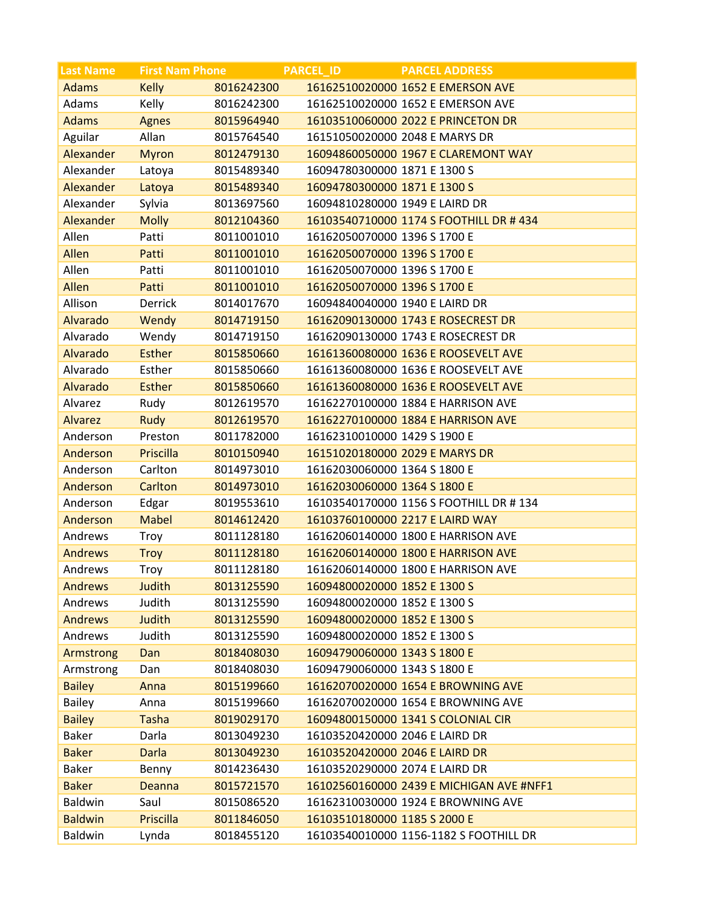| <b>Last Name</b> | <b>First Nam Phone</b> |            | <b>PARCEL ID</b>               | <b>PARCEL ADDRESS</b>                    |
|------------------|------------------------|------------|--------------------------------|------------------------------------------|
| <b>Adams</b>     | <b>Kelly</b>           | 8016242300 |                                | 16162510020000 1652 E EMERSON AVE        |
| Adams            | Kelly                  | 8016242300 |                                | 16162510020000 1652 E EMERSON AVE        |
| <b>Adams</b>     | <b>Agnes</b>           | 8015964940 |                                | 16103510060000 2022 E PRINCETON DR       |
| Aguilar          | Allan                  | 8015764540 |                                | 16151050020000 2048 E MARYS DR           |
| Alexander        | <b>Myron</b>           | 8012479130 |                                | 16094860050000 1967 E CLAREMONT WAY      |
| Alexander        | Latoya                 | 8015489340 | 16094780300000 1871 E 1300 S   |                                          |
| Alexander        | Latoya                 | 8015489340 | 16094780300000 1871 E 1300 S   |                                          |
| Alexander        | Sylvia                 | 8013697560 | 16094810280000 1949 E LAIRD DR |                                          |
| Alexander        | <b>Molly</b>           | 8012104360 |                                | 16103540710000 1174 S FOOTHILL DR #434   |
| Allen            | Patti                  | 8011001010 | 16162050070000 1396 S 1700 E   |                                          |
| Allen            | Patti                  | 8011001010 | 16162050070000 1396 S 1700 E   |                                          |
| Allen            | Patti                  | 8011001010 | 16162050070000 1396 S 1700 E   |                                          |
| Allen            | Patti                  | 8011001010 | 16162050070000 1396 S 1700 E   |                                          |
| Allison          | Derrick                | 8014017670 | 16094840040000 1940 E LAIRD DR |                                          |
| Alvarado         | Wendy                  | 8014719150 |                                | 16162090130000 1743 E ROSECREST DR       |
| Alvarado         | Wendy                  | 8014719150 |                                | 16162090130000 1743 E ROSECREST DR       |
| Alvarado         | <b>Esther</b>          | 8015850660 |                                | 16161360080000 1636 E ROOSEVELT AVE      |
| Alvarado         | Esther                 | 8015850660 |                                | 16161360080000 1636 E ROOSEVELT AVE      |
| Alvarado         | <b>Esther</b>          | 8015850660 |                                | 16161360080000 1636 E ROOSEVELT AVE      |
| Alvarez          | Rudy                   | 8012619570 |                                | 16162270100000 1884 E HARRISON AVE       |
| <b>Alvarez</b>   | Rudy                   | 8012619570 |                                | 16162270100000 1884 E HARRISON AVE       |
| Anderson         | Preston                | 8011782000 | 16162310010000 1429 S 1900 E   |                                          |
| Anderson         | Priscilla              | 8010150940 |                                | 16151020180000 2029 E MARYS DR           |
| Anderson         | Carlton                | 8014973010 | 16162030060000 1364 S 1800 E   |                                          |
| Anderson         | Carlton                | 8014973010 | 16162030060000 1364 S 1800 E   |                                          |
| Anderson         | Edgar                  | 8019553610 |                                | 16103540170000 1156 S FOOTHILL DR #134   |
| Anderson         | <b>Mabel</b>           | 8014612420 |                                | 16103760100000 2217 E LAIRD WAY          |
| Andrews          | Troy                   | 8011128180 |                                | 16162060140000 1800 E HARRISON AVE       |
| <b>Andrews</b>   | <b>Troy</b>            | 8011128180 |                                | 16162060140000 1800 E HARRISON AVE       |
| Andrews          | Troy                   | 8011128180 |                                | 16162060140000 1800 E HARRISON AVE       |
| <b>Andrews</b>   | <b>Judith</b>          | 8013125590 | 16094800020000 1852 E 1300 S   |                                          |
| Andrews          | Judith                 | 8013125590 | 16094800020000 1852 E 1300 S   |                                          |
| <b>Andrews</b>   | <b>Judith</b>          | 8013125590 | 16094800020000 1852 E 1300 S   |                                          |
| Andrews          | Judith                 | 8013125590 | 16094800020000 1852 E 1300 S   |                                          |
| Armstrong        | Dan                    | 8018408030 | 16094790060000 1343 S 1800 E   |                                          |
| Armstrong        | Dan                    | 8018408030 | 16094790060000 1343 S 1800 E   |                                          |
| <b>Bailey</b>    | Anna                   | 8015199660 |                                | 16162070020000 1654 E BROWNING AVE       |
| <b>Bailey</b>    | Anna                   | 8015199660 |                                | 16162070020000 1654 E BROWNING AVE       |
| <b>Bailey</b>    | <b>Tasha</b>           | 8019029170 |                                | 16094800150000 1341 S COLONIAL CIR       |
| <b>Baker</b>     | Darla                  | 8013049230 | 16103520420000 2046 E LAIRD DR |                                          |
| <b>Baker</b>     | <b>Darla</b>           | 8013049230 | 16103520420000 2046 E LAIRD DR |                                          |
| <b>Baker</b>     | Benny                  | 8014236430 | 16103520290000 2074 E LAIRD DR |                                          |
| <b>Baker</b>     | Deanna                 | 8015721570 |                                | 16102560160000 2439 E MICHIGAN AVE #NFF1 |
| Baldwin          | Saul                   | 8015086520 |                                | 16162310030000 1924 E BROWNING AVE       |
| <b>Baldwin</b>   | Priscilla              | 8011846050 | 16103510180000 1185 S 2000 E   |                                          |
| <b>Baldwin</b>   | Lynda                  | 8018455120 |                                | 16103540010000 1156-1182 S FOOTHILL DR   |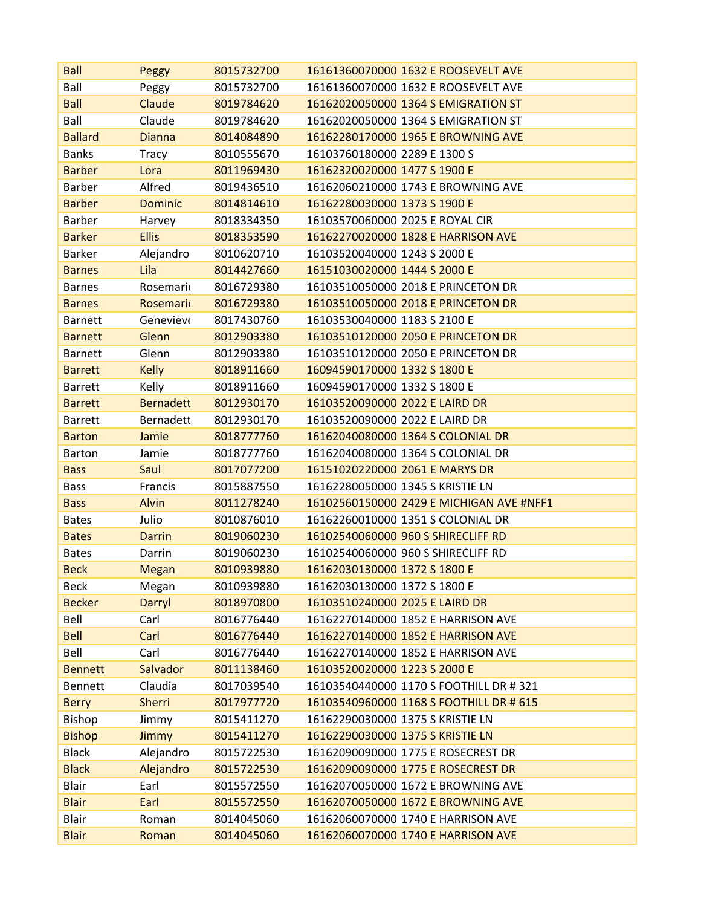| <b>Ball</b>    | Peggy            | 8015732700 | 16161360070000 1632 E ROOSEVELT AVE      |
|----------------|------------------|------------|------------------------------------------|
| Ball           | Peggy            | 8015732700 | 16161360070000 1632 E ROOSEVELT AVE      |
| <b>Ball</b>    | Claude           | 8019784620 | 16162020050000 1364 S EMIGRATION ST      |
| Ball           | Claude           | 8019784620 | 16162020050000 1364 S EMIGRATION ST      |
| <b>Ballard</b> | <b>Dianna</b>    | 8014084890 | 16162280170000 1965 E BROWNING AVE       |
| <b>Banks</b>   | <b>Tracy</b>     | 8010555670 | 16103760180000 2289 E 1300 S             |
| <b>Barber</b>  | Lora             | 8011969430 | 16162320020000 1477 S 1900 E             |
| <b>Barber</b>  | Alfred           | 8019436510 | 16162060210000 1743 E BROWNING AVE       |
| <b>Barber</b>  | <b>Dominic</b>   | 8014814610 | 16162280030000 1373 S 1900 E             |
| <b>Barber</b>  | Harvey           | 8018334350 | 16103570060000 2025 E ROYAL CIR          |
| <b>Barker</b>  | <b>Ellis</b>     | 8018353590 | 16162270020000 1828 E HARRISON AVE       |
| <b>Barker</b>  | Alejandro        | 8010620710 | 16103520040000 1243 S 2000 E             |
| <b>Barnes</b>  | Lila             | 8014427660 | 16151030020000 1444 S 2000 E             |
| <b>Barnes</b>  | Rosemarie        | 8016729380 | 16103510050000 2018 E PRINCETON DR       |
| <b>Barnes</b>  | Rosemarie        | 8016729380 | 16103510050000 2018 E PRINCETON DR       |
| <b>Barnett</b> | Genevieve        | 8017430760 | 16103530040000 1183 S 2100 E             |
| <b>Barnett</b> | Glenn            | 8012903380 | 16103510120000 2050 E PRINCETON DR       |
| <b>Barnett</b> | Glenn            | 8012903380 | 16103510120000 2050 E PRINCETON DR       |
| <b>Barrett</b> | <b>Kelly</b>     | 8018911660 | 16094590170000 1332 S 1800 E             |
| <b>Barrett</b> | Kelly            | 8018911660 | 16094590170000 1332 S 1800 E             |
| <b>Barrett</b> | <b>Bernadett</b> | 8012930170 | 16103520090000 2022 E LAIRD DR           |
| <b>Barrett</b> | <b>Bernadett</b> | 8012930170 | 16103520090000 2022 E LAIRD DR           |
| <b>Barton</b>  | Jamie            | 8018777760 | 16162040080000 1364 S COLONIAL DR        |
| <b>Barton</b>  | Jamie            | 8018777760 | 16162040080000 1364 S COLONIAL DR        |
| <b>Bass</b>    | Saul             | 8017077200 | 16151020220000 2061 E MARYS DR           |
| <b>Bass</b>    | Francis          | 8015887550 | 16162280050000 1345 S KRISTIE LN         |
| <b>Bass</b>    | <b>Alvin</b>     | 8011278240 | 16102560150000 2429 E MICHIGAN AVE #NFF1 |
| <b>Bates</b>   | Julio            | 8010876010 | 16162260010000 1351 S COLONIAL DR        |
| <b>Bates</b>   | <b>Darrin</b>    | 8019060230 | 16102540060000 960 S SHIRECLIFF RD       |
| <b>Bates</b>   | Darrin           | 8019060230 | 16102540060000 960 S SHIRECLIFF RD       |
| <b>Beck</b>    | Megan            | 8010939880 | 16162030130000 1372 S 1800 E             |
| <b>Beck</b>    | Megan            | 8010939880 | 16162030130000 1372 S 1800 E             |
| <b>Becker</b>  | Darryl           | 8018970800 | 16103510240000 2025 E LAIRD DR           |
| Bell           | Carl             | 8016776440 | 16162270140000 1852 E HARRISON AVE       |
| <b>Bell</b>    | Carl             | 8016776440 | 16162270140000 1852 E HARRISON AVE       |
| Bell           | Carl             | 8016776440 | 16162270140000 1852 E HARRISON AVE       |
| <b>Bennett</b> | Salvador         | 8011138460 | 16103520020000 1223 S 2000 E             |
| <b>Bennett</b> | Claudia          | 8017039540 | 16103540440000 1170 S FOOTHILL DR # 321  |
| <b>Berry</b>   | <b>Sherri</b>    | 8017977720 | 16103540960000 1168 S FOOTHILL DR # 615  |
| Bishop         | Jimmy            | 8015411270 | 16162290030000 1375 S KRISTIE LN         |
| <b>Bishop</b>  | Jimmy            | 8015411270 | 16162290030000 1375 S KRISTIE LN         |
| <b>Black</b>   | Alejandro        | 8015722530 | 16162090090000 1775 E ROSECREST DR       |
| <b>Black</b>   | Alejandro        | 8015722530 | 16162090090000 1775 E ROSECREST DR       |
| <b>Blair</b>   | Earl             | 8015572550 | 16162070050000 1672 E BROWNING AVE       |
| <b>Blair</b>   | Earl             | 8015572550 | 16162070050000 1672 E BROWNING AVE       |
| <b>Blair</b>   | Roman            | 8014045060 | 16162060070000 1740 E HARRISON AVE       |
| <b>Blair</b>   | Roman            | 8014045060 | 16162060070000 1740 E HARRISON AVE       |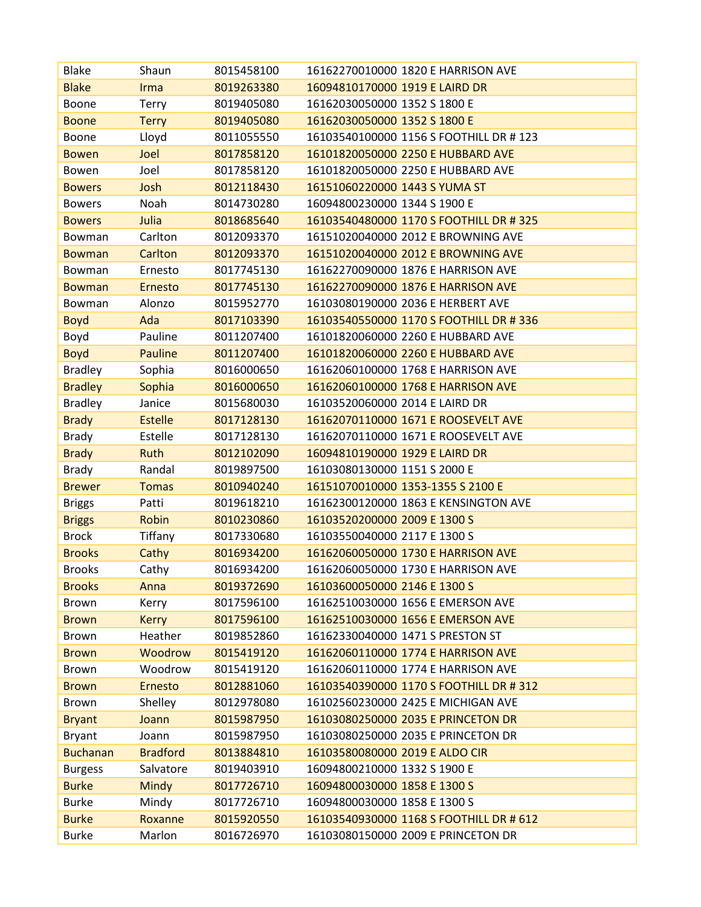| <b>Blake</b>    | Shaun           | 8015458100 | 16162270010000 1820 E HARRISON AVE      |
|-----------------|-----------------|------------|-----------------------------------------|
| <b>Blake</b>    | Irma            | 8019263380 | 16094810170000 1919 E LAIRD DR          |
| Boone           | <b>Terry</b>    | 8019405080 | 16162030050000 1352 S 1800 E            |
| <b>Boone</b>    | <b>Terry</b>    | 8019405080 | 16162030050000 1352 S 1800 E            |
| Boone           | Lloyd           | 8011055550 | 16103540100000 1156 S FOOTHILL DR #123  |
| <b>Bowen</b>    | Joel            | 8017858120 | 16101820050000 2250 E HUBBARD AVE       |
| Bowen           | Joel            | 8017858120 | 16101820050000 2250 E HUBBARD AVE       |
| <b>Bowers</b>   | Josh            | 8012118430 | 16151060220000 1443 S YUMA ST           |
| <b>Bowers</b>   | Noah            | 8014730280 | 16094800230000 1344 S 1900 E            |
| <b>Bowers</b>   | Julia           | 8018685640 | 16103540480000 1170 S FOOTHILL DR # 325 |
| Bowman          | Carlton         | 8012093370 | 16151020040000 2012 E BROWNING AVE      |
| <b>Bowman</b>   | Carlton         | 8012093370 | 16151020040000 2012 E BROWNING AVE      |
| Bowman          | Ernesto         | 8017745130 | 16162270090000 1876 E HARRISON AVE      |
| <b>Bowman</b>   | Ernesto         | 8017745130 | 16162270090000 1876 E HARRISON AVE      |
| Bowman          | Alonzo          | 8015952770 | 16103080190000 2036 E HERBERT AVE       |
| <b>Boyd</b>     | Ada             | 8017103390 | 16103540550000 1170 S FOOTHILL DR # 336 |
| Boyd            | Pauline         | 8011207400 | 16101820060000 2260 E HUBBARD AVE       |
| <b>Boyd</b>     | Pauline         | 8011207400 | 16101820060000 2260 E HUBBARD AVE       |
| <b>Bradley</b>  | Sophia          | 8016000650 | 16162060100000 1768 E HARRISON AVE      |
| <b>Bradley</b>  | Sophia          | 8016000650 | 16162060100000 1768 E HARRISON AVE      |
| <b>Bradley</b>  | Janice          | 8015680030 | 16103520060000 2014 E LAIRD DR          |
| <b>Brady</b>    | <b>Estelle</b>  | 8017128130 | 16162070110000 1671 E ROOSEVELT AVE     |
| <b>Brady</b>    | Estelle         | 8017128130 | 16162070110000 1671 E ROOSEVELT AVE     |
| <b>Brady</b>    | Ruth            | 8012102090 | 16094810190000 1929 E LAIRD DR          |
| <b>Brady</b>    | Randal          | 8019897500 | 16103080130000 1151 S 2000 E            |
| <b>Brewer</b>   | <b>Tomas</b>    | 8010940240 | 16151070010000 1353-1355 S 2100 E       |
| <b>Briggs</b>   | Patti           | 8019618210 | 16162300120000 1863 E KENSINGTON AVE    |
| <b>Briggs</b>   | Robin           | 8010230860 | 16103520200000 2009 E 1300 S            |
| <b>Brock</b>    | Tiffany         | 8017330680 | 16103550040000 2117 E 1300 S            |
| <b>Brooks</b>   | Cathy           | 8016934200 | 16162060050000 1730 E HARRISON AVE      |
| <b>Brooks</b>   | Cathy           | 8016934200 | 16162060050000 1730 E HARRISON AVE      |
| <b>Brooks</b>   | Anna            | 8019372690 | 16103600050000 2146 E 1300 S            |
| Brown           | Kerry           | 8017596100 | 16162510030000 1656 E EMERSON AVE       |
| <b>Brown</b>    | <b>Kerry</b>    | 8017596100 | 16162510030000 1656 E EMERSON AVE       |
| <b>Brown</b>    | Heather         | 8019852860 | 16162330040000 1471 S PRESTON ST        |
| <b>Brown</b>    | Woodrow         | 8015419120 | 16162060110000 1774 E HARRISON AVE      |
| Brown           | Woodrow         | 8015419120 | 16162060110000 1774 E HARRISON AVE      |
| <b>Brown</b>    | Ernesto         | 8012881060 | 16103540390000 1170 S FOOTHILL DR # 312 |
| Brown           | Shelley         | 8012978080 | 16102560230000 2425 E MICHIGAN AVE      |
| <b>Bryant</b>   | Joann           | 8015987950 | 16103080250000 2035 E PRINCETON DR      |
| <b>Bryant</b>   | Joann           | 8015987950 | 16103080250000 2035 E PRINCETON DR      |
| <b>Buchanan</b> | <b>Bradford</b> | 8013884810 | 16103580080000 2019 E ALDO CIR          |
| <b>Burgess</b>  | Salvatore       | 8019403910 | 16094800210000 1332 S 1900 E            |
| <b>Burke</b>    | <b>Mindy</b>    | 8017726710 | 16094800030000 1858 E 1300 S            |
| <b>Burke</b>    | Mindy           | 8017726710 | 16094800030000 1858 E 1300 S            |
| <b>Burke</b>    | Roxanne         | 8015920550 | 16103540930000 1168 S FOOTHILL DR # 612 |
| <b>Burke</b>    | Marlon          | 8016726970 | 16103080150000 2009 E PRINCETON DR      |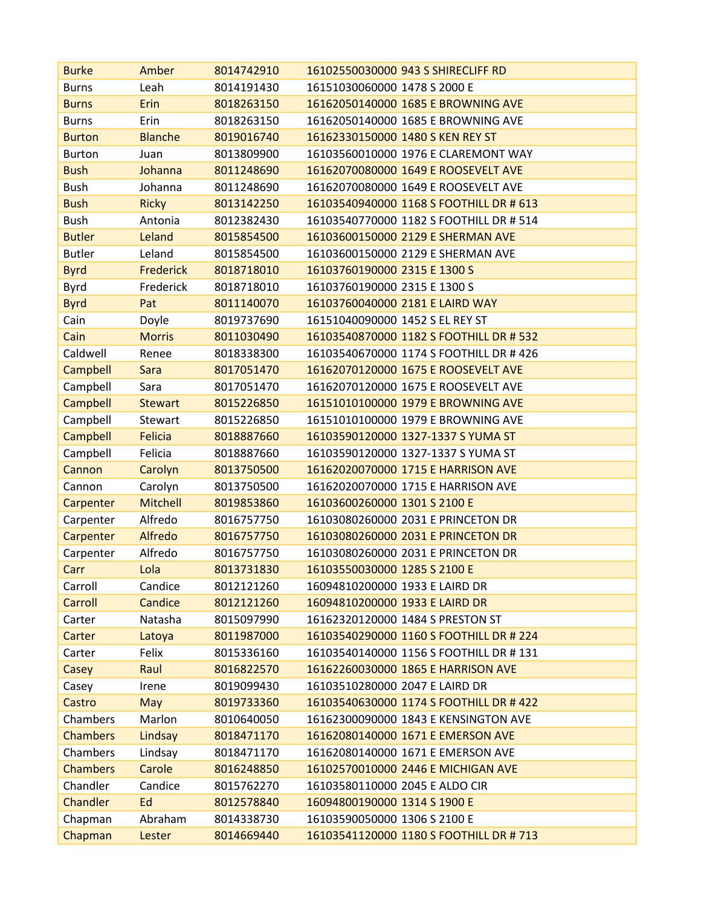| <b>Burke</b>    | Amber            | 8014742910 | 16102550030000 943 S SHIRECLIFF RD      |
|-----------------|------------------|------------|-----------------------------------------|
| <b>Burns</b>    | Leah             | 8014191430 | 16151030060000 1478 S 2000 E            |
| <b>Burns</b>    | Erin             | 8018263150 | 16162050140000 1685 E BROWNING AVE      |
| <b>Burns</b>    | Erin             | 8018263150 | 16162050140000 1685 E BROWNING AVE      |
| <b>Burton</b>   | <b>Blanche</b>   | 8019016740 | 16162330150000 1480 S KEN REY ST        |
| <b>Burton</b>   | Juan             | 8013809900 | 16103560010000 1976 E CLAREMONT WAY     |
| <b>Bush</b>     | Johanna          | 8011248690 | 16162070080000 1649 E ROOSEVELT AVE     |
| <b>Bush</b>     | Johanna          | 8011248690 | 16162070080000 1649 E ROOSEVELT AVE     |
| <b>Bush</b>     | <b>Ricky</b>     | 8013142250 | 16103540940000 1168 S FOOTHILL DR # 613 |
| <b>Bush</b>     | Antonia          | 8012382430 | 16103540770000 1182 S FOOTHILL DR # 514 |
| <b>Butler</b>   | Leland           | 8015854500 | 16103600150000 2129 E SHERMAN AVE       |
| <b>Butler</b>   | Leland           | 8015854500 | 16103600150000 2129 E SHERMAN AVE       |
| <b>Byrd</b>     | <b>Frederick</b> | 8018718010 | 16103760190000 2315 E 1300 S            |
| Byrd            | Frederick        | 8018718010 | 16103760190000 2315 E 1300 S            |
| <b>Byrd</b>     | Pat              | 8011140070 | 16103760040000 2181 E LAIRD WAY         |
| Cain            | Doyle            | 8019737690 | 16151040090000 1452 S EL REY ST         |
| Cain            | <b>Morris</b>    | 8011030490 | 16103540870000 1182 S FOOTHILL DR # 532 |
| Caldwell        | Renee            | 8018338300 | 16103540670000 1174 S FOOTHILL DR # 426 |
| Campbell        | Sara             | 8017051470 | 16162070120000 1675 E ROOSEVELT AVE     |
| Campbell        | Sara             | 8017051470 | 16162070120000 1675 E ROOSEVELT AVE     |
| Campbell        | <b>Stewart</b>   | 8015226850 | 16151010100000 1979 E BROWNING AVE      |
| Campbell        | Stewart          | 8015226850 | 16151010100000 1979 E BROWNING AVE      |
| Campbell        | <b>Felicia</b>   | 8018887660 | 16103590120000 1327-1337 S YUMA ST      |
| Campbell        | Felicia          | 8018887660 | 16103590120000 1327-1337 S YUMA ST      |
| Cannon          | Carolyn          | 8013750500 | 16162020070000 1715 E HARRISON AVE      |
| Cannon          | Carolyn          | 8013750500 | 16162020070000 1715 E HARRISON AVE      |
| Carpenter       | <b>Mitchell</b>  | 8019853860 | 16103600260000 1301 S 2100 E            |
| Carpenter       | Alfredo          | 8016757750 | 16103080260000 2031 E PRINCETON DR      |
| Carpenter       | Alfredo          | 8016757750 | 16103080260000 2031 E PRINCETON DR      |
| Carpenter       | Alfredo          | 8016757750 | 16103080260000 2031 E PRINCETON DR      |
| Carr            | Lola             | 8013731830 | 16103550030000 1285 S 2100 E            |
| Carroll         | Candice          | 8012121260 | 16094810200000 1933 E LAIRD DR          |
| Carroll         | Candice          | 8012121260 | 16094810200000 1933 E LAIRD DR          |
| Carter          | Natasha          | 8015097990 | 16162320120000 1484 S PRESTON ST        |
| Carter          | Latoya           | 8011987000 | 16103540290000 1160 S FOOTHILL DR # 224 |
| Carter          | Felix            | 8015336160 | 16103540140000 1156 S FOOTHILL DR #131  |
| Casey           | Raul             | 8016822570 | 16162260030000 1865 E HARRISON AVE      |
| Casey           | Irene            | 8019099430 | 16103510280000 2047 E LAIRD DR          |
| Castro          | May              | 8019733360 | 16103540630000 1174 S FOOTHILL DR # 422 |
| Chambers        | Marlon           | 8010640050 | 16162300090000 1843 E KENSINGTON AVE    |
| <b>Chambers</b> | Lindsay          | 8018471170 | 16162080140000 1671 E EMERSON AVE       |
| Chambers        | Lindsay          | 8018471170 | 16162080140000 1671 E EMERSON AVE       |
| <b>Chambers</b> | Carole           | 8016248850 | 16102570010000 2446 E MICHIGAN AVE      |
| Chandler        | Candice          | 8015762270 | 16103580110000 2045 E ALDO CIR          |
| <b>Chandler</b> | Ed               | 8012578840 | 16094800190000 1314 S 1900 E            |
| Chapman         | Abraham          | 8014338730 | 16103590050000 1306 S 2100 E            |
| Chapman         | Lester           | 8014669440 | 16103541120000 1180 S FOOTHILL DR #713  |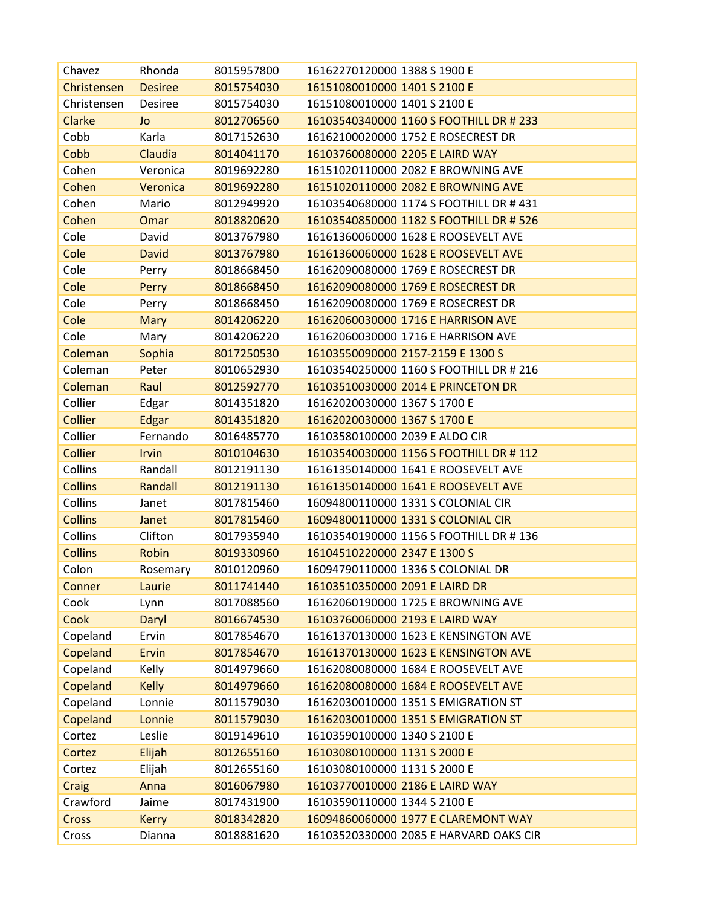| Chavez         | Rhonda         | 8015957800 | 16162270120000 1388 S 1900 E            |
|----------------|----------------|------------|-----------------------------------------|
| Christensen    | <b>Desiree</b> | 8015754030 | 16151080010000 1401 S 2100 E            |
| Christensen    | Desiree        | 8015754030 | 16151080010000 1401 S 2100 E            |
| Clarke         | Jo             | 8012706560 | 16103540340000 1160 S FOOTHILL DR # 233 |
| Cobb           | Karla          | 8017152630 | 16162100020000 1752 E ROSECREST DR      |
| Cobb           | Claudia        | 8014041170 | 16103760080000 2205 E LAIRD WAY         |
| Cohen          | Veronica       | 8019692280 | 16151020110000 2082 E BROWNING AVE      |
| Cohen          | Veronica       | 8019692280 | 16151020110000 2082 E BROWNING AVE      |
| Cohen          | Mario          | 8012949920 | 16103540680000 1174 S FOOTHILL DR #431  |
| Cohen          | Omar           | 8018820620 | 16103540850000 1182 S FOOTHILL DR # 526 |
| Cole           | David          | 8013767980 | 16161360060000 1628 E ROOSEVELT AVE     |
| Cole           | <b>David</b>   | 8013767980 | 16161360060000 1628 E ROOSEVELT AVE     |
| Cole           | Perry          | 8018668450 | 16162090080000 1769 E ROSECREST DR      |
| Cole           | Perry          | 8018668450 | 16162090080000 1769 E ROSECREST DR      |
| Cole           | Perry          | 8018668450 | 16162090080000 1769 E ROSECREST DR      |
| Cole           | <b>Mary</b>    | 8014206220 | 16162060030000 1716 E HARRISON AVE      |
| Cole           | Mary           | 8014206220 | 16162060030000 1716 E HARRISON AVE      |
| Coleman        | Sophia         | 8017250530 | 16103550090000 2157-2159 E 1300 S       |
| Coleman        | Peter          | 8010652930 | 16103540250000 1160 S FOOTHILL DR # 216 |
| Coleman        | Raul           | 8012592770 | 16103510030000 2014 E PRINCETON DR      |
| Collier        | Edgar          | 8014351820 | 16162020030000 1367 S 1700 E            |
| <b>Collier</b> | Edgar          | 8014351820 | 16162020030000 1367 S 1700 E            |
| Collier        | Fernando       | 8016485770 | 16103580100000 2039 E ALDO CIR          |
| Collier        | Irvin          | 8010104630 | 16103540030000 1156 S FOOTHILL DR #112  |
| Collins        | Randall        | 8012191130 | 16161350140000 1641 E ROOSEVELT AVE     |
| <b>Collins</b> | Randall        | 8012191130 | 16161350140000 1641 E ROOSEVELT AVE     |
| Collins        | Janet          | 8017815460 | 16094800110000 1331 S COLONIAL CIR      |
| <b>Collins</b> | Janet          | 8017815460 | 16094800110000 1331 S COLONIAL CIR      |
| Collins        | Clifton        | 8017935940 | 16103540190000 1156 S FOOTHILL DR #136  |
| <b>Collins</b> | Robin          | 8019330960 | 16104510220000 2347 E 1300 S            |
| Colon          | Rosemary       | 8010120960 | 16094790110000 1336 S COLONIAL DR       |
| Conner         | Laurie         | 8011741440 | 16103510350000 2091 E LAIRD DR          |
| Cook           | Lynn           | 8017088560 | 16162060190000 1725 E BROWNING AVE      |
| Cook           | Daryl          | 8016674530 | 16103760060000 2193 E LAIRD WAY         |
| Copeland       | Ervin          | 8017854670 | 16161370130000 1623 E KENSINGTON AVE    |
| Copeland       | Ervin          | 8017854670 | 16161370130000 1623 E KENSINGTON AVE    |
| Copeland       | Kelly          | 8014979660 | 16162080080000 1684 E ROOSEVELT AVE     |
| Copeland       | <b>Kelly</b>   | 8014979660 | 16162080080000 1684 E ROOSEVELT AVE     |
| Copeland       | Lonnie         | 8011579030 | 16162030010000 1351 S EMIGRATION ST     |
| Copeland       | Lonnie         | 8011579030 | 16162030010000 1351 S EMIGRATION ST     |
| Cortez         | Leslie         | 8019149610 | 16103590100000 1340 S 2100 E            |
| Cortez         | Elijah         | 8012655160 | 16103080100000 1131 S 2000 E            |
| Cortez         | Elijah         | 8012655160 | 16103080100000 1131 S 2000 E            |
| Craig          | Anna           | 8016067980 | 16103770010000 2186 E LAIRD WAY         |
| Crawford       | Jaime          | 8017431900 | 16103590110000 1344 S 2100 E            |
| Cross          | <b>Kerry</b>   | 8018342820 | 16094860060000 1977 E CLAREMONT WAY     |
| Cross          | Dianna         | 8018881620 | 16103520330000 2085 E HARVARD OAKS CIR  |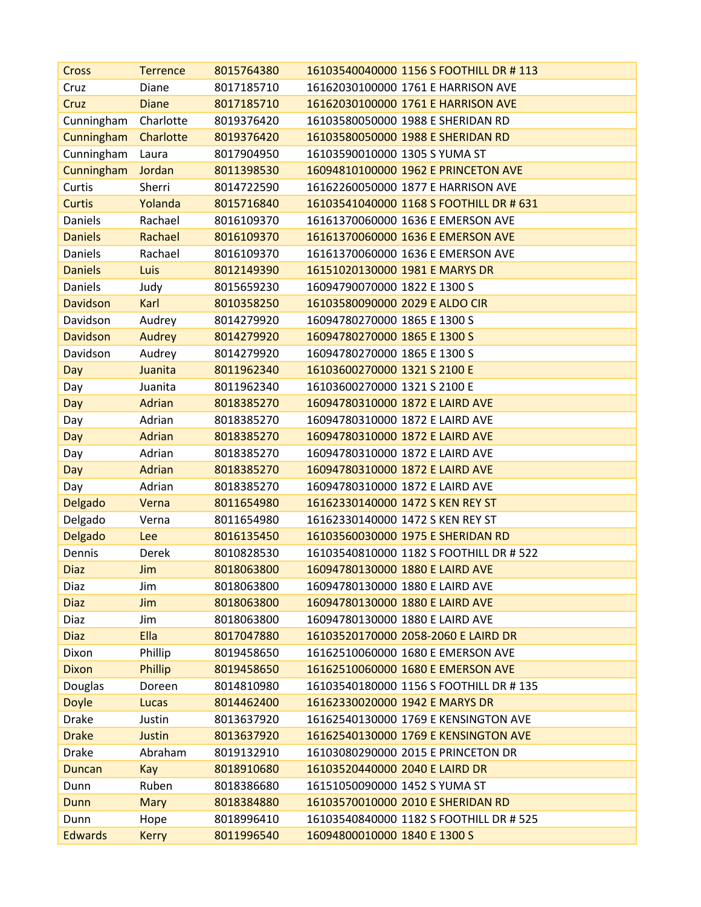| Cross           | <b>Terrence</b> | 8015764380 | 16103540040000 1156 S FOOTHILL DR # 113 |
|-----------------|-----------------|------------|-----------------------------------------|
| Cruz            | Diane           | 8017185710 | 16162030100000 1761 E HARRISON AVE      |
| Cruz            | <b>Diane</b>    | 8017185710 | 16162030100000 1761 E HARRISON AVE      |
| Cunningham      | Charlotte       | 8019376420 | 16103580050000 1988 E SHERIDAN RD       |
| Cunningham      | Charlotte       | 8019376420 | 16103580050000 1988 E SHERIDAN RD       |
| Cunningham      | Laura           | 8017904950 | 16103590010000 1305 S YUMA ST           |
| Cunningham      | Jordan          | 8011398530 | 16094810100000 1962 E PRINCETON AVE     |
| Curtis          | Sherri          | 8014722590 | 16162260050000 1877 E HARRISON AVE      |
| <b>Curtis</b>   | Yolanda         | 8015716840 | 16103541040000 1168 S FOOTHILL DR # 631 |
| <b>Daniels</b>  | Rachael         | 8016109370 | 16161370060000 1636 E EMERSON AVE       |
| <b>Daniels</b>  | Rachael         | 8016109370 | 16161370060000 1636 E EMERSON AVE       |
| Daniels         | Rachael         | 8016109370 | 16161370060000 1636 E EMERSON AVE       |
| <b>Daniels</b>  | Luis            | 8012149390 | 16151020130000 1981 E MARYS DR          |
| Daniels         | Judy            | 8015659230 | 16094790070000 1822 E 1300 S            |
| <b>Davidson</b> | Karl            | 8010358250 | 16103580090000 2029 E ALDO CIR          |
| Davidson        | Audrey          | 8014279920 | 16094780270000 1865 E 1300 S            |
| <b>Davidson</b> | Audrey          | 8014279920 | 16094780270000 1865 E 1300 S            |
| Davidson        | Audrey          | 8014279920 | 16094780270000 1865 E 1300 S            |
| Day             | Juanita         | 8011962340 | 16103600270000 1321 S 2100 E            |
| Day             | Juanita         | 8011962340 | 16103600270000 1321 S 2100 E            |
| Day             | <b>Adrian</b>   | 8018385270 | 16094780310000 1872 E LAIRD AVE         |
| Day             | Adrian          | 8018385270 | 16094780310000 1872 E LAIRD AVE         |
| Day             | <b>Adrian</b>   | 8018385270 | 16094780310000 1872 E LAIRD AVE         |
| Day             | Adrian          | 8018385270 | 16094780310000 1872 E LAIRD AVE         |
| Day             | Adrian          | 8018385270 | 16094780310000 1872 E LAIRD AVE         |
| Day             | Adrian          | 8018385270 | 16094780310000 1872 E LAIRD AVE         |
| Delgado         | Verna           | 8011654980 | 16162330140000 1472 S KEN REY ST        |
| Delgado         | Verna           | 8011654980 | 16162330140000 1472 S KEN REY ST        |
| Delgado         | Lee             | 8016135450 | 16103560030000 1975 E SHERIDAN RD       |
| Dennis          | Derek           | 8010828530 | 16103540810000 1182 S FOOTHILL DR # 522 |
| <b>Diaz</b>     | Jim             | 8018063800 | 16094780130000 1880 E LAIRD AVE         |
| Diaz            | Jim             | 8018063800 | 16094780130000 1880 E LAIRD AVE         |
| <b>Diaz</b>     | Jim             | 8018063800 | 16094780130000 1880 E LAIRD AVE         |
| Diaz            | Jim             | 8018063800 | 16094780130000 1880 E LAIRD AVE         |
| <b>Diaz</b>     | Ella            | 8017047880 | 16103520170000 2058-2060 E LAIRD DR     |
| Dixon           | Phillip         | 8019458650 | 16162510060000 1680 E EMERSON AVE       |
| <b>Dixon</b>    | Phillip         | 8019458650 | 16162510060000 1680 E EMERSON AVE       |
| Douglas         | Doreen          | 8014810980 | 16103540180000 1156 S FOOTHILL DR #135  |
| <b>Doyle</b>    | Lucas           | 8014462400 | 16162330020000 1942 E MARYS DR          |
| <b>Drake</b>    | Justin          | 8013637920 | 16162540130000 1769 E KENSINGTON AVE    |
| <b>Drake</b>    | Justin          | 8013637920 | 16162540130000 1769 E KENSINGTON AVE    |
| <b>Drake</b>    | Abraham         | 8019132910 | 16103080290000 2015 E PRINCETON DR      |
| <b>Duncan</b>   | Kay             | 8018910680 | 16103520440000 2040 E LAIRD DR          |
| Dunn            | Ruben           | 8018386680 | 16151050090000 1452 S YUMA ST           |
| Dunn            | <b>Mary</b>     | 8018384880 | 16103570010000 2010 E SHERIDAN RD       |
| Dunn            | Hope            | 8018996410 | 16103540840000 1182 S FOOTHILL DR # 525 |
| <b>Edwards</b>  | <b>Kerry</b>    | 8011996540 | 16094800010000 1840 E 1300 S            |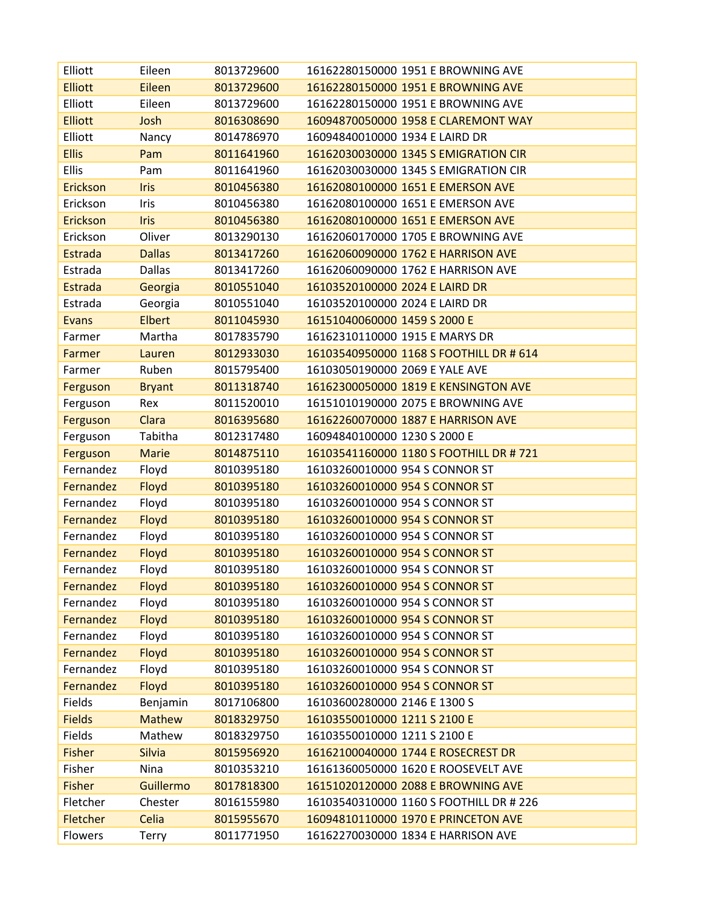| Elliott         | Eileen        | 8013729600 | 16162280150000 1951 E BROWNING AVE      |
|-----------------|---------------|------------|-----------------------------------------|
| <b>Elliott</b>  | Eileen        | 8013729600 | 16162280150000 1951 E BROWNING AVE      |
| Elliott         | Eileen        | 8013729600 | 16162280150000 1951 E BROWNING AVE      |
| <b>Elliott</b>  | Josh          | 8016308690 | 16094870050000 1958 E CLAREMONT WAY     |
| Elliott         | Nancy         | 8014786970 | 16094840010000 1934 E LAIRD DR          |
| <b>Ellis</b>    | Pam           | 8011641960 | 16162030030000 1345 S EMIGRATION CIR    |
| <b>Ellis</b>    | Pam           | 8011641960 | 16162030030000 1345 S EMIGRATION CIR    |
| <b>Erickson</b> | <b>Iris</b>   | 8010456380 | 16162080100000 1651 E EMERSON AVE       |
| Erickson        | Iris          | 8010456380 | 16162080100000 1651 E EMERSON AVE       |
| Erickson        | <b>Iris</b>   | 8010456380 | 16162080100000 1651 E EMERSON AVE       |
| Erickson        | Oliver        | 8013290130 | 16162060170000 1705 E BROWNING AVE      |
| <b>Estrada</b>  | <b>Dallas</b> | 8013417260 | 16162060090000 1762 E HARRISON AVE      |
| Estrada         | <b>Dallas</b> | 8013417260 | 16162060090000 1762 E HARRISON AVE      |
| <b>Estrada</b>  | Georgia       | 8010551040 | 16103520100000 2024 E LAIRD DR          |
| Estrada         | Georgia       | 8010551040 | 16103520100000 2024 E LAIRD DR          |
| <b>Evans</b>    | <b>Elbert</b> | 8011045930 | 16151040060000 1459 S 2000 E            |
| Farmer          | Martha        | 8017835790 | 16162310110000 1915 E MARYS DR          |
| Farmer          | Lauren        | 8012933030 | 16103540950000 1168 S FOOTHILL DR # 614 |
| Farmer          | Ruben         | 8015795400 | 16103050190000 2069 E YALE AVE          |
| Ferguson        | <b>Bryant</b> | 8011318740 | 16162300050000 1819 E KENSINGTON AVE    |
| Ferguson        | Rex           | 8011520010 | 16151010190000 2075 E BROWNING AVE      |
| Ferguson        | Clara         | 8016395680 | 16162260070000 1887 E HARRISON AVE      |
| Ferguson        | Tabitha       | 8012317480 | 16094840100000 1230 S 2000 E            |
| Ferguson        | Marie         | 8014875110 | 16103541160000 1180 S FOOTHILL DR #721  |
| Fernandez       | Floyd         | 8010395180 | 16103260010000 954 S CONNOR ST          |
| Fernandez       | Floyd         | 8010395180 | 16103260010000 954 S CONNOR ST          |
| Fernandez       | Floyd         | 8010395180 | 16103260010000 954 S CONNOR ST          |
| Fernandez       | Floyd         | 8010395180 | 16103260010000 954 S CONNOR ST          |
| Fernandez       | Floyd         | 8010395180 | 16103260010000 954 S CONNOR ST          |
| Fernandez       | Floyd         | 8010395180 | 16103260010000 954 S CONNOR ST          |
| Fernandez       | Floyd         | 8010395180 | 16103260010000 954 S CONNOR ST          |
| Fernandez       | Floyd         | 8010395180 | 16103260010000 954 S CONNOR ST          |
| Fernandez       | Floyd         | 8010395180 | 16103260010000 954 S CONNOR ST          |
| Fernandez       | Floyd         | 8010395180 | 16103260010000 954 S CONNOR ST          |
| Fernandez       | Floyd         | 8010395180 | 16103260010000 954 S CONNOR ST          |
| Fernandez       | Floyd         | 8010395180 | 16103260010000 954 S CONNOR ST          |
| Fernandez       | Floyd         | 8010395180 | 16103260010000 954 S CONNOR ST          |
| Fernandez       | Floyd         | 8010395180 | 16103260010000 954 S CONNOR ST          |
| Fields          | Benjamin      | 8017106800 | 16103600280000 2146 E 1300 S            |
| <b>Fields</b>   | <b>Mathew</b> | 8018329750 | 16103550010000 1211 S 2100 E            |
| Fields          | Mathew        | 8018329750 | 16103550010000 1211 S 2100 E            |
| <b>Fisher</b>   | <b>Silvia</b> | 8015956920 | 16162100040000 1744 E ROSECREST DR      |
| Fisher          | Nina          | 8010353210 | 16161360050000 1620 E ROOSEVELT AVE     |
| <b>Fisher</b>   | Guillermo     | 8017818300 | 16151020120000 2088 E BROWNING AVE      |
| Fletcher        | Chester       | 8016155980 | 16103540310000 1160 S FOOTHILL DR # 226 |
| Fletcher        | Celia         | 8015955670 | 16094810110000 1970 E PRINCETON AVE     |
| Flowers         | Terry         | 8011771950 | 16162270030000 1834 E HARRISON AVE      |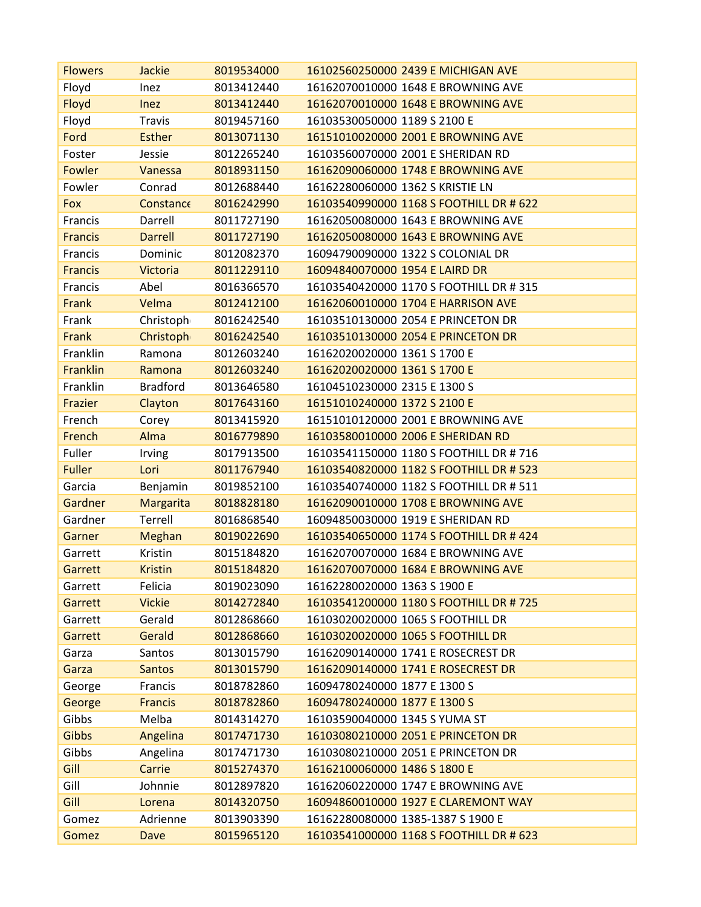| <b>Flowers</b> | <b>Jackie</b>    | 8019534000 | 16102560250000 2439 E MICHIGAN AVE      |
|----------------|------------------|------------|-----------------------------------------|
| Floyd          | Inez             | 8013412440 | 16162070010000 1648 E BROWNING AVE      |
| Floyd          | <b>Inez</b>      | 8013412440 | 16162070010000 1648 E BROWNING AVE      |
| Floyd          | <b>Travis</b>    | 8019457160 | 16103530050000 1189 S 2100 E            |
| Ford           | <b>Esther</b>    | 8013071130 | 16151010020000 2001 E BROWNING AVE      |
| Foster         | Jessie           | 8012265240 | 16103560070000 2001 E SHERIDAN RD       |
| Fowler         | Vanessa          | 8018931150 | 16162090060000 1748 E BROWNING AVE      |
| Fowler         | Conrad           | 8012688440 | 16162280060000 1362 S KRISTIE LN        |
| Fox            | Constance        | 8016242990 | 16103540990000 1168 S FOOTHILL DR # 622 |
| Francis        | Darrell          | 8011727190 | 16162050080000 1643 E BROWNING AVE      |
| <b>Francis</b> | <b>Darrell</b>   | 8011727190 | 16162050080000 1643 E BROWNING AVE      |
| Francis        | Dominic          | 8012082370 | 16094790090000 1322 S COLONIAL DR       |
| <b>Francis</b> | <b>Victoria</b>  | 8011229110 | 16094840070000 1954 E LAIRD DR          |
| Francis        | Abel             | 8016366570 | 16103540420000 1170 S FOOTHILL DR # 315 |
| Frank          | Velma            | 8012412100 | 16162060010000 1704 E HARRISON AVE      |
| Frank          | Christoph        | 8016242540 | 16103510130000 2054 E PRINCETON DR      |
| Frank          | <b>Christoph</b> | 8016242540 | 16103510130000 2054 E PRINCETON DR      |
| Franklin       | Ramona           | 8012603240 | 16162020020000 1361 S 1700 E            |
| Franklin       | Ramona           | 8012603240 | 16162020020000 1361 S 1700 E            |
| Franklin       | <b>Bradford</b>  | 8013646580 | 16104510230000 2315 E 1300 S            |
| Frazier        | Clayton          | 8017643160 | 16151010240000 1372 S 2100 E            |
| French         | Corey            | 8013415920 | 16151010120000 2001 E BROWNING AVE      |
| French         | Alma             | 8016779890 | 16103580010000 2006 E SHERIDAN RD       |
| Fuller         | Irving           | 8017913500 | 16103541150000 1180 S FOOTHILL DR # 716 |
| <b>Fuller</b>  | Lori             | 8011767940 | 16103540820000 1182 S FOOTHILL DR # 523 |
| Garcia         | Benjamin         | 8019852100 | 16103540740000 1182 S FOOTHILL DR # 511 |
| <b>Gardner</b> | Margarita        | 8018828180 | 16162090010000 1708 E BROWNING AVE      |
| Gardner        | Terrell          | 8016868540 | 16094850030000 1919 E SHERIDAN RD       |
| Garner         | Meghan           | 8019022690 | 16103540650000 1174 S FOOTHILL DR # 424 |
| Garrett        | Kristin          | 8015184820 | 16162070070000 1684 E BROWNING AVE      |
| Garrett        | <b>Kristin</b>   | 8015184820 | 16162070070000 1684 E BROWNING AVE      |
| Garrett        | Felicia          | 8019023090 | 16162280020000 1363 S 1900 E            |
| Garrett        | <b>Vickie</b>    | 8014272840 | 16103541200000 1180 S FOOTHILL DR #725  |
| Garrett        | Gerald           | 8012868660 | 16103020020000 1065 S FOOTHILL DR       |
| Garrett        | Gerald           | 8012868660 | 16103020020000 1065 S FOOTHILL DR       |
| Garza          | Santos           | 8013015790 | 16162090140000 1741 E ROSECREST DR      |
| Garza          | <b>Santos</b>    | 8013015790 | 16162090140000 1741 E ROSECREST DR      |
| George         | Francis          | 8018782860 | 16094780240000 1877 E 1300 S            |
| George         | <b>Francis</b>   | 8018782860 | 16094780240000 1877 E 1300 S            |
| Gibbs          | Melba            | 8014314270 | 16103590040000 1345 S YUMA ST           |
| <b>Gibbs</b>   | Angelina         | 8017471730 | 16103080210000 2051 E PRINCETON DR      |
| Gibbs          | Angelina         | 8017471730 | 16103080210000 2051 E PRINCETON DR      |
| Gill           | Carrie           | 8015274370 | 16162100060000 1486 S 1800 E            |
| Gill           | Johnnie          | 8012897820 | 16162060220000 1747 E BROWNING AVE      |
| Gill           | Lorena           | 8014320750 | 16094860010000 1927 E CLAREMONT WAY     |
| Gomez          | Adrienne         | 8013903390 | 16162280080000 1385-1387 S 1900 E       |
| Gomez          | Dave             | 8015965120 | 16103541000000 1168 S FOOTHILL DR # 623 |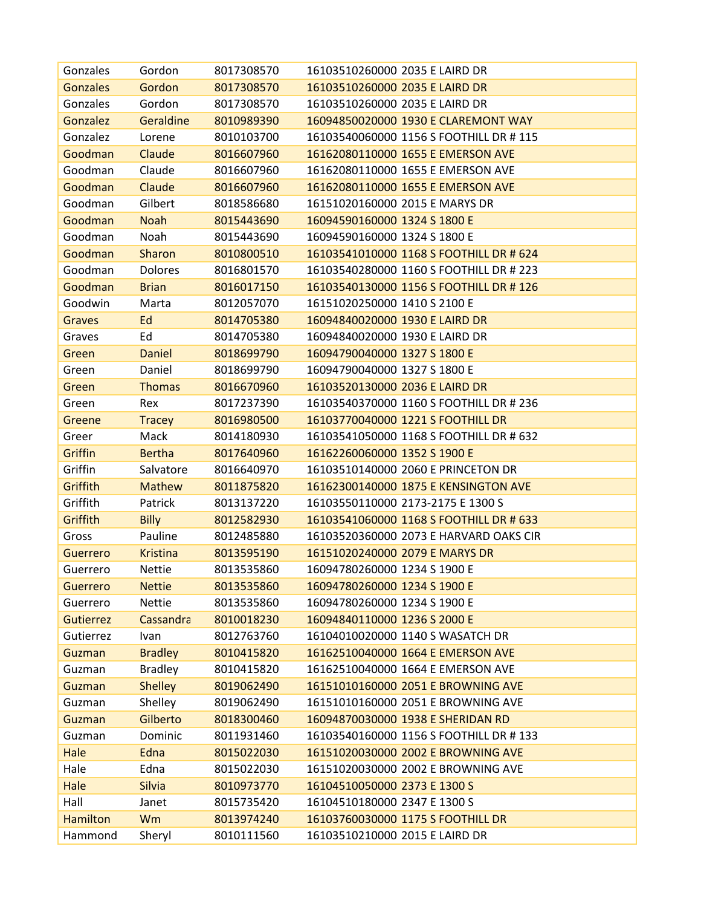| Gonzales         | Gordon           | 8017308570 | 16103510260000 2035 E LAIRD DR          |
|------------------|------------------|------------|-----------------------------------------|
| <b>Gonzales</b>  | Gordon           | 8017308570 | 16103510260000 2035 E LAIRD DR          |
| Gonzales         | Gordon           | 8017308570 | 16103510260000 2035 E LAIRD DR          |
| <b>Gonzalez</b>  | <b>Geraldine</b> | 8010989390 | 16094850020000 1930 E CLAREMONT WAY     |
| Gonzalez         | Lorene           | 8010103700 | 16103540060000 1156 S FOOTHILL DR # 115 |
| Goodman          | Claude           | 8016607960 | 16162080110000 1655 E EMERSON AVE       |
| Goodman          | Claude           | 8016607960 | 16162080110000 1655 E EMERSON AVE       |
| Goodman          | Claude           | 8016607960 | 16162080110000 1655 E EMERSON AVE       |
| Goodman          | Gilbert          | 8018586680 | 16151020160000 2015 E MARYS DR          |
| Goodman          | <b>Noah</b>      | 8015443690 | 16094590160000 1324 S 1800 E            |
| Goodman          | Noah             | 8015443690 | 16094590160000 1324 S 1800 E            |
| Goodman          | Sharon           | 8010800510 | 16103541010000 1168 S FOOTHILL DR # 624 |
| Goodman          | Dolores          | 8016801570 | 16103540280000 1160 S FOOTHILL DR # 223 |
| Goodman          | <b>Brian</b>     | 8016017150 | 16103540130000 1156 S FOOTHILL DR # 126 |
| Goodwin          | Marta            | 8012057070 | 16151020250000 1410 S 2100 E            |
| <b>Graves</b>    | Ed               | 8014705380 | 16094840020000 1930 E LAIRD DR          |
| Graves           | Ed               | 8014705380 | 16094840020000 1930 E LAIRD DR          |
| Green            | <b>Daniel</b>    | 8018699790 | 16094790040000 1327 S 1800 E            |
| Green            | Daniel           | 8018699790 | 16094790040000 1327 S 1800 E            |
| Green            | <b>Thomas</b>    | 8016670960 | 16103520130000 2036 E LAIRD DR          |
| Green            | Rex              | 8017237390 | 16103540370000 1160 S FOOTHILL DR # 236 |
| Greene           | <b>Tracey</b>    | 8016980500 | 16103770040000 1221 S FOOTHILL DR       |
| Greer            | Mack             | 8014180930 | 16103541050000 1168 S FOOTHILL DR # 632 |
| Griffin          | <b>Bertha</b>    | 8017640960 | 16162260060000 1352 S 1900 E            |
| Griffin          | Salvatore        | 8016640970 | 16103510140000 2060 E PRINCETON DR      |
| Griffith         | <b>Mathew</b>    | 8011875820 | 16162300140000 1875 E KENSINGTON AVE    |
| Griffith         | Patrick          | 8013137220 | 16103550110000 2173-2175 E 1300 S       |
| Griffith         | <b>Billy</b>     | 8012582930 | 16103541060000 1168 S FOOTHILL DR # 633 |
| Gross            | Pauline          | 8012485880 | 16103520360000 2073 E HARVARD OAKS CIR  |
| <b>Guerrero</b>  | <b>Kristina</b>  | 8013595190 | 16151020240000 2079 E MARYS DR          |
| Guerrero         | <b>Nettie</b>    | 8013535860 | 16094780260000 1234 S 1900 E            |
| <b>Guerrero</b>  | <b>Nettie</b>    | 8013535860 | 16094780260000 1234 S 1900 E            |
| Guerrero         | <b>Nettie</b>    | 8013535860 | 16094780260000 1234 S 1900 E            |
| <b>Gutierrez</b> | Cassandra        | 8010018230 | 16094840110000 1236 S 2000 E            |
| Gutierrez        | Ivan             | 8012763760 | 16104010020000 1140 S WASATCH DR        |
| Guzman           | <b>Bradley</b>   | 8010415820 | 16162510040000 1664 E EMERSON AVE       |
| Guzman           | <b>Bradley</b>   | 8010415820 | 16162510040000 1664 E EMERSON AVE       |
| Guzman           | <b>Shelley</b>   | 8019062490 | 16151010160000 2051 E BROWNING AVE      |
| Guzman           | Shelley          | 8019062490 | 16151010160000 2051 E BROWNING AVE      |
| Guzman           | Gilberto         | 8018300460 | 16094870030000 1938 E SHERIDAN RD       |
| Guzman           | Dominic          | 8011931460 | 16103540160000 1156 S FOOTHILL DR # 133 |
| Hale             | Edna             | 8015022030 | 16151020030000 2002 E BROWNING AVE      |
| Hale             | Edna             | 8015022030 | 16151020030000 2002 E BROWNING AVE      |
| Hale             | <b>Silvia</b>    | 8010973770 | 16104510050000 2373 E 1300 S            |
| Hall             | Janet            | 8015735420 | 16104510180000 2347 E 1300 S            |
| <b>Hamilton</b>  | Wm               | 8013974240 | 16103760030000 1175 S FOOTHILL DR       |
| Hammond          | Sheryl           | 8010111560 | 16103510210000 2015 E LAIRD DR          |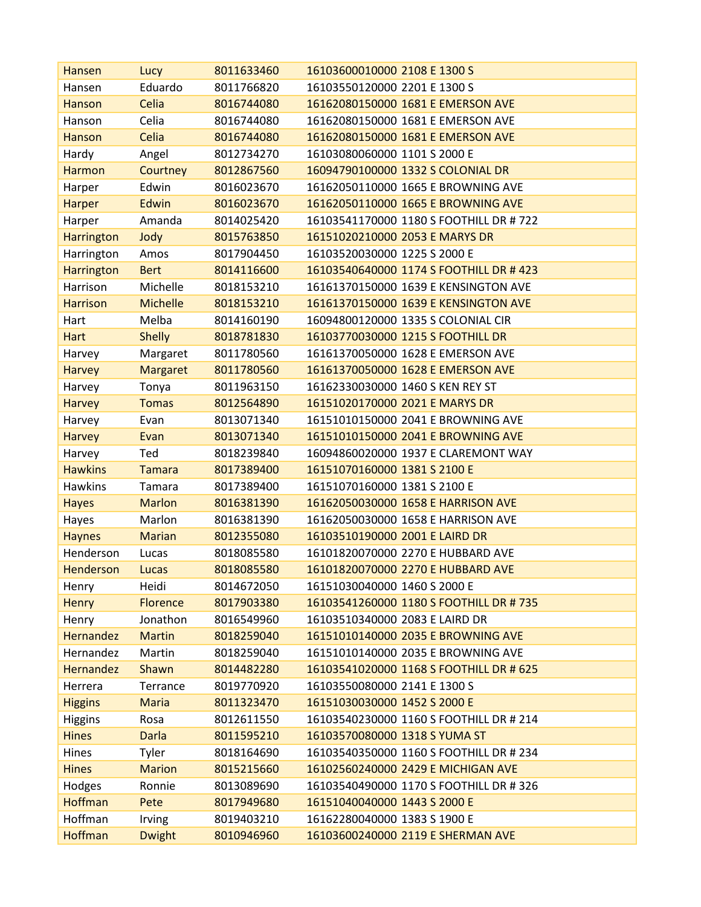| <b>Hansen</b>     | Lucy            | 8011633460 | 16103600010000 2108 E 1300 S            |
|-------------------|-----------------|------------|-----------------------------------------|
| Hansen            | Eduardo         | 8011766820 | 16103550120000 2201 E 1300 S            |
| Hanson            | Celia           | 8016744080 | 16162080150000 1681 E EMERSON AVE       |
| Hanson            | Celia           | 8016744080 | 16162080150000 1681 E EMERSON AVE       |
| Hanson            | Celia           | 8016744080 | 16162080150000 1681 E EMERSON AVE       |
| Hardy             | Angel           | 8012734270 | 16103080060000 1101 S 2000 E            |
| <b>Harmon</b>     | Courtney        | 8012867560 | 16094790100000 1332 S COLONIAL DR       |
| Harper            | Edwin           | 8016023670 | 16162050110000 1665 E BROWNING AVE      |
| <b>Harper</b>     | Edwin           | 8016023670 | 16162050110000 1665 E BROWNING AVE      |
| Harper            | Amanda          | 8014025420 | 16103541170000 1180 S FOOTHILL DR # 722 |
| <b>Harrington</b> | Jody            | 8015763850 | 16151020210000 2053 E MARYS DR          |
| Harrington        | Amos            | 8017904450 | 16103520030000 1225 S 2000 E            |
| <b>Harrington</b> | <b>Bert</b>     | 8014116600 | 16103540640000 1174 S FOOTHILL DR # 423 |
| Harrison          | Michelle        | 8018153210 | 16161370150000 1639 E KENSINGTON AVE    |
| <b>Harrison</b>   | <b>Michelle</b> | 8018153210 | 16161370150000 1639 E KENSINGTON AVE    |
| Hart              | Melba           | 8014160190 | 16094800120000 1335 S COLONIAL CIR      |
| <b>Hart</b>       | <b>Shelly</b>   | 8018781830 | 16103770030000 1215 S FOOTHILL DR       |
| Harvey            | Margaret        | 8011780560 | 16161370050000 1628 E EMERSON AVE       |
| <b>Harvey</b>     | <b>Margaret</b> | 8011780560 | 16161370050000 1628 E EMERSON AVE       |
| Harvey            | Tonya           | 8011963150 | 16162330030000 1460 S KEN REY ST        |
| <b>Harvey</b>     | <b>Tomas</b>    | 8012564890 | 16151020170000 2021 E MARYS DR          |
| Harvey            | Evan            | 8013071340 | 16151010150000 2041 E BROWNING AVE      |
| <b>Harvey</b>     | Evan            | 8013071340 | 16151010150000 2041 E BROWNING AVE      |
| Harvey            | Ted             | 8018239840 | 16094860020000 1937 E CLAREMONT WAY     |
| <b>Hawkins</b>    | <b>Tamara</b>   | 8017389400 | 16151070160000 1381 S 2100 E            |
| <b>Hawkins</b>    | Tamara          | 8017389400 | 16151070160000 1381 S 2100 E            |
| <b>Hayes</b>      | <b>Marlon</b>   | 8016381390 | 16162050030000 1658 E HARRISON AVE      |
| Hayes             | Marlon          | 8016381390 | 16162050030000 1658 E HARRISON AVE      |
| <b>Haynes</b>     | <b>Marian</b>   | 8012355080 | 16103510190000 2001 E LAIRD DR          |
| Henderson         | Lucas           | 8018085580 | 16101820070000 2270 E HUBBARD AVE       |
| <b>Henderson</b>  | Lucas           | 8018085580 | 16101820070000 2270 E HUBBARD AVE       |
| Henry             | Heidi           | 8014672050 | 16151030040000 1460 S 2000 E            |
| <b>Henry</b>      | <b>Florence</b> | 8017903380 | 16103541260000 1180 S FOOTHILL DR #735  |
| Henry             | Jonathon        | 8016549960 | 16103510340000 2083 E LAIRD DR          |
| <b>Hernandez</b>  | <b>Martin</b>   | 8018259040 | 16151010140000 2035 E BROWNING AVE      |
| Hernandez         | Martin          | 8018259040 | 16151010140000 2035 E BROWNING AVE      |
| <b>Hernandez</b>  | Shawn           | 8014482280 | 16103541020000 1168 S FOOTHILL DR # 625 |
| Herrera           | Terrance        | 8019770920 | 16103550080000 2141 E 1300 S            |
| <b>Higgins</b>    | <b>Maria</b>    | 8011323470 | 16151030030000 1452 S 2000 E            |
| <b>Higgins</b>    | Rosa            | 8012611550 | 16103540230000 1160 S FOOTHILL DR # 214 |
| <b>Hines</b>      | <b>Darla</b>    | 8011595210 | 16103570080000 1318 S YUMA ST           |
| Hines             | Tyler           | 8018164690 | 16103540350000 1160 S FOOTHILL DR # 234 |
| <b>Hines</b>      | <b>Marion</b>   | 8015215660 | 16102560240000 2429 E MICHIGAN AVE      |
| Hodges            | Ronnie          | 8013089690 | 16103540490000 1170 S FOOTHILL DR # 326 |
| <b>Hoffman</b>    | Pete            | 8017949680 | 16151040040000 1443 S 2000 E            |
| Hoffman           | Irving          | 8019403210 | 16162280040000 1383 S 1900 E            |
| <b>Hoffman</b>    | <b>Dwight</b>   | 8010946960 | 16103600240000 2119 E SHERMAN AVE       |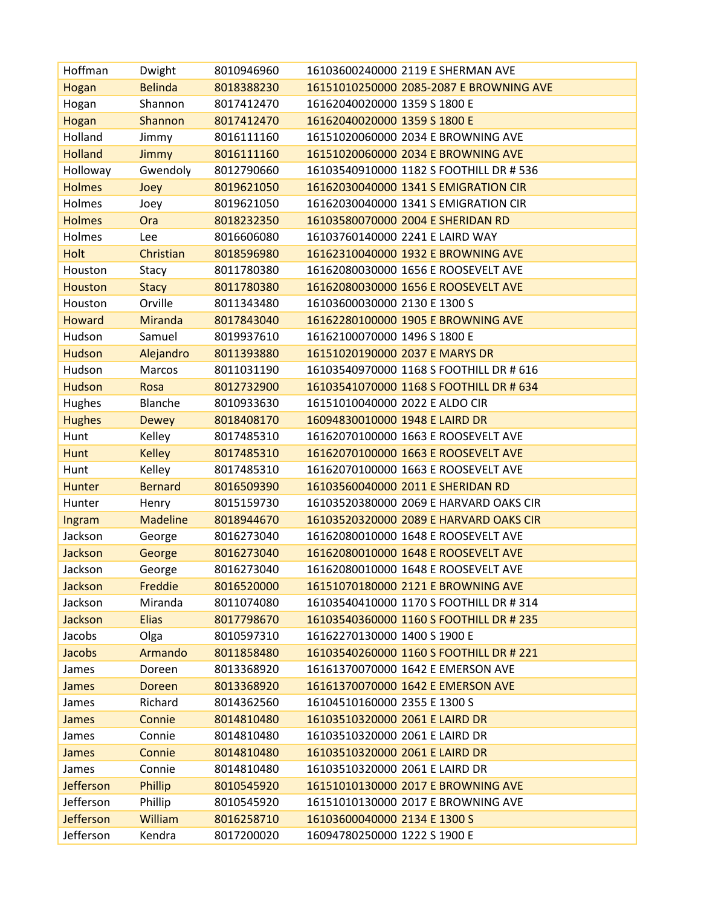| Hoffman          | Dwight          | 8010946960 | 16103600240000 2119 E SHERMAN AVE       |
|------------------|-----------------|------------|-----------------------------------------|
| Hogan            | <b>Belinda</b>  | 8018388230 | 16151010250000 2085-2087 E BROWNING AVE |
| Hogan            | Shannon         | 8017412470 | 16162040020000 1359 S 1800 E            |
| Hogan            | Shannon         | 8017412470 | 16162040020000 1359 S 1800 E            |
| Holland          | Jimmy           | 8016111160 | 16151020060000 2034 E BROWNING AVE      |
| <b>Holland</b>   | Jimmy           | 8016111160 | 16151020060000 2034 E BROWNING AVE      |
| Holloway         | Gwendoly        | 8012790660 | 16103540910000 1182 S FOOTHILL DR # 536 |
| <b>Holmes</b>    | Joey            | 8019621050 | 16162030040000 1341 S EMIGRATION CIR    |
| Holmes           | Joey            | 8019621050 | 16162030040000 1341 S EMIGRATION CIR    |
| <b>Holmes</b>    | <b>Ora</b>      | 8018232350 | 16103580070000 2004 E SHERIDAN RD       |
| Holmes           | Lee             | 8016606080 | 16103760140000 2241 E LAIRD WAY         |
| Holt             | Christian       | 8018596980 | 16162310040000 1932 E BROWNING AVE      |
| Houston          | Stacy           | 8011780380 | 16162080030000 1656 E ROOSEVELT AVE     |
| <b>Houston</b>   | <b>Stacy</b>    | 8011780380 | 16162080030000 1656 E ROOSEVELT AVE     |
| Houston          | Orville         | 8011343480 | 16103600030000 2130 E 1300 S            |
| <b>Howard</b>    | <b>Miranda</b>  | 8017843040 | 16162280100000 1905 E BROWNING AVE      |
| Hudson           | Samuel          | 8019937610 | 16162100070000 1496 S 1800 E            |
| <b>Hudson</b>    | Alejandro       | 8011393880 | 16151020190000 2037 E MARYS DR          |
| Hudson           | Marcos          | 8011031190 | 16103540970000 1168 S FOOTHILL DR # 616 |
| <b>Hudson</b>    | <b>Rosa</b>     | 8012732900 | 16103541070000 1168 S FOOTHILL DR # 634 |
| Hughes           | Blanche         | 8010933630 | 16151010040000 2022 E ALDO CIR          |
| <b>Hughes</b>    | <b>Dewey</b>    | 8018408170 | 16094830010000 1948 E LAIRD DR          |
| Hunt             | Kelley          | 8017485310 | 16162070100000 1663 E ROOSEVELT AVE     |
| <b>Hunt</b>      | <b>Kelley</b>   | 8017485310 | 16162070100000 1663 E ROOSEVELT AVE     |
| Hunt             | Kelley          | 8017485310 | 16162070100000 1663 E ROOSEVELT AVE     |
| <b>Hunter</b>    | <b>Bernard</b>  | 8016509390 | 16103560040000 2011 E SHERIDAN RD       |
| Hunter           | Henry           | 8015159730 | 16103520380000 2069 E HARVARD OAKS CIR  |
| Ingram           | <b>Madeline</b> | 8018944670 | 16103520320000 2089 E HARVARD OAKS CIR  |
| Jackson          | George          | 8016273040 | 16162080010000 1648 E ROOSEVELT AVE     |
| Jackson          | George          | 8016273040 | 16162080010000 1648 E ROOSEVELT AVE     |
| Jackson          | George          | 8016273040 | 16162080010000 1648 E ROOSEVELT AVE     |
| Jackson          | Freddie         | 8016520000 | 16151070180000 2121 E BROWNING AVE      |
| Jackson          | Miranda         | 8011074080 | 16103540410000 1170 S FOOTHILL DR # 314 |
| Jackson          | <b>Elias</b>    | 8017798670 | 16103540360000 1160 S FOOTHILL DR # 235 |
| Jacobs           | Olga            | 8010597310 | 16162270130000 1400 S 1900 E            |
| Jacobs           | Armando         | 8011858480 | 16103540260000 1160 S FOOTHILL DR # 221 |
| James            | Doreen          | 8013368920 | 16161370070000 1642 E EMERSON AVE       |
| James            | <b>Doreen</b>   | 8013368920 | 16161370070000 1642 E EMERSON AVE       |
| James            | Richard         | 8014362560 | 16104510160000 2355 E 1300 S            |
| James            | Connie          | 8014810480 | 16103510320000 2061 E LAIRD DR          |
| James            | Connie          | 8014810480 | 16103510320000 2061 E LAIRD DR          |
| James            | Connie          | 8014810480 | 16103510320000 2061 E LAIRD DR          |
| James            | Connie          | 8014810480 | 16103510320000 2061 E LAIRD DR          |
| Jefferson        | Phillip         | 8010545920 | 16151010130000 2017 E BROWNING AVE      |
| Jefferson        | Phillip         | 8010545920 | 16151010130000 2017 E BROWNING AVE      |
| <b>Jefferson</b> | William         | 8016258710 | 16103600040000 2134 E 1300 S            |
| Jefferson        | Kendra          | 8017200020 | 16094780250000 1222 S 1900 E            |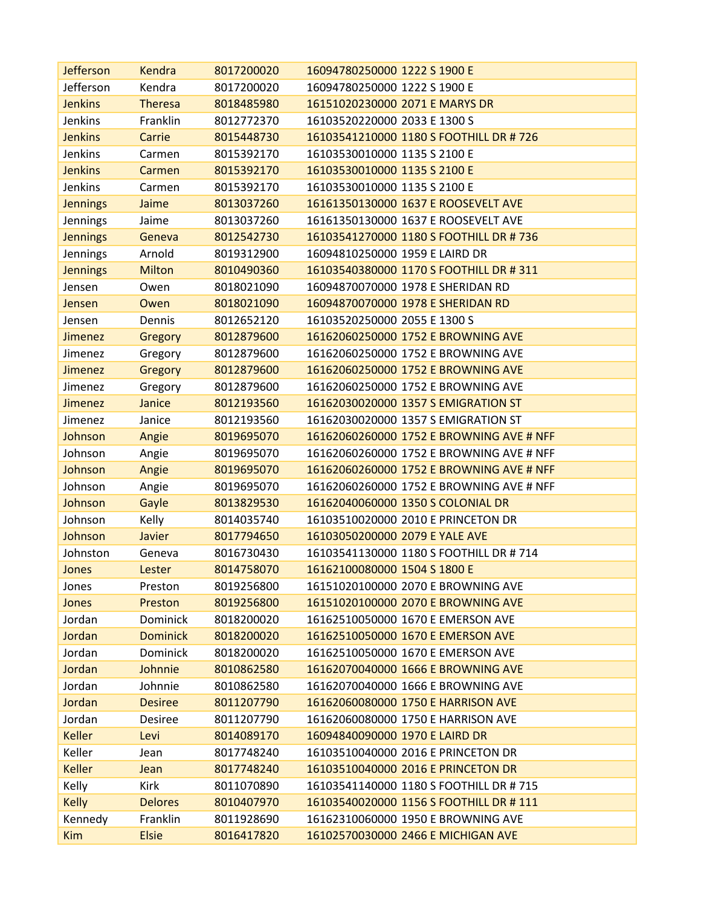| <b>Jefferson</b> | Kendra          | 8017200020 | 16094780250000 1222 S 1900 E             |
|------------------|-----------------|------------|------------------------------------------|
| Jefferson        | Kendra          | 8017200020 | 16094780250000 1222 S 1900 E             |
| <b>Jenkins</b>   | <b>Theresa</b>  | 8018485980 | 16151020230000 2071 E MARYS DR           |
| Jenkins          | Franklin        | 8012772370 | 16103520220000 2033 E 1300 S             |
| <b>Jenkins</b>   | Carrie          | 8015448730 | 16103541210000 1180 S FOOTHILL DR #726   |
| Jenkins          | Carmen          | 8015392170 | 16103530010000 1135 S 2100 E             |
| <b>Jenkins</b>   | Carmen          | 8015392170 | 16103530010000 1135 S 2100 E             |
| Jenkins          | Carmen          | 8015392170 | 16103530010000 1135 S 2100 E             |
| <b>Jennings</b>  | Jaime           | 8013037260 | 16161350130000 1637 E ROOSEVELT AVE      |
| Jennings         | Jaime           | 8013037260 | 16161350130000 1637 E ROOSEVELT AVE      |
| <b>Jennings</b>  | Geneva          | 8012542730 | 16103541270000 1180 S FOOTHILL DR #736   |
| Jennings         | Arnold          | 8019312900 | 16094810250000 1959 E LAIRD DR           |
| <b>Jennings</b>  | <b>Milton</b>   | 8010490360 | 16103540380000 1170 S FOOTHILL DR # 311  |
| Jensen           | Owen            | 8018021090 | 16094870070000 1978 E SHERIDAN RD        |
| Jensen           | Owen            | 8018021090 | 16094870070000 1978 E SHERIDAN RD        |
| Jensen           | Dennis          | 8012652120 | 16103520250000 2055 E 1300 S             |
| <b>Jimenez</b>   | Gregory         | 8012879600 | 16162060250000 1752 E BROWNING AVE       |
| Jimenez          | Gregory         | 8012879600 | 16162060250000 1752 E BROWNING AVE       |
| Jimenez          | Gregory         | 8012879600 | 16162060250000 1752 E BROWNING AVE       |
| Jimenez          | Gregory         | 8012879600 | 16162060250000 1752 E BROWNING AVE       |
| <b>Jimenez</b>   | Janice          | 8012193560 | 16162030020000 1357 S EMIGRATION ST      |
| Jimenez          | Janice          | 8012193560 | 16162030020000 1357 S EMIGRATION ST      |
| Johnson          | Angie           | 8019695070 | 16162060260000 1752 E BROWNING AVE # NFF |
| Johnson          | Angie           | 8019695070 | 16162060260000 1752 E BROWNING AVE # NFF |
| Johnson          | Angie           | 8019695070 | 16162060260000 1752 E BROWNING AVE # NFF |
| Johnson          | Angie           | 8019695070 | 16162060260000 1752 E BROWNING AVE # NFF |
| Johnson          | Gayle           | 8013829530 | 16162040060000 1350 S COLONIAL DR        |
| Johnson          | Kelly           | 8014035740 | 16103510020000 2010 E PRINCETON DR       |
| Johnson          | Javier          | 8017794650 | 16103050200000 2079 E YALE AVE           |
| Johnston         | Geneva          | 8016730430 | 16103541130000 1180 S FOOTHILL DR # 714  |
| Jones            | Lester          | 8014758070 | 16162100080000 1504 S 1800 E             |
| Jones            | Preston         | 8019256800 | 16151020100000 2070 E BROWNING AVE       |
| Jones            | Preston         | 8019256800 | 16151020100000 2070 E BROWNING AVE       |
| Jordan           | Dominick        | 8018200020 | 16162510050000 1670 E EMERSON AVE        |
| Jordan           | <b>Dominick</b> | 8018200020 | 16162510050000 1670 E EMERSON AVE        |
| Jordan           | Dominick        | 8018200020 | 16162510050000 1670 E EMERSON AVE        |
| Jordan           | Johnnie         | 8010862580 | 16162070040000 1666 E BROWNING AVE       |
| Jordan           | Johnnie         | 8010862580 | 16162070040000 1666 E BROWNING AVE       |
| Jordan           | <b>Desiree</b>  | 8011207790 | 16162060080000 1750 E HARRISON AVE       |
| Jordan           | <b>Desiree</b>  | 8011207790 | 16162060080000 1750 E HARRISON AVE       |
| <b>Keller</b>    | Levi            | 8014089170 | 16094840090000 1970 E LAIRD DR           |
| Keller           | Jean            | 8017748240 | 16103510040000 2016 E PRINCETON DR       |
| <b>Keller</b>    | Jean            | 8017748240 | 16103510040000 2016 E PRINCETON DR       |
| Kelly            | Kirk            | 8011070890 | 16103541140000 1180 S FOOTHILL DR # 715  |
| <b>Kelly</b>     | <b>Delores</b>  | 8010407970 | 16103540020000 1156 S FOOTHILL DR # 111  |
| Kennedy          | Franklin        | 8011928690 | 16162310060000 1950 E BROWNING AVE       |
| <b>Kim</b>       | <b>Elsie</b>    | 8016417820 | 16102570030000 2466 E MICHIGAN AVE       |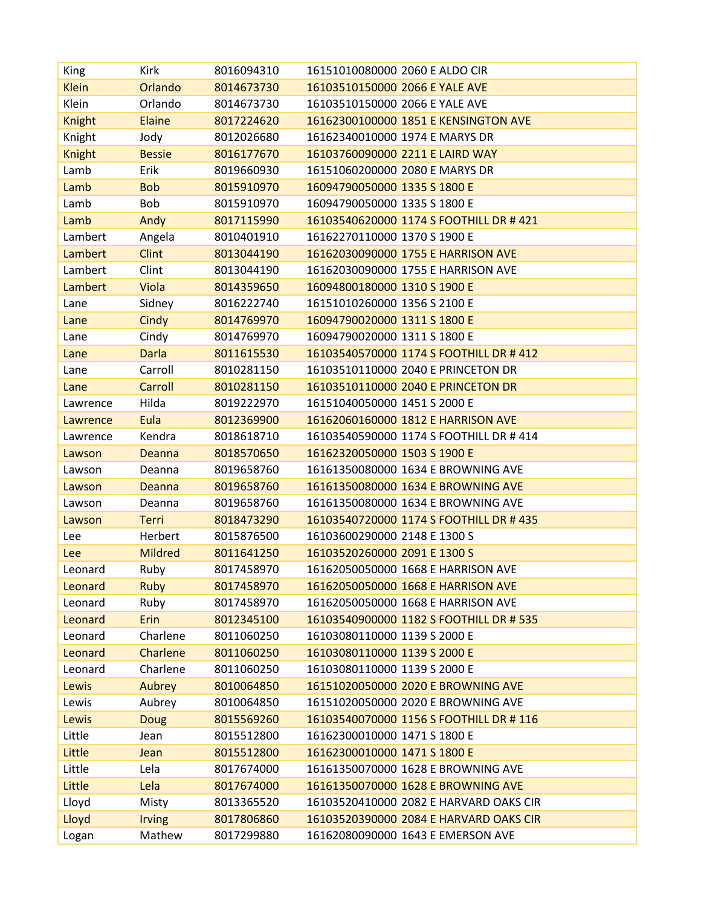| King          | Kirk           | 8016094310 | 16151010080000 2060 E ALDO CIR          |
|---------------|----------------|------------|-----------------------------------------|
| <b>Klein</b>  | Orlando        | 8014673730 | 16103510150000 2066 E YALE AVE          |
| Klein         | Orlando        | 8014673730 | 16103510150000 2066 E YALE AVE          |
| <b>Knight</b> | Elaine         | 8017224620 | 16162300100000 1851 E KENSINGTON AVE    |
| Knight        | Jody           | 8012026680 | 16162340010000 1974 E MARYS DR          |
| <b>Knight</b> | <b>Bessie</b>  | 8016177670 | 16103760090000 2211 E LAIRD WAY         |
| Lamb          | Erik           | 8019660930 | 16151060200000 2080 E MARYS DR          |
| Lamb          | <b>Bob</b>     | 8015910970 | 16094790050000 1335 S 1800 E            |
| Lamb          | Bob            | 8015910970 | 16094790050000 1335 S 1800 E            |
| Lamb          | Andy           | 8017115990 | 16103540620000 1174 S FOOTHILL DR # 421 |
| Lambert       | Angela         | 8010401910 | 16162270110000 1370 S 1900 E            |
| Lambert       | <b>Clint</b>   | 8013044190 | 16162030090000 1755 E HARRISON AVE      |
| Lambert       | Clint          | 8013044190 | 16162030090000 1755 E HARRISON AVE      |
| Lambert       | Viola          | 8014359650 | 16094800180000 1310 S 1900 E            |
| Lane          | Sidney         | 8016222740 | 16151010260000 1356 S 2100 E            |
| Lane          | Cindy          | 8014769970 | 16094790020000 1311 S 1800 E            |
| Lane          | Cindy          | 8014769970 | 16094790020000 1311 S 1800 E            |
| Lane          | <b>Darla</b>   | 8011615530 | 16103540570000 1174 S FOOTHILL DR # 412 |
| Lane          | Carroll        | 8010281150 | 16103510110000 2040 E PRINCETON DR      |
| Lane          | Carroll        | 8010281150 | 16103510110000 2040 E PRINCETON DR      |
| Lawrence      | Hilda          | 8019222970 | 16151040050000 1451 S 2000 E            |
| Lawrence      | Eula           | 8012369900 | 16162060160000 1812 E HARRISON AVE      |
| Lawrence      | Kendra         | 8018618710 | 16103540590000 1174 S FOOTHILL DR # 414 |
| Lawson        | Deanna         | 8018570650 | 16162320050000 1503 S 1900 E            |
| Lawson        | Deanna         | 8019658760 | 16161350080000 1634 E BROWNING AVE      |
| Lawson        | Deanna         | 8019658760 | 16161350080000 1634 E BROWNING AVE      |
| Lawson        | Deanna         | 8019658760 | 16161350080000 1634 E BROWNING AVE      |
| Lawson        | <b>Terri</b>   | 8018473290 | 16103540720000 1174 S FOOTHILL DR # 435 |
| Lee           | Herbert        | 8015876500 | 16103600290000 2148 E 1300 S            |
| Lee           | <b>Mildred</b> | 8011641250 | 16103520260000 2091 E 1300 S            |
| Leonard       | Ruby           | 8017458970 | 16162050050000 1668 E HARRISON AVE      |
| Leonard       | <b>Ruby</b>    | 8017458970 | 16162050050000 1668 E HARRISON AVE      |
| Leonard       | Ruby           | 8017458970 | 16162050050000 1668 E HARRISON AVE      |
| Leonard       | Erin           | 8012345100 | 16103540900000 1182 S FOOTHILL DR # 535 |
| Leonard       | Charlene       | 8011060250 | 16103080110000 1139 S 2000 E            |
| Leonard       | Charlene       | 8011060250 | 16103080110000 1139 S 2000 E            |
| Leonard       | Charlene       | 8011060250 | 16103080110000 1139 S 2000 E            |
| Lewis         | Aubrey         | 8010064850 | 16151020050000 2020 E BROWNING AVE      |
| Lewis         | Aubrey         | 8010064850 | 16151020050000 2020 E BROWNING AVE      |
| Lewis         | <b>Doug</b>    | 8015569260 | 16103540070000 1156 S FOOTHILL DR # 116 |
| Little        | Jean           | 8015512800 | 16162300010000 1471 S 1800 E            |
| Little        | Jean           | 8015512800 | 16162300010000 1471 S 1800 E            |
| Little        | Lela           | 8017674000 | 16161350070000 1628 E BROWNING AVE      |
| Little        | Lela           | 8017674000 | 16161350070000 1628 E BROWNING AVE      |
| Lloyd         | Misty          | 8013365520 | 16103520410000 2082 E HARVARD OAKS CIR  |
| Lloyd         | Irving         | 8017806860 | 16103520390000 2084 E HARVARD OAKS CIR  |
| Logan         | Mathew         | 8017299880 | 16162080090000 1643 E EMERSON AVE       |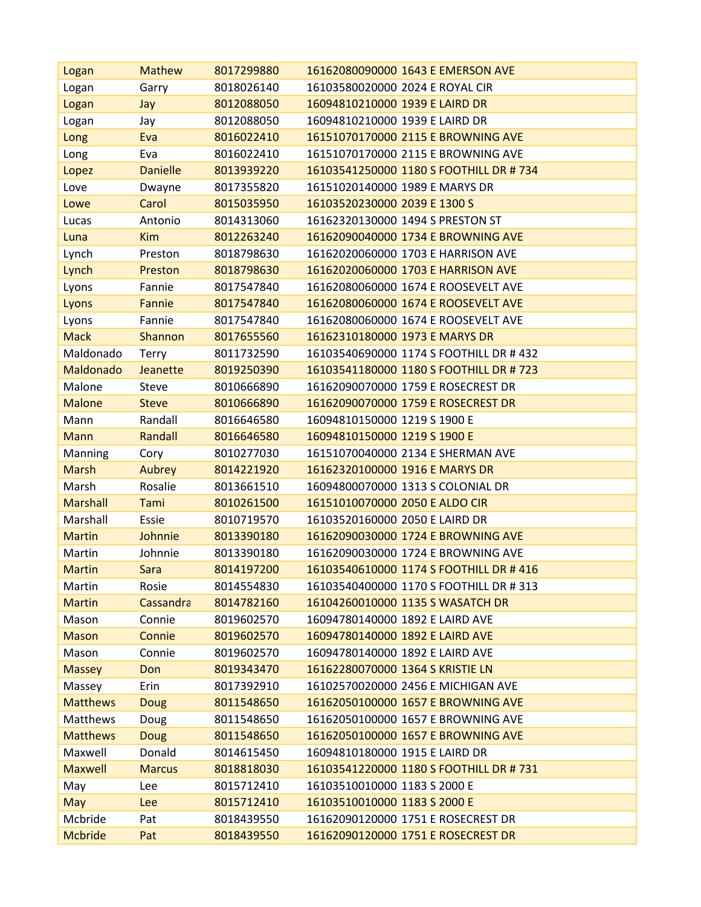| Logan           | <b>Mathew</b>   | 8017299880 | 16162080090000 1643 E EMERSON AVE       |
|-----------------|-----------------|------------|-----------------------------------------|
| Logan           | Garry           | 8018026140 | 16103580020000 2024 E ROYAL CIR         |
| Logan           | Jay             | 8012088050 | 16094810210000 1939 E LAIRD DR          |
| Logan           | Jay             | 8012088050 | 16094810210000 1939 E LAIRD DR          |
| Long            | Eva             | 8016022410 | 16151070170000 2115 E BROWNING AVE      |
| Long            | Eva             | 8016022410 | 16151070170000 2115 E BROWNING AVE      |
| Lopez           | <b>Danielle</b> | 8013939220 | 16103541250000 1180 S FOOTHILL DR #734  |
| Love            | Dwayne          | 8017355820 | 16151020140000 1989 E MARYS DR          |
| Lowe            | Carol           | 8015035950 | 16103520230000 2039 E 1300 S            |
| Lucas           | Antonio         | 8014313060 | 16162320130000 1494 S PRESTON ST        |
| Luna            | <b>Kim</b>      | 8012263240 | 16162090040000 1734 E BROWNING AVE      |
| Lynch           | Preston         | 8018798630 | 16162020060000 1703 E HARRISON AVE      |
| Lynch           | Preston         | 8018798630 | 16162020060000 1703 E HARRISON AVE      |
| Lyons           | Fannie          | 8017547840 | 16162080060000 1674 E ROOSEVELT AVE     |
| Lyons           | Fannie          | 8017547840 | 16162080060000 1674 E ROOSEVELT AVE     |
| Lyons           | Fannie          | 8017547840 | 16162080060000 1674 E ROOSEVELT AVE     |
| <b>Mack</b>     | Shannon         | 8017655560 | 16162310180000 1973 E MARYS DR          |
| Maldonado       | Terry           | 8011732590 | 16103540690000 1174 S FOOTHILL DR # 432 |
| Maldonado       | Jeanette        | 8019250390 | 16103541180000 1180 S FOOTHILL DR # 723 |
| Malone          | <b>Steve</b>    | 8010666890 | 16162090070000 1759 E ROSECREST DR      |
| <b>Malone</b>   | <b>Steve</b>    | 8010666890 | 16162090070000 1759 E ROSECREST DR      |
| Mann            | Randall         | 8016646580 | 16094810150000 1219 S 1900 E            |
| <b>Mann</b>     | Randall         | 8016646580 | 16094810150000 1219 S 1900 E            |
| Manning         | Cory            | 8010277030 | 16151070040000 2134 E SHERMAN AVE       |
| <b>Marsh</b>    | Aubrey          | 8014221920 | 16162320100000 1916 E MARYS DR          |
| Marsh           | Rosalie         | 8013661510 | 16094800070000 1313 S COLONIAL DR       |
| <b>Marshall</b> | Tami            | 8010261500 | 16151010070000 2050 E ALDO CIR          |
| Marshall        | Essie           | 8010719570 | 16103520160000 2050 E LAIRD DR          |
| <b>Martin</b>   | Johnnie         | 8013390180 | 16162090030000 1724 E BROWNING AVE      |
| Martin          | Johnnie         | 8013390180 | 16162090030000 1724 E BROWNING AVE      |
| <b>Martin</b>   | Sara            | 8014197200 | 16103540610000 1174 S FOOTHILL DR # 416 |
| Martin          | Rosie           | 8014554830 | 16103540400000 1170 S FOOTHILL DR # 313 |
| <b>Martin</b>   | Cassandra       | 8014782160 | 16104260010000 1135 S WASATCH DR        |
| Mason           | Connie          | 8019602570 | 16094780140000 1892 E LAIRD AVE         |
| <b>Mason</b>    | Connie          | 8019602570 | 16094780140000 1892 E LAIRD AVE         |
| Mason           | Connie          | 8019602570 | 16094780140000 1892 E LAIRD AVE         |
| <b>Massey</b>   | Don             | 8019343470 | 16162280070000 1364 S KRISTIE LN        |
| Massey          | Erin            | 8017392910 | 16102570020000 2456 E MICHIGAN AVE      |
| <b>Matthews</b> | <b>Doug</b>     | 8011548650 | 16162050100000 1657 E BROWNING AVE      |
| Matthews        | Doug            | 8011548650 | 16162050100000 1657 E BROWNING AVE      |
| <b>Matthews</b> | <b>Doug</b>     | 8011548650 | 16162050100000 1657 E BROWNING AVE      |
| Maxwell         | Donald          | 8014615450 | 16094810180000 1915 E LAIRD DR          |
| <b>Maxwell</b>  | <b>Marcus</b>   | 8018818030 | 16103541220000 1180 S FOOTHILL DR #731  |
| May             | Lee             | 8015712410 | 16103510010000 1183 S 2000 E            |
| May             | Lee             | 8015712410 | 16103510010000 1183 S 2000 E            |
| Mcbride         | Pat             | 8018439550 | 16162090120000 1751 E ROSECREST DR      |
| <b>Mcbride</b>  | Pat             | 8018439550 | 16162090120000 1751 E ROSECREST DR      |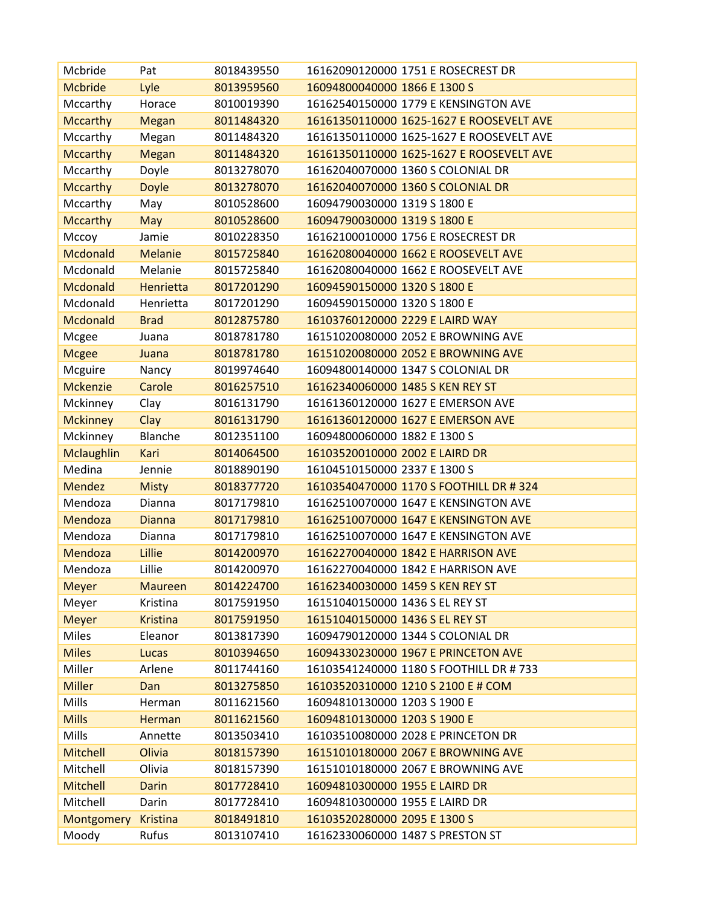| Mcbride           | Pat              | 8018439550 | 16162090120000 1751 E ROSECREST DR       |
|-------------------|------------------|------------|------------------------------------------|
| <b>Mcbride</b>    | Lyle             | 8013959560 | 16094800040000 1866 E 1300 S             |
| Mccarthy          | Horace           | 8010019390 | 16162540150000 1779 E KENSINGTON AVE     |
| <b>Mccarthy</b>   | <b>Megan</b>     | 8011484320 | 16161350110000 1625-1627 E ROOSEVELT AVE |
| Mccarthy          | Megan            | 8011484320 | 16161350110000 1625-1627 E ROOSEVELT AVE |
| <b>Mccarthy</b>   | <b>Megan</b>     | 8011484320 | 16161350110000 1625-1627 E ROOSEVELT AVE |
| Mccarthy          | Doyle            | 8013278070 | 16162040070000 1360 S COLONIAL DR        |
| <b>Mccarthy</b>   | <b>Doyle</b>     | 8013278070 | 16162040070000 1360 S COLONIAL DR        |
| Mccarthy          | May              | 8010528600 | 16094790030000 1319 S 1800 E             |
| <b>Mccarthy</b>   | May              | 8010528600 | 16094790030000 1319 S 1800 E             |
| Mccoy             | Jamie            | 8010228350 | 16162100010000 1756 E ROSECREST DR       |
| <b>Mcdonald</b>   | <b>Melanie</b>   | 8015725840 | 16162080040000 1662 E ROOSEVELT AVE      |
| Mcdonald          | Melanie          | 8015725840 | 16162080040000 1662 E ROOSEVELT AVE      |
| <b>Mcdonald</b>   | <b>Henrietta</b> | 8017201290 | 16094590150000 1320 S 1800 E             |
| Mcdonald          | Henrietta        | 8017201290 | 16094590150000 1320 S 1800 E             |
| <b>Mcdonald</b>   | <b>Brad</b>      | 8012875780 | 16103760120000 2229 E LAIRD WAY          |
| Mcgee             | Juana            | 8018781780 | 16151020080000 2052 E BROWNING AVE       |
| <b>Mcgee</b>      | Juana            | 8018781780 | 16151020080000 2052 E BROWNING AVE       |
| Mcguire           | Nancy            | 8019974640 | 16094800140000 1347 S COLONIAL DR        |
| <b>Mckenzie</b>   | Carole           | 8016257510 | 16162340060000 1485 S KEN REY ST         |
| Mckinney          | Clay             | 8016131790 | 16161360120000 1627 E EMERSON AVE        |
| <b>Mckinney</b>   | Clay             | 8016131790 | 16161360120000 1627 E EMERSON AVE        |
| Mckinney          | Blanche          | 8012351100 | 16094800060000 1882 E 1300 S             |
| <b>Mclaughlin</b> | Kari             | 8014064500 | 16103520010000 2002 E LAIRD DR           |
| Medina            | Jennie           | 8018890190 | 16104510150000 2337 E 1300 S             |
| <b>Mendez</b>     | <b>Misty</b>     | 8018377720 | 16103540470000 1170 S FOOTHILL DR #324   |
| Mendoza           | Dianna           | 8017179810 | 16162510070000 1647 E KENSINGTON AVE     |
| Mendoza           | <b>Dianna</b>    | 8017179810 | 16162510070000 1647 E KENSINGTON AVE     |
| Mendoza           | Dianna           | 8017179810 | 16162510070000 1647 E KENSINGTON AVE     |
| Mendoza           | Lillie           | 8014200970 | 16162270040000 1842 E HARRISON AVE       |
| Mendoza           | Lillie           | 8014200970 | 16162270040000 1842 E HARRISON AVE       |
| <b>Meyer</b>      | <b>Maureen</b>   | 8014224700 | 16162340030000 1459 S KEN REY ST         |
| Meyer             | Kristina         | 8017591950 | 16151040150000 1436 S EL REY ST          |
| <b>Meyer</b>      | <b>Kristina</b>  | 8017591950 | 16151040150000 1436 S EL REY ST          |
| Miles             | Eleanor          | 8013817390 | 16094790120000 1344 S COLONIAL DR        |
| <b>Miles</b>      | Lucas            | 8010394650 | 16094330230000 1967 E PRINCETON AVE      |
| Miller            | Arlene           | 8011744160 | 16103541240000 1180 S FOOTHILL DR # 733  |
| <b>Miller</b>     | Dan              | 8013275850 | 16103520310000 1210 S 2100 E # COM       |
| Mills             | Herman           | 8011621560 | 16094810130000 1203 S 1900 E             |
| <b>Mills</b>      | <b>Herman</b>    | 8011621560 | 16094810130000 1203 S 1900 E             |
| Mills             | Annette          | 8013503410 | 16103510080000 2028 E PRINCETON DR       |
| <b>Mitchell</b>   | Olivia           | 8018157390 | 16151010180000 2067 E BROWNING AVE       |
| Mitchell          | Olivia           | 8018157390 | 16151010180000 2067 E BROWNING AVE       |
| <b>Mitchell</b>   | <b>Darin</b>     | 8017728410 | 16094810300000 1955 E LAIRD DR           |
| Mitchell          | Darin            | 8017728410 | 16094810300000 1955 E LAIRD DR           |
| Montgomery        | <b>Kristina</b>  | 8018491810 | 16103520280000 2095 E 1300 S             |
| Moody             | Rufus            | 8013107410 | 16162330060000 1487 S PRESTON ST         |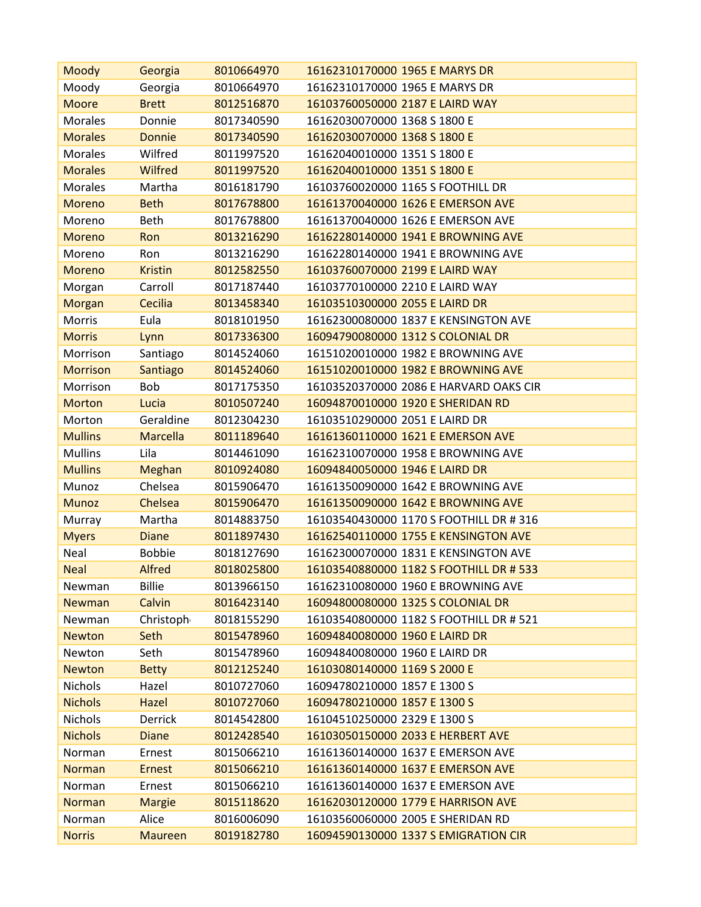| Moody           | Georgia         | 8010664970 | 16162310170000 1965 E MARYS DR          |
|-----------------|-----------------|------------|-----------------------------------------|
| Moody           | Georgia         | 8010664970 | 16162310170000 1965 E MARYS DR          |
| <b>Moore</b>    | <b>Brett</b>    | 8012516870 | 16103760050000 2187 E LAIRD WAY         |
| <b>Morales</b>  | Donnie          | 8017340590 | 16162030070000 1368 S 1800 E            |
| <b>Morales</b>  | <b>Donnie</b>   | 8017340590 | 16162030070000 1368 S 1800 E            |
| <b>Morales</b>  | Wilfred         | 8011997520 | 16162040010000 1351 S 1800 E            |
| <b>Morales</b>  | Wilfred         | 8011997520 | 16162040010000 1351 S 1800 E            |
| Morales         | Martha          | 8016181790 | 16103760020000 1165 S FOOTHILL DR       |
| Moreno          | <b>Beth</b>     | 8017678800 | 16161370040000 1626 E EMERSON AVE       |
| Moreno          | <b>Beth</b>     | 8017678800 | 16161370040000 1626 E EMERSON AVE       |
| <b>Moreno</b>   | Ron             | 8013216290 | 16162280140000 1941 E BROWNING AVE      |
| Moreno          | Ron             | 8013216290 | 16162280140000 1941 E BROWNING AVE      |
| Moreno          | <b>Kristin</b>  | 8012582550 | 16103760070000 2199 E LAIRD WAY         |
| Morgan          | Carroll         | 8017187440 | 16103770100000 2210 E LAIRD WAY         |
| Morgan          | Cecilia         | 8013458340 | 16103510300000 2055 E LAIRD DR          |
| Morris          | Eula            | 8018101950 | 16162300080000 1837 E KENSINGTON AVE    |
| <b>Morris</b>   | Lynn            | 8017336300 | 16094790080000 1312 S COLONIAL DR       |
| Morrison        | Santiago        | 8014524060 | 16151020010000 1982 E BROWNING AVE      |
| <b>Morrison</b> | Santiago        | 8014524060 | 16151020010000 1982 E BROWNING AVE      |
| Morrison        | Bob             | 8017175350 | 16103520370000 2086 E HARVARD OAKS CIR  |
| <b>Morton</b>   | Lucia           | 8010507240 | 16094870010000 1920 E SHERIDAN RD       |
| Morton          | Geraldine       | 8012304230 | 16103510290000 2051 E LAIRD DR          |
| <b>Mullins</b>  | <b>Marcella</b> | 8011189640 | 16161360110000 1621 E EMERSON AVE       |
| <b>Mullins</b>  | Lila            | 8014461090 | 16162310070000 1958 E BROWNING AVE      |
| <b>Mullins</b>  | Meghan          | 8010924080 | 16094840050000 1946 E LAIRD DR          |
| Munoz           | Chelsea         | 8015906470 | 16161350090000 1642 E BROWNING AVE      |
| <b>Munoz</b>    | Chelsea         | 8015906470 | 16161350090000 1642 E BROWNING AVE      |
| Murray          | Martha          | 8014883750 | 16103540430000 1170 S FOOTHILL DR # 316 |
| <b>Myers</b>    | <b>Diane</b>    | 8011897430 | 16162540110000 1755 E KENSINGTON AVE    |
| Neal            | <b>Bobbie</b>   | 8018127690 | 16162300070000 1831 E KENSINGTON AVE    |
| <b>Neal</b>     | <b>Alfred</b>   | 8018025800 | 16103540880000 1182 S FOOTHILL DR # 533 |
| Newman          | <b>Billie</b>   | 8013966150 | 16162310080000 1960 E BROWNING AVE      |
| Newman          | Calvin          | 8016423140 | 16094800080000 1325 S COLONIAL DR       |
| Newman          | Christoph       | 8018155290 | 16103540800000 1182 S FOOTHILL DR # 521 |
| <b>Newton</b>   | <b>Seth</b>     | 8015478960 | 16094840080000 1960 E LAIRD DR          |
| Newton          | Seth            | 8015478960 | 16094840080000 1960 E LAIRD DR          |
| <b>Newton</b>   | <b>Betty</b>    | 8012125240 | 16103080140000 1169 S 2000 E            |
| Nichols         | Hazel           | 8010727060 | 16094780210000 1857 E 1300 S            |
| <b>Nichols</b>  | <b>Hazel</b>    | 8010727060 | 16094780210000 1857 E 1300 S            |
| Nichols         | <b>Derrick</b>  | 8014542800 | 16104510250000 2329 E 1300 S            |
| <b>Nichols</b>  | <b>Diane</b>    | 8012428540 | 16103050150000 2033 E HERBERT AVE       |
| Norman          | Ernest          | 8015066210 | 16161360140000 1637 E EMERSON AVE       |
| Norman          | <b>Ernest</b>   | 8015066210 | 16161360140000 1637 E EMERSON AVE       |
| Norman          | Ernest          | 8015066210 | 16161360140000 1637 E EMERSON AVE       |
| Norman          | <b>Margie</b>   | 8015118620 | 16162030120000 1779 E HARRISON AVE      |
| Norman          | Alice           | 8016006090 | 16103560060000 2005 E SHERIDAN RD       |
| <b>Norris</b>   | <b>Maureen</b>  | 8019182780 | 16094590130000 1337 S EMIGRATION CIR    |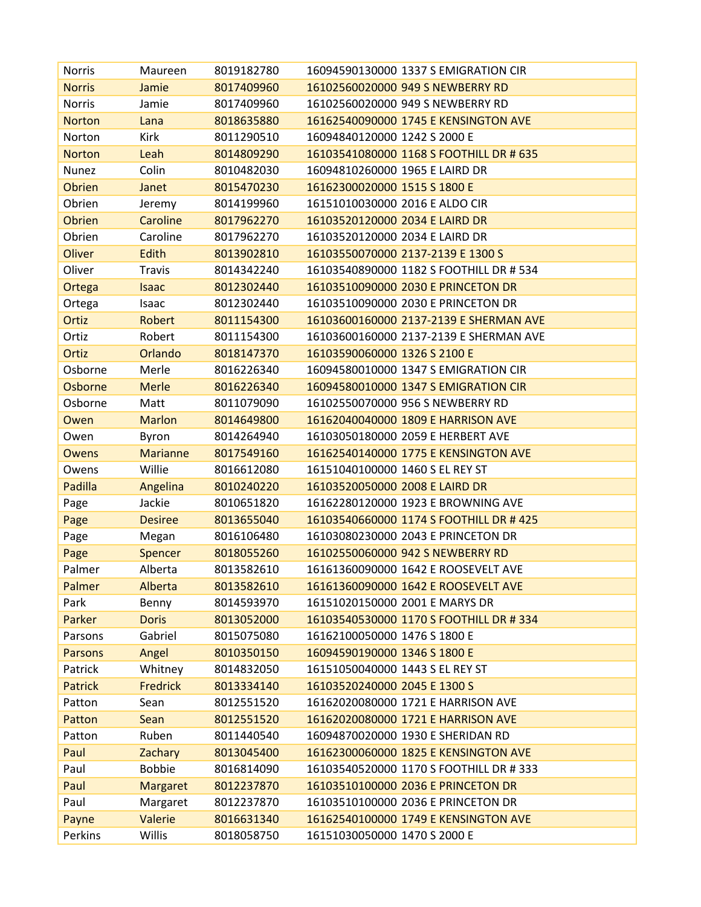| <b>Norris</b>  | Maureen         | 8019182780 | 16094590130000 1337 S EMIGRATION CIR    |
|----------------|-----------------|------------|-----------------------------------------|
| <b>Norris</b>  | Jamie           | 8017409960 | 16102560020000 949 S NEWBERRY RD        |
| Norris         | Jamie           | 8017409960 | 16102560020000 949 S NEWBERRY RD        |
| <b>Norton</b>  | Lana            | 8018635880 | 16162540090000 1745 E KENSINGTON AVE    |
| Norton         | Kirk            | 8011290510 | 16094840120000 1242 S 2000 E            |
| <b>Norton</b>  | Leah            | 8014809290 | 16103541080000 1168 S FOOTHILL DR # 635 |
| Nunez          | Colin           | 8010482030 | 16094810260000 1965 E LAIRD DR          |
| <b>Obrien</b>  | Janet           | 8015470230 | 16162300020000 1515 S 1800 E            |
| Obrien         | Jeremy          | 8014199960 | 16151010030000 2016 E ALDO CIR          |
| <b>Obrien</b>  | <b>Caroline</b> | 8017962270 | 16103520120000 2034 E LAIRD DR          |
| Obrien         | Caroline        | 8017962270 | 16103520120000 2034 E LAIRD DR          |
| Oliver         | Edith           | 8013902810 | 16103550070000 2137-2139 E 1300 S       |
| Oliver         | <b>Travis</b>   | 8014342240 | 16103540890000 1182 S FOOTHILL DR # 534 |
| Ortega         | <b>Isaac</b>    | 8012302440 | 16103510090000 2030 E PRINCETON DR      |
| Ortega         | Isaac           | 8012302440 | 16103510090000 2030 E PRINCETON DR      |
| Ortiz          | Robert          | 8011154300 | 16103600160000 2137-2139 E SHERMAN AVE  |
| Ortiz          | Robert          | 8011154300 | 16103600160000 2137-2139 E SHERMAN AVE  |
| Ortiz          | Orlando         | 8018147370 | 16103590060000 1326 S 2100 E            |
| Osborne        | Merle           | 8016226340 | 16094580010000 1347 S EMIGRATION CIR    |
| Osborne        | <b>Merle</b>    | 8016226340 | 16094580010000 1347 S EMIGRATION CIR    |
| Osborne        | Matt            | 8011079090 | 16102550070000 956 S NEWBERRY RD        |
| Owen           | <b>Marlon</b>   | 8014649800 | 16162040040000 1809 E HARRISON AVE      |
| Owen           | Byron           | 8014264940 | 16103050180000 2059 E HERBERT AVE       |
| <b>Owens</b>   | <b>Marianne</b> | 8017549160 | 16162540140000 1775 E KENSINGTON AVE    |
| Owens          | Willie          | 8016612080 | 16151040100000 1460 S EL REY ST         |
| Padilla        | Angelina        | 8010240220 | 16103520050000 2008 E LAIRD DR          |
| Page           | Jackie          | 8010651820 | 16162280120000 1923 E BROWNING AVE      |
| Page           | <b>Desiree</b>  | 8013655040 | 16103540660000 1174 S FOOTHILL DR # 425 |
| Page           | Megan           | 8016106480 | 16103080230000 2043 E PRINCETON DR      |
| Page           | <b>Spencer</b>  | 8018055260 | 16102550060000 942 S NEWBERRY RD        |
| Palmer         | Alberta         | 8013582610 | 16161360090000 1642 E ROOSEVELT AVE     |
| Palmer         | Alberta         | 8013582610 | 16161360090000 1642 E ROOSEVELT AVE     |
| Park           | Benny           | 8014593970 | 16151020150000 2001 E MARYS DR          |
| Parker         | <b>Doris</b>    | 8013052000 | 16103540530000 1170 S FOOTHILL DR # 334 |
| Parsons        | Gabriel         | 8015075080 | 16162100050000 1476 S 1800 E            |
| <b>Parsons</b> | Angel           | 8010350150 | 16094590190000 1346 S 1800 E            |
| Patrick        | Whitney         | 8014832050 | 16151050040000 1443 S EL REY ST         |
| <b>Patrick</b> | <b>Fredrick</b> | 8013334140 | 16103520240000 2045 E 1300 S            |
| Patton         | Sean            | 8012551520 | 16162020080000 1721 E HARRISON AVE      |
| Patton         | Sean            | 8012551520 | 16162020080000 1721 E HARRISON AVE      |
| Patton         | Ruben           | 8011440540 | 16094870020000 1930 E SHERIDAN RD       |
| Paul           | Zachary         | 8013045400 | 16162300060000 1825 E KENSINGTON AVE    |
| Paul           | <b>Bobbie</b>   | 8016814090 | 16103540520000 1170 S FOOTHILL DR # 333 |
| Paul           | <b>Margaret</b> | 8012237870 | 16103510100000 2036 E PRINCETON DR      |
| Paul           | Margaret        | 8012237870 | 16103510100000 2036 E PRINCETON DR      |
| Payne          | Valerie         | 8016631340 | 16162540100000 1749 E KENSINGTON AVE    |
| Perkins        | Willis          | 8018058750 | 16151030050000 1470 S 2000 E            |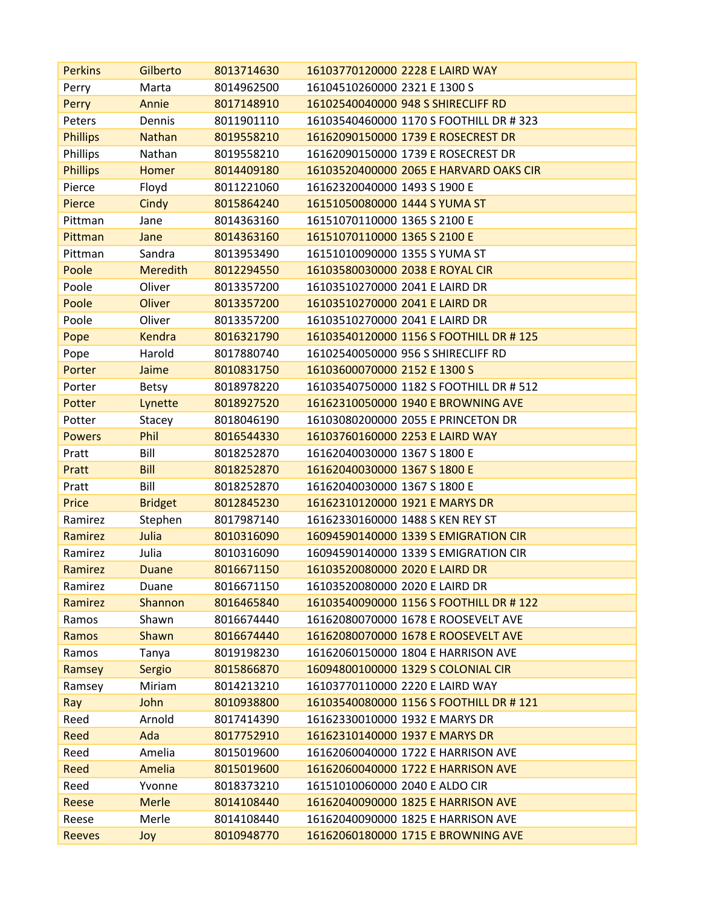| <b>Perkins</b>  | Gilberto        | 8013714630 | 16103770120000 2228 E LAIRD WAY         |
|-----------------|-----------------|------------|-----------------------------------------|
| Perry           | Marta           | 8014962500 | 16104510260000 2321 E 1300 S            |
| Perry           | Annie           | 8017148910 | 16102540040000 948 S SHIRECLIFF RD      |
| Peters          | Dennis          | 8011901110 | 16103540460000 1170 S FOOTHILL DR # 323 |
| <b>Phillips</b> | <b>Nathan</b>   | 8019558210 | 16162090150000 1739 E ROSECREST DR      |
| Phillips        | Nathan          | 8019558210 | 16162090150000 1739 E ROSECREST DR      |
| <b>Phillips</b> | Homer           | 8014409180 | 16103520400000 2065 E HARVARD OAKS CIR  |
| Pierce          | Floyd           | 8011221060 | 16162320040000 1493 S 1900 E            |
| Pierce          | Cindy           | 8015864240 | 16151050080000 1444 S YUMA ST           |
| Pittman         | Jane            | 8014363160 | 16151070110000 1365 S 2100 E            |
| Pittman         | Jane            | 8014363160 | 16151070110000 1365 S 2100 E            |
| Pittman         | Sandra          | 8013953490 | 16151010090000 1355 S YUMA ST           |
| Poole           | <b>Meredith</b> | 8012294550 | 16103580030000 2038 E ROYAL CIR         |
| Poole           | Oliver          | 8013357200 | 16103510270000 2041 E LAIRD DR          |
| Poole           | <b>Oliver</b>   | 8013357200 | 16103510270000 2041 E LAIRD DR          |
| Poole           | Oliver          | 8013357200 | 16103510270000 2041 E LAIRD DR          |
| Pope            | <b>Kendra</b>   | 8016321790 | 16103540120000 1156 S FOOTHILL DR #125  |
| Pope            | Harold          | 8017880740 | 16102540050000 956 S SHIRECLIFF RD      |
| Porter          | Jaime           | 8010831750 | 16103600070000 2152 E 1300 S            |
| Porter          | <b>Betsy</b>    | 8018978220 | 16103540750000 1182 S FOOTHILL DR # 512 |
| Potter          | Lynette         | 8018927520 | 16162310050000 1940 E BROWNING AVE      |
| Potter          | Stacey          | 8018046190 | 16103080200000 2055 E PRINCETON DR      |
| <b>Powers</b>   | Phil            | 8016544330 | 16103760160000 2253 E LAIRD WAY         |
| Pratt           | Bill            | 8018252870 | 16162040030000 1367 S 1800 E            |
| Pratt           | <b>Bill</b>     | 8018252870 | 16162040030000 1367 S 1800 E            |
| Pratt           | Bill            | 8018252870 | 16162040030000 1367 S 1800 E            |
| Price           | <b>Bridget</b>  | 8012845230 | 16162310120000 1921 E MARYS DR          |
| Ramirez         | Stephen         | 8017987140 | 16162330160000 1488 S KEN REY ST        |
| Ramirez         | Julia           | 8010316090 | 16094590140000 1339 S EMIGRATION CIR    |
| Ramirez         | Julia           | 8010316090 | 16094590140000 1339 S EMIGRATION CIR    |
| Ramirez         | Duane           | 8016671150 | 16103520080000 2020 E LAIRD DR          |
| Ramirez         | Duane           | 8016671150 | 16103520080000 2020 E LAIRD DR          |
| Ramirez         | Shannon         | 8016465840 | 16103540090000 1156 S FOOTHILL DR #122  |
| Ramos           | Shawn           | 8016674440 | 16162080070000 1678 E ROOSEVELT AVE     |
| Ramos           | Shawn           | 8016674440 | 16162080070000 1678 E ROOSEVELT AVE     |
| Ramos           | Tanya           | 8019198230 | 16162060150000 1804 E HARRISON AVE      |
| Ramsey          | Sergio          | 8015866870 | 16094800100000 1329 S COLONIAL CIR      |
| Ramsey          | Miriam          | 8014213210 | 16103770110000 2220 E LAIRD WAY         |
| Ray             | John            | 8010938800 | 16103540080000 1156 S FOOTHILL DR # 121 |
| Reed            | Arnold          | 8017414390 | 16162330010000 1932 E MARYS DR          |
| Reed            | Ada             | 8017752910 | 16162310140000 1937 E MARYS DR          |
| Reed            | Amelia          | 8015019600 | 16162060040000 1722 E HARRISON AVE      |
| Reed            | Amelia          | 8015019600 | 16162060040000 1722 E HARRISON AVE      |
| Reed            | Yvonne          | 8018373210 | 16151010060000 2040 E ALDO CIR          |
| Reese           | <b>Merle</b>    | 8014108440 | 16162040090000 1825 E HARRISON AVE      |
| Reese           | Merle           | 8014108440 | 16162040090000 1825 E HARRISON AVE      |
| <b>Reeves</b>   | Joy             | 8010948770 | 16162060180000 1715 E BROWNING AVE      |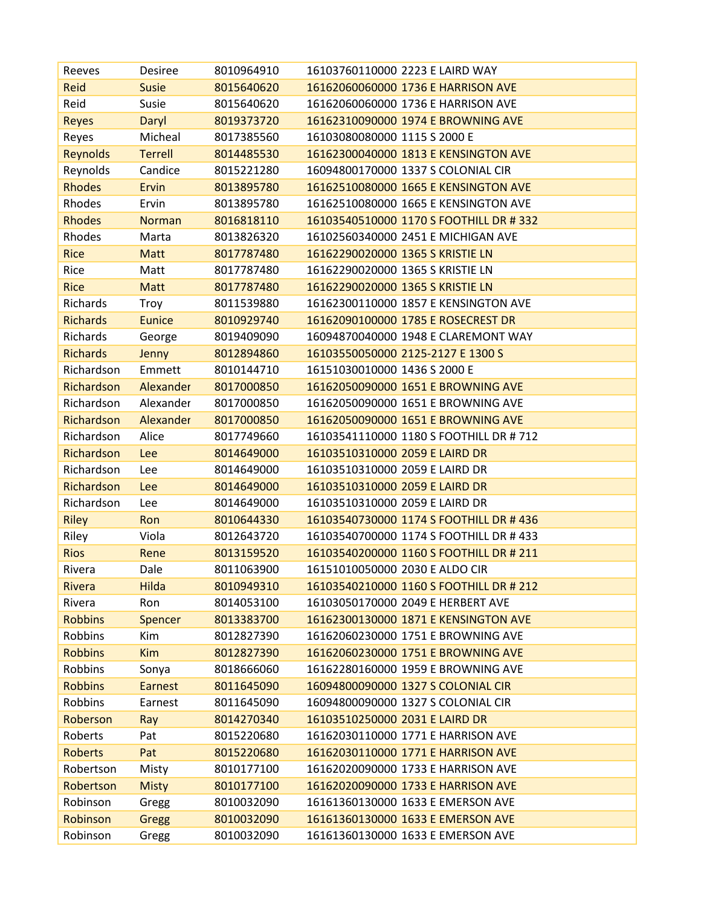| Reeves          | <b>Desiree</b> | 8010964910 | 16103760110000 2223 E LAIRD WAY         |
|-----------------|----------------|------------|-----------------------------------------|
| Reid            | <b>Susie</b>   | 8015640620 | 16162060060000 1736 E HARRISON AVE      |
| Reid            | Susie          | 8015640620 | 16162060060000 1736 E HARRISON AVE      |
| <b>Reyes</b>    | Daryl          | 8019373720 | 16162310090000 1974 E BROWNING AVE      |
| Reyes           | Micheal        | 8017385560 | 16103080080000 1115 S 2000 E            |
| <b>Reynolds</b> | <b>Terrell</b> | 8014485530 | 16162300040000 1813 E KENSINGTON AVE    |
| Reynolds        | Candice        | 8015221280 | 16094800170000 1337 S COLONIAL CIR      |
| <b>Rhodes</b>   | Ervin          | 8013895780 | 16162510080000 1665 E KENSINGTON AVE    |
| Rhodes          | Ervin          | 8013895780 | 16162510080000 1665 E KENSINGTON AVE    |
| <b>Rhodes</b>   | <b>Norman</b>  | 8016818110 | 16103540510000 1170 S FOOTHILL DR #332  |
| Rhodes          | Marta          | 8013826320 | 16102560340000 2451 E MICHIGAN AVE      |
| <b>Rice</b>     | <b>Matt</b>    | 8017787480 | 16162290020000 1365 S KRISTIE LN        |
| Rice            | Matt           | 8017787480 | 16162290020000 1365 S KRISTIE LN        |
| <b>Rice</b>     | <b>Matt</b>    | 8017787480 | 16162290020000 1365 S KRISTIE LN        |
| Richards        | Troy           | 8011539880 | 16162300110000 1857 E KENSINGTON AVE    |
| <b>Richards</b> | <b>Eunice</b>  | 8010929740 | 16162090100000 1785 E ROSECREST DR      |
| Richards        | George         | 8019409090 | 16094870040000 1948 E CLAREMONT WAY     |
| <b>Richards</b> | Jenny          | 8012894860 | 16103550050000 2125-2127 E 1300 S       |
| Richardson      | Emmett         | 8010144710 | 16151030010000 1436 S 2000 E            |
| Richardson      | Alexander      | 8017000850 | 16162050090000 1651 E BROWNING AVE      |
| Richardson      | Alexander      | 8017000850 | 16162050090000 1651 E BROWNING AVE      |
| Richardson      | Alexander      | 8017000850 | 16162050090000 1651 E BROWNING AVE      |
| Richardson      | Alice          | 8017749660 | 16103541110000 1180 S FOOTHILL DR # 712 |
| Richardson      | Lee            | 8014649000 | 16103510310000 2059 E LAIRD DR          |
| Richardson      | Lee            | 8014649000 | 16103510310000 2059 E LAIRD DR          |
| Richardson      | Lee            | 8014649000 | 16103510310000 2059 E LAIRD DR          |
| Richardson      | Lee            | 8014649000 | 16103510310000 2059 E LAIRD DR          |
| <b>Riley</b>    | Ron            | 8010644330 | 16103540730000 1174 S FOOTHILL DR # 436 |
| Riley           | Viola          | 8012643720 | 16103540700000 1174 S FOOTHILL DR # 433 |
| <b>Rios</b>     | Rene           | 8013159520 | 16103540200000 1160 S FOOTHILL DR # 211 |
| Rivera          | Dale           | 8011063900 | 16151010050000 2030 E ALDO CIR          |
| <b>Rivera</b>   | Hilda          | 8010949310 | 16103540210000 1160 S FOOTHILL DR # 212 |
| Rivera          | Ron            | 8014053100 | 16103050170000 2049 E HERBERT AVE       |
| <b>Robbins</b>  | <b>Spencer</b> | 8013383700 | 16162300130000 1871 E KENSINGTON AVE    |
| Robbins         | Kim            | 8012827390 | 16162060230000 1751 E BROWNING AVE      |
| <b>Robbins</b>  | <b>Kim</b>     | 8012827390 | 16162060230000 1751 E BROWNING AVE      |
| Robbins         | Sonya          | 8018666060 | 16162280160000 1959 E BROWNING AVE      |
| <b>Robbins</b>  | <b>Earnest</b> | 8011645090 | 16094800090000 1327 S COLONIAL CIR      |
| Robbins         | Earnest        | 8011645090 | 16094800090000 1327 S COLONIAL CIR      |
| Roberson        | Ray            | 8014270340 | 16103510250000 2031 E LAIRD DR          |
| Roberts         | Pat            | 8015220680 | 16162030110000 1771 E HARRISON AVE      |
| <b>Roberts</b>  | Pat            | 8015220680 | 16162030110000 1771 E HARRISON AVE      |
| Robertson       | Misty          | 8010177100 | 16162020090000 1733 E HARRISON AVE      |
| Robertson       | <b>Misty</b>   | 8010177100 | 16162020090000 1733 E HARRISON AVE      |
| Robinson        | Gregg          | 8010032090 | 16161360130000 1633 E EMERSON AVE       |
| Robinson        | Gregg          | 8010032090 | 16161360130000 1633 E EMERSON AVE       |
| Robinson        | Gregg          | 8010032090 | 16161360130000 1633 E EMERSON AVE       |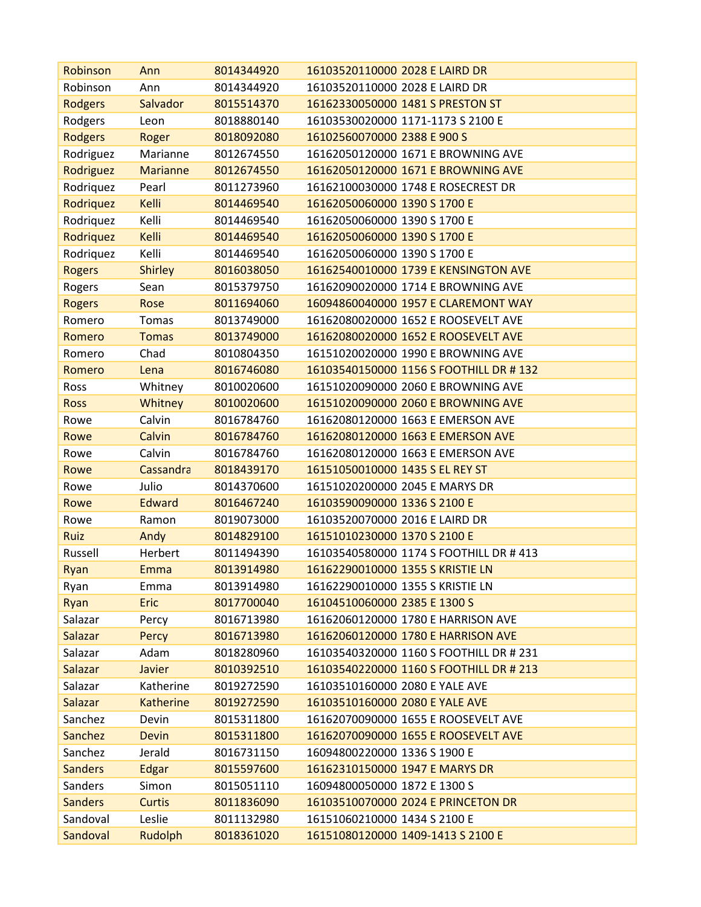| Robinson       | Ann              | 8014344920 | 16103520110000 2028 E LAIRD DR          |
|----------------|------------------|------------|-----------------------------------------|
| Robinson       | Ann              | 8014344920 | 16103520110000 2028 E LAIRD DR          |
| <b>Rodgers</b> | <b>Salvador</b>  | 8015514370 | 16162330050000 1481 S PRESTON ST        |
| Rodgers        | Leon             | 8018880140 | 16103530020000 1171-1173 S 2100 E       |
| <b>Rodgers</b> | Roger            | 8018092080 | 16102560070000 2388 E 900 S             |
| Rodriguez      | Marianne         | 8012674550 | 16162050120000 1671 E BROWNING AVE      |
| Rodriguez      | <b>Marianne</b>  | 8012674550 | 16162050120000 1671 E BROWNING AVE      |
| Rodriquez      | Pearl            | 8011273960 | 16162100030000 1748 E ROSECREST DR      |
| Rodriquez      | Kelli            | 8014469540 | 16162050060000 1390 S 1700 E            |
| Rodriquez      | Kelli            | 8014469540 | 16162050060000 1390 S 1700 E            |
| Rodriquez      | Kelli            | 8014469540 | 16162050060000 1390 S 1700 E            |
| Rodriquez      | Kelli            | 8014469540 | 16162050060000 1390 S 1700 E            |
| <b>Rogers</b>  | <b>Shirley</b>   | 8016038050 | 16162540010000 1739 E KENSINGTON AVE    |
| Rogers         | Sean             | 8015379750 | 16162090020000 1714 E BROWNING AVE      |
| <b>Rogers</b>  | Rose             | 8011694060 | 16094860040000 1957 E CLAREMONT WAY     |
| Romero         | Tomas            | 8013749000 | 16162080020000 1652 E ROOSEVELT AVE     |
| Romero         | <b>Tomas</b>     | 8013749000 | 16162080020000 1652 E ROOSEVELT AVE     |
| Romero         | Chad             | 8010804350 | 16151020020000 1990 E BROWNING AVE      |
| Romero         | Lena             | 8016746080 | 16103540150000 1156 S FOOTHILL DR # 132 |
| Ross           | Whitney          | 8010020600 | 16151020090000 2060 E BROWNING AVE      |
| <b>Ross</b>    | Whitney          | 8010020600 | 16151020090000 2060 E BROWNING AVE      |
| Rowe           | Calvin           | 8016784760 | 16162080120000 1663 E EMERSON AVE       |
| Rowe           | Calvin           | 8016784760 | 16162080120000 1663 E EMERSON AVE       |
| Rowe           | Calvin           | 8016784760 | 16162080120000 1663 E EMERSON AVE       |
| Rowe           | Cassandra        | 8018439170 | 16151050010000 1435 S EL REY ST         |
| Rowe           | Julio            | 8014370600 | 16151020200000 2045 E MARYS DR          |
| Rowe           | <b>Edward</b>    | 8016467240 | 16103590090000 1336 S 2100 E            |
| Rowe           | Ramon            | 8019073000 | 16103520070000 2016 E LAIRD DR          |
| Ruiz           | Andy             | 8014829100 | 16151010230000 1370 S 2100 E            |
| Russell        | Herbert          | 8011494390 | 16103540580000 1174 S FOOTHILL DR # 413 |
| Ryan           | Emma             | 8013914980 | 16162290010000 1355 S KRISTIE LN        |
| Ryan           | Emma             | 8013914980 | 16162290010000 1355 S KRISTIE LN        |
| Ryan           | <b>Eric</b>      | 8017700040 | 16104510060000 2385 E 1300 S            |
| Salazar        | Percy            | 8016713980 | 16162060120000 1780 E HARRISON AVE      |
| Salazar        | Percy            | 8016713980 | 16162060120000 1780 E HARRISON AVE      |
| Salazar        | Adam             | 8018280960 | 16103540320000 1160 S FOOTHILL DR # 231 |
| Salazar        | Javier           | 8010392510 | 16103540220000 1160 S FOOTHILL DR # 213 |
| Salazar        | Katherine        | 8019272590 | 16103510160000 2080 E YALE AVE          |
| Salazar        | <b>Katherine</b> | 8019272590 | 16103510160000 2080 E YALE AVE          |
| Sanchez        | Devin            | 8015311800 | 16162070090000 1655 E ROOSEVELT AVE     |
| Sanchez        | <b>Devin</b>     | 8015311800 | 16162070090000 1655 E ROOSEVELT AVE     |
| Sanchez        | Jerald           | 8016731150 | 16094800220000 1336 S 1900 E            |
| <b>Sanders</b> | Edgar            | 8015597600 | 16162310150000 1947 E MARYS DR          |
| Sanders        | Simon            | 8015051110 | 16094800050000 1872 E 1300 S            |
| <b>Sanders</b> | <b>Curtis</b>    | 8011836090 | 16103510070000 2024 E PRINCETON DR      |
| Sandoval       | Leslie           | 8011132980 | 16151060210000 1434 S 2100 E            |
| Sandoval       | Rudolph          | 8018361020 | 16151080120000 1409-1413 S 2100 E       |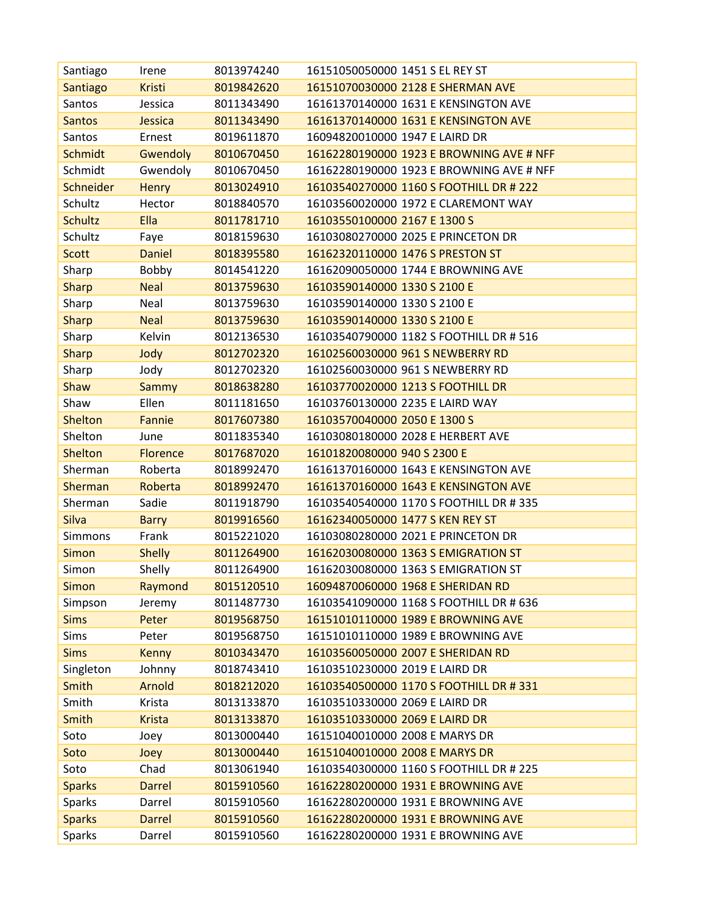| Santiago       | Irene           | 8013974240 | 16151050050000 1451 S EL REY ST          |
|----------------|-----------------|------------|------------------------------------------|
| Santiago       | <b>Kristi</b>   | 8019842620 | 16151070030000 2128 E SHERMAN AVE        |
| Santos         | Jessica         | 8011343490 | 16161370140000 1631 E KENSINGTON AVE     |
| <b>Santos</b>  | Jessica         | 8011343490 | 16161370140000 1631 E KENSINGTON AVE     |
| Santos         | Ernest          | 8019611870 | 16094820010000 1947 E LAIRD DR           |
| <b>Schmidt</b> | Gwendoly        | 8010670450 | 16162280190000 1923 E BROWNING AVE # NFF |
| Schmidt        | Gwendoly        | 8010670450 | 16162280190000 1923 E BROWNING AVE # NFF |
| Schneider      | <b>Henry</b>    | 8013024910 | 16103540270000 1160 S FOOTHILL DR # 222  |
| Schultz        | Hector          | 8018840570 | 16103560020000 1972 E CLAREMONT WAY      |
| <b>Schultz</b> | Ella            | 8011781710 | 16103550100000 2167 E 1300 S             |
| Schultz        | Faye            | 8018159630 | 16103080270000 2025 E PRINCETON DR       |
| <b>Scott</b>   | <b>Daniel</b>   | 8018395580 | 16162320110000 1476 S PRESTON ST         |
| Sharp          | Bobby           | 8014541220 | 16162090050000 1744 E BROWNING AVE       |
| <b>Sharp</b>   | <b>Neal</b>     | 8013759630 | 16103590140000 1330 S 2100 E             |
| Sharp          | Neal            | 8013759630 | 16103590140000 1330 S 2100 E             |
| <b>Sharp</b>   | <b>Neal</b>     | 8013759630 | 16103590140000 1330 S 2100 E             |
| Sharp          | Kelvin          | 8012136530 | 16103540790000 1182 S FOOTHILL DR # 516  |
| <b>Sharp</b>   | Jody            | 8012702320 | 16102560030000 961 S NEWBERRY RD         |
| Sharp          | Jody            | 8012702320 | 16102560030000 961 S NEWBERRY RD         |
| Shaw           | <b>Sammy</b>    | 8018638280 | 16103770020000 1213 S FOOTHILL DR        |
| Shaw           | Ellen           | 8011181650 | 16103760130000 2235 E LAIRD WAY          |
| Shelton        | Fannie          | 8017607380 | 16103570040000 2050 E 1300 S             |
| Shelton        | June            | 8011835340 | 16103080180000 2028 E HERBERT AVE        |
| <b>Shelton</b> | <b>Florence</b> | 8017687020 | 16101820080000 940 S 2300 E              |
| Sherman        | Roberta         | 8018992470 | 16161370160000 1643 E KENSINGTON AVE     |
| Sherman        | Roberta         | 8018992470 | 16161370160000 1643 E KENSINGTON AVE     |
| Sherman        | Sadie           | 8011918790 | 16103540540000 1170 S FOOTHILL DR # 335  |
| Silva          | <b>Barry</b>    | 8019916560 | 16162340050000 1477 S KEN REY ST         |
| Simmons        | Frank           | 8015221020 | 16103080280000 2021 E PRINCETON DR       |
| <b>Simon</b>   | <b>Shelly</b>   | 8011264900 | 16162030080000 1363 S EMIGRATION ST      |
| Simon          | Shelly          | 8011264900 | 16162030080000 1363 S EMIGRATION ST      |
| Simon          | Raymond         | 8015120510 | 16094870060000 1968 E SHERIDAN RD        |
| Simpson        | Jeremy          | 8011487730 | 16103541090000 1168 S FOOTHILL DR # 636  |
| <b>Sims</b>    | Peter           | 8019568750 | 16151010110000 1989 E BROWNING AVE       |
| Sims           | Peter           | 8019568750 | 16151010110000 1989 E BROWNING AVE       |
| <b>Sims</b>    | <b>Kenny</b>    | 8010343470 | 16103560050000 2007 E SHERIDAN RD        |
| Singleton      | Johnny          | 8018743410 | 16103510230000 2019 E LAIRD DR           |
| Smith          | Arnold          | 8018212020 | 16103540500000 1170 S FOOTHILL DR #331   |
| Smith          | Krista          | 8013133870 | 16103510330000 2069 E LAIRD DR           |
| Smith          | <b>Krista</b>   | 8013133870 | 16103510330000 2069 E LAIRD DR           |
| Soto           | Joey            | 8013000440 | 16151040010000 2008 E MARYS DR           |
| Soto           | Joey            | 8013000440 | 16151040010000 2008 E MARYS DR           |
| Soto           | Chad            | 8013061940 | 16103540300000 1160 S FOOTHILL DR # 225  |
| <b>Sparks</b>  | <b>Darrel</b>   | 8015910560 | 16162280200000 1931 E BROWNING AVE       |
| Sparks         | Darrel          | 8015910560 | 16162280200000 1931 E BROWNING AVE       |
| <b>Sparks</b>  | <b>Darrel</b>   | 8015910560 | 16162280200000 1931 E BROWNING AVE       |
| Sparks         | Darrel          | 8015910560 | 16162280200000 1931 E BROWNING AVE       |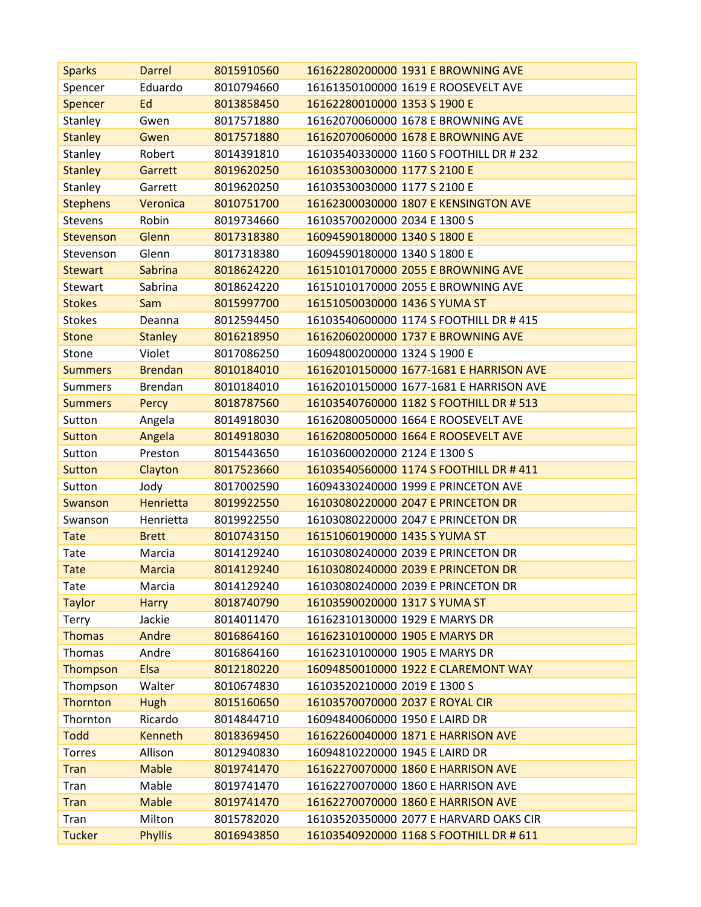| <b>Sparks</b>   | Darrel           | 8015910560 | 16162280200000 1931 E BROWNING AVE      |
|-----------------|------------------|------------|-----------------------------------------|
| Spencer         | Eduardo          | 8010794660 | 16161350100000 1619 E ROOSEVELT AVE     |
| <b>Spencer</b>  | Ed               | 8013858450 | 16162280010000 1353 S 1900 E            |
| Stanley         | Gwen             | 8017571880 | 16162070060000 1678 E BROWNING AVE      |
| <b>Stanley</b>  | Gwen             | 8017571880 | 16162070060000 1678 E BROWNING AVE      |
| Stanley         | Robert           | 8014391810 | 16103540330000 1160 S FOOTHILL DR # 232 |
| <b>Stanley</b>  | Garrett          | 8019620250 | 16103530030000 1177 S 2100 E            |
| Stanley         | Garrett          | 8019620250 | 16103530030000 1177 S 2100 E            |
| <b>Stephens</b> | Veronica         | 8010751700 | 16162300030000 1807 E KENSINGTON AVE    |
| <b>Stevens</b>  | Robin            | 8019734660 | 16103570020000 2034 E 1300 S            |
| Stevenson       | Glenn            | 8017318380 | 16094590180000 1340 S 1800 E            |
| Stevenson       | Glenn            | 8017318380 | 16094590180000 1340 S 1800 E            |
| <b>Stewart</b>  | <b>Sabrina</b>   | 8018624220 | 16151010170000 2055 E BROWNING AVE      |
| <b>Stewart</b>  | Sabrina          | 8018624220 | 16151010170000 2055 E BROWNING AVE      |
| <b>Stokes</b>   | Sam              | 8015997700 | 16151050030000 1436 S YUMA ST           |
| <b>Stokes</b>   | Deanna           | 8012594450 | 16103540600000 1174 S FOOTHILL DR # 415 |
| <b>Stone</b>    | <b>Stanley</b>   | 8016218950 | 16162060200000 1737 E BROWNING AVE      |
| Stone           | Violet           | 8017086250 | 16094800200000 1324 S 1900 E            |
| <b>Summers</b>  | <b>Brendan</b>   | 8010184010 | 16162010150000 1677-1681 E HARRISON AVE |
| <b>Summers</b>  | Brendan          | 8010184010 | 16162010150000 1677-1681 E HARRISON AVE |
| <b>Summers</b>  | Percy            | 8018787560 | 16103540760000 1182 S FOOTHILL DR # 513 |
| Sutton          | Angela           | 8014918030 | 16162080050000 1664 E ROOSEVELT AVE     |
| <b>Sutton</b>   | Angela           | 8014918030 | 16162080050000 1664 E ROOSEVELT AVE     |
| Sutton          | Preston          | 8015443650 | 16103600020000 2124 E 1300 S            |
| <b>Sutton</b>   | Clayton          | 8017523660 | 16103540560000 1174 S FOOTHILL DR # 411 |
| Sutton          | Jody             | 8017002590 | 16094330240000 1999 E PRINCETON AVE     |
| Swanson         | <b>Henrietta</b> | 8019922550 | 16103080220000 2047 E PRINCETON DR      |
| Swanson         | Henrietta        | 8019922550 | 16103080220000 2047 E PRINCETON DR      |
| <b>Tate</b>     | <b>Brett</b>     | 8010743150 | 16151060190000 1435 S YUMA ST           |
| Tate            | Marcia           | 8014129240 | 16103080240000 2039 E PRINCETON DR      |
| Tate            | <b>Marcia</b>    | 8014129240 | 16103080240000 2039 E PRINCETON DR      |
| Tate            | Marcia           | 8014129240 | 16103080240000 2039 E PRINCETON DR      |
| <b>Taylor</b>   | <b>Harry</b>     | 8018740790 | 16103590020000 1317 S YUMA ST           |
| Terry           | Jackie           | 8014011470 | 16162310130000 1929 E MARYS DR          |
| <b>Thomas</b>   | Andre            | 8016864160 | 16162310100000 1905 E MARYS DR          |
| Thomas          | Andre            | 8016864160 | 16162310100000 1905 E MARYS DR          |
| Thompson        | Elsa             | 8012180220 | 16094850010000 1922 E CLAREMONT WAY     |
| Thompson        | Walter           | 8010674830 | 16103520210000 2019 E 1300 S            |
| Thornton        | <b>Hugh</b>      | 8015160650 | 16103570070000 2037 E ROYAL CIR         |
| Thornton        | Ricardo          | 8014844710 | 16094840060000 1950 E LAIRD DR          |
| <b>Todd</b>     | <b>Kenneth</b>   | 8018369450 | 16162260040000 1871 E HARRISON AVE      |
| Torres          | Allison          | 8012940830 | 16094810220000 1945 E LAIRD DR          |
| <b>Tran</b>     | <b>Mable</b>     | 8019741470 | 16162270070000 1860 E HARRISON AVE      |
| Tran            | Mable            | 8019741470 | 16162270070000 1860 E HARRISON AVE      |
| <b>Tran</b>     | <b>Mable</b>     | 8019741470 | 16162270070000 1860 E HARRISON AVE      |
| Tran            | Milton           | 8015782020 | 16103520350000 2077 E HARVARD OAKS CIR  |
| <b>Tucker</b>   | <b>Phyllis</b>   | 8016943850 | 16103540920000 1168 S FOOTHILL DR # 611 |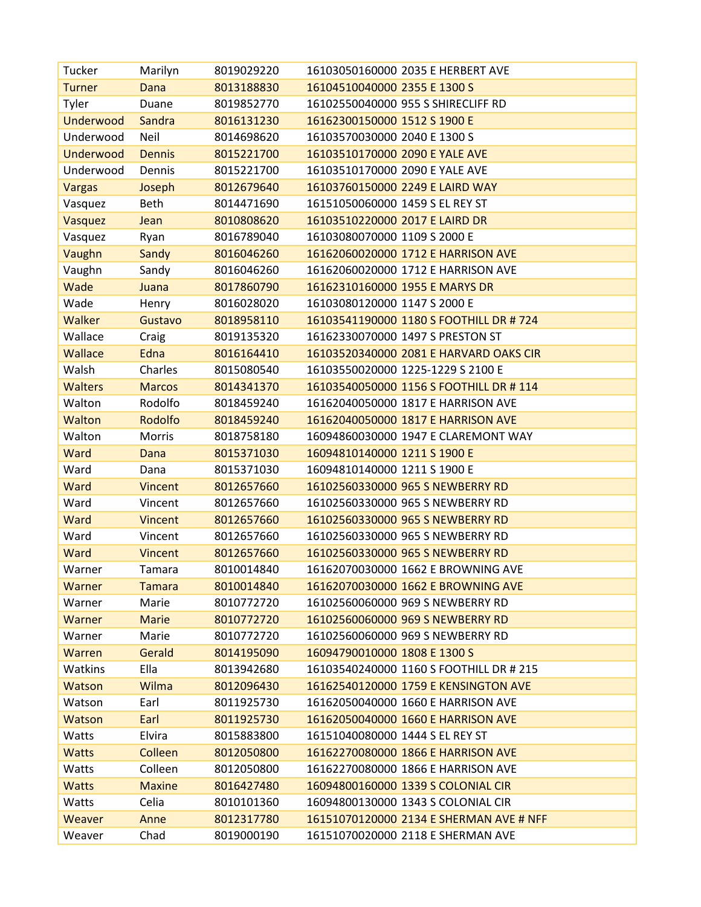| Tucker           | Marilyn        | 8019029220 | 16103050160000 2035 E HERBERT AVE       |
|------------------|----------------|------------|-----------------------------------------|
| <b>Turner</b>    | Dana           | 8013188830 | 16104510040000 2355 E 1300 S            |
| Tyler            | Duane          | 8019852770 | 16102550040000 955 S SHIRECLIFF RD      |
| <b>Underwood</b> | Sandra         | 8016131230 | 16162300150000 1512 S 1900 E            |
| Underwood        | Neil           | 8014698620 | 16103570030000 2040 E 1300 S            |
| <b>Underwood</b> | <b>Dennis</b>  | 8015221700 | 16103510170000 2090 E YALE AVE          |
| Underwood        | Dennis         | 8015221700 | 16103510170000 2090 E YALE AVE          |
| <b>Vargas</b>    | Joseph         | 8012679640 | 16103760150000 2249 E LAIRD WAY         |
| Vasquez          | <b>Beth</b>    | 8014471690 | 16151050060000 1459 S EL REY ST         |
| Vasquez          | Jean           | 8010808620 | 16103510220000 2017 E LAIRD DR          |
| Vasquez          | Ryan           | 8016789040 | 16103080070000 1109 S 2000 E            |
| Vaughn           | Sandy          | 8016046260 | 16162060020000 1712 E HARRISON AVE      |
| Vaughn           | Sandy          | 8016046260 | 16162060020000 1712 E HARRISON AVE      |
| Wade             | Juana          | 8017860790 | 16162310160000 1955 E MARYS DR          |
| Wade             | Henry          | 8016028020 | 16103080120000 1147 S 2000 E            |
| <b>Walker</b>    | Gustavo        | 8018958110 | 16103541190000 1180 S FOOTHILL DR #724  |
| Wallace          | Craig          | 8019135320 | 16162330070000 1497 S PRESTON ST        |
| <b>Wallace</b>   | Edna           | 8016164410 | 16103520340000 2081 E HARVARD OAKS CIR  |
| Walsh            | Charles        | 8015080540 | 16103550020000 1225-1229 S 2100 E       |
| <b>Walters</b>   | <b>Marcos</b>  | 8014341370 | 16103540050000 1156 S FOOTHILL DR #114  |
| Walton           | Rodolfo        | 8018459240 | 16162040050000 1817 E HARRISON AVE      |
| Walton           | Rodolfo        | 8018459240 | 16162040050000 1817 E HARRISON AVE      |
| Walton           | <b>Morris</b>  | 8018758180 | 16094860030000 1947 E CLAREMONT WAY     |
| Ward             | Dana           | 8015371030 | 16094810140000 1211 S 1900 E            |
| Ward             | Dana           | 8015371030 | 16094810140000 1211 S 1900 E            |
| Ward             | Vincent        | 8012657660 | 16102560330000 965 S NEWBERRY RD        |
| Ward             | Vincent        | 8012657660 | 16102560330000 965 S NEWBERRY RD        |
| Ward             | <b>Vincent</b> | 8012657660 | 16102560330000 965 S NEWBERRY RD        |
| Ward             | Vincent        | 8012657660 | 16102560330000 965 S NEWBERRY RD        |
| Ward             | <b>Vincent</b> | 8012657660 | 16102560330000 965 S NEWBERRY RD        |
| Warner           | Tamara         | 8010014840 | 16162070030000 1662 E BROWNING AVE      |
| Warner           | <b>Tamara</b>  | 8010014840 | 16162070030000 1662 E BROWNING AVE      |
| Warner           | Marie          | 8010772720 | 16102560060000 969 S NEWBERRY RD        |
| Warner           | <b>Marie</b>   | 8010772720 | 16102560060000 969 S NEWBERRY RD        |
| Warner           | Marie          | 8010772720 | 16102560060000 969 S NEWBERRY RD        |
| Warren           | Gerald         | 8014195090 | 16094790010000 1808 E 1300 S            |
| Watkins          | Ella           | 8013942680 | 16103540240000 1160 S FOOTHILL DR # 215 |
| Watson           | Wilma          | 8012096430 | 16162540120000 1759 E KENSINGTON AVE    |
| Watson           | Earl           | 8011925730 | 16162050040000 1660 E HARRISON AVE      |
| <b>Watson</b>    | Earl           | 8011925730 | 16162050040000 1660 E HARRISON AVE      |
| Watts            | Elvira         | 8015883800 | 16151040080000 1444 S EL REY ST         |
| <b>Watts</b>     | Colleen        | 8012050800 | 16162270080000 1866 E HARRISON AVE      |
| Watts            | Colleen        | 8012050800 | 16162270080000 1866 E HARRISON AVE      |
| <b>Watts</b>     | <b>Maxine</b>  | 8016427480 | 16094800160000 1339 S COLONIAL CIR      |
| Watts            | Celia          | 8010101360 | 16094800130000 1343 S COLONIAL CIR      |
| Weaver           | Anne           | 8012317780 | 16151070120000 2134 E SHERMAN AVE # NFF |
| Weaver           | Chad           | 8019000190 | 16151070020000 2118 E SHERMAN AVE       |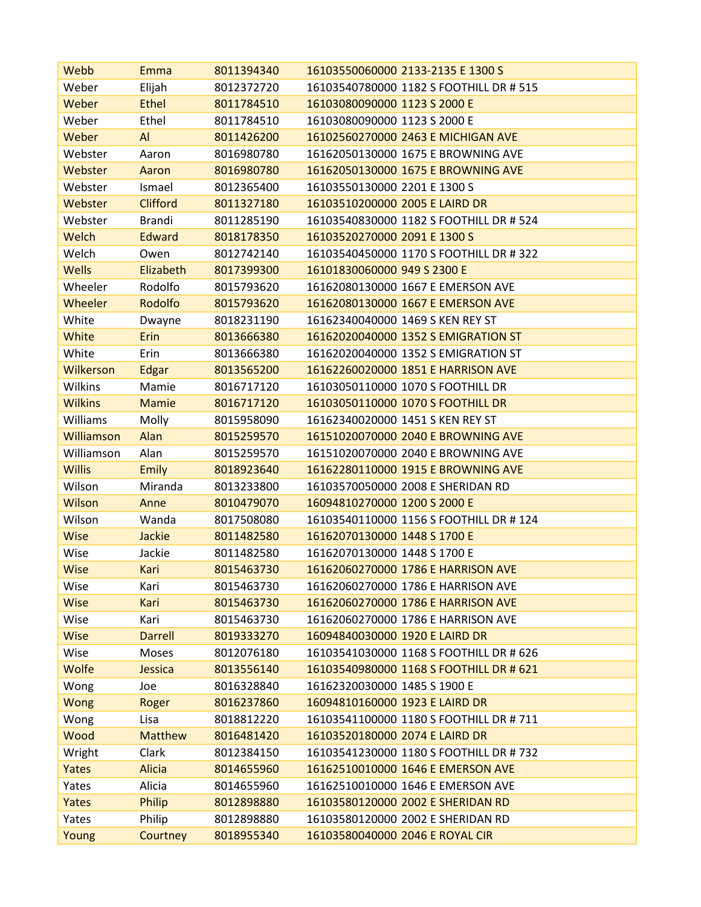| Webb              | Emma            | 8011394340 | 16103550060000 2133-2135 E 1300 S       |
|-------------------|-----------------|------------|-----------------------------------------|
| Weber             | Elijah          | 8012372720 | 16103540780000 1182 S FOOTHILL DR # 515 |
| Weber             | <b>Ethel</b>    | 8011784510 | 16103080090000 1123 S 2000 E            |
| Weber             | Ethel           | 8011784510 | 16103080090000 1123 S 2000 E            |
| Weber             | Al              | 8011426200 | 16102560270000 2463 E MICHIGAN AVE      |
| Webster           | Aaron           | 8016980780 | 16162050130000 1675 E BROWNING AVE      |
| Webster           | Aaron           | 8016980780 | 16162050130000 1675 E BROWNING AVE      |
| Webster           | Ismael          | 8012365400 | 16103550130000 2201 E 1300 S            |
| Webster           | <b>Clifford</b> | 8011327180 | 16103510200000 2005 E LAIRD DR          |
| Webster           | <b>Brandi</b>   | 8011285190 | 16103540830000 1182 S FOOTHILL DR # 524 |
| Welch             | <b>Edward</b>   | 8018178350 | 16103520270000 2091 E 1300 S            |
| Welch             | Owen            | 8012742140 | 16103540450000 1170 S FOOTHILL DR # 322 |
| <b>Wells</b>      | Elizabeth       | 8017399300 | 16101830060000 949 S 2300 E             |
| Wheeler           | Rodolfo         | 8015793620 | 16162080130000 1667 E EMERSON AVE       |
| <b>Wheeler</b>    | Rodolfo         | 8015793620 | 16162080130000 1667 E EMERSON AVE       |
| White             | Dwayne          | 8018231190 | 16162340040000 1469 S KEN REY ST        |
| White             | <b>Erin</b>     | 8013666380 | 16162020040000 1352 S EMIGRATION ST     |
| White             | Erin            | 8013666380 | 16162020040000 1352 S EMIGRATION ST     |
| Wilkerson         | Edgar           | 8013565200 | 16162260020000 1851 E HARRISON AVE      |
| Wilkins           | Mamie           | 8016717120 | 16103050110000 1070 S FOOTHILL DR       |
| <b>Wilkins</b>    | <b>Mamie</b>    | 8016717120 | 16103050110000 1070 S FOOTHILL DR       |
| Williams          | Molly           | 8015958090 | 16162340020000 1451 S KEN REY ST        |
| <b>Williamson</b> | Alan            | 8015259570 | 16151020070000 2040 E BROWNING AVE      |
| Williamson        | Alan            | 8015259570 | 16151020070000 2040 E BROWNING AVE      |
| <b>Willis</b>     | <b>Emily</b>    | 8018923640 | 16162280110000 1915 E BROWNING AVE      |
| Wilson            | Miranda         | 8013233800 | 16103570050000 2008 E SHERIDAN RD       |
| Wilson            | Anne            | 8010479070 | 16094810270000 1200 S 2000 E            |
| Wilson            | Wanda           | 8017508080 | 16103540110000 1156 S FOOTHILL DR #124  |
| <b>Wise</b>       | <b>Jackie</b>   | 8011482580 | 16162070130000 1448 S 1700 E            |
| Wise              | Jackie          | 8011482580 | 16162070130000 1448 S 1700 E            |
| <b>Wise</b>       | Kari            | 8015463730 | 16162060270000 1786 E HARRISON AVE      |
| Wise              | Kari            | 8015463730 | 16162060270000 1786 E HARRISON AVE      |
| <b>Wise</b>       | Kari            | 8015463730 | 16162060270000 1786 E HARRISON AVE      |
| Wise              | Kari            | 8015463730 | 16162060270000 1786 E HARRISON AVE      |
| <b>Wise</b>       | <b>Darrell</b>  | 8019333270 | 16094840030000 1920 E LAIRD DR          |
| Wise              | Moses           | 8012076180 | 16103541030000 1168 S FOOTHILL DR # 626 |
| Wolfe             | Jessica         | 8013556140 | 16103540980000 1168 S FOOTHILL DR # 621 |
| Wong              | Joe             | 8016328840 | 16162320030000 1485 S 1900 E            |
| Wong              | Roger           | 8016237860 | 16094810160000 1923 E LAIRD DR          |
| Wong              | Lisa            | 8018812220 | 16103541100000 1180 S FOOTHILL DR # 711 |
| Wood              | <b>Matthew</b>  | 8016481420 | 16103520180000 2074 E LAIRD DR          |
| Wright            | Clark           | 8012384150 | 16103541230000 1180 S FOOTHILL DR # 732 |
| Yates             | <b>Alicia</b>   | 8014655960 | 16162510010000 1646 E EMERSON AVE       |
| Yates             | Alicia          | 8014655960 | 16162510010000 1646 E EMERSON AVE       |
| Yates             | Philip          | 8012898880 | 16103580120000 2002 E SHERIDAN RD       |
| Yates             | Philip          | 8012898880 | 16103580120000 2002 E SHERIDAN RD       |
| Young             | Courtney        | 8018955340 | 16103580040000 2046 E ROYAL CIR         |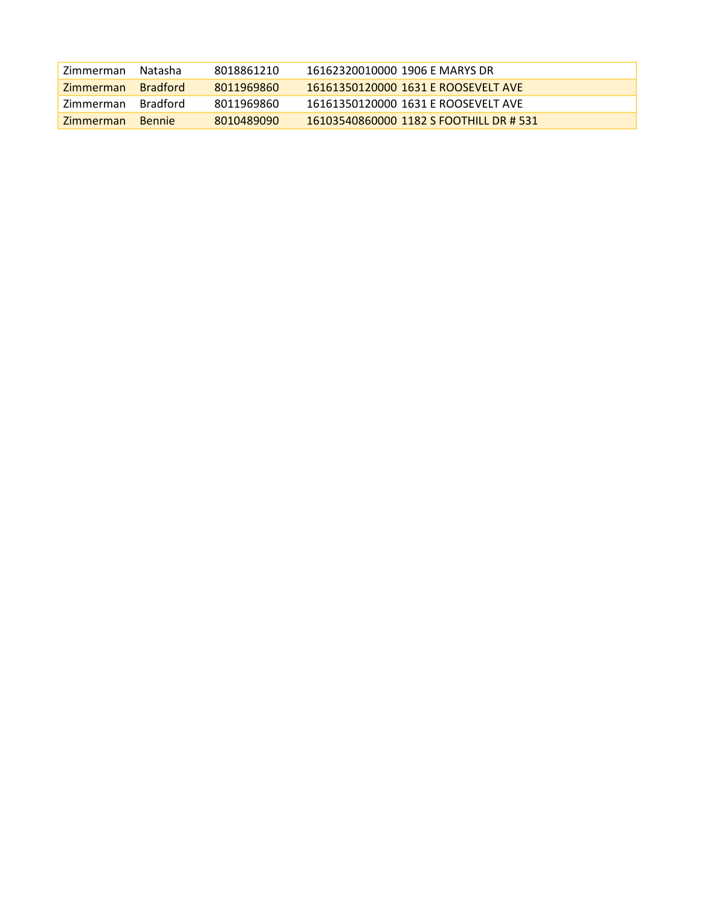| Zimmerman        | Natasha         | 8018861210 | 16162320010000 1906 F MARYS DR          |
|------------------|-----------------|------------|-----------------------------------------|
| <b>Zimmerman</b> | <b>Bradford</b> | 8011969860 | 16161350120000 1631 E ROOSEVELT AVE     |
| Zimmerman        | <b>Bradford</b> | 8011969860 | 16161350120000 1631 F ROOSEVELT AVE     |
| <b>Zimmerman</b> | <b>Bennie</b>   | 8010489090 | 16103540860000 1182 S FOOTHILL DR # 531 |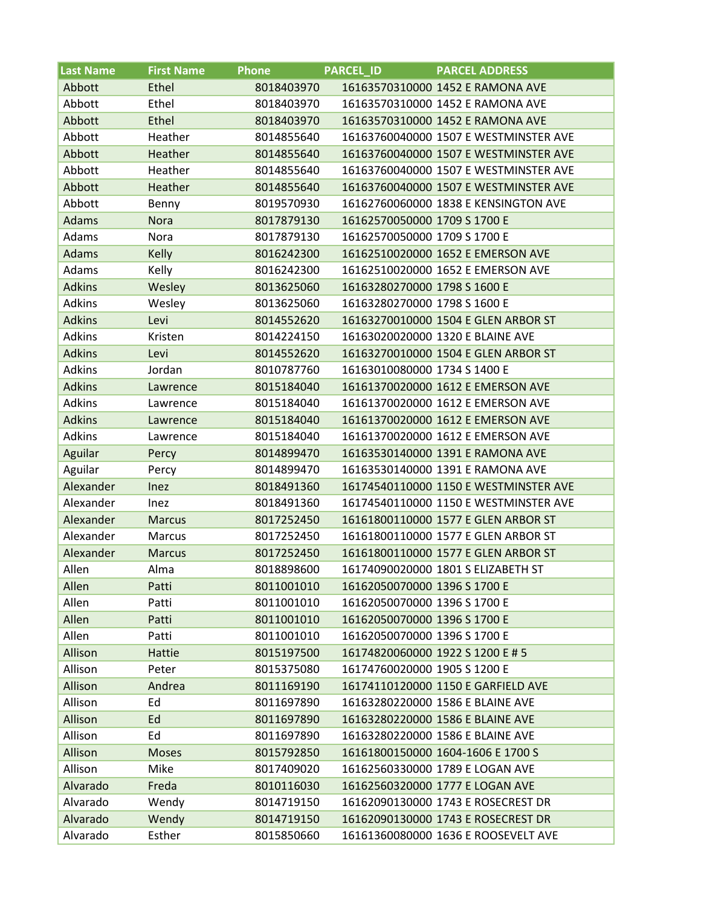| <b>Last Name</b> | <b>First Name</b> | <b>Phone</b> | <b>PARCEL ID</b>             | <b>PARCEL ADDRESS</b>                 |
|------------------|-------------------|--------------|------------------------------|---------------------------------------|
| Abbott           | Ethel             | 8018403970   |                              | 16163570310000 1452 E RAMONA AVE      |
| Abbott           | Ethel             | 8018403970   |                              | 16163570310000 1452 E RAMONA AVE      |
| Abbott           | Ethel             | 8018403970   |                              | 16163570310000 1452 E RAMONA AVE      |
| Abbott           | Heather           | 8014855640   |                              | 16163760040000 1507 E WESTMINSTER AVE |
| Abbott           | Heather           | 8014855640   |                              | 16163760040000 1507 E WESTMINSTER AVE |
| Abbott           | Heather           | 8014855640   |                              | 16163760040000 1507 E WESTMINSTER AVE |
| Abbott           | Heather           | 8014855640   |                              | 16163760040000 1507 E WESTMINSTER AVE |
| Abbott           | Benny             | 8019570930   |                              | 16162760060000 1838 E KENSINGTON AVE  |
| <b>Adams</b>     | <b>Nora</b>       | 8017879130   | 16162570050000 1709 S 1700 E |                                       |
| Adams            | Nora              | 8017879130   | 16162570050000 1709 S 1700 E |                                       |
| <b>Adams</b>     | Kelly             | 8016242300   |                              | 16162510020000 1652 E EMERSON AVE     |
| Adams            | Kelly             | 8016242300   |                              | 16162510020000 1652 E EMERSON AVE     |
| <b>Adkins</b>    | Wesley            | 8013625060   | 16163280270000 1798 S 1600 E |                                       |
| <b>Adkins</b>    | Wesley            | 8013625060   | 16163280270000 1798 S 1600 E |                                       |
| <b>Adkins</b>    | Levi              | 8014552620   |                              | 16163270010000 1504 E GLEN ARBOR ST   |
| <b>Adkins</b>    | Kristen           | 8014224150   |                              | 16163020020000 1320 E BLAINE AVE      |
| <b>Adkins</b>    | Levi              | 8014552620   |                              | 16163270010000 1504 E GLEN ARBOR ST   |
| <b>Adkins</b>    | Jordan            | 8010787760   | 16163010080000 1734 S 1400 E |                                       |
| <b>Adkins</b>    | Lawrence          | 8015184040   |                              | 16161370020000 1612 E EMERSON AVE     |
| Adkins           | Lawrence          | 8015184040   |                              | 16161370020000 1612 E EMERSON AVE     |
| <b>Adkins</b>    | Lawrence          | 8015184040   |                              | 16161370020000 1612 E EMERSON AVE     |
| <b>Adkins</b>    | Lawrence          | 8015184040   |                              | 16161370020000 1612 E EMERSON AVE     |
| Aguilar          | Percy             | 8014899470   |                              | 16163530140000 1391 E RAMONA AVE      |
| Aguilar          | Percy             | 8014899470   |                              | 16163530140000 1391 E RAMONA AVE      |
| Alexander        | Inez              | 8018491360   |                              | 16174540110000 1150 E WESTMINSTER AVE |
| Alexander        | Inez              | 8018491360   |                              | 16174540110000 1150 E WESTMINSTER AVE |
| Alexander        | <b>Marcus</b>     | 8017252450   |                              | 16161800110000 1577 E GLEN ARBOR ST   |
| Alexander        | <b>Marcus</b>     | 8017252450   |                              | 16161800110000 1577 E GLEN ARBOR ST   |
| Alexander        | <b>Marcus</b>     | 8017252450   |                              | 16161800110000 1577 E GLEN ARBOR ST   |
| Allen            | Alma              | 8018898600   |                              | 16174090020000 1801 S ELIZABETH ST    |
| Allen            | Patti             | 8011001010   | 16162050070000 1396 S 1700 E |                                       |
| Allen            | Patti             | 8011001010   | 16162050070000 1396 S 1700 E |                                       |
| Allen            | Patti             | 8011001010   | 16162050070000 1396 S 1700 E |                                       |
| Allen            | Patti             | 8011001010   | 16162050070000 1396 S 1700 E |                                       |
| Allison          | Hattie            | 8015197500   |                              | 16174820060000 1922 S 1200 E # 5      |
| Allison          | Peter             | 8015375080   | 16174760020000 1905 S 1200 E |                                       |
| Allison          | Andrea            | 8011169190   |                              | 16174110120000 1150 E GARFIELD AVE    |
| Allison          | Ed                | 8011697890   |                              | 16163280220000 1586 E BLAINE AVE      |
| Allison          | Ed                | 8011697890   |                              | 16163280220000 1586 E BLAINE AVE      |
| Allison          | Ed                | 8011697890   |                              | 16163280220000 1586 E BLAINE AVE      |
| Allison          | <b>Moses</b>      | 8015792850   |                              | 16161800150000 1604-1606 E 1700 S     |
| Allison          | Mike              | 8017409020   |                              | 16162560330000 1789 E LOGAN AVE       |
| Alvarado         | Freda             | 8010116030   |                              | 16162560320000 1777 E LOGAN AVE       |
| Alvarado         | Wendy             | 8014719150   |                              | 16162090130000 1743 E ROSECREST DR    |
| Alvarado         | Wendy             | 8014719150   |                              | 16162090130000 1743 E ROSECREST DR    |
| Alvarado         | Esther            | 8015850660   |                              | 16161360080000 1636 E ROOSEVELT AVE   |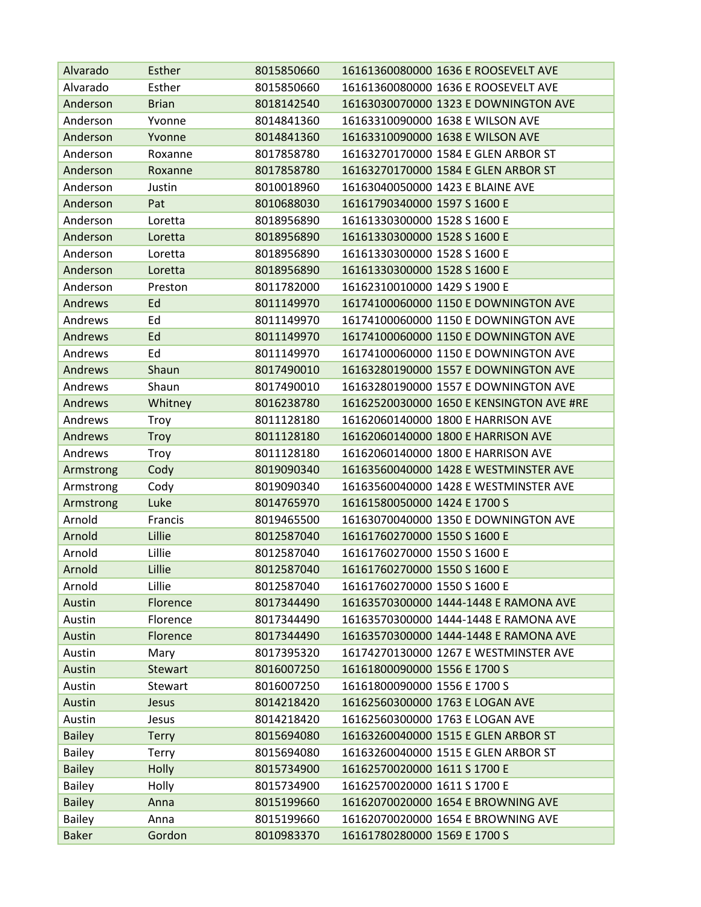| Alvarado      | Esther         | 8015850660 | 16161360080000 1636 E ROOSEVELT AVE      |
|---------------|----------------|------------|------------------------------------------|
| Alvarado      | Esther         | 8015850660 | 16161360080000 1636 E ROOSEVELT AVE      |
| Anderson      | <b>Brian</b>   | 8018142540 | 16163030070000 1323 E DOWNINGTON AVE     |
| Anderson      | Yvonne         | 8014841360 | 16163310090000 1638 E WILSON AVE         |
| Anderson      | Yvonne         | 8014841360 | 16163310090000 1638 E WILSON AVE         |
| Anderson      | Roxanne        | 8017858780 | 16163270170000 1584 E GLEN ARBOR ST      |
| Anderson      | Roxanne        | 8017858780 | 16163270170000 1584 E GLEN ARBOR ST      |
| Anderson      | Justin         | 8010018960 | 16163040050000 1423 E BLAINE AVE         |
| Anderson      | Pat            | 8010688030 | 16161790340000 1597 S 1600 E             |
| Anderson      | Loretta        | 8018956890 | 16161330300000 1528 S 1600 E             |
| Anderson      | Loretta        | 8018956890 | 16161330300000 1528 S 1600 E             |
| Anderson      | Loretta        | 8018956890 | 16161330300000 1528 S 1600 E             |
| Anderson      | Loretta        | 8018956890 | 16161330300000 1528 S 1600 E             |
| Anderson      | Preston        | 8011782000 | 16162310010000 1429 S 1900 E             |
| Andrews       | Ed             | 8011149970 | 16174100060000 1150 E DOWNINGTON AVE     |
| Andrews       | Ed             | 8011149970 | 16174100060000 1150 E DOWNINGTON AVE     |
| Andrews       | Ed             | 8011149970 | 16174100060000 1150 E DOWNINGTON AVE     |
| Andrews       | Ed             | 8011149970 | 16174100060000 1150 E DOWNINGTON AVE     |
| Andrews       | Shaun          | 8017490010 | 16163280190000 1557 E DOWNINGTON AVE     |
| Andrews       | Shaun          | 8017490010 | 16163280190000 1557 E DOWNINGTON AVE     |
| Andrews       | Whitney        | 8016238780 | 16162520030000 1650 E KENSINGTON AVE #RE |
| Andrews       | <b>Troy</b>    | 8011128180 | 16162060140000 1800 E HARRISON AVE       |
| Andrews       | <b>Troy</b>    | 8011128180 | 16162060140000 1800 E HARRISON AVE       |
| Andrews       | Troy           | 8011128180 | 16162060140000 1800 E HARRISON AVE       |
| Armstrong     | Cody           | 8019090340 | 16163560040000 1428 E WESTMINSTER AVE    |
| Armstrong     | Cody           | 8019090340 | 16163560040000 1428 E WESTMINSTER AVE    |
| Armstrong     | Luke           | 8014765970 | 16161580050000 1424 E 1700 S             |
| Arnold        | Francis        | 8019465500 | 16163070040000 1350 E DOWNINGTON AVE     |
| Arnold        | Lillie         | 8012587040 | 16161760270000 1550 S 1600 E             |
| Arnold        | Lillie         | 8012587040 | 16161760270000 1550 S 1600 E             |
| Arnold        | Lillie         | 8012587040 | 16161760270000 1550 S 1600 E             |
| Arnold        | Lillie         | 8012587040 | 16161760270000 1550 S 1600 E             |
| Austin        | Florence       | 8017344490 | 16163570300000 1444-1448 E RAMONA AVE    |
| Austin        | Florence       | 8017344490 | 16163570300000 1444-1448 E RAMONA AVE    |
| Austin        | Florence       | 8017344490 | 16163570300000 1444-1448 E RAMONA AVE    |
| Austin        | Mary           | 8017395320 | 16174270130000 1267 E WESTMINSTER AVE    |
| Austin        | <b>Stewart</b> | 8016007250 | 16161800090000 1556 E 1700 S             |
| Austin        | Stewart        | 8016007250 | 16161800090000 1556 E 1700 S             |
| Austin        | Jesus          | 8014218420 | 16162560300000 1763 E LOGAN AVE          |
| Austin        | Jesus          | 8014218420 | 16162560300000 1763 E LOGAN AVE          |
| <b>Bailey</b> | <b>Terry</b>   | 8015694080 | 16163260040000 1515 E GLEN ARBOR ST      |
| <b>Bailey</b> | <b>Terry</b>   | 8015694080 | 16163260040000 1515 E GLEN ARBOR ST      |
| <b>Bailey</b> | Holly          | 8015734900 | 16162570020000 1611 S 1700 E             |
| <b>Bailey</b> | Holly          | 8015734900 | 16162570020000 1611 S 1700 E             |
| <b>Bailey</b> | Anna           | 8015199660 | 16162070020000 1654 E BROWNING AVE       |
| <b>Bailey</b> | Anna           | 8015199660 | 16162070020000 1654 E BROWNING AVE       |
| <b>Baker</b>  | Gordon         | 8010983370 | 16161780280000 1569 E 1700 S             |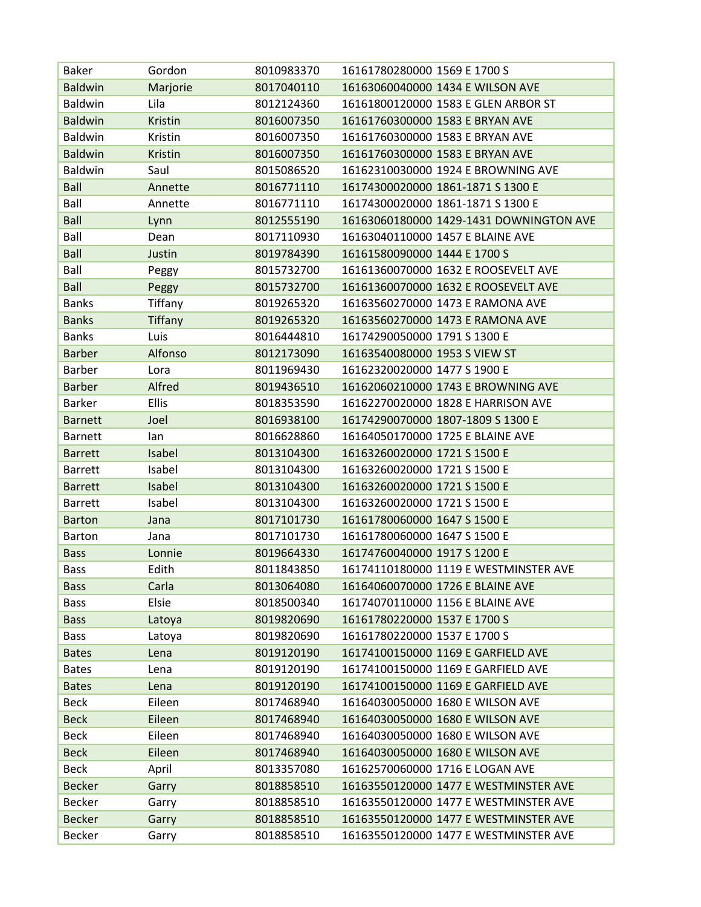| <b>Baker</b>   | Gordon         | 8010983370 | 16161780280000 1569 E 1700 S            |
|----------------|----------------|------------|-----------------------------------------|
| <b>Baldwin</b> | Marjorie       | 8017040110 | 16163060040000 1434 E WILSON AVE        |
| Baldwin        | Lila           | 8012124360 | 16161800120000 1583 E GLEN ARBOR ST     |
| <b>Baldwin</b> | Kristin        | 8016007350 | 16161760300000 1583 E BRYAN AVE         |
| Baldwin        | Kristin        | 8016007350 | 16161760300000 1583 E BRYAN AVE         |
| <b>Baldwin</b> | <b>Kristin</b> | 8016007350 | 16161760300000 1583 E BRYAN AVE         |
| Baldwin        | Saul           | 8015086520 | 16162310030000 1924 E BROWNING AVE      |
| <b>Ball</b>    | Annette        | 8016771110 | 16174300020000 1861-1871 S 1300 E       |
| Ball           | Annette        | 8016771110 | 16174300020000 1861-1871 S 1300 E       |
| <b>Ball</b>    | Lynn           | 8012555190 | 16163060180000 1429-1431 DOWNINGTON AVE |
| Ball           | Dean           | 8017110930 | 16163040110000 1457 E BLAINE AVE        |
| <b>Ball</b>    | Justin         | 8019784390 | 16161580090000 1444 E 1700 S            |
| Ball           | Peggy          | 8015732700 | 16161360070000 1632 E ROOSEVELT AVE     |
| <b>Ball</b>    | Peggy          | 8015732700 | 16161360070000 1632 E ROOSEVELT AVE     |
| <b>Banks</b>   | Tiffany        | 8019265320 | 16163560270000 1473 E RAMONA AVE        |
| <b>Banks</b>   | <b>Tiffany</b> | 8019265320 | 16163560270000 1473 E RAMONA AVE        |
| <b>Banks</b>   | Luis           | 8016444810 | 16174290050000 1791 S 1300 E            |
| <b>Barber</b>  | Alfonso        | 8012173090 | 16163540080000 1953 S VIEW ST           |
| Barber         | Lora           | 8011969430 | 16162320020000 1477 S 1900 E            |
| <b>Barber</b>  | Alfred         | 8019436510 | 16162060210000 1743 E BROWNING AVE      |
| Barker         | <b>Ellis</b>   | 8018353590 | 16162270020000 1828 E HARRISON AVE      |
| <b>Barnett</b> | Joel           | 8016938100 | 16174290070000 1807-1809 S 1300 E       |
| <b>Barnett</b> | lan            | 8016628860 | 16164050170000 1725 E BLAINE AVE        |
| <b>Barrett</b> | Isabel         | 8013104300 | 16163260020000 1721 S 1500 E            |
| <b>Barrett</b> | Isabel         | 8013104300 | 16163260020000 1721 S 1500 E            |
| <b>Barrett</b> | Isabel         | 8013104300 | 16163260020000 1721 S 1500 E            |
| <b>Barrett</b> | Isabel         | 8013104300 | 16163260020000 1721 S 1500 E            |
| <b>Barton</b>  | Jana           | 8017101730 | 16161780060000 1647 S 1500 E            |
| <b>Barton</b>  | Jana           | 8017101730 | 16161780060000 1647 S 1500 E            |
| <b>Bass</b>    | Lonnie         | 8019664330 | 16174760040000 1917 S 1200 E            |
| Bass           | Edith          | 8011843850 | 16174110180000 1119 E WESTMINSTER AVE   |
| <b>Bass</b>    | Carla          | 8013064080 | 16164060070000 1726 E BLAINE AVE        |
| <b>Bass</b>    | Elsie          | 8018500340 | 16174070110000 1156 E BLAINE AVE        |
| <b>Bass</b>    | Latoya         | 8019820690 | 16161780220000 1537 E 1700 S            |
| <b>Bass</b>    | Latoya         | 8019820690 | 16161780220000 1537 E 1700 S            |
| <b>Bates</b>   | Lena           | 8019120190 | 16174100150000 1169 E GARFIELD AVE      |
| <b>Bates</b>   | Lena           | 8019120190 | 16174100150000 1169 E GARFIELD AVE      |
| <b>Bates</b>   | Lena           | 8019120190 | 16174100150000 1169 E GARFIELD AVE      |
| Beck           | Eileen         | 8017468940 | 16164030050000 1680 E WILSON AVE        |
| <b>Beck</b>    | Eileen         | 8017468940 | 16164030050000 1680 E WILSON AVE        |
| <b>Beck</b>    | Eileen         | 8017468940 | 16164030050000 1680 E WILSON AVE        |
| <b>Beck</b>    | Eileen         | 8017468940 | 16164030050000 1680 E WILSON AVE        |
| <b>Beck</b>    | April          | 8013357080 | 16162570060000 1716 E LOGAN AVE         |
| <b>Becker</b>  | Garry          | 8018858510 | 16163550120000 1477 E WESTMINSTER AVE   |
| <b>Becker</b>  | Garry          | 8018858510 | 16163550120000 1477 E WESTMINSTER AVE   |
| <b>Becker</b>  | Garry          | 8018858510 | 16163550120000 1477 E WESTMINSTER AVE   |
| Becker         | Garry          | 8018858510 | 16163550120000 1477 E WESTMINSTER AVE   |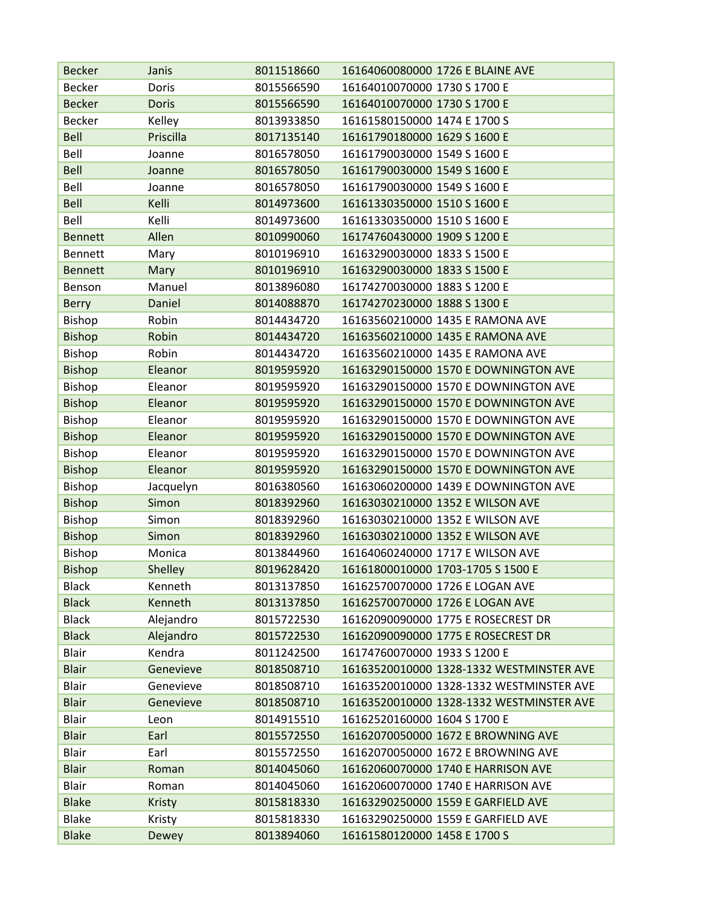| <b>Becker</b>  | Janis         | 8011518660 | 16164060080000 1726 E BLAINE AVE         |
|----------------|---------------|------------|------------------------------------------|
| Becker         | Doris         | 8015566590 | 16164010070000 1730 S 1700 E             |
| <b>Becker</b>  | <b>Doris</b>  | 8015566590 | 16164010070000 1730 S 1700 E             |
| <b>Becker</b>  | Kelley        | 8013933850 | 16161580150000 1474 E 1700 S             |
| <b>Bell</b>    | Priscilla     | 8017135140 | 16161790180000 1629 S 1600 E             |
| Bell           | Joanne        | 8016578050 | 16161790030000 1549 S 1600 E             |
| <b>Bell</b>    | Joanne        | 8016578050 | 16161790030000 1549 S 1600 E             |
| Bell           | Joanne        | 8016578050 | 16161790030000 1549 S 1600 E             |
| Bell           | Kelli         | 8014973600 | 16161330350000 1510 S 1600 E             |
| Bell           | Kelli         | 8014973600 | 16161330350000 1510 S 1600 E             |
| <b>Bennett</b> | Allen         | 8010990060 | 16174760430000 1909 S 1200 E             |
| Bennett        | Mary          | 8010196910 | 16163290030000 1833 S 1500 E             |
| <b>Bennett</b> | Mary          | 8010196910 | 16163290030000 1833 S 1500 E             |
| Benson         | Manuel        | 8013896080 | 16174270030000 1883 S 1200 E             |
| <b>Berry</b>   | Daniel        | 8014088870 | 16174270230000 1888 S 1300 E             |
| Bishop         | Robin         | 8014434720 | 16163560210000 1435 E RAMONA AVE         |
| <b>Bishop</b>  | Robin         | 8014434720 | 16163560210000 1435 E RAMONA AVE         |
| Bishop         | Robin         | 8014434720 | 16163560210000 1435 E RAMONA AVE         |
| <b>Bishop</b>  | Eleanor       | 8019595920 | 16163290150000 1570 E DOWNINGTON AVE     |
| Bishop         | Eleanor       | 8019595920 | 16163290150000 1570 E DOWNINGTON AVE     |
| <b>Bishop</b>  | Eleanor       | 8019595920 | 16163290150000 1570 E DOWNINGTON AVE     |
| <b>Bishop</b>  | Eleanor       | 8019595920 | 16163290150000 1570 E DOWNINGTON AVE     |
| <b>Bishop</b>  | Eleanor       | 8019595920 | 16163290150000 1570 E DOWNINGTON AVE     |
| Bishop         | Eleanor       | 8019595920 | 16163290150000 1570 E DOWNINGTON AVE     |
| <b>Bishop</b>  | Eleanor       | 8019595920 | 16163290150000 1570 E DOWNINGTON AVE     |
| Bishop         | Jacquelyn     | 8016380560 | 16163060200000 1439 E DOWNINGTON AVE     |
| <b>Bishop</b>  | Simon         | 8018392960 | 16163030210000 1352 E WILSON AVE         |
| <b>Bishop</b>  | Simon         | 8018392960 | 16163030210000 1352 E WILSON AVE         |
| <b>Bishop</b>  | Simon         | 8018392960 | 16163030210000 1352 E WILSON AVE         |
| Bishop         | Monica        | 8013844960 | 16164060240000 1717 E WILSON AVE         |
| <b>Bishop</b>  | Shelley       | 8019628420 | 16161800010000 1703-1705 S 1500 E        |
| <b>Black</b>   | Kenneth       | 8013137850 | 16162570070000 1726 E LOGAN AVE          |
| <b>Black</b>   | Kenneth       | 8013137850 | 16162570070000 1726 E LOGAN AVE          |
| <b>Black</b>   | Alejandro     | 8015722530 | 16162090090000 1775 E ROSECREST DR       |
| <b>Black</b>   | Alejandro     | 8015722530 | 16162090090000 1775 E ROSECREST DR       |
| <b>Blair</b>   | Kendra        | 8011242500 | 16174760070000 1933 S 1200 E             |
| <b>Blair</b>   | Genevieve     | 8018508710 | 16163520010000 1328-1332 WESTMINSTER AVE |
| <b>Blair</b>   | Genevieve     | 8018508710 | 16163520010000 1328-1332 WESTMINSTER AVE |
| <b>Blair</b>   | Genevieve     | 8018508710 | 16163520010000 1328-1332 WESTMINSTER AVE |
| Blair          | Leon          | 8014915510 | 16162520160000 1604 S 1700 E             |
| <b>Blair</b>   | Earl          | 8015572550 | 16162070050000 1672 E BROWNING AVE       |
| <b>Blair</b>   | Earl          | 8015572550 | 16162070050000 1672 E BROWNING AVE       |
| <b>Blair</b>   | Roman         | 8014045060 | 16162060070000 1740 E HARRISON AVE       |
| <b>Blair</b>   | Roman         | 8014045060 | 16162060070000 1740 E HARRISON AVE       |
| <b>Blake</b>   | <b>Kristy</b> | 8015818330 | 16163290250000 1559 E GARFIELD AVE       |
| <b>Blake</b>   | Kristy        | 8015818330 | 16163290250000 1559 E GARFIELD AVE       |
| <b>Blake</b>   | Dewey         | 8013894060 | 16161580120000 1458 E 1700 S             |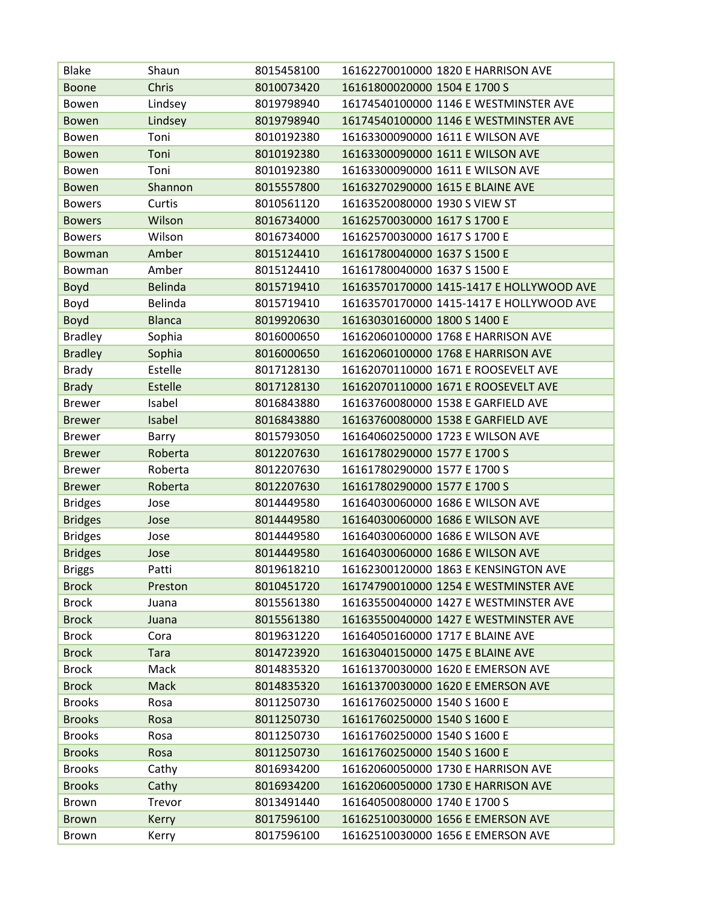| Blake          | Shaun          | 8015458100 | 16162270010000 1820 E HARRISON AVE       |
|----------------|----------------|------------|------------------------------------------|
| <b>Boone</b>   | Chris          | 8010073420 | 16161800020000 1504 E 1700 S             |
| Bowen          | Lindsey        | 8019798940 | 16174540100000 1146 E WESTMINSTER AVE    |
| <b>Bowen</b>   | Lindsey        | 8019798940 | 16174540100000 1146 E WESTMINSTER AVE    |
| Bowen          | Toni           | 8010192380 | 16163300090000 1611 E WILSON AVE         |
| <b>Bowen</b>   | Toni           | 8010192380 | 16163300090000 1611 E WILSON AVE         |
| Bowen          | Toni           | 8010192380 | 16163300090000 1611 E WILSON AVE         |
| <b>Bowen</b>   | Shannon        | 8015557800 | 16163270290000 1615 E BLAINE AVE         |
| <b>Bowers</b>  | Curtis         | 8010561120 | 16163520080000 1930 S VIEW ST            |
| <b>Bowers</b>  | Wilson         | 8016734000 | 16162570030000 1617 S 1700 E             |
| <b>Bowers</b>  | Wilson         | 8016734000 | 16162570030000 1617 S 1700 E             |
| <b>Bowman</b>  | Amber          | 8015124410 | 16161780040000 1637 S 1500 E             |
| Bowman         | Amber          | 8015124410 | 16161780040000 1637 S 1500 E             |
| <b>Boyd</b>    | <b>Belinda</b> | 8015719410 | 16163570170000 1415-1417 E HOLLYWOOD AVE |
| Boyd           | Belinda        | 8015719410 | 16163570170000 1415-1417 E HOLLYWOOD AVE |
| <b>Boyd</b>    | <b>Blanca</b>  | 8019920630 | 16163030160000 1800 S 1400 E             |
| <b>Bradley</b> | Sophia         | 8016000650 | 16162060100000 1768 E HARRISON AVE       |
| <b>Bradley</b> | Sophia         | 8016000650 | 16162060100000 1768 E HARRISON AVE       |
| <b>Brady</b>   | Estelle        | 8017128130 | 16162070110000 1671 E ROOSEVELT AVE      |
| <b>Brady</b>   | Estelle        | 8017128130 | 16162070110000 1671 E ROOSEVELT AVE      |
| <b>Brewer</b>  | Isabel         | 8016843880 | 16163760080000 1538 E GARFIELD AVE       |
| <b>Brewer</b>  | Isabel         | 8016843880 | 16163760080000 1538 E GARFIELD AVE       |
| <b>Brewer</b>  | Barry          | 8015793050 | 16164060250000 1723 E WILSON AVE         |
| <b>Brewer</b>  | Roberta        | 8012207630 | 16161780290000 1577 E 1700 S             |
| Brewer         | Roberta        | 8012207630 | 16161780290000 1577 E 1700 S             |
| <b>Brewer</b>  | Roberta        | 8012207630 | 16161780290000 1577 E 1700 S             |
| <b>Bridges</b> | Jose           | 8014449580 | 16164030060000 1686 E WILSON AVE         |
| <b>Bridges</b> | Jose           | 8014449580 | 16164030060000 1686 E WILSON AVE         |
| <b>Bridges</b> | Jose           | 8014449580 | 16164030060000 1686 E WILSON AVE         |
| <b>Bridges</b> | Jose           | 8014449580 | 16164030060000 1686 E WILSON AVE         |
| <b>Briggs</b>  | Patti          | 8019618210 | 16162300120000 1863 E KENSINGTON AVE     |
| <b>Brock</b>   | Preston        | 8010451720 | 16174790010000 1254 E WESTMINSTER AVE    |
| <b>Brock</b>   | Juana          | 8015561380 | 16163550040000 1427 E WESTMINSTER AVE    |
| <b>Brock</b>   | Juana          | 8015561380 | 16163550040000 1427 E WESTMINSTER AVE    |
| <b>Brock</b>   | Cora           | 8019631220 | 16164050160000 1717 E BLAINE AVE         |
| <b>Brock</b>   | <b>Tara</b>    | 8014723920 | 16163040150000 1475 E BLAINE AVE         |
| <b>Brock</b>   | Mack           | 8014835320 | 16161370030000 1620 E EMERSON AVE        |
| <b>Brock</b>   | Mack           | 8014835320 | 16161370030000 1620 E EMERSON AVE        |
| <b>Brooks</b>  | Rosa           | 8011250730 | 16161760250000 1540 S 1600 E             |
| <b>Brooks</b>  | Rosa           | 8011250730 | 16161760250000 1540 S 1600 E             |
| <b>Brooks</b>  | Rosa           | 8011250730 | 16161760250000 1540 S 1600 E             |
| <b>Brooks</b>  | Rosa           | 8011250730 | 16161760250000 1540 S 1600 E             |
| <b>Brooks</b>  | Cathy          | 8016934200 | 16162060050000 1730 E HARRISON AVE       |
| <b>Brooks</b>  | Cathy          | 8016934200 | 16162060050000 1730 E HARRISON AVE       |
| Brown          | Trevor         | 8013491440 | 16164050080000 1740 E 1700 S             |
| <b>Brown</b>   | Kerry          | 8017596100 | 16162510030000 1656 E EMERSON AVE        |
| Brown          | Kerry          | 8017596100 | 16162510030000 1656 E EMERSON AVE        |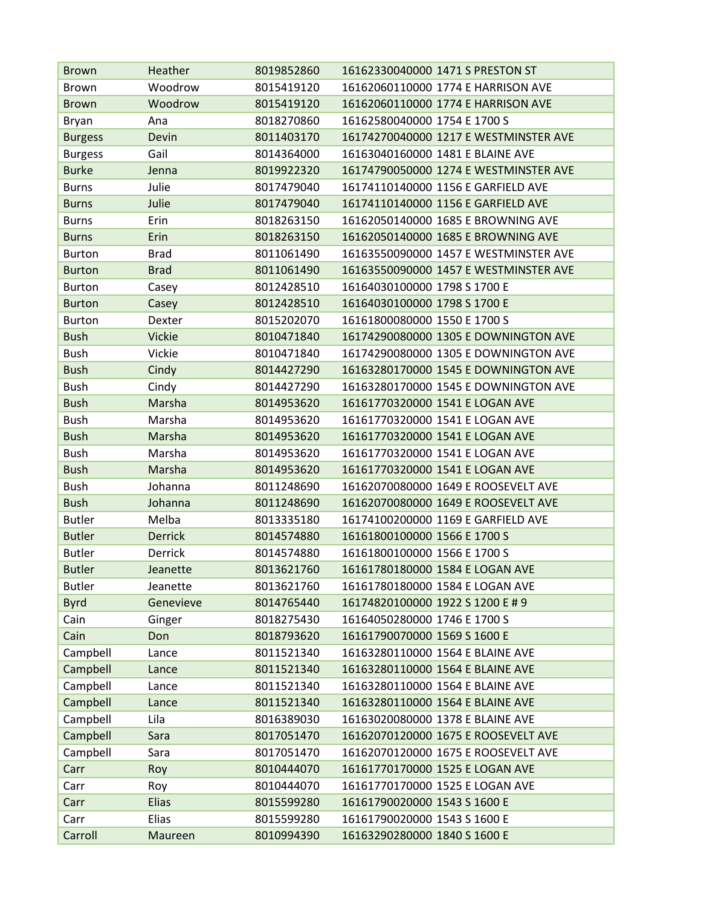| Brown          | Heather        | 8019852860 | 16162330040000 1471 S PRESTON ST      |
|----------------|----------------|------------|---------------------------------------|
| <b>Brown</b>   | Woodrow        | 8015419120 | 16162060110000 1774 E HARRISON AVE    |
| <b>Brown</b>   | Woodrow        | 8015419120 | 16162060110000 1774 E HARRISON AVE    |
| <b>Bryan</b>   | Ana            | 8018270860 | 16162580040000 1754 E 1700 S          |
| <b>Burgess</b> | Devin          | 8011403170 | 16174270040000 1217 E WESTMINSTER AVE |
| <b>Burgess</b> | Gail           | 8014364000 | 16163040160000 1481 E BLAINE AVE      |
| <b>Burke</b>   | Jenna          | 8019922320 | 16174790050000 1274 E WESTMINSTER AVE |
| <b>Burns</b>   | Julie          | 8017479040 | 16174110140000 1156 E GARFIELD AVE    |
| <b>Burns</b>   | Julie          | 8017479040 | 16174110140000 1156 E GARFIELD AVE    |
| <b>Burns</b>   | Erin           | 8018263150 | 16162050140000 1685 E BROWNING AVE    |
| <b>Burns</b>   | Erin           | 8018263150 | 16162050140000 1685 E BROWNING AVE    |
| <b>Burton</b>  | <b>Brad</b>    | 8011061490 | 16163550090000 1457 E WESTMINSTER AVE |
| <b>Burton</b>  | <b>Brad</b>    | 8011061490 | 16163550090000 1457 E WESTMINSTER AVE |
| <b>Burton</b>  | Casey          | 8012428510 | 16164030100000 1798 S 1700 E          |
| <b>Burton</b>  | Casey          | 8012428510 | 16164030100000 1798 S 1700 E          |
| <b>Burton</b>  | Dexter         | 8015202070 | 16161800080000 1550 E 1700 S          |
| <b>Bush</b>    | <b>Vickie</b>  | 8010471840 | 16174290080000 1305 E DOWNINGTON AVE  |
| <b>Bush</b>    | Vickie         | 8010471840 | 16174290080000 1305 E DOWNINGTON AVE  |
| <b>Bush</b>    | Cindy          | 8014427290 | 16163280170000 1545 E DOWNINGTON AVE  |
| <b>Bush</b>    | Cindy          | 8014427290 | 16163280170000 1545 E DOWNINGTON AVE  |
| <b>Bush</b>    | Marsha         | 8014953620 | 16161770320000 1541 E LOGAN AVE       |
| <b>Bush</b>    | Marsha         | 8014953620 | 16161770320000 1541 E LOGAN AVE       |
| <b>Bush</b>    | Marsha         | 8014953620 | 16161770320000 1541 E LOGAN AVE       |
| <b>Bush</b>    | Marsha         | 8014953620 | 16161770320000 1541 E LOGAN AVE       |
| <b>Bush</b>    | Marsha         | 8014953620 | 16161770320000 1541 E LOGAN AVE       |
| <b>Bush</b>    | Johanna        | 8011248690 | 16162070080000 1649 E ROOSEVELT AVE   |
| <b>Bush</b>    | Johanna        | 8011248690 | 16162070080000 1649 E ROOSEVELT AVE   |
| <b>Butler</b>  | Melba          | 8013335180 | 16174100200000 1169 E GARFIELD AVE    |
| <b>Butler</b>  | <b>Derrick</b> | 8014574880 | 16161800100000 1566 E 1700 S          |
| <b>Butler</b>  | <b>Derrick</b> | 8014574880 | 16161800100000 1566 E 1700 S          |
| <b>Butler</b>  | Jeanette       | 8013621760 | 16161780180000 1584 E LOGAN AVE       |
| <b>Butler</b>  | Jeanette       | 8013621760 | 16161780180000 1584 E LOGAN AVE       |
| <b>Byrd</b>    | Genevieve      | 8014765440 | 16174820100000 1922 S 1200 E # 9      |
| Cain           | Ginger         | 8018275430 | 16164050280000 1746 E 1700 S          |
| Cain           | Don            | 8018793620 | 16161790070000 1569 S 1600 E          |
| Campbell       | Lance          | 8011521340 | 16163280110000 1564 E BLAINE AVE      |
| Campbell       | Lance          | 8011521340 | 16163280110000 1564 E BLAINE AVE      |
| Campbell       | Lance          | 8011521340 | 16163280110000 1564 E BLAINE AVE      |
| Campbell       | Lance          | 8011521340 | 16163280110000 1564 E BLAINE AVE      |
| Campbell       | Lila           | 8016389030 | 16163020080000 1378 E BLAINE AVE      |
| Campbell       | Sara           | 8017051470 | 16162070120000 1675 E ROOSEVELT AVE   |
| Campbell       | Sara           | 8017051470 | 16162070120000 1675 E ROOSEVELT AVE   |
| Carr           | Roy            | 8010444070 | 16161770170000 1525 E LOGAN AVE       |
| Carr           | Roy            | 8010444070 | 16161770170000 1525 E LOGAN AVE       |
| Carr           | <b>Elias</b>   | 8015599280 | 16161790020000 1543 S 1600 E          |
| Carr           | Elias          | 8015599280 | 16161790020000 1543 S 1600 E          |
| Carroll        | Maureen        | 8010994390 | 16163290280000 1840 S 1600 E          |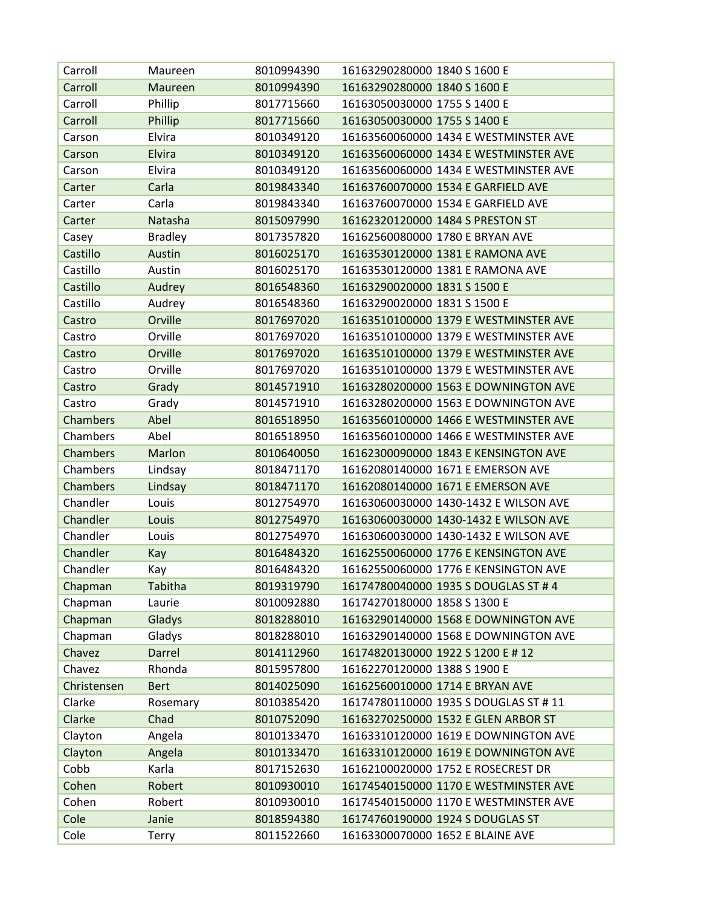| Carroll         | Maureen        | 8010994390 | 16163290280000 1840 S 1600 E          |
|-----------------|----------------|------------|---------------------------------------|
| Carroll         | Maureen        | 8010994390 | 16163290280000 1840 S 1600 E          |
| Carroll         | Phillip        | 8017715660 | 16163050030000 1755 S 1400 E          |
| Carroll         | Phillip        | 8017715660 | 16163050030000 1755 S 1400 E          |
| Carson          | Elvira         | 8010349120 | 16163560060000 1434 E WESTMINSTER AVE |
| Carson          | Elvira         | 8010349120 | 16163560060000 1434 E WESTMINSTER AVE |
| Carson          | Elvira         | 8010349120 | 16163560060000 1434 E WESTMINSTER AVE |
| Carter          | Carla          | 8019843340 | 16163760070000 1534 E GARFIELD AVE    |
| Carter          | Carla          | 8019843340 | 16163760070000 1534 E GARFIELD AVE    |
| Carter          | Natasha        | 8015097990 | 16162320120000 1484 S PRESTON ST      |
| Casey           | <b>Bradley</b> | 8017357820 | 16162560080000 1780 E BRYAN AVE       |
| Castillo        | Austin         | 8016025170 | 16163530120000 1381 E RAMONA AVE      |
| Castillo        | Austin         | 8016025170 | 16163530120000 1381 E RAMONA AVE      |
| Castillo        | Audrey         | 8016548360 | 16163290020000 1831 S 1500 E          |
| Castillo        | Audrey         | 8016548360 | 16163290020000 1831 S 1500 E          |
| Castro          | Orville        | 8017697020 | 16163510100000 1379 E WESTMINSTER AVE |
| Castro          | Orville        | 8017697020 | 16163510100000 1379 E WESTMINSTER AVE |
| Castro          | Orville        | 8017697020 | 16163510100000 1379 E WESTMINSTER AVE |
| Castro          | Orville        | 8017697020 | 16163510100000 1379 E WESTMINSTER AVE |
| Castro          | Grady          | 8014571910 | 16163280200000 1563 E DOWNINGTON AVE  |
| Castro          | Grady          | 8014571910 | 16163280200000 1563 E DOWNINGTON AVE  |
| <b>Chambers</b> | Abel           | 8016518950 | 16163560100000 1466 E WESTMINSTER AVE |
| Chambers        | Abel           | 8016518950 | 16163560100000 1466 E WESTMINSTER AVE |
| <b>Chambers</b> | Marlon         | 8010640050 | 16162300090000 1843 E KENSINGTON AVE  |
| Chambers        | Lindsay        | 8018471170 | 16162080140000 1671 E EMERSON AVE     |
| <b>Chambers</b> | Lindsay        | 8018471170 | 16162080140000 1671 E EMERSON AVE     |
| Chandler        | Louis          | 8012754970 | 16163060030000 1430-1432 E WILSON AVE |
| Chandler        | Louis          | 8012754970 | 16163060030000 1430-1432 E WILSON AVE |
| Chandler        | Louis          | 8012754970 | 16163060030000 1430-1432 E WILSON AVE |
| Chandler        | Kay            | 8016484320 | 16162550060000 1776 E KENSINGTON AVE  |
| Chandler        | Kay            | 8016484320 | 16162550060000 1776 E KENSINGTON AVE  |
| Chapman         | Tabitha        | 8019319790 | 16174780040000 1935 S DOUGLAS ST # 4  |
| Chapman         | Laurie         | 8010092880 | 16174270180000 1858 S 1300 E          |
| Chapman         | Gladys         | 8018288010 | 16163290140000 1568 E DOWNINGTON AVE  |
| Chapman         | Gladys         | 8018288010 | 16163290140000 1568 E DOWNINGTON AVE  |
| Chavez          | Darrel         | 8014112960 | 16174820130000 1922 S 1200 E # 12     |
| Chavez          | Rhonda         | 8015957800 | 16162270120000 1388 S 1900 E          |
| Christensen     | <b>Bert</b>    | 8014025090 | 16162560010000 1714 E BRYAN AVE       |
| Clarke          | Rosemary       | 8010385420 | 16174780110000 1935 S DOUGLAS ST # 11 |
| Clarke          | Chad           | 8010752090 | 16163270250000 1532 E GLEN ARBOR ST   |
| Clayton         | Angela         | 8010133470 | 16163310120000 1619 E DOWNINGTON AVE  |
| Clayton         | Angela         | 8010133470 | 16163310120000 1619 E DOWNINGTON AVE  |
| Cobb            | Karla          | 8017152630 | 16162100020000 1752 E ROSECREST DR    |
| Cohen           | Robert         | 8010930010 | 16174540150000 1170 E WESTMINSTER AVE |
| Cohen           | Robert         | 8010930010 | 16174540150000 1170 E WESTMINSTER AVE |
| Cole            | Janie          | 8018594380 | 16174760190000 1924 S DOUGLAS ST      |
| Cole            | Terry          | 8011522660 | 16163300070000 1652 E BLAINE AVE      |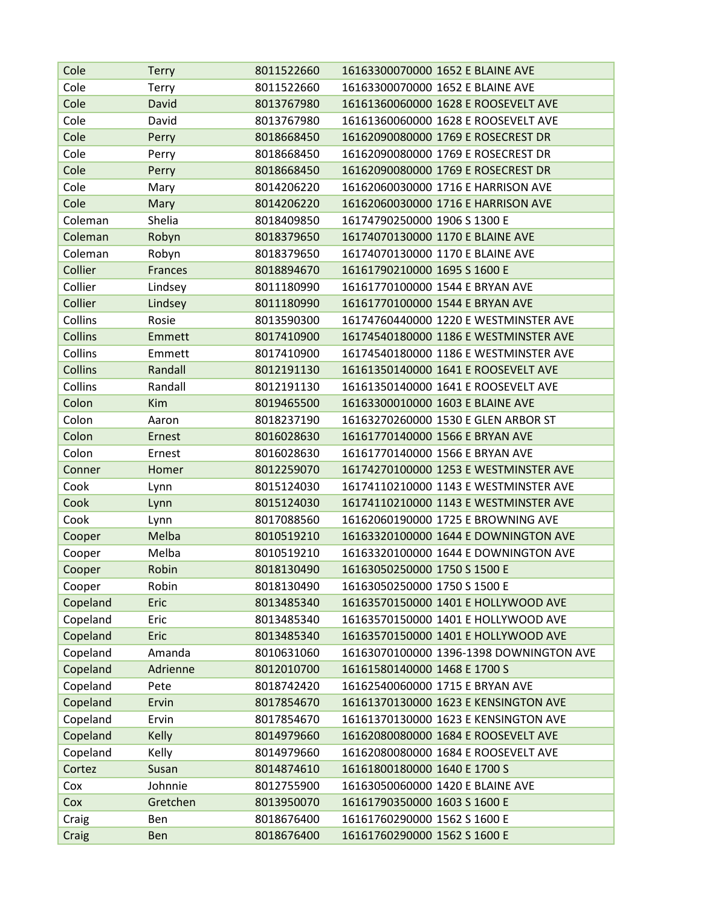| Cole     | <b>Terry</b>   | 8011522660 | 16163300070000 1652 E BLAINE AVE        |
|----------|----------------|------------|-----------------------------------------|
| Cole     | Terry          | 8011522660 | 16163300070000 1652 E BLAINE AVE        |
| Cole     | David          | 8013767980 | 16161360060000 1628 E ROOSEVELT AVE     |
| Cole     | David          | 8013767980 | 16161360060000 1628 E ROOSEVELT AVE     |
| Cole     | Perry          | 8018668450 | 16162090080000 1769 E ROSECREST DR      |
| Cole     | Perry          | 8018668450 | 16162090080000 1769 E ROSECREST DR      |
| Cole     | Perry          | 8018668450 | 16162090080000 1769 E ROSECREST DR      |
| Cole     | Mary           | 8014206220 | 16162060030000 1716 E HARRISON AVE      |
| Cole     | Mary           | 8014206220 | 16162060030000 1716 E HARRISON AVE      |
| Coleman  | Shelia         | 8018409850 | 16174790250000 1906 S 1300 E            |
| Coleman  | Robyn          | 8018379650 | 16174070130000 1170 E BLAINE AVE        |
| Coleman  | Robyn          | 8018379650 | 16174070130000 1170 E BLAINE AVE        |
| Collier  | <b>Frances</b> | 8018894670 | 16161790210000 1695 S 1600 E            |
| Collier  | Lindsey        | 8011180990 | 16161770100000 1544 E BRYAN AVE         |
| Collier  | Lindsey        | 8011180990 | 16161770100000 1544 E BRYAN AVE         |
| Collins  | Rosie          | 8013590300 | 16174760440000 1220 E WESTMINSTER AVE   |
| Collins  | Emmett         | 8017410900 | 16174540180000 1186 E WESTMINSTER AVE   |
| Collins  | Emmett         | 8017410900 | 16174540180000 1186 E WESTMINSTER AVE   |
| Collins  | Randall        | 8012191130 | 16161350140000 1641 E ROOSEVELT AVE     |
| Collins  | Randall        | 8012191130 | 16161350140000 1641 E ROOSEVELT AVE     |
| Colon    | <b>Kim</b>     | 8019465500 | 16163300010000 1603 E BLAINE AVE        |
| Colon    | Aaron          | 8018237190 | 16163270260000 1530 E GLEN ARBOR ST     |
| Colon    | Ernest         | 8016028630 | 16161770140000 1566 E BRYAN AVE         |
| Colon    | Ernest         | 8016028630 | 16161770140000 1566 E BRYAN AVE         |
| Conner   | Homer          | 8012259070 | 16174270100000 1253 E WESTMINSTER AVE   |
| Cook     | Lynn           | 8015124030 | 16174110210000 1143 E WESTMINSTER AVE   |
| Cook     | Lynn           | 8015124030 | 16174110210000 1143 E WESTMINSTER AVE   |
| Cook     | Lynn           | 8017088560 | 16162060190000 1725 E BROWNING AVE      |
| Cooper   | Melba          | 8010519210 | 16163320100000 1644 E DOWNINGTON AVE    |
| Cooper   | Melba          | 8010519210 | 16163320100000 1644 E DOWNINGTON AVE    |
| Cooper   | Robin          | 8018130490 | 16163050250000 1750 S 1500 E            |
| Cooper   | Robin          | 8018130490 | 16163050250000 1750 S 1500 E            |
| Copeland | Eric           | 8013485340 | 16163570150000 1401 E HOLLYWOOD AVE     |
| Copeland | Eric           | 8013485340 | 16163570150000 1401 E HOLLYWOOD AVE     |
| Copeland | Eric           | 8013485340 | 16163570150000 1401 E HOLLYWOOD AVE     |
| Copeland | Amanda         | 8010631060 | 16163070100000 1396-1398 DOWNINGTON AVE |
| Copeland | Adrienne       | 8012010700 | 16161580140000 1468 E 1700 S            |
| Copeland | Pete           | 8018742420 | 16162540060000 1715 E BRYAN AVE         |
| Copeland | Ervin          | 8017854670 | 16161370130000 1623 E KENSINGTON AVE    |
| Copeland | Ervin          | 8017854670 | 16161370130000 1623 E KENSINGTON AVE    |
| Copeland | <b>Kelly</b>   | 8014979660 | 16162080080000 1684 E ROOSEVELT AVE     |
| Copeland | Kelly          | 8014979660 | 16162080080000 1684 E ROOSEVELT AVE     |
| Cortez   | Susan          | 8014874610 | 16161800180000 1640 E 1700 S            |
| Cox      | Johnnie        | 8012755900 | 16163050060000 1420 E BLAINE AVE        |
| Cox      | Gretchen       | 8013950070 | 16161790350000 1603 S 1600 E            |
| Craig    | Ben            | 8018676400 | 16161760290000 1562 S 1600 E            |
| Craig    | Ben            | 8018676400 | 16161760290000 1562 S 1600 E            |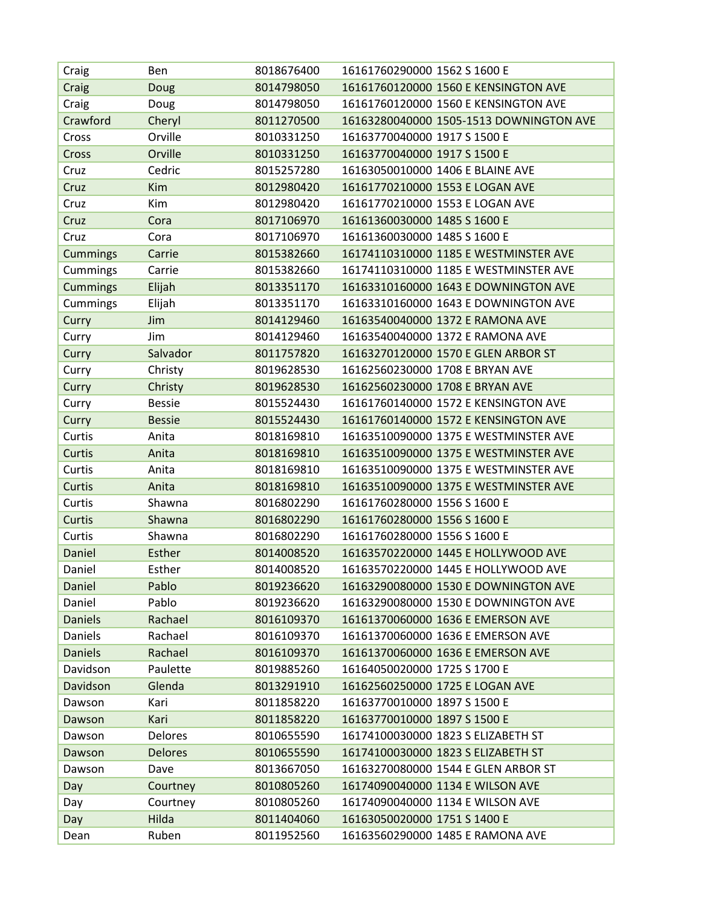| Craig           | Ben            | 8018676400 | 16161760290000 1562 S 1600 E            |
|-----------------|----------------|------------|-----------------------------------------|
| Craig           | Doug           | 8014798050 | 16161760120000 1560 E KENSINGTON AVE    |
| Craig           | Doug           | 8014798050 | 16161760120000 1560 E KENSINGTON AVE    |
| Crawford        | Cheryl         | 8011270500 | 16163280040000 1505-1513 DOWNINGTON AVE |
| Cross           | Orville        | 8010331250 | 16163770040000 1917 S 1500 E            |
| Cross           | Orville        | 8010331250 | 16163770040000 1917 S 1500 E            |
| Cruz            | Cedric         | 8015257280 | 16163050010000 1406 E BLAINE AVE        |
| Cruz            | <b>Kim</b>     | 8012980420 | 16161770210000 1553 E LOGAN AVE         |
| Cruz            | Kim            | 8012980420 | 16161770210000 1553 E LOGAN AVE         |
| Cruz            | Cora           | 8017106970 | 16161360030000 1485 S 1600 E            |
| Cruz            | Cora           | 8017106970 | 16161360030000 1485 S 1600 E            |
| <b>Cummings</b> | Carrie         | 8015382660 | 16174110310000 1185 E WESTMINSTER AVE   |
| Cummings        | Carrie         | 8015382660 | 16174110310000 1185 E WESTMINSTER AVE   |
| <b>Cummings</b> | Elijah         | 8013351170 | 16163310160000 1643 E DOWNINGTON AVE    |
| Cummings        | Elijah         | 8013351170 | 16163310160000 1643 E DOWNINGTON AVE    |
| Curry           | Jim            | 8014129460 | 16163540040000 1372 E RAMONA AVE        |
| Curry           | Jim            | 8014129460 | 16163540040000 1372 E RAMONA AVE        |
| Curry           | Salvador       | 8011757820 | 16163270120000 1570 E GLEN ARBOR ST     |
| Curry           | Christy        | 8019628530 | 16162560230000 1708 E BRYAN AVE         |
| Curry           | Christy        | 8019628530 | 16162560230000 1708 E BRYAN AVE         |
| Curry           | <b>Bessie</b>  | 8015524430 | 16161760140000 1572 E KENSINGTON AVE    |
| Curry           | <b>Bessie</b>  | 8015524430 | 16161760140000 1572 E KENSINGTON AVE    |
| Curtis          | Anita          | 8018169810 | 16163510090000 1375 E WESTMINSTER AVE   |
| Curtis          | Anita          | 8018169810 | 16163510090000 1375 E WESTMINSTER AVE   |
| Curtis          | Anita          | 8018169810 | 16163510090000 1375 E WESTMINSTER AVE   |
| Curtis          | Anita          | 8018169810 | 16163510090000 1375 E WESTMINSTER AVE   |
| Curtis          | Shawna         | 8016802290 | 16161760280000 1556 S 1600 E            |
| Curtis          | Shawna         | 8016802290 | 16161760280000 1556 S 1600 E            |
| Curtis          | Shawna         | 8016802290 | 16161760280000 1556 S 1600 E            |
| Daniel          | Esther         | 8014008520 | 16163570220000 1445 E HOLLYWOOD AVE     |
| Daniel          | Esther         | 8014008520 | 16163570220000 1445 E HOLLYWOOD AVE     |
| Daniel          | Pablo          | 8019236620 | 16163290080000 1530 E DOWNINGTON AVE    |
| Daniel          | Pablo          | 8019236620 | 16163290080000 1530 E DOWNINGTON AVE    |
| <b>Daniels</b>  | Rachael        | 8016109370 | 16161370060000 1636 E EMERSON AVE       |
| Daniels         | Rachael        | 8016109370 | 16161370060000 1636 E EMERSON AVE       |
| <b>Daniels</b>  | Rachael        | 8016109370 | 16161370060000 1636 E EMERSON AVE       |
| Davidson        | Paulette       | 8019885260 | 16164050020000 1725 S 1700 E            |
| Davidson        | Glenda         | 8013291910 | 16162560250000 1725 E LOGAN AVE         |
| Dawson          | Kari           | 8011858220 | 16163770010000 1897 S 1500 E            |
| Dawson          | Kari           | 8011858220 | 16163770010000 1897 S 1500 E            |
| Dawson          | Delores        | 8010655590 | 16174100030000 1823 S ELIZABETH ST      |
| Dawson          | <b>Delores</b> | 8010655590 | 16174100030000 1823 S ELIZABETH ST      |
| Dawson          | Dave           | 8013667050 | 16163270080000 1544 E GLEN ARBOR ST     |
| Day             | Courtney       | 8010805260 | 16174090040000 1134 E WILSON AVE        |
| Day             | Courtney       | 8010805260 | 16174090040000 1134 E WILSON AVE        |
| Day             | Hilda          | 8011404060 | 16163050020000 1751 S 1400 E            |
| Dean            | Ruben          | 8011952560 | 16163560290000 1485 E RAMONA AVE        |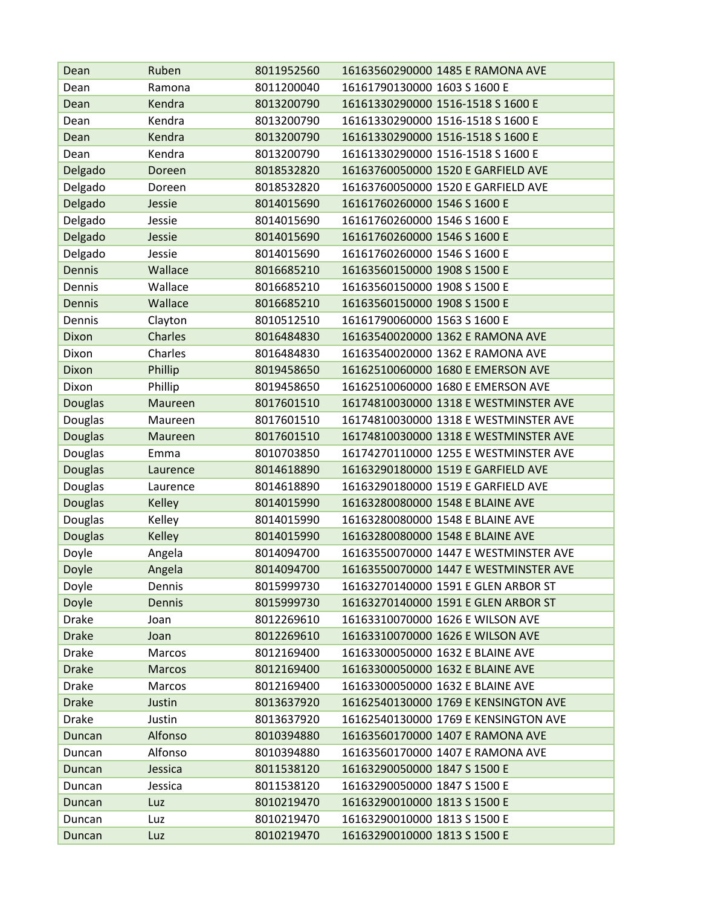| Dean           | Ruben          | 8011952560 | 16163560290000 1485 E RAMONA AVE      |
|----------------|----------------|------------|---------------------------------------|
| Dean           | Ramona         | 8011200040 | 16161790130000 1603 S 1600 E          |
| Dean           | Kendra         | 8013200790 | 16161330290000 1516-1518 S 1600 E     |
| Dean           | Kendra         | 8013200790 | 16161330290000 1516-1518 S 1600 E     |
| Dean           | Kendra         | 8013200790 | 16161330290000 1516-1518 S 1600 E     |
| Dean           | Kendra         | 8013200790 | 16161330290000 1516-1518 S 1600 E     |
| Delgado        | Doreen         | 8018532820 | 16163760050000 1520 E GARFIELD AVE    |
| Delgado        | Doreen         | 8018532820 | 16163760050000 1520 E GARFIELD AVE    |
| Delgado        | Jessie         | 8014015690 | 16161760260000 1546 S 1600 E          |
| Delgado        | Jessie         | 8014015690 | 16161760260000 1546 S 1600 E          |
| Delgado        | Jessie         | 8014015690 | 16161760260000 1546 S 1600 E          |
| Delgado        | Jessie         | 8014015690 | 16161760260000 1546 S 1600 E          |
| <b>Dennis</b>  | Wallace        | 8016685210 | 16163560150000 1908 S 1500 E          |
| Dennis         | Wallace        | 8016685210 | 16163560150000 1908 S 1500 E          |
| <b>Dennis</b>  | Wallace        | 8016685210 | 16163560150000 1908 S 1500 E          |
| Dennis         | Clayton        | 8010512510 | 16161790060000 1563 S 1600 E          |
| Dixon          | <b>Charles</b> | 8016484830 | 16163540020000 1362 E RAMONA AVE      |
| Dixon          | Charles        | 8016484830 | 16163540020000 1362 E RAMONA AVE      |
| Dixon          | Phillip        | 8019458650 | 16162510060000 1680 E EMERSON AVE     |
| Dixon          | Phillip        | 8019458650 | 16162510060000 1680 E EMERSON AVE     |
| <b>Douglas</b> | Maureen        | 8017601510 | 16174810030000 1318 E WESTMINSTER AVE |
| Douglas        | Maureen        | 8017601510 | 16174810030000 1318 E WESTMINSTER AVE |
| <b>Douglas</b> | Maureen        | 8017601510 | 16174810030000 1318 E WESTMINSTER AVE |
| Douglas        | Emma           | 8010703850 | 16174270110000 1255 E WESTMINSTER AVE |
| <b>Douglas</b> | Laurence       | 8014618890 | 16163290180000 1519 E GARFIELD AVE    |
| Douglas        | Laurence       | 8014618890 | 16163290180000 1519 E GARFIELD AVE    |
| <b>Douglas</b> | Kelley         | 8014015990 | 16163280080000 1548 E BLAINE AVE      |
| Douglas        | Kelley         | 8014015990 | 16163280080000 1548 E BLAINE AVE      |
| <b>Douglas</b> | <b>Kelley</b>  | 8014015990 | 16163280080000 1548 E BLAINE AVE      |
| Doyle          | Angela         | 8014094700 | 16163550070000 1447 E WESTMINSTER AVE |
| Doyle          | Angela         | 8014094700 | 16163550070000 1447 E WESTMINSTER AVE |
| Doyle          | Dennis         | 8015999730 | 16163270140000 1591 E GLEN ARBOR ST   |
| Doyle          | Dennis         | 8015999730 | 16163270140000 1591 E GLEN ARBOR ST   |
| Drake          | Joan           | 8012269610 | 16163310070000 1626 E WILSON AVE      |
| <b>Drake</b>   | Joan           | 8012269610 | 16163310070000 1626 E WILSON AVE      |
| Drake          | Marcos         | 8012169400 | 16163300050000 1632 E BLAINE AVE      |
| <b>Drake</b>   | <b>Marcos</b>  | 8012169400 | 16163300050000 1632 E BLAINE AVE      |
| <b>Drake</b>   | Marcos         | 8012169400 | 16163300050000 1632 E BLAINE AVE      |
| <b>Drake</b>   | Justin         | 8013637920 | 16162540130000 1769 E KENSINGTON AVE  |
| <b>Drake</b>   | Justin         | 8013637920 | 16162540130000 1769 E KENSINGTON AVE  |
| Duncan         | Alfonso        | 8010394880 | 16163560170000 1407 E RAMONA AVE      |
| Duncan         | Alfonso        | 8010394880 | 16163560170000 1407 E RAMONA AVE      |
| Duncan         | Jessica        | 8011538120 | 16163290050000 1847 S 1500 E          |
| Duncan         | Jessica        | 8011538120 | 16163290050000 1847 S 1500 E          |
| Duncan         | Luz            | 8010219470 | 16163290010000 1813 S 1500 E          |
| Duncan         | Luz            | 8010219470 | 16163290010000 1813 S 1500 E          |
| Duncan         | Luz            | 8010219470 | 16163290010000 1813 S 1500 E          |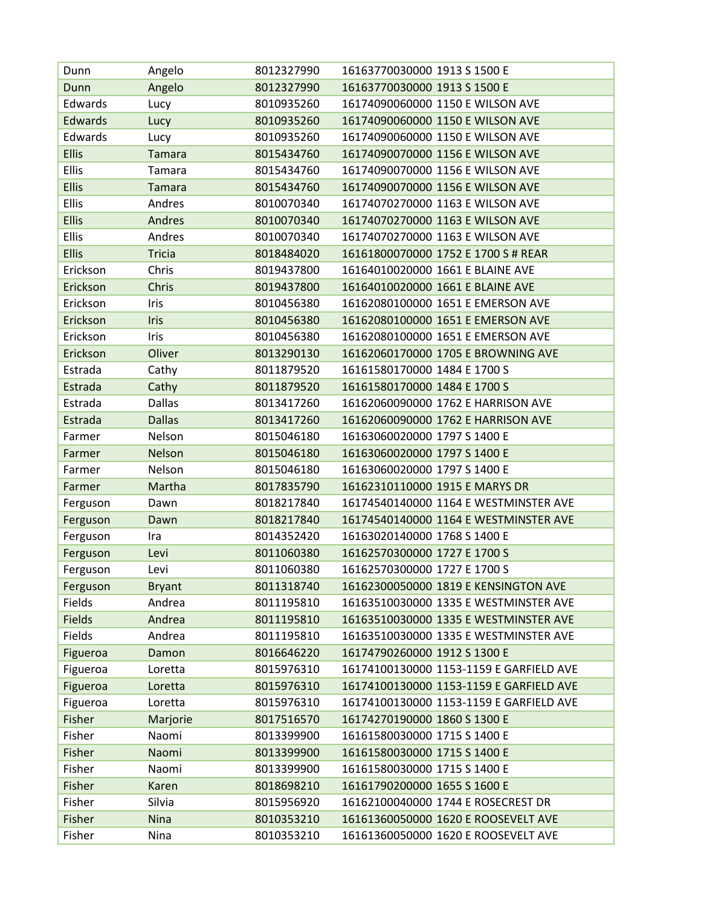| Dunn          | Angelo        | 8012327990 | 16163770030000 1913 S 1500 E            |
|---------------|---------------|------------|-----------------------------------------|
| Dunn          | Angelo        | 8012327990 | 16163770030000 1913 S 1500 E            |
| Edwards       | Lucy          | 8010935260 | 16174090060000 1150 E WILSON AVE        |
| Edwards       | Lucy          | 8010935260 | 16174090060000 1150 E WILSON AVE        |
| Edwards       | Lucy          | 8010935260 | 16174090060000 1150 E WILSON AVE        |
| <b>Ellis</b>  | <b>Tamara</b> | 8015434760 | 16174090070000 1156 E WILSON AVE        |
| <b>Ellis</b>  | <b>Tamara</b> | 8015434760 | 16174090070000 1156 E WILSON AVE        |
| <b>Ellis</b>  | <b>Tamara</b> | 8015434760 | 16174090070000 1156 E WILSON AVE        |
| <b>Ellis</b>  | Andres        | 8010070340 | 16174070270000 1163 E WILSON AVE        |
| <b>Ellis</b>  | Andres        | 8010070340 | 16174070270000 1163 E WILSON AVE        |
| <b>Ellis</b>  | Andres        | 8010070340 | 16174070270000 1163 E WILSON AVE        |
| <b>Ellis</b>  | <b>Tricia</b> | 8018484020 | 16161800070000 1752 E 1700 S # REAR     |
| Erickson      | Chris         | 8019437800 | 16164010020000 1661 E BLAINE AVE        |
| Erickson      | Chris         | 8019437800 | 16164010020000 1661 E BLAINE AVE        |
| Erickson      | Iris          | 8010456380 | 16162080100000 1651 E EMERSON AVE       |
| Erickson      | Iris          | 8010456380 | 16162080100000 1651 E EMERSON AVE       |
| Erickson      | Iris          | 8010456380 | 16162080100000 1651 E EMERSON AVE       |
| Erickson      | Oliver        | 8013290130 | 16162060170000 1705 E BROWNING AVE      |
| Estrada       | Cathy         | 8011879520 | 16161580170000 1484 E 1700 S            |
| Estrada       | Cathy         | 8011879520 | 16161580170000 1484 E 1700 S            |
| Estrada       | <b>Dallas</b> | 8013417260 | 16162060090000 1762 E HARRISON AVE      |
| Estrada       | <b>Dallas</b> | 8013417260 | 16162060090000 1762 E HARRISON AVE      |
| Farmer        | Nelson        | 8015046180 | 16163060020000 1797 S 1400 E            |
| Farmer        | Nelson        | 8015046180 | 16163060020000 1797 S 1400 E            |
| Farmer        | Nelson        | 8015046180 | 16163060020000 1797 S 1400 E            |
| Farmer        | Martha        | 8017835790 | 16162310110000 1915 E MARYS DR          |
| Ferguson      | Dawn          | 8018217840 | 16174540140000 1164 E WESTMINSTER AVE   |
| Ferguson      | Dawn          | 8018217840 | 16174540140000 1164 E WESTMINSTER AVE   |
| Ferguson      | Ira           | 8014352420 | 16163020140000 1768 S 1400 E            |
| Ferguson      | Levi          | 8011060380 | 16162570300000 1727 E 1700 S            |
| Ferguson      | Levi          | 8011060380 | 16162570300000 1727 E 1700 S            |
| Ferguson      | <b>Bryant</b> | 8011318740 | 16162300050000 1819 E KENSINGTON AVE    |
| Fields        | Andrea        | 8011195810 | 16163510030000 1335 E WESTMINSTER AVE   |
| <b>Fields</b> | Andrea        | 8011195810 | 16163510030000 1335 E WESTMINSTER AVE   |
| Fields        | Andrea        | 8011195810 | 16163510030000 1335 E WESTMINSTER AVE   |
| Figueroa      | Damon         | 8016646220 | 16174790260000 1912 S 1300 E            |
| Figueroa      | Loretta       | 8015976310 | 16174100130000 1153-1159 E GARFIELD AVE |
| Figueroa      | Loretta       | 8015976310 | 16174100130000 1153-1159 E GARFIELD AVE |
| Figueroa      | Loretta       | 8015976310 | 16174100130000 1153-1159 E GARFIELD AVE |
| Fisher        | Marjorie      | 8017516570 | 16174270190000 1860 S 1300 E            |
| Fisher        | Naomi         | 8013399900 | 16161580030000 1715 S 1400 E            |
| Fisher        | Naomi         | 8013399900 | 16161580030000 1715 S 1400 E            |
| Fisher        | Naomi         | 8013399900 | 16161580030000 1715 S 1400 E            |
| Fisher        | Karen         | 8018698210 | 16161790200000 1655 S 1600 E            |
| Fisher        | Silvia        | 8015956920 | 16162100040000 1744 E ROSECREST DR      |
| Fisher        | <b>Nina</b>   | 8010353210 | 16161360050000 1620 E ROOSEVELT AVE     |
| Fisher        | Nina          | 8010353210 | 16161360050000 1620 E ROOSEVELT AVE     |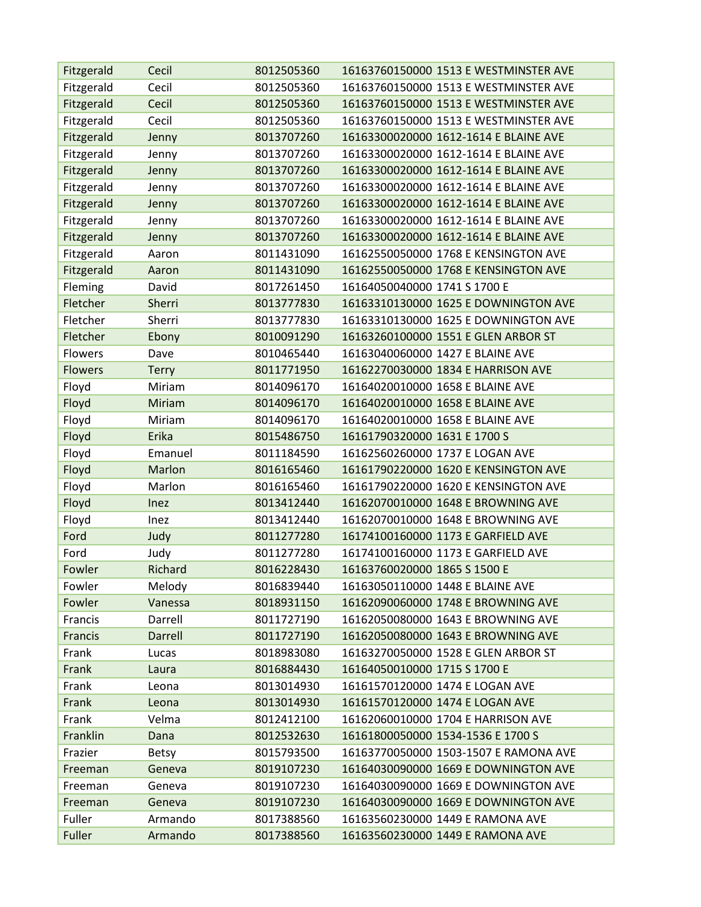| Fitzgerald     | Cecil        | 8012505360 | 16163760150000 1513 E WESTMINSTER AVE |
|----------------|--------------|------------|---------------------------------------|
| Fitzgerald     | Cecil        | 8012505360 | 16163760150000 1513 E WESTMINSTER AVE |
| Fitzgerald     | Cecil        | 8012505360 | 16163760150000 1513 E WESTMINSTER AVE |
| Fitzgerald     | Cecil        | 8012505360 | 16163760150000 1513 E WESTMINSTER AVE |
| Fitzgerald     | Jenny        | 8013707260 | 16163300020000 1612-1614 E BLAINE AVE |
| Fitzgerald     | Jenny        | 8013707260 | 16163300020000 1612-1614 E BLAINE AVE |
| Fitzgerald     | Jenny        | 8013707260 | 16163300020000 1612-1614 E BLAINE AVE |
| Fitzgerald     | Jenny        | 8013707260 | 16163300020000 1612-1614 E BLAINE AVE |
| Fitzgerald     | Jenny        | 8013707260 | 16163300020000 1612-1614 E BLAINE AVE |
| Fitzgerald     | Jenny        | 8013707260 | 16163300020000 1612-1614 E BLAINE AVE |
| Fitzgerald     | Jenny        | 8013707260 | 16163300020000 1612-1614 E BLAINE AVE |
| Fitzgerald     | Aaron        | 8011431090 | 16162550050000 1768 E KENSINGTON AVE  |
| Fitzgerald     | Aaron        | 8011431090 | 16162550050000 1768 E KENSINGTON AVE  |
| Fleming        | David        | 8017261450 | 16164050040000 1741 S 1700 E          |
| Fletcher       | Sherri       | 8013777830 | 16163310130000 1625 E DOWNINGTON AVE  |
| Fletcher       | Sherri       | 8013777830 | 16163310130000 1625 E DOWNINGTON AVE  |
| Fletcher       | Ebony        | 8010091290 | 16163260100000 1551 E GLEN ARBOR ST   |
| Flowers        | Dave         | 8010465440 | 16163040060000 1427 E BLAINE AVE      |
| <b>Flowers</b> | <b>Terry</b> | 8011771950 | 16162270030000 1834 E HARRISON AVE    |
| Floyd          | Miriam       | 8014096170 | 16164020010000 1658 E BLAINE AVE      |
| Floyd          | Miriam       | 8014096170 | 16164020010000 1658 E BLAINE AVE      |
| Floyd          | Miriam       | 8014096170 | 16164020010000 1658 E BLAINE AVE      |
| Floyd          | Erika        | 8015486750 | 16161790320000 1631 E 1700 S          |
| Floyd          | Emanuel      | 8011184590 | 16162560260000 1737 E LOGAN AVE       |
| Floyd          | Marlon       | 8016165460 | 16161790220000 1620 E KENSINGTON AVE  |
| Floyd          | Marlon       | 8016165460 | 16161790220000 1620 E KENSINGTON AVE  |
| Floyd          | Inez         | 8013412440 | 16162070010000 1648 E BROWNING AVE    |
| Floyd          | Inez         | 8013412440 | 16162070010000 1648 E BROWNING AVE    |
| Ford           | Judy         | 8011277280 | 16174100160000 1173 E GARFIELD AVE    |
| Ford           | Judy         | 8011277280 | 16174100160000 1173 E GARFIELD AVE    |
| Fowler         | Richard      | 8016228430 | 16163760020000 1865 S 1500 E          |
| Fowler         | Melody       | 8016839440 | 16163050110000 1448 E BLAINE AVE      |
| Fowler         | Vanessa      | 8018931150 | 16162090060000 1748 E BROWNING AVE    |
| Francis        | Darrell      | 8011727190 | 16162050080000 1643 E BROWNING AVE    |
| Francis        | Darrell      | 8011727190 | 16162050080000 1643 E BROWNING AVE    |
| Frank          | Lucas        | 8018983080 | 16163270050000 1528 E GLEN ARBOR ST   |
| Frank          | Laura        | 8016884430 | 16164050010000 1715 S 1700 E          |
| Frank          | Leona        | 8013014930 | 16161570120000 1474 E LOGAN AVE       |
| Frank          | Leona        | 8013014930 | 16161570120000 1474 E LOGAN AVE       |
| Frank          | Velma        | 8012412100 | 16162060010000 1704 E HARRISON AVE    |
| Franklin       | Dana         | 8012532630 | 16161800050000 1534-1536 E 1700 S     |
| Frazier        | <b>Betsy</b> | 8015793500 | 16163770050000 1503-1507 E RAMONA AVE |
| Freeman        | Geneva       | 8019107230 | 16164030090000 1669 E DOWNINGTON AVE  |
| Freeman        | Geneva       | 8019107230 | 16164030090000 1669 E DOWNINGTON AVE  |
| Freeman        | Geneva       | 8019107230 | 16164030090000 1669 E DOWNINGTON AVE  |
| Fuller         | Armando      | 8017388560 | 16163560230000 1449 E RAMONA AVE      |
| Fuller         | Armando      | 8017388560 | 16163560230000 1449 E RAMONA AVE      |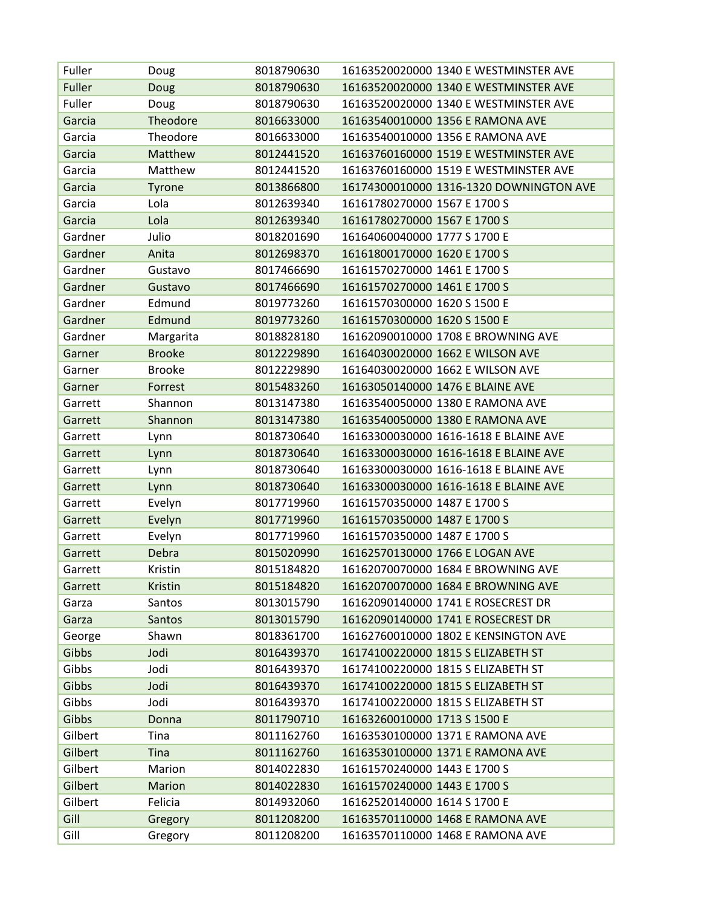| Fuller  | Doug          | 8018790630 | 16163520020000 1340 E WESTMINSTER AVE   |
|---------|---------------|------------|-----------------------------------------|
| Fuller  | Doug          | 8018790630 | 16163520020000 1340 E WESTMINSTER AVE   |
| Fuller  | Doug          | 8018790630 | 16163520020000 1340 E WESTMINSTER AVE   |
| Garcia  | Theodore      | 8016633000 | 16163540010000 1356 E RAMONA AVE        |
| Garcia  | Theodore      | 8016633000 | 16163540010000 1356 E RAMONA AVE        |
| Garcia  | Matthew       | 8012441520 | 16163760160000 1519 E WESTMINSTER AVE   |
| Garcia  | Matthew       | 8012441520 | 16163760160000 1519 E WESTMINSTER AVE   |
| Garcia  | <b>Tyrone</b> | 8013866800 | 16174300010000 1316-1320 DOWNINGTON AVE |
| Garcia  | Lola          | 8012639340 | 16161780270000 1567 E 1700 S            |
| Garcia  | Lola          | 8012639340 | 16161780270000 1567 E 1700 S            |
| Gardner | Julio         | 8018201690 | 16164060040000 1777 S 1700 E            |
| Gardner | Anita         | 8012698370 | 16161800170000 1620 E 1700 S            |
| Gardner | Gustavo       | 8017466690 | 16161570270000 1461 E 1700 S            |
| Gardner | Gustavo       | 8017466690 | 16161570270000 1461 E 1700 S            |
| Gardner | Edmund        | 8019773260 | 16161570300000 1620 S 1500 E            |
| Gardner | Edmund        | 8019773260 | 16161570300000 1620 S 1500 E            |
| Gardner | Margarita     | 8018828180 | 16162090010000 1708 E BROWNING AVE      |
| Garner  | <b>Brooke</b> | 8012229890 | 16164030020000 1662 E WILSON AVE        |
| Garner  | <b>Brooke</b> | 8012229890 | 16164030020000 1662 E WILSON AVE        |
| Garner  | Forrest       | 8015483260 | 16163050140000 1476 E BLAINE AVE        |
| Garrett | Shannon       | 8013147380 | 16163540050000 1380 E RAMONA AVE        |
| Garrett | Shannon       | 8013147380 | 16163540050000 1380 E RAMONA AVE        |
| Garrett | Lynn          | 8018730640 | 16163300030000 1616-1618 E BLAINE AVE   |
| Garrett | Lynn          | 8018730640 | 16163300030000 1616-1618 E BLAINE AVE   |
| Garrett | Lynn          | 8018730640 | 16163300030000 1616-1618 E BLAINE AVE   |
| Garrett | Lynn          | 8018730640 | 16163300030000 1616-1618 E BLAINE AVE   |
| Garrett | Evelyn        | 8017719960 | 16161570350000 1487 E 1700 S            |
| Garrett | Evelyn        | 8017719960 | 16161570350000 1487 E 1700 S            |
| Garrett | Evelyn        | 8017719960 | 16161570350000 1487 E 1700 S            |
| Garrett | Debra         | 8015020990 | 16162570130000 1766 E LOGAN AVE         |
| Garrett | Kristin       | 8015184820 | 16162070070000 1684 E BROWNING AVE      |
| Garrett | Kristin       | 8015184820 | 16162070070000 1684 E BROWNING AVE      |
| Garza   | Santos        | 8013015790 | 16162090140000 1741 E ROSECREST DR      |
| Garza   | Santos        | 8013015790 | 16162090140000 1741 E ROSECREST DR      |
| George  | Shawn         | 8018361700 | 16162760010000 1802 E KENSINGTON AVE    |
| Gibbs   | Jodi          | 8016439370 | 16174100220000 1815 S ELIZABETH ST      |
| Gibbs   | Jodi          | 8016439370 | 16174100220000 1815 S ELIZABETH ST      |
| Gibbs   | Jodi          | 8016439370 | 16174100220000 1815 S ELIZABETH ST      |
| Gibbs   | Jodi          | 8016439370 | 16174100220000 1815 S ELIZABETH ST      |
| Gibbs   | Donna         | 8011790710 | 16163260010000 1713 S 1500 E            |
| Gilbert | Tina          | 8011162760 | 16163530100000 1371 E RAMONA AVE        |
| Gilbert | Tina          | 8011162760 | 16163530100000 1371 E RAMONA AVE        |
| Gilbert | Marion        | 8014022830 | 16161570240000 1443 E 1700 S            |
| Gilbert | <b>Marion</b> | 8014022830 | 16161570240000 1443 E 1700 S            |
| Gilbert | Felicia       | 8014932060 | 16162520140000 1614 S 1700 E            |
| Gill    | Gregory       | 8011208200 | 16163570110000 1468 E RAMONA AVE        |
| Gill    | Gregory       | 8011208200 | 16163570110000 1468 E RAMONA AVE        |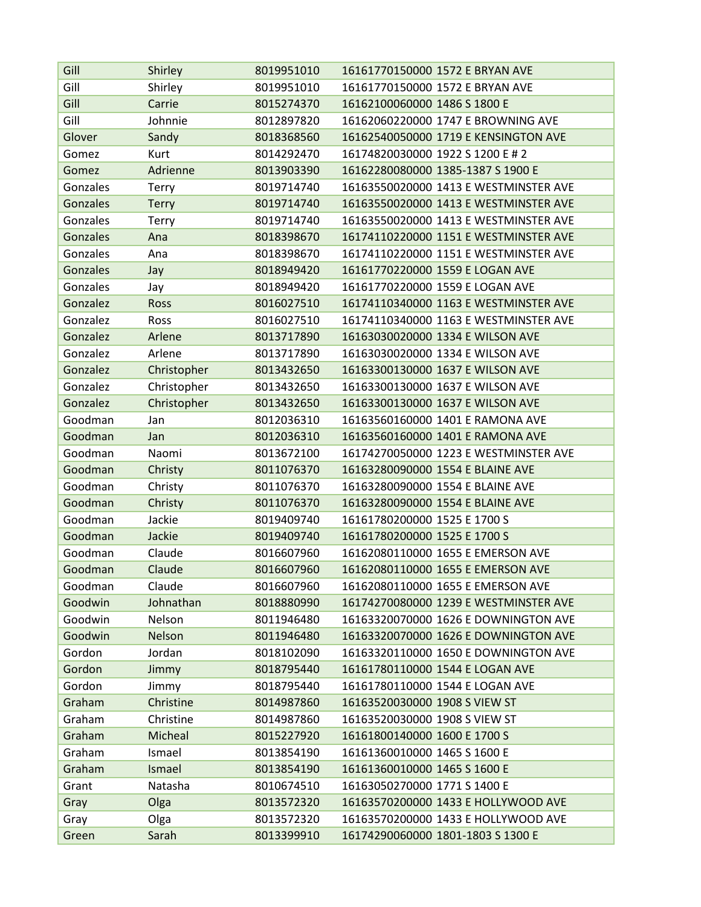| Gill            | Shirley      | 8019951010 | 16161770150000 1572 E BRYAN AVE       |
|-----------------|--------------|------------|---------------------------------------|
| Gill            | Shirley      | 8019951010 | 16161770150000 1572 E BRYAN AVE       |
| Gill            | Carrie       | 8015274370 | 16162100060000 1486 S 1800 E          |
| Gill            | Johnnie      | 8012897820 | 16162060220000 1747 E BROWNING AVE    |
| Glover          | Sandy        | 8018368560 | 16162540050000 1719 E KENSINGTON AVE  |
| Gomez           | Kurt         | 8014292470 | 16174820030000 1922 S 1200 E # 2      |
| Gomez           | Adrienne     | 8013903390 | 16162280080000 1385-1387 S 1900 E     |
| Gonzales        | <b>Terry</b> | 8019714740 | 16163550020000 1413 E WESTMINSTER AVE |
| <b>Gonzales</b> | <b>Terry</b> | 8019714740 | 16163550020000 1413 E WESTMINSTER AVE |
| Gonzales        | <b>Terry</b> | 8019714740 | 16163550020000 1413 E WESTMINSTER AVE |
| Gonzales        | Ana          | 8018398670 | 16174110220000 1151 E WESTMINSTER AVE |
| Gonzales        | Ana          | 8018398670 | 16174110220000 1151 E WESTMINSTER AVE |
| <b>Gonzales</b> | Jay          | 8018949420 | 16161770220000 1559 E LOGAN AVE       |
| Gonzales        | Jay          | 8018949420 | 16161770220000 1559 E LOGAN AVE       |
| Gonzalez        | Ross         | 8016027510 | 16174110340000 1163 E WESTMINSTER AVE |
| Gonzalez        | Ross         | 8016027510 | 16174110340000 1163 E WESTMINSTER AVE |
| Gonzalez        | Arlene       | 8013717890 | 16163030020000 1334 E WILSON AVE      |
| Gonzalez        | Arlene       | 8013717890 | 16163030020000 1334 E WILSON AVE      |
| Gonzalez        | Christopher  | 8013432650 | 16163300130000 1637 E WILSON AVE      |
| Gonzalez        | Christopher  | 8013432650 | 16163300130000 1637 E WILSON AVE      |
| Gonzalez        | Christopher  | 8013432650 | 16163300130000 1637 E WILSON AVE      |
| Goodman         | Jan          | 8012036310 | 16163560160000 1401 E RAMONA AVE      |
| Goodman         | Jan          | 8012036310 | 16163560160000 1401 E RAMONA AVE      |
| Goodman         | Naomi        | 8013672100 | 16174270050000 1223 E WESTMINSTER AVE |
| Goodman         | Christy      | 8011076370 | 16163280090000 1554 E BLAINE AVE      |
| Goodman         | Christy      | 8011076370 | 16163280090000 1554 E BLAINE AVE      |
| Goodman         | Christy      | 8011076370 | 16163280090000 1554 E BLAINE AVE      |
| Goodman         | Jackie       | 8019409740 | 16161780200000 1525 E 1700 S          |
| Goodman         | Jackie       | 8019409740 | 16161780200000 1525 E 1700 S          |
| Goodman         | Claude       | 8016607960 | 16162080110000 1655 E EMERSON AVE     |
| Goodman         | Claude       | 8016607960 | 16162080110000 1655 E EMERSON AVE     |
| Goodman         | Claude       | 8016607960 | 16162080110000 1655 E EMERSON AVE     |
| Goodwin         | Johnathan    | 8018880990 | 16174270080000 1239 E WESTMINSTER AVE |
| Goodwin         | Nelson       | 8011946480 | 16163320070000 1626 E DOWNINGTON AVE  |
| Goodwin         | Nelson       | 8011946480 | 16163320070000 1626 E DOWNINGTON AVE  |
| Gordon          | Jordan       | 8018102090 | 16163320110000 1650 E DOWNINGTON AVE  |
| Gordon          | Jimmy        | 8018795440 | 16161780110000 1544 E LOGAN AVE       |
| Gordon          | Jimmy        | 8018795440 | 16161780110000 1544 E LOGAN AVE       |
| Graham          | Christine    | 8014987860 | 16163520030000 1908 S VIEW ST         |
| Graham          | Christine    | 8014987860 | 16163520030000 1908 S VIEW ST         |
| Graham          | Micheal      | 8015227920 | 16161800140000 1600 E 1700 S          |
| Graham          | Ismael       | 8013854190 | 16161360010000 1465 S 1600 E          |
| Graham          | Ismael       | 8013854190 | 16161360010000 1465 S 1600 E          |
| Grant           | Natasha      | 8010674510 | 16163050270000 1771 S 1400 E          |
| Gray            | Olga         | 8013572320 | 16163570200000 1433 E HOLLYWOOD AVE   |
| Gray            | Olga         | 8013572320 | 16163570200000 1433 E HOLLYWOOD AVE   |
| Green           | Sarah        | 8013399910 | 16174290060000 1801-1803 S 1300 E     |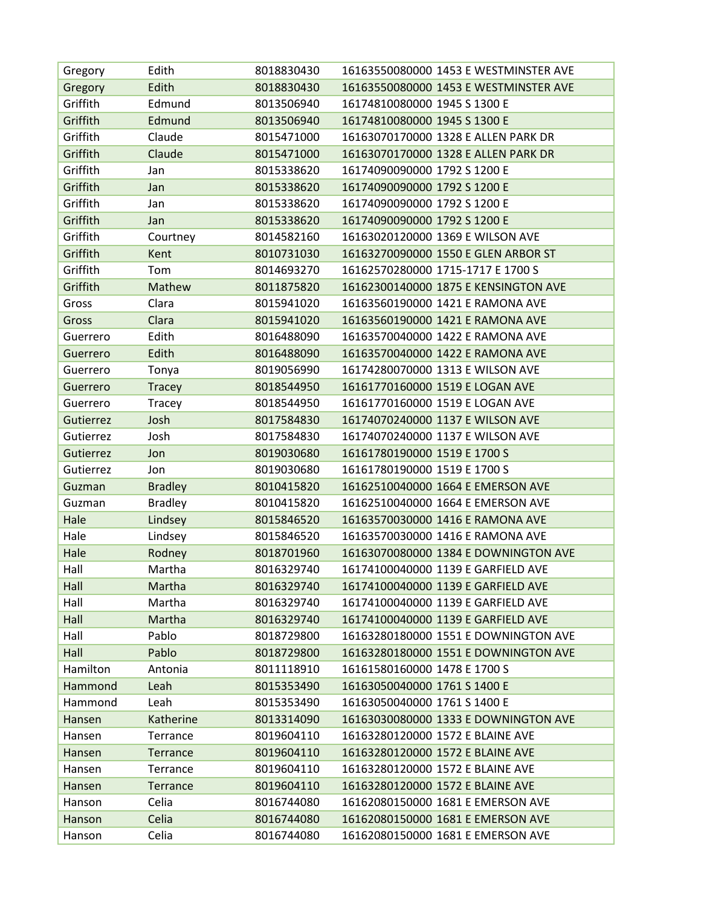| Gregory          | Edith          | 8018830430 | 16163550080000 1453 E WESTMINSTER AVE |
|------------------|----------------|------------|---------------------------------------|
| Gregory          | Edith          | 8018830430 | 16163550080000 1453 E WESTMINSTER AVE |
| Griffith         | Edmund         | 8013506940 | 16174810080000 1945 S 1300 E          |
| Griffith         | Edmund         | 8013506940 | 16174810080000 1945 S 1300 E          |
| Griffith         | Claude         | 8015471000 | 16163070170000 1328 E ALLEN PARK DR   |
| Griffith         | Claude         | 8015471000 | 16163070170000 1328 E ALLEN PARK DR   |
| Griffith         | Jan            | 8015338620 | 16174090090000 1792 S 1200 E          |
| Griffith         | Jan            | 8015338620 | 16174090090000 1792 S 1200 E          |
| Griffith         | Jan            | 8015338620 | 16174090090000 1792 S 1200 E          |
| Griffith         | Jan            | 8015338620 | 16174090090000 1792 S 1200 E          |
| Griffith         | Courtney       | 8014582160 | 16163020120000 1369 E WILSON AVE      |
| Griffith         | Kent           | 8010731030 | 16163270090000 1550 E GLEN ARBOR ST   |
| Griffith         | Tom            | 8014693270 | 16162570280000 1715-1717 E 1700 S     |
| Griffith         | Mathew         | 8011875820 | 16162300140000 1875 E KENSINGTON AVE  |
| Gross            | Clara          | 8015941020 | 16163560190000 1421 E RAMONA AVE      |
| Gross            | Clara          | 8015941020 | 16163560190000 1421 E RAMONA AVE      |
| Guerrero         | Edith          | 8016488090 | 16163570040000 1422 E RAMONA AVE      |
| Guerrero         | Edith          | 8016488090 | 16163570040000 1422 E RAMONA AVE      |
| Guerrero         | Tonya          | 8019056990 | 16174280070000 1313 E WILSON AVE      |
| Guerrero         | <b>Tracey</b>  | 8018544950 | 16161770160000 1519 E LOGAN AVE       |
| Guerrero         | <b>Tracey</b>  | 8018544950 | 16161770160000 1519 E LOGAN AVE       |
| <b>Gutierrez</b> | Josh           | 8017584830 | 16174070240000 1137 E WILSON AVE      |
| Gutierrez        | Josh           | 8017584830 | 16174070240000 1137 E WILSON AVE      |
| <b>Gutierrez</b> | Jon            | 8019030680 | 16161780190000 1519 E 1700 S          |
| Gutierrez        | Jon            | 8019030680 | 16161780190000 1519 E 1700 S          |
| Guzman           | <b>Bradley</b> | 8010415820 | 16162510040000 1664 E EMERSON AVE     |
| Guzman           | <b>Bradley</b> | 8010415820 | 16162510040000 1664 E EMERSON AVE     |
| Hale             | Lindsey        | 8015846520 | 16163570030000 1416 E RAMONA AVE      |
| Hale             | Lindsey        | 8015846520 | 16163570030000 1416 E RAMONA AVE      |
| Hale             | Rodney         | 8018701960 | 16163070080000 1384 E DOWNINGTON AVE  |
| Hall             | Martha         | 8016329740 | 16174100040000 1139 E GARFIELD AVE    |
| Hall             | Martha         | 8016329740 | 16174100040000 1139 E GARFIELD AVE    |
| Hall             | Martha         | 8016329740 | 16174100040000 1139 E GARFIELD AVE    |
| Hall             | Martha         | 8016329740 | 16174100040000 1139 E GARFIELD AVE    |
| Hall             | Pablo          | 8018729800 | 16163280180000 1551 E DOWNINGTON AVE  |
| Hall             | Pablo          | 8018729800 | 16163280180000 1551 E DOWNINGTON AVE  |
| Hamilton         | Antonia        | 8011118910 | 16161580160000 1478 E 1700 S          |
| Hammond          | Leah           | 8015353490 | 16163050040000 1761 S 1400 E          |
| Hammond          | Leah           | 8015353490 | 16163050040000 1761 S 1400 E          |
| Hansen           | Katherine      | 8013314090 | 16163030080000 1333 E DOWNINGTON AVE  |
| Hansen           | Terrance       | 8019604110 | 16163280120000 1572 E BLAINE AVE      |
| Hansen           | Terrance       | 8019604110 | 16163280120000 1572 E BLAINE AVE      |
| Hansen           | Terrance       | 8019604110 | 16163280120000 1572 E BLAINE AVE      |
| Hansen           | Terrance       | 8019604110 | 16163280120000 1572 E BLAINE AVE      |
| Hanson           | Celia          | 8016744080 | 16162080150000 1681 E EMERSON AVE     |
| Hanson           | Celia          | 8016744080 | 16162080150000 1681 E EMERSON AVE     |
| Hanson           | Celia          | 8016744080 | 16162080150000 1681 E EMERSON AVE     |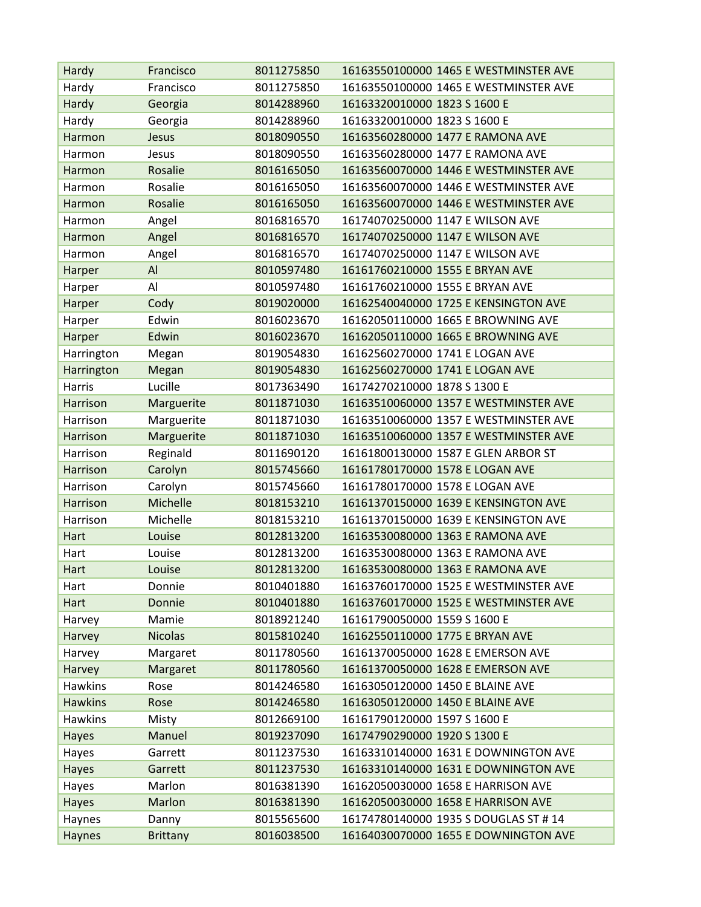| Hardy          | Francisco       | 8011275850 | 16163550100000 1465 E WESTMINSTER AVE |
|----------------|-----------------|------------|---------------------------------------|
| Hardy          | Francisco       | 8011275850 | 16163550100000 1465 E WESTMINSTER AVE |
| Hardy          | Georgia         | 8014288960 | 16163320010000 1823 S 1600 E          |
| Hardy          | Georgia         | 8014288960 | 16163320010000 1823 S 1600 E          |
| Harmon         | Jesus           | 8018090550 | 16163560280000 1477 E RAMONA AVE      |
| Harmon         | Jesus           | 8018090550 | 16163560280000 1477 E RAMONA AVE      |
| Harmon         | Rosalie         | 8016165050 | 16163560070000 1446 E WESTMINSTER AVE |
| Harmon         | Rosalie         | 8016165050 | 16163560070000 1446 E WESTMINSTER AVE |
| Harmon         | Rosalie         | 8016165050 | 16163560070000 1446 E WESTMINSTER AVE |
| Harmon         | Angel           | 8016816570 | 16174070250000 1147 E WILSON AVE      |
| Harmon         | Angel           | 8016816570 | 16174070250000 1147 E WILSON AVE      |
| Harmon         | Angel           | 8016816570 | 16174070250000 1147 E WILSON AVE      |
| Harper         | Al              | 8010597480 | 16161760210000 1555 E BRYAN AVE       |
| Harper         | Al              | 8010597480 | 16161760210000 1555 E BRYAN AVE       |
| Harper         | Cody            | 8019020000 | 16162540040000 1725 E KENSINGTON AVE  |
| Harper         | Edwin           | 8016023670 | 16162050110000 1665 E BROWNING AVE    |
| Harper         | Edwin           | 8016023670 | 16162050110000 1665 E BROWNING AVE    |
| Harrington     | Megan           | 8019054830 | 16162560270000 1741 E LOGAN AVE       |
| Harrington     | Megan           | 8019054830 | 16162560270000 1741 E LOGAN AVE       |
| Harris         | Lucille         | 8017363490 | 16174270210000 1878 S 1300 E          |
| Harrison       | Marguerite      | 8011871030 | 16163510060000 1357 E WESTMINSTER AVE |
| Harrison       | Marguerite      | 8011871030 | 16163510060000 1357 E WESTMINSTER AVE |
| Harrison       | Marguerite      | 8011871030 | 16163510060000 1357 E WESTMINSTER AVE |
| Harrison       | Reginald        | 8011690120 | 16161800130000 1587 E GLEN ARBOR ST   |
| Harrison       | Carolyn         | 8015745660 | 16161780170000 1578 E LOGAN AVE       |
| Harrison       | Carolyn         | 8015745660 | 16161780170000 1578 E LOGAN AVE       |
| Harrison       | Michelle        | 8018153210 | 16161370150000 1639 E KENSINGTON AVE  |
| Harrison       | Michelle        | 8018153210 | 16161370150000 1639 E KENSINGTON AVE  |
| Hart           | Louise          | 8012813200 | 16163530080000 1363 E RAMONA AVE      |
| Hart           | Louise          | 8012813200 | 16163530080000 1363 E RAMONA AVE      |
| Hart           | Louise          | 8012813200 | 16163530080000 1363 E RAMONA AVE      |
| Hart           | Donnie          | 8010401880 | 16163760170000 1525 E WESTMINSTER AVE |
| Hart           | Donnie          | 8010401880 | 16163760170000 1525 E WESTMINSTER AVE |
| Harvey         | Mamie           | 8018921240 | 16161790050000 1559 S 1600 E          |
| Harvey         | <b>Nicolas</b>  | 8015810240 | 16162550110000 1775 E BRYAN AVE       |
| Harvey         | Margaret        | 8011780560 | 16161370050000 1628 E EMERSON AVE     |
| Harvey         | Margaret        | 8011780560 | 16161370050000 1628 E EMERSON AVE     |
| <b>Hawkins</b> | Rose            | 8014246580 | 16163050120000 1450 E BLAINE AVE      |
| <b>Hawkins</b> | Rose            | 8014246580 | 16163050120000 1450 E BLAINE AVE      |
| <b>Hawkins</b> | Misty           | 8012669100 | 16161790120000 1597 S 1600 E          |
| <b>Hayes</b>   | Manuel          | 8019237090 | 16174790290000 1920 S 1300 E          |
| Hayes          | Garrett         | 8011237530 | 16163310140000 1631 E DOWNINGTON AVE  |
| <b>Hayes</b>   | Garrett         | 8011237530 | 16163310140000 1631 E DOWNINGTON AVE  |
| Hayes          | Marlon          | 8016381390 | 16162050030000 1658 E HARRISON AVE    |
| <b>Hayes</b>   | Marlon          | 8016381390 | 16162050030000 1658 E HARRISON AVE    |
| Haynes         | Danny           | 8015565600 | 16174780140000 1935 S DOUGLAS ST # 14 |
| <b>Haynes</b>  | <b>Brittany</b> | 8016038500 | 16164030070000 1655 E DOWNINGTON AVE  |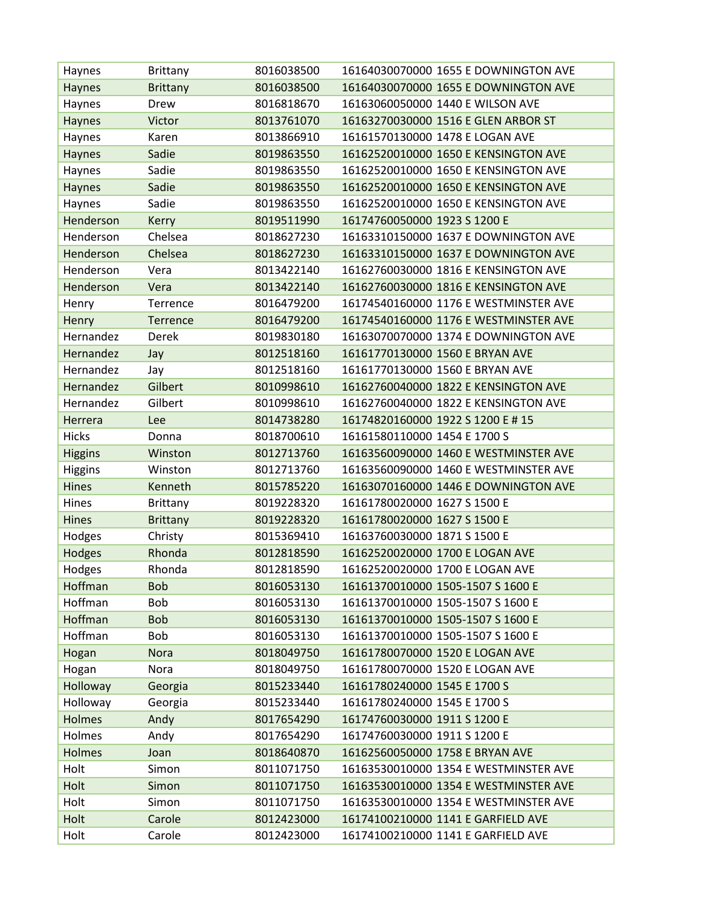| Haynes         | Brittany        | 8016038500 | 16164030070000 1655 E DOWNINGTON AVE  |
|----------------|-----------------|------------|---------------------------------------|
| Haynes         | <b>Brittany</b> | 8016038500 | 16164030070000 1655 E DOWNINGTON AVE  |
| Haynes         | Drew            | 8016818670 | 16163060050000 1440 E WILSON AVE      |
| Haynes         | Victor          | 8013761070 | 16163270030000 1516 E GLEN ARBOR ST   |
| Haynes         | Karen           | 8013866910 | 16161570130000 1478 E LOGAN AVE       |
| <b>Haynes</b>  | Sadie           | 8019863550 | 16162520010000 1650 E KENSINGTON AVE  |
| Haynes         | Sadie           | 8019863550 | 16162520010000 1650 E KENSINGTON AVE  |
| <b>Haynes</b>  | Sadie           | 8019863550 | 16162520010000 1650 E KENSINGTON AVE  |
| Haynes         | Sadie           | 8019863550 | 16162520010000 1650 E KENSINGTON AVE  |
| Henderson      | Kerry           | 8019511990 | 16174760050000 1923 S 1200 E          |
| Henderson      | Chelsea         | 8018627230 | 16163310150000 1637 E DOWNINGTON AVE  |
| Henderson      | Chelsea         | 8018627230 | 16163310150000 1637 E DOWNINGTON AVE  |
| Henderson      | Vera            | 8013422140 | 16162760030000 1816 E KENSINGTON AVE  |
| Henderson      | Vera            | 8013422140 | 16162760030000 1816 E KENSINGTON AVE  |
| Henry          | Terrence        | 8016479200 | 16174540160000 1176 E WESTMINSTER AVE |
| Henry          | <b>Terrence</b> | 8016479200 | 16174540160000 1176 E WESTMINSTER AVE |
| Hernandez      | <b>Derek</b>    | 8019830180 | 16163070070000 1374 E DOWNINGTON AVE  |
| Hernandez      | Jay             | 8012518160 | 16161770130000 1560 E BRYAN AVE       |
| Hernandez      | Jay             | 8012518160 | 16161770130000 1560 E BRYAN AVE       |
| Hernandez      | Gilbert         | 8010998610 | 16162760040000 1822 E KENSINGTON AVE  |
| Hernandez      | Gilbert         | 8010998610 | 16162760040000 1822 E KENSINGTON AVE  |
| Herrera        | Lee             | 8014738280 | 16174820160000 1922 S 1200 E # 15     |
| <b>Hicks</b>   | Donna           | 8018700610 | 16161580110000 1454 E 1700 S          |
| <b>Higgins</b> | Winston         | 8012713760 | 16163560090000 1460 E WESTMINSTER AVE |
| <b>Higgins</b> | Winston         | 8012713760 | 16163560090000 1460 E WESTMINSTER AVE |
| Hines          | Kenneth         | 8015785220 | 16163070160000 1446 E DOWNINGTON AVE  |
| <b>Hines</b>   | Brittany        | 8019228320 | 16161780020000 1627 S 1500 E          |
| Hines          | <b>Brittany</b> | 8019228320 | 16161780020000 1627 S 1500 E          |
| Hodges         | Christy         | 8015369410 | 16163760030000 1871 S 1500 E          |
| Hodges         | Rhonda          | 8012818590 | 16162520020000 1700 E LOGAN AVE       |
| Hodges         | Rhonda          | 8012818590 | 16162520020000 1700 E LOGAN AVE       |
| Hoffman        | <b>Bob</b>      | 8016053130 | 16161370010000 1505-1507 S 1600 E     |
| Hoffman        | Bob             | 8016053130 | 16161370010000 1505-1507 S 1600 E     |
| Hoffman        | <b>Bob</b>      | 8016053130 | 16161370010000 1505-1507 S 1600 E     |
| Hoffman        | Bob             | 8016053130 | 16161370010000 1505-1507 S 1600 E     |
| Hogan          | <b>Nora</b>     | 8018049750 | 16161780070000 1520 E LOGAN AVE       |
| Hogan          | Nora            | 8018049750 | 16161780070000 1520 E LOGAN AVE       |
| Holloway       | Georgia         | 8015233440 | 16161780240000 1545 E 1700 S          |
| Holloway       | Georgia         | 8015233440 | 16161780240000 1545 E 1700 S          |
| <b>Holmes</b>  | Andy            | 8017654290 | 16174760030000 1911 S 1200 E          |
| Holmes         | Andy            | 8017654290 | 16174760030000 1911 S 1200 E          |
| <b>Holmes</b>  | Joan            | 8018640870 | 16162560050000 1758 E BRYAN AVE       |
| Holt           | Simon           | 8011071750 | 16163530010000 1354 E WESTMINSTER AVE |
| Holt           | Simon           | 8011071750 | 16163530010000 1354 E WESTMINSTER AVE |
| Holt           | Simon           | 8011071750 | 16163530010000 1354 E WESTMINSTER AVE |
| Holt           | Carole          | 8012423000 | 16174100210000 1141 E GARFIELD AVE    |
| Holt           | Carole          | 8012423000 | 16174100210000 1141 E GARFIELD AVE    |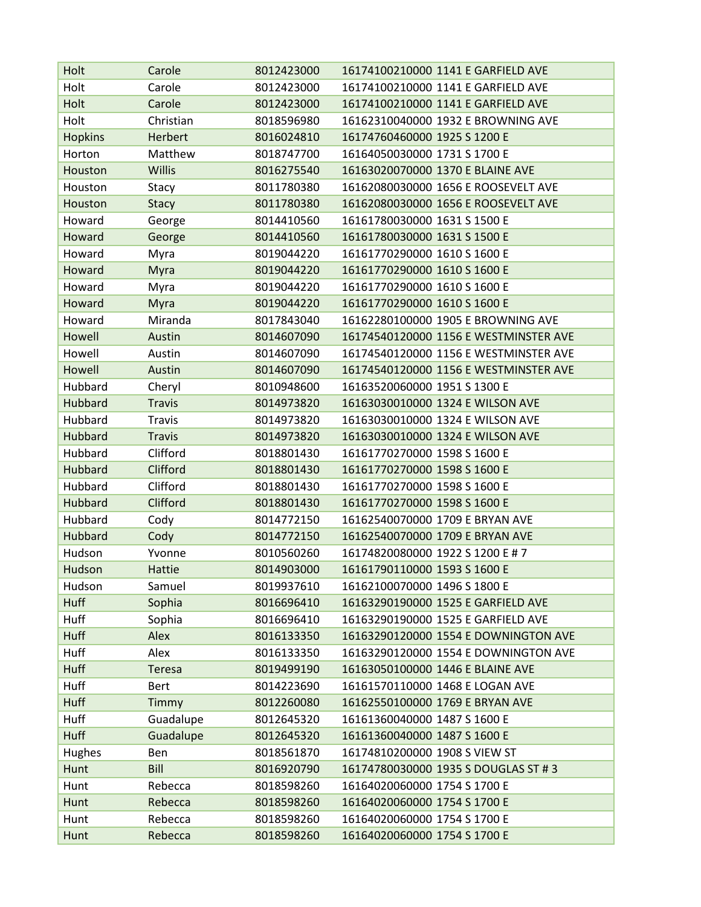| Holt           | Carole        | 8012423000 | 16174100210000 1141 E GARFIELD AVE    |
|----------------|---------------|------------|---------------------------------------|
| Holt           | Carole        | 8012423000 | 16174100210000 1141 E GARFIELD AVE    |
| Holt           | Carole        | 8012423000 | 16174100210000 1141 E GARFIELD AVE    |
| Holt           | Christian     | 8018596980 | 16162310040000 1932 E BROWNING AVE    |
| <b>Hopkins</b> | Herbert       | 8016024810 | 16174760460000 1925 S 1200 E          |
| Horton         | Matthew       | 8018747700 | 16164050030000 1731 S 1700 E          |
| Houston        | <b>Willis</b> | 8016275540 | 16163020070000 1370 E BLAINE AVE      |
| Houston        | Stacy         | 8011780380 | 16162080030000 1656 E ROOSEVELT AVE   |
| Houston        | <b>Stacy</b>  | 8011780380 | 16162080030000 1656 E ROOSEVELT AVE   |
| Howard         | George        | 8014410560 | 16161780030000 1631 S 1500 E          |
| Howard         | George        | 8014410560 | 16161780030000 1631 S 1500 E          |
| Howard         | Myra          | 8019044220 | 16161770290000 1610 S 1600 E          |
| Howard         | Myra          | 8019044220 | 16161770290000 1610 S 1600 E          |
| Howard         | Myra          | 8019044220 | 16161770290000 1610 S 1600 E          |
| Howard         | Myra          | 8019044220 | 16161770290000 1610 S 1600 E          |
| Howard         | Miranda       | 8017843040 | 16162280100000 1905 E BROWNING AVE    |
| Howell         | Austin        | 8014607090 | 16174540120000 1156 E WESTMINSTER AVE |
| Howell         | Austin        | 8014607090 | 16174540120000 1156 E WESTMINSTER AVE |
| Howell         | Austin        | 8014607090 | 16174540120000 1156 E WESTMINSTER AVE |
| Hubbard        | Cheryl        | 8010948600 | 16163520060000 1951 S 1300 E          |
| Hubbard        | <b>Travis</b> | 8014973820 | 16163030010000 1324 E WILSON AVE      |
| Hubbard        | <b>Travis</b> | 8014973820 | 16163030010000 1324 E WILSON AVE      |
| Hubbard        | <b>Travis</b> | 8014973820 | 16163030010000 1324 E WILSON AVE      |
| Hubbard        | Clifford      | 8018801430 | 16161770270000 1598 S 1600 E          |
| Hubbard        | Clifford      | 8018801430 | 16161770270000 1598 S 1600 E          |
| Hubbard        | Clifford      | 8018801430 | 16161770270000 1598 S 1600 E          |
| Hubbard        | Clifford      | 8018801430 | 16161770270000 1598 S 1600 E          |
| Hubbard        | Cody          | 8014772150 | 16162540070000 1709 E BRYAN AVE       |
| <b>Hubbard</b> | Cody          | 8014772150 | 16162540070000 1709 E BRYAN AVE       |
| Hudson         | Yvonne        | 8010560260 | 16174820080000 1922 S 1200 E # 7      |
| Hudson         | Hattie        | 8014903000 | 16161790110000 1593 S 1600 E          |
| Hudson         | Samuel        | 8019937610 | 16162100070000 1496 S 1800 E          |
| <b>Huff</b>    | Sophia        | 8016696410 | 16163290190000 1525 E GARFIELD AVE    |
| Huff           | Sophia        | 8016696410 | 16163290190000 1525 E GARFIELD AVE    |
| <b>Huff</b>    | Alex          | 8016133350 | 16163290120000 1554 E DOWNINGTON AVE  |
| Huff           | Alex          | 8016133350 | 16163290120000 1554 E DOWNINGTON AVE  |
| <b>Huff</b>    | <b>Teresa</b> | 8019499190 | 16163050100000 1446 E BLAINE AVE      |
| Huff           | <b>Bert</b>   | 8014223690 | 16161570110000 1468 E LOGAN AVE       |
| <b>Huff</b>    | Timmy         | 8012260080 | 16162550100000 1769 E BRYAN AVE       |
| Huff           | Guadalupe     | 8012645320 | 16161360040000 1487 S 1600 E          |
| <b>Huff</b>    | Guadalupe     | 8012645320 | 16161360040000 1487 S 1600 E          |
| Hughes         | Ben           | 8018561870 | 16174810200000 1908 S VIEW ST         |
| Hunt           | Bill          | 8016920790 | 16174780030000 1935 S DOUGLAS ST # 3  |
| Hunt           | Rebecca       | 8018598260 | 16164020060000 1754 S 1700 E          |
| Hunt           | Rebecca       | 8018598260 | 16164020060000 1754 S 1700 E          |
| Hunt           | Rebecca       | 8018598260 | 16164020060000 1754 S 1700 E          |
| Hunt           | Rebecca       | 8018598260 | 16164020060000 1754 S 1700 E          |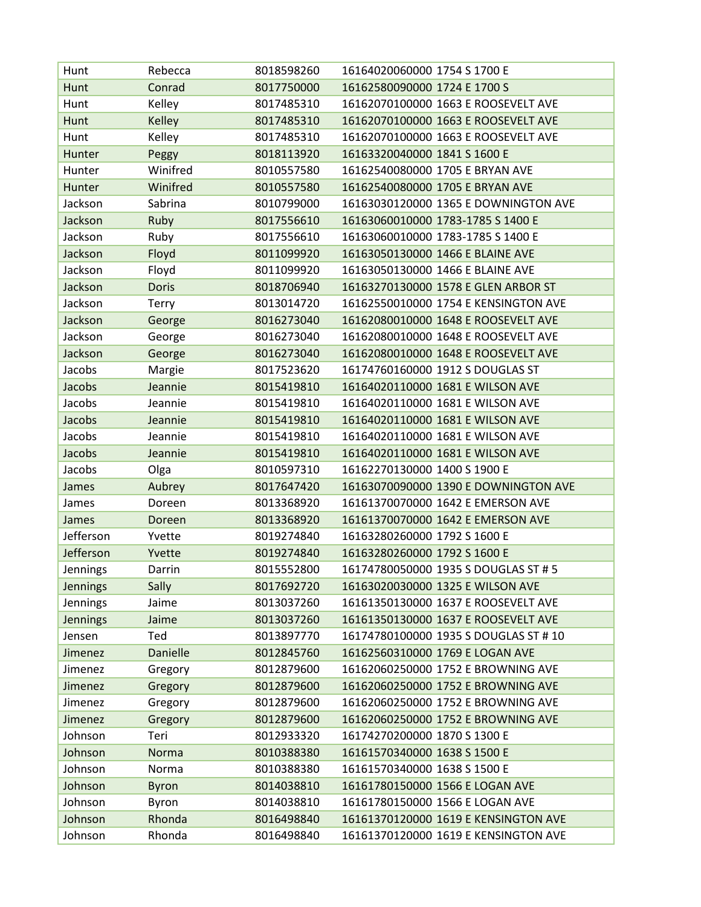| Hunt            | Rebecca         | 8018598260 | 16164020060000 1754 S 1700 E          |
|-----------------|-----------------|------------|---------------------------------------|
| Hunt            | Conrad          | 8017750000 | 16162580090000 1724 E 1700 S          |
| Hunt            | Kelley          | 8017485310 | 16162070100000 1663 E ROOSEVELT AVE   |
| Hunt            | <b>Kelley</b>   | 8017485310 | 16162070100000 1663 E ROOSEVELT AVE   |
| Hunt            | Kelley          | 8017485310 | 16162070100000 1663 E ROOSEVELT AVE   |
| Hunter          | Peggy           | 8018113920 | 16163320040000 1841 S 1600 E          |
| Hunter          | Winifred        | 8010557580 | 16162540080000 1705 E BRYAN AVE       |
| Hunter          | Winifred        | 8010557580 | 16162540080000 1705 E BRYAN AVE       |
| Jackson         | Sabrina         | 8010799000 | 16163030120000 1365 E DOWNINGTON AVE  |
| Jackson         | Ruby            | 8017556610 | 16163060010000 1783-1785 S 1400 E     |
| Jackson         | Ruby            | 8017556610 | 16163060010000 1783-1785 S 1400 E     |
| Jackson         | Floyd           | 8011099920 | 16163050130000 1466 E BLAINE AVE      |
| Jackson         | Floyd           | 8011099920 | 16163050130000 1466 E BLAINE AVE      |
| Jackson         | <b>Doris</b>    | 8018706940 | 16163270130000 1578 E GLEN ARBOR ST   |
| Jackson         | <b>Terry</b>    | 8013014720 | 16162550010000 1754 E KENSINGTON AVE  |
| Jackson         | George          | 8016273040 | 16162080010000 1648 E ROOSEVELT AVE   |
| Jackson         | George          | 8016273040 | 16162080010000 1648 E ROOSEVELT AVE   |
| Jackson         | George          | 8016273040 | 16162080010000 1648 E ROOSEVELT AVE   |
| Jacobs          | Margie          | 8017523620 | 16174760160000 1912 S DOUGLAS ST      |
| Jacobs          | Jeannie         | 8015419810 | 16164020110000 1681 E WILSON AVE      |
| Jacobs          | Jeannie         | 8015419810 | 16164020110000 1681 E WILSON AVE      |
| Jacobs          | Jeannie         | 8015419810 | 16164020110000 1681 E WILSON AVE      |
| Jacobs          | Jeannie         | 8015419810 | 16164020110000 1681 E WILSON AVE      |
| Jacobs          | Jeannie         | 8015419810 | 16164020110000 1681 E WILSON AVE      |
| Jacobs          | Olga            | 8010597310 | 16162270130000 1400 S 1900 E          |
| James           | Aubrey          | 8017647420 | 16163070090000 1390 E DOWNINGTON AVE  |
| James           | Doreen          | 8013368920 | 16161370070000 1642 E EMERSON AVE     |
| James           | Doreen          | 8013368920 | 16161370070000 1642 E EMERSON AVE     |
| Jefferson       | Yvette          | 8019274840 | 16163280260000 1792 S 1600 E          |
| Jefferson       | Yvette          | 8019274840 | 16163280260000 1792 S 1600 E          |
| Jennings        | Darrin          | 8015552800 | 16174780050000 1935 S DOUGLAS ST # 5  |
| <b>Jennings</b> | Sally           | 8017692720 | 16163020030000 1325 E WILSON AVE      |
| Jennings        | Jaime           | 8013037260 | 16161350130000 1637 E ROOSEVELT AVE   |
| <b>Jennings</b> | Jaime           | 8013037260 | 16161350130000 1637 E ROOSEVELT AVE   |
| Jensen          | Ted             | 8013897770 | 16174780100000 1935 S DOUGLAS ST # 10 |
| Jimenez         | <b>Danielle</b> | 8012845760 | 16162560310000 1769 E LOGAN AVE       |
| Jimenez         | Gregory         | 8012879600 | 16162060250000 1752 E BROWNING AVE    |
| Jimenez         | Gregory         | 8012879600 | 16162060250000 1752 E BROWNING AVE    |
| Jimenez         | Gregory         | 8012879600 | 16162060250000 1752 E BROWNING AVE    |
| Jimenez         | Gregory         | 8012879600 | 16162060250000 1752 E BROWNING AVE    |
| Johnson         | Teri            | 8012933320 | 16174270200000 1870 S 1300 E          |
| Johnson         | Norma           | 8010388380 | 16161570340000 1638 S 1500 E          |
| Johnson         | Norma           | 8010388380 | 16161570340000 1638 S 1500 E          |
| Johnson         | <b>Byron</b>    | 8014038810 | 16161780150000 1566 E LOGAN AVE       |
| Johnson         | Byron           | 8014038810 | 16161780150000 1566 E LOGAN AVE       |
| Johnson         | Rhonda          | 8016498840 | 16161370120000 1619 E KENSINGTON AVE  |
| Johnson         | Rhonda          | 8016498840 | 16161370120000 1619 E KENSINGTON AVE  |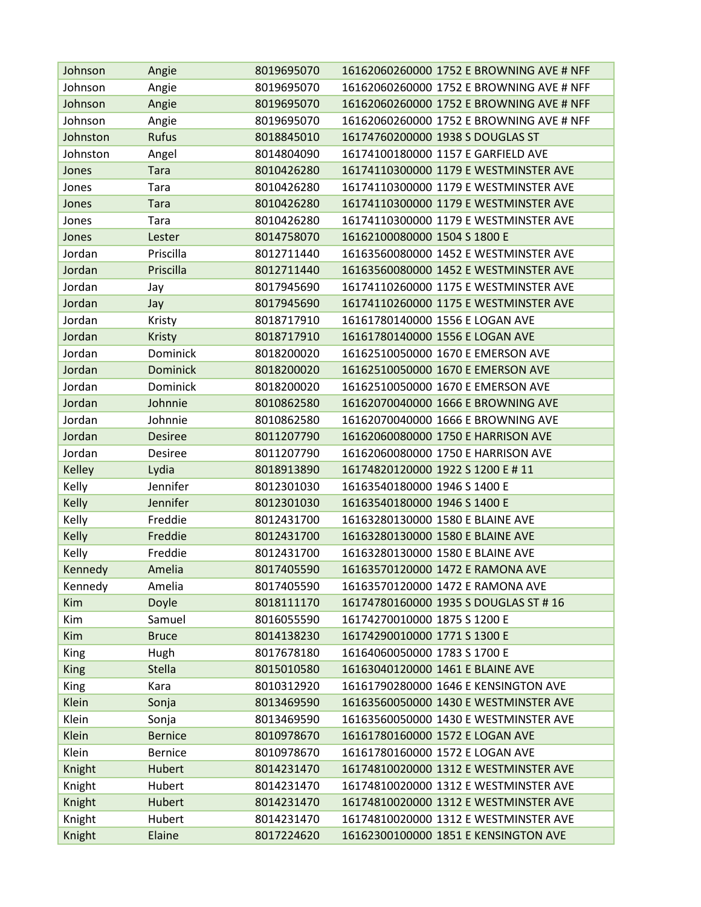| Johnson     | Angie           | 8019695070 | 16162060260000 1752 E BROWNING AVE # NFF |
|-------------|-----------------|------------|------------------------------------------|
| Johnson     | Angie           | 8019695070 | 16162060260000 1752 E BROWNING AVE # NFF |
| Johnson     | Angie           | 8019695070 | 16162060260000 1752 E BROWNING AVE # NFF |
| Johnson     | Angie           | 8019695070 | 16162060260000 1752 E BROWNING AVE # NFF |
| Johnston    | Rufus           | 8018845010 | 16174760200000 1938 S DOUGLAS ST         |
| Johnston    | Angel           | 8014804090 | 16174100180000 1157 E GARFIELD AVE       |
| Jones       | <b>Tara</b>     | 8010426280 | 16174110300000 1179 E WESTMINSTER AVE    |
| Jones       | Tara            | 8010426280 | 16174110300000 1179 E WESTMINSTER AVE    |
| Jones       | <b>Tara</b>     | 8010426280 | 16174110300000 1179 E WESTMINSTER AVE    |
| Jones       | Tara            | 8010426280 | 16174110300000 1179 E WESTMINSTER AVE    |
| Jones       | Lester          | 8014758070 | 16162100080000 1504 S 1800 E             |
| Jordan      | Priscilla       | 8012711440 | 16163560080000 1452 E WESTMINSTER AVE    |
| Jordan      | Priscilla       | 8012711440 | 16163560080000 1452 E WESTMINSTER AVE    |
| Jordan      | Jay             | 8017945690 | 16174110260000 1175 E WESTMINSTER AVE    |
| Jordan      | Jay             | 8017945690 | 16174110260000 1175 E WESTMINSTER AVE    |
| Jordan      | Kristy          | 8018717910 | 16161780140000 1556 E LOGAN AVE          |
| Jordan      | <b>Kristy</b>   | 8018717910 | 16161780140000 1556 E LOGAN AVE          |
| Jordan      | Dominick        | 8018200020 | 16162510050000 1670 E EMERSON AVE        |
| Jordan      | <b>Dominick</b> | 8018200020 | 16162510050000 1670 E EMERSON AVE        |
| Jordan      | Dominick        | 8018200020 | 16162510050000 1670 E EMERSON AVE        |
| Jordan      | Johnnie         | 8010862580 | 16162070040000 1666 E BROWNING AVE       |
| Jordan      | Johnnie         | 8010862580 | 16162070040000 1666 E BROWNING AVE       |
| Jordan      | <b>Desiree</b>  | 8011207790 | 16162060080000 1750 E HARRISON AVE       |
| Jordan      | <b>Desiree</b>  | 8011207790 | 16162060080000 1750 E HARRISON AVE       |
| Kelley      | Lydia           | 8018913890 | 16174820120000 1922 S 1200 E # 11        |
| Kelly       | Jennifer        | 8012301030 | 16163540180000 1946 S 1400 E             |
| Kelly       | Jennifer        | 8012301030 | 16163540180000 1946 S 1400 E             |
| Kelly       | Freddie         | 8012431700 | 16163280130000 1580 E BLAINE AVE         |
| Kelly       | Freddie         | 8012431700 | 16163280130000 1580 E BLAINE AVE         |
| Kelly       | Freddie         | 8012431700 | 16163280130000 1580 E BLAINE AVE         |
| Kennedy     | Amelia          | 8017405590 | 16163570120000 1472 E RAMONA AVE         |
| Kennedy     | Amelia          | 8017405590 | 16163570120000 1472 E RAMONA AVE         |
| Kim         | Doyle           | 8018111170 | 16174780160000 1935 S DOUGLAS ST # 16    |
| Kim         | Samuel          | 8016055590 | 16174270010000 1875 S 1200 E             |
| Kim         | <b>Bruce</b>    | 8014138230 | 16174290010000 1771 S 1300 E             |
| King        | Hugh            | 8017678180 | 16164060050000 1783 S 1700 E             |
| <b>King</b> | <b>Stella</b>   | 8015010580 | 16163040120000 1461 E BLAINE AVE         |
| King        | Kara            | 8010312920 | 16161790280000 1646 E KENSINGTON AVE     |
| Klein       | Sonja           | 8013469590 | 16163560050000 1430 E WESTMINSTER AVE    |
| Klein       | Sonja           | 8013469590 | 16163560050000 1430 E WESTMINSTER AVE    |
| Klein       | <b>Bernice</b>  | 8010978670 | 16161780160000 1572 E LOGAN AVE          |
| Klein       | <b>Bernice</b>  | 8010978670 | 16161780160000 1572 E LOGAN AVE          |
| Knight      | Hubert          | 8014231470 | 16174810020000 1312 E WESTMINSTER AVE    |
| Knight      | Hubert          | 8014231470 | 16174810020000 1312 E WESTMINSTER AVE    |
| Knight      | Hubert          | 8014231470 | 16174810020000 1312 E WESTMINSTER AVE    |
| Knight      | Hubert          | 8014231470 | 16174810020000 1312 E WESTMINSTER AVE    |
| Knight      | Elaine          | 8017224620 | 16162300100000 1851 E KENSINGTON AVE     |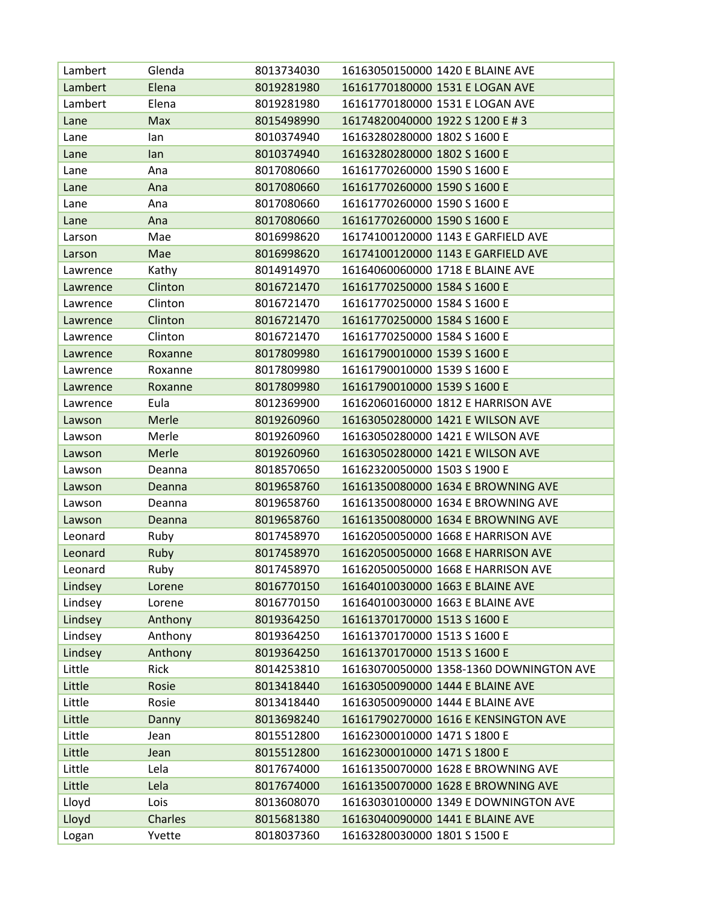| Lambert  | Glenda         | 8013734030 | 16163050150000 1420 E BLAINE AVE        |
|----------|----------------|------------|-----------------------------------------|
| Lambert  | Elena          | 8019281980 | 16161770180000 1531 E LOGAN AVE         |
| Lambert  | Elena          | 8019281980 | 16161770180000 1531 E LOGAN AVE         |
| Lane     | Max            | 8015498990 | 16174820040000 1922 S 1200 E # 3        |
| Lane     | lan            | 8010374940 | 16163280280000 1802 S 1600 E            |
| Lane     | lan            | 8010374940 | 16163280280000 1802 S 1600 E            |
| Lane     | Ana            | 8017080660 | 16161770260000 1590 S 1600 E            |
| Lane     | Ana            | 8017080660 | 16161770260000 1590 S 1600 E            |
| Lane     | Ana            | 8017080660 | 16161770260000 1590 S 1600 E            |
| Lane     | Ana            | 8017080660 | 16161770260000 1590 S 1600 E            |
| Larson   | Mae            | 8016998620 | 16174100120000 1143 E GARFIELD AVE      |
| Larson   | Mae            | 8016998620 | 16174100120000 1143 E GARFIELD AVE      |
| Lawrence | Kathy          | 8014914970 | 16164060060000 1718 E BLAINE AVE        |
| Lawrence | Clinton        | 8016721470 | 16161770250000 1584 S 1600 E            |
| Lawrence | Clinton        | 8016721470 | 16161770250000 1584 S 1600 E            |
| Lawrence | Clinton        | 8016721470 | 16161770250000 1584 S 1600 E            |
| Lawrence | Clinton        | 8016721470 | 16161770250000 1584 S 1600 E            |
| Lawrence | Roxanne        | 8017809980 | 16161790010000 1539 S 1600 E            |
| Lawrence | Roxanne        | 8017809980 | 16161790010000 1539 S 1600 E            |
| Lawrence | Roxanne        | 8017809980 | 16161790010000 1539 S 1600 E            |
| Lawrence | Eula           | 8012369900 | 16162060160000 1812 E HARRISON AVE      |
| Lawson   | Merle          | 8019260960 | 16163050280000 1421 E WILSON AVE        |
| Lawson   | Merle          | 8019260960 | 16163050280000 1421 E WILSON AVE        |
| Lawson   | Merle          | 8019260960 | 16163050280000 1421 E WILSON AVE        |
| Lawson   | Deanna         | 8018570650 | 16162320050000 1503 S 1900 E            |
| Lawson   | Deanna         | 8019658760 | 16161350080000 1634 E BROWNING AVE      |
| Lawson   | Deanna         | 8019658760 | 16161350080000 1634 E BROWNING AVE      |
| Lawson   | Deanna         | 8019658760 | 16161350080000 1634 E BROWNING AVE      |
| Leonard  | Ruby           | 8017458970 | 16162050050000 1668 E HARRISON AVE      |
| Leonard  | Ruby           | 8017458970 | 16162050050000 1668 E HARRISON AVE      |
| Leonard  | Ruby           | 8017458970 | 16162050050000 1668 E HARRISON AVE      |
| Lindsey  | Lorene         | 8016770150 | 16164010030000 1663 E BLAINE AVE        |
| Lindsey  | Lorene         | 8016770150 | 16164010030000 1663 E BLAINE AVE        |
| Lindsey  | Anthony        | 8019364250 | 16161370170000 1513 S 1600 E            |
| Lindsey  | Anthony        | 8019364250 | 16161370170000 1513 S 1600 E            |
| Lindsey  | Anthony        | 8019364250 | 16161370170000 1513 S 1600 E            |
| Little   | Rick           | 8014253810 | 16163070050000 1358-1360 DOWNINGTON AVE |
| Little   | Rosie          | 8013418440 | 16163050090000 1444 E BLAINE AVE        |
| Little   | Rosie          | 8013418440 | 16163050090000 1444 E BLAINE AVE        |
| Little   | Danny          | 8013698240 | 16161790270000 1616 E KENSINGTON AVE    |
| Little   | Jean           | 8015512800 | 16162300010000 1471 S 1800 E            |
| Little   | Jean           | 8015512800 | 16162300010000 1471 S 1800 E            |
| Little   | Lela           | 8017674000 | 16161350070000 1628 E BROWNING AVE      |
| Little   | Lela           | 8017674000 | 16161350070000 1628 E BROWNING AVE      |
| Lloyd    | Lois           | 8013608070 | 16163030100000 1349 E DOWNINGTON AVE    |
| Lloyd    | <b>Charles</b> | 8015681380 | 16163040090000 1441 E BLAINE AVE        |
| Logan    | Yvette         | 8018037360 | 16163280030000 1801 S 1500 E            |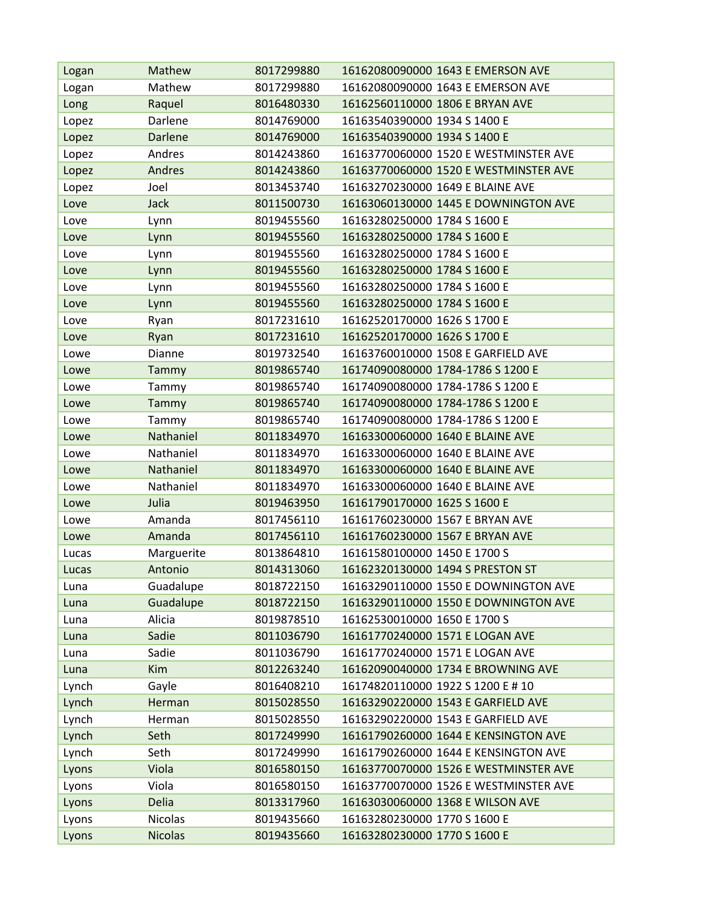| Logan          | Mathew                           | 8017299880               | 16162080090000 1643 E EMERSON AVE                            |
|----------------|----------------------------------|--------------------------|--------------------------------------------------------------|
| Logan          | Mathew                           | 8017299880               | 16162080090000 1643 E EMERSON AVE                            |
| Long           | Raquel                           | 8016480330               | 16162560110000 1806 E BRYAN AVE                              |
| Lopez          | Darlene                          | 8014769000               | 16163540390000 1934 S 1400 E                                 |
| Lopez          | <b>Darlene</b>                   | 8014769000               | 16163540390000 1934 S 1400 E                                 |
| Lopez          | Andres                           | 8014243860               | 16163770060000 1520 E WESTMINSTER AVE                        |
| Lopez          | Andres                           | 8014243860               | 16163770060000 1520 E WESTMINSTER AVE                        |
| Lopez          | Joel                             | 8013453740               | 16163270230000 1649 E BLAINE AVE                             |
| Love           | <b>Jack</b>                      | 8011500730               | 16163060130000 1445 E DOWNINGTON AVE                         |
| Love           | Lynn                             | 8019455560               | 16163280250000 1784 S 1600 E                                 |
| Love           | Lynn                             | 8019455560               | 16163280250000 1784 S 1600 E                                 |
| Love           | Lynn                             | 8019455560               | 16163280250000 1784 S 1600 E                                 |
| Love           | Lynn                             | 8019455560               | 16163280250000 1784 S 1600 E                                 |
| Love           | Lynn                             | 8019455560               | 16163280250000 1784 S 1600 E                                 |
| Love           | Lynn                             | 8019455560               | 16163280250000 1784 S 1600 E                                 |
| Love           | Ryan                             | 8017231610               | 16162520170000 1626 S 1700 E                                 |
| Love           | Ryan                             | 8017231610               | 16162520170000 1626 S 1700 E                                 |
| Lowe           | Dianne                           | 8019732540               | 16163760010000 1508 E GARFIELD AVE                           |
| Lowe           | Tammy                            | 8019865740               | 16174090080000 1784-1786 S 1200 E                            |
| Lowe           | Tammy                            | 8019865740               | 16174090080000 1784-1786 S 1200 E                            |
| Lowe           | Tammy                            | 8019865740               | 16174090080000 1784-1786 S 1200 E                            |
| Lowe           | Tammy                            | 8019865740               | 16174090080000 1784-1786 S 1200 E                            |
| Lowe           | Nathaniel                        | 8011834970               | 16163300060000 1640 E BLAINE AVE                             |
| Lowe           | Nathaniel                        | 8011834970               | 16163300060000 1640 E BLAINE AVE                             |
| Lowe           | Nathaniel                        | 8011834970               | 16163300060000 1640 E BLAINE AVE                             |
| Lowe           | Nathaniel                        | 8011834970               | 16163300060000 1640 E BLAINE AVE                             |
| Lowe           | Julia                            | 8019463950               | 16161790170000 1625 S 1600 E                                 |
| Lowe           | Amanda                           | 8017456110               | 16161760230000 1567 E BRYAN AVE                              |
| Lowe           | Amanda                           | 8017456110               | 16161760230000 1567 E BRYAN AVE                              |
| Lucas          | Marguerite                       | 8013864810               | 16161580100000 1450 E 1700 S                                 |
| Lucas          | Antonio                          | 8014313060               | 16162320130000 1494 S PRESTON ST                             |
| Luna           | Guadalupe                        | 8018722150               |                                                              |
| Luna           |                                  |                          | 16163290110000 1550 E DOWNINGTON AVE                         |
| Luna           | Guadalupe                        | 8018722150               | 16163290110000 1550 E DOWNINGTON AVE                         |
|                | Alicia                           | 8019878510               | 16162530010000 1650 E 1700 S                                 |
| Luna           | Sadie                            | 8011036790               | 16161770240000 1571 E LOGAN AVE                              |
| Luna           | Sadie                            | 8011036790               | 16161770240000 1571 E LOGAN AVE                              |
| Luna           | Kim                              | 8012263240               | 16162090040000 1734 E BROWNING AVE                           |
| Lynch          | Gayle                            | 8016408210               | 16174820110000 1922 S 1200 E # 10                            |
| Lynch          | Herman                           | 8015028550               | 16163290220000 1543 E GARFIELD AVE                           |
| Lynch          | Herman                           | 8015028550               | 16163290220000 1543 E GARFIELD AVE                           |
| Lynch          | Seth                             | 8017249990               | 16161790260000 1644 E KENSINGTON AVE                         |
| Lynch          | Seth                             | 8017249990               | 16161790260000 1644 E KENSINGTON AVE                         |
| Lyons          | Viola                            | 8016580150               | 16163770070000 1526 E WESTMINSTER AVE                        |
| Lyons          | Viola                            | 8016580150               | 16163770070000 1526 E WESTMINSTER AVE                        |
| Lyons          | <b>Delia</b>                     | 8013317960               | 16163030060000 1368 E WILSON AVE                             |
| Lyons<br>Lyons | <b>Nicolas</b><br><b>Nicolas</b> | 8019435660<br>8019435660 | 16163280230000 1770 S 1600 E<br>16163280230000 1770 S 1600 E |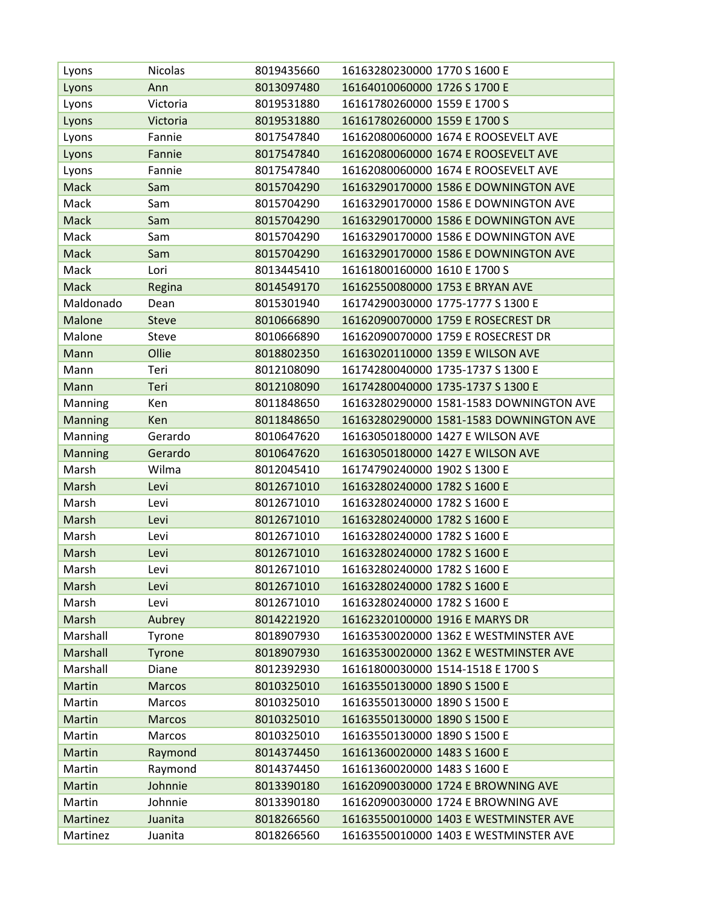| Lyons          | <b>Nicolas</b> | 8019435660 | 16163280230000 1770 S 1600 E            |
|----------------|----------------|------------|-----------------------------------------|
| Lyons          | Ann            | 8013097480 | 16164010060000 1726 S 1700 E            |
| Lyons          | Victoria       | 8019531880 | 16161780260000 1559 E 1700 S            |
| Lyons          | Victoria       | 8019531880 | 16161780260000 1559 E 1700 S            |
| Lyons          | Fannie         | 8017547840 | 16162080060000 1674 E ROOSEVELT AVE     |
| Lyons          | Fannie         | 8017547840 | 16162080060000 1674 E ROOSEVELT AVE     |
| Lyons          | Fannie         | 8017547840 | 16162080060000 1674 E ROOSEVELT AVE     |
| <b>Mack</b>    | Sam            | 8015704290 | 16163290170000 1586 E DOWNINGTON AVE    |
| Mack           | Sam            | 8015704290 | 16163290170000 1586 E DOWNINGTON AVE    |
| Mack           | Sam            | 8015704290 | 16163290170000 1586 E DOWNINGTON AVE    |
| Mack           | Sam            | 8015704290 | 16163290170000 1586 E DOWNINGTON AVE    |
| <b>Mack</b>    | Sam            | 8015704290 | 16163290170000 1586 E DOWNINGTON AVE    |
| Mack           | Lori           | 8013445410 | 16161800160000 1610 E 1700 S            |
| <b>Mack</b>    | Regina         | 8014549170 | 16162550080000 1753 E BRYAN AVE         |
| Maldonado      | Dean           | 8015301940 | 16174290030000 1775-1777 S 1300 E       |
| Malone         | <b>Steve</b>   | 8010666890 | 16162090070000 1759 E ROSECREST DR      |
| Malone         | <b>Steve</b>   | 8010666890 | 16162090070000 1759 E ROSECREST DR      |
| Mann           | Ollie          | 8018802350 | 16163020110000 1359 E WILSON AVE        |
| Mann           | Teri           | 8012108090 | 16174280040000 1735-1737 S 1300 E       |
| Mann           | Teri           | 8012108090 | 16174280040000 1735-1737 S 1300 E       |
| Manning        | Ken            | 8011848650 | 16163280290000 1581-1583 DOWNINGTON AVE |
| <b>Manning</b> | Ken            | 8011848650 | 16163280290000 1581-1583 DOWNINGTON AVE |
| Manning        | Gerardo        | 8010647620 | 16163050180000 1427 E WILSON AVE        |
| <b>Manning</b> | Gerardo        | 8010647620 | 16163050180000 1427 E WILSON AVE        |
| Marsh          | Wilma          | 8012045410 | 16174790240000 1902 S 1300 E            |
| Marsh          | Levi           | 8012671010 | 16163280240000 1782 S 1600 E            |
| Marsh          | Levi           | 8012671010 | 16163280240000 1782 S 1600 E            |
| Marsh          | Levi           | 8012671010 | 16163280240000 1782 S 1600 E            |
| Marsh          | Levi           | 8012671010 | 16163280240000 1782 S 1600 E            |
| Marsh          | Levi           | 8012671010 | 16163280240000 1782 S 1600 E            |
| Marsh          | Levi           | 8012671010 | 16163280240000 1782 S 1600 E            |
| Marsh          | Levi           | 8012671010 | 16163280240000 1782 S 1600 E            |
| Marsh          | Levi           | 8012671010 | 16163280240000 1782 S 1600 E            |
| Marsh          | Aubrey         | 8014221920 | 16162320100000 1916 E MARYS DR          |
| Marshall       | Tyrone         | 8018907930 | 16163530020000 1362 E WESTMINSTER AVE   |
| Marshall       | Tyrone         | 8018907930 | 16163530020000 1362 E WESTMINSTER AVE   |
| Marshall       | Diane          | 8012392930 | 16161800030000 1514-1518 E 1700 S       |
| Martin         | <b>Marcos</b>  | 8010325010 | 16163550130000 1890 S 1500 E            |
| Martin         | Marcos         | 8010325010 | 16163550130000 1890 S 1500 E            |
| Martin         | <b>Marcos</b>  | 8010325010 | 16163550130000 1890 S 1500 E            |
| Martin         | Marcos         | 8010325010 | 16163550130000 1890 S 1500 E            |
| Martin         | Raymond        | 8014374450 | 16161360020000 1483 S 1600 E            |
| Martin         | Raymond        | 8014374450 | 16161360020000 1483 S 1600 E            |
| Martin         | Johnnie        | 8013390180 | 16162090030000 1724 E BROWNING AVE      |
| Martin         | Johnnie        | 8013390180 | 16162090030000 1724 E BROWNING AVE      |
| Martinez       | Juanita        | 8018266560 | 16163550010000 1403 E WESTMINSTER AVE   |
| Martinez       | Juanita        | 8018266560 | 16163550010000 1403 E WESTMINSTER AVE   |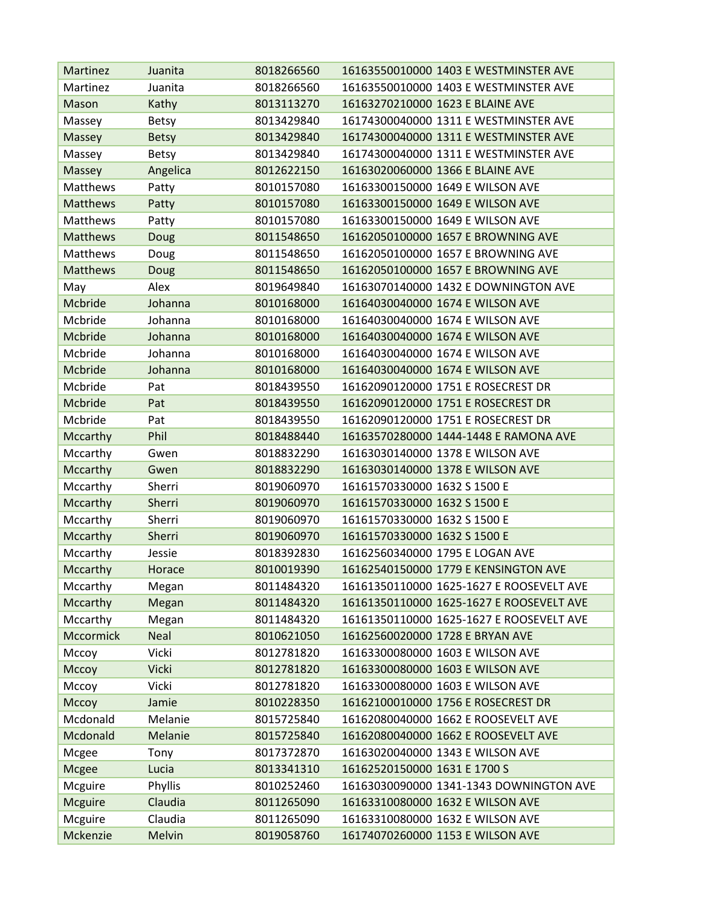| Martinez         | Juanita      | 8018266560 | 16163550010000 1403 E WESTMINSTER AVE    |
|------------------|--------------|------------|------------------------------------------|
| Martinez         | Juanita      | 8018266560 | 16163550010000 1403 E WESTMINSTER AVE    |
| Mason            | Kathy        | 8013113270 | 16163270210000 1623 E BLAINE AVE         |
| Massey           | <b>Betsy</b> | 8013429840 | 16174300040000 1311 E WESTMINSTER AVE    |
| Massey           | <b>Betsy</b> | 8013429840 | 16174300040000 1311 E WESTMINSTER AVE    |
| Massey           | <b>Betsy</b> | 8013429840 | 16174300040000 1311 E WESTMINSTER AVE    |
| Massey           | Angelica     | 8012622150 | 16163020060000 1366 E BLAINE AVE         |
| Matthews         | Patty        | 8010157080 | 16163300150000 1649 E WILSON AVE         |
| <b>Matthews</b>  | Patty        | 8010157080 | 16163300150000 1649 E WILSON AVE         |
| Matthews         | Patty        | 8010157080 | 16163300150000 1649 E WILSON AVE         |
| <b>Matthews</b>  | Doug         | 8011548650 | 16162050100000 1657 E BROWNING AVE       |
| Matthews         | Doug         | 8011548650 | 16162050100000 1657 E BROWNING AVE       |
| <b>Matthews</b>  | Doug         | 8011548650 | 16162050100000 1657 E BROWNING AVE       |
| May              | Alex         | 8019649840 | 16163070140000 1432 E DOWNINGTON AVE     |
| Mcbride          | Johanna      | 8010168000 | 16164030040000 1674 E WILSON AVE         |
| Mcbride          | Johanna      | 8010168000 | 16164030040000 1674 E WILSON AVE         |
| Mcbride          | Johanna      | 8010168000 | 16164030040000 1674 E WILSON AVE         |
| Mcbride          | Johanna      | 8010168000 | 16164030040000 1674 E WILSON AVE         |
| Mcbride          | Johanna      | 8010168000 | 16164030040000 1674 E WILSON AVE         |
| Mcbride          | Pat          | 8018439550 | 16162090120000 1751 E ROSECREST DR       |
| Mcbride          | Pat          | 8018439550 | 16162090120000 1751 E ROSECREST DR       |
| Mcbride          | Pat          | 8018439550 | 16162090120000 1751 E ROSECREST DR       |
| Mccarthy         | Phil         | 8018488440 | 16163570280000 1444-1448 E RAMONA AVE    |
| Mccarthy         | Gwen         | 8018832290 | 16163030140000 1378 E WILSON AVE         |
| Mccarthy         | Gwen         | 8018832290 | 16163030140000 1378 E WILSON AVE         |
| Mccarthy         | Sherri       | 8019060970 | 16161570330000 1632 S 1500 E             |
| Mccarthy         | Sherri       | 8019060970 | 16161570330000 1632 S 1500 E             |
| Mccarthy         | Sherri       | 8019060970 | 16161570330000 1632 S 1500 E             |
| Mccarthy         | Sherri       | 8019060970 | 16161570330000 1632 S 1500 E             |
| Mccarthy         | Jessie       | 8018392830 | 16162560340000 1795 E LOGAN AVE          |
| Mccarthy         | Horace       | 8010019390 | 16162540150000 1779 E KENSINGTON AVE     |
| Mccarthy         | Megan        | 8011484320 | 16161350110000 1625-1627 E ROOSEVELT AVE |
| Mccarthy         | Megan        | 8011484320 | 16161350110000 1625-1627 E ROOSEVELT AVE |
| Mccarthy         | Megan        | 8011484320 | 16161350110000 1625-1627 E ROOSEVELT AVE |
| <b>Mccormick</b> | <b>Neal</b>  | 8010621050 | 16162560020000 1728 E BRYAN AVE          |
| Mccoy            | Vicki        | 8012781820 | 16163300080000 1603 E WILSON AVE         |
| Мссоу            | <b>Vicki</b> | 8012781820 | 16163300080000 1603 E WILSON AVE         |
| Mccoy            | Vicki        | 8012781820 | 16163300080000 1603 E WILSON AVE         |
| Mccoy            | Jamie        | 8010228350 | 16162100010000 1756 E ROSECREST DR       |
| Mcdonald         | Melanie      | 8015725840 | 16162080040000 1662 E ROOSEVELT AVE      |
| Mcdonald         | Melanie      | 8015725840 | 16162080040000 1662 E ROOSEVELT AVE      |
| Mcgee            | Tony         | 8017372870 | 16163020040000 1343 E WILSON AVE         |
| Mcgee            | Lucia        | 8013341310 | 16162520150000 1631 E 1700 S             |
| Mcguire          | Phyllis      | 8010252460 | 16163030090000 1341-1343 DOWNINGTON AVE  |
| <b>Mcguire</b>   | Claudia      | 8011265090 | 16163310080000 1632 E WILSON AVE         |
| Mcguire          | Claudia      | 8011265090 | 16163310080000 1632 E WILSON AVE         |
| Mckenzie         | Melvin       | 8019058760 | 16174070260000 1153 E WILSON AVE         |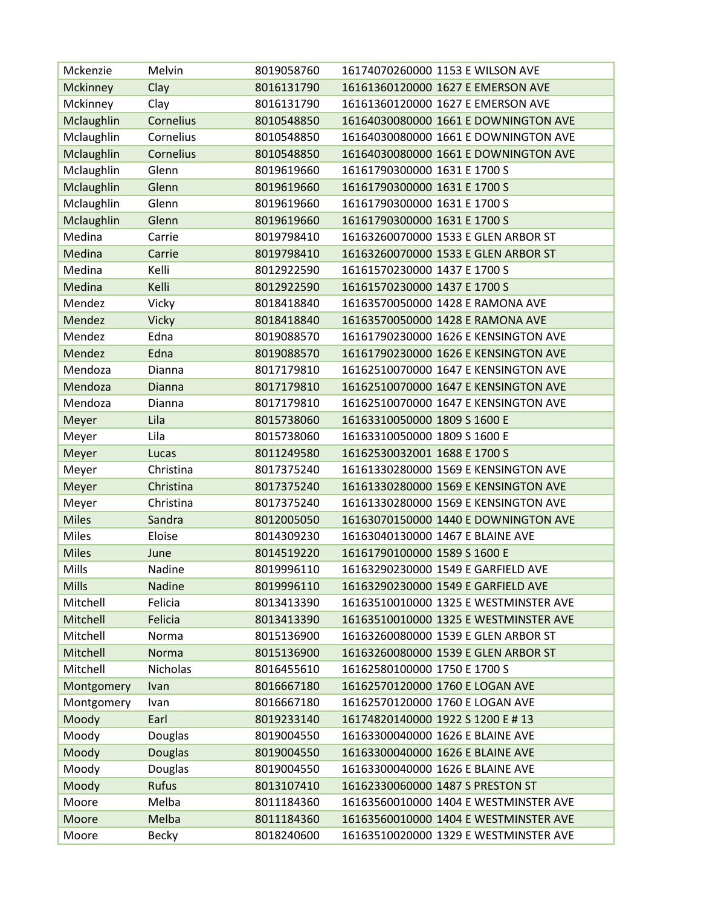| Mckenzie        | Melvin         | 8019058760 | 16174070260000 1153 E WILSON AVE      |
|-----------------|----------------|------------|---------------------------------------|
| <b>Mckinney</b> | Clay           | 8016131790 | 16161360120000 1627 E EMERSON AVE     |
| Mckinney        | Clay           | 8016131790 | 16161360120000 1627 E EMERSON AVE     |
| Mclaughlin      | Cornelius      | 8010548850 | 16164030080000 1661 E DOWNINGTON AVE  |
| Mclaughlin      | Cornelius      | 8010548850 | 16164030080000 1661 E DOWNINGTON AVE  |
| Mclaughlin      | Cornelius      | 8010548850 | 16164030080000 1661 E DOWNINGTON AVE  |
| Mclaughlin      | Glenn          | 8019619660 | 16161790300000 1631 E 1700 S          |
| Mclaughlin      | Glenn          | 8019619660 | 16161790300000 1631 E 1700 S          |
| Mclaughlin      | Glenn          | 8019619660 | 16161790300000 1631 E 1700 S          |
| Mclaughlin      | Glenn          | 8019619660 | 16161790300000 1631 E 1700 S          |
| Medina          | Carrie         | 8019798410 | 16163260070000 1533 E GLEN ARBOR ST   |
| Medina          | Carrie         | 8019798410 | 16163260070000 1533 E GLEN ARBOR ST   |
| Medina          | Kelli          | 8012922590 | 16161570230000 1437 E 1700 S          |
| Medina          | Kelli          | 8012922590 | 16161570230000 1437 E 1700 S          |
| Mendez          | Vicky          | 8018418840 | 16163570050000 1428 E RAMONA AVE      |
| Mendez          | <b>Vicky</b>   | 8018418840 | 16163570050000 1428 E RAMONA AVE      |
| Mendez          | Edna           | 8019088570 | 16161790230000 1626 E KENSINGTON AVE  |
| Mendez          | Edna           | 8019088570 | 16161790230000 1626 E KENSINGTON AVE  |
| Mendoza         | Dianna         | 8017179810 | 16162510070000 1647 E KENSINGTON AVE  |
| Mendoza         | Dianna         | 8017179810 | 16162510070000 1647 E KENSINGTON AVE  |
| Mendoza         | Dianna         | 8017179810 | 16162510070000 1647 E KENSINGTON AVE  |
| Meyer           | Lila           | 8015738060 | 16163310050000 1809 S 1600 E          |
| Meyer           | Lila           | 8015738060 | 16163310050000 1809 S 1600 E          |
| Meyer           | Lucas          | 8011249580 | 16162530032001 1688 E 1700 S          |
| Meyer           | Christina      | 8017375240 | 16161330280000 1569 E KENSINGTON AVE  |
| Meyer           | Christina      | 8017375240 | 16161330280000 1569 E KENSINGTON AVE  |
| Meyer           | Christina      | 8017375240 | 16161330280000 1569 E KENSINGTON AVE  |
| <b>Miles</b>    | Sandra         | 8012005050 | 16163070150000 1440 E DOWNINGTON AVE  |
| <b>Miles</b>    | Eloise         | 8014309230 | 16163040130000 1467 E BLAINE AVE      |
| <b>Miles</b>    | June           | 8014519220 | 16161790100000 1589 S 1600 E          |
| Mills           | Nadine         | 8019996110 | 16163290230000 1549 E GARFIELD AVE    |
| <b>Mills</b>    | Nadine         | 8019996110 | 16163290230000 1549 E GARFIELD AVE    |
| Mitchell        | Felicia        | 8013413390 | 16163510010000 1325 E WESTMINSTER AVE |
| Mitchell        | Felicia        | 8013413390 | 16163510010000 1325 E WESTMINSTER AVE |
| Mitchell        | Norma          | 8015136900 | 16163260080000 1539 E GLEN ARBOR ST   |
| Mitchell        | Norma          | 8015136900 | 16163260080000 1539 E GLEN ARBOR ST   |
| Mitchell        | Nicholas       | 8016455610 | 16162580100000 1750 E 1700 S          |
| Montgomery      | Ivan           | 8016667180 | 16162570120000 1760 E LOGAN AVE       |
| Montgomery      | Ivan           | 8016667180 | 16162570120000 1760 E LOGAN AVE       |
| Moody           | Earl           | 8019233140 | 16174820140000 1922 S 1200 E # 13     |
| Moody           | Douglas        | 8019004550 | 16163300040000 1626 E BLAINE AVE      |
| Moody           | <b>Douglas</b> | 8019004550 | 16163300040000 1626 E BLAINE AVE      |
| Moody           | Douglas        | 8019004550 | 16163300040000 1626 E BLAINE AVE      |
| Moody           | <b>Rufus</b>   | 8013107410 | 16162330060000 1487 S PRESTON ST      |
| Moore           | Melba          | 8011184360 | 16163560010000 1404 E WESTMINSTER AVE |
| Moore           | Melba          | 8011184360 | 16163560010000 1404 E WESTMINSTER AVE |
| Moore           | Becky          | 8018240600 | 16163510020000 1329 E WESTMINSTER AVE |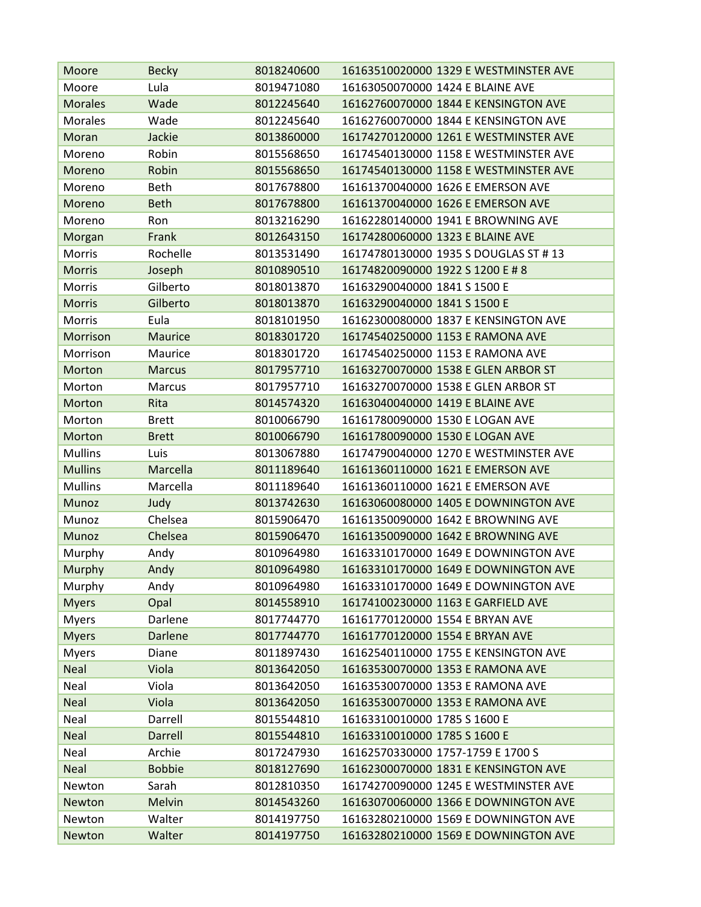| Moore          | <b>Becky</b>   | 8018240600 | 16163510020000 1329 E WESTMINSTER AVE |
|----------------|----------------|------------|---------------------------------------|
| Moore          | Lula           | 8019471080 | 16163050070000 1424 E BLAINE AVE      |
| <b>Morales</b> | Wade           | 8012245640 | 16162760070000 1844 E KENSINGTON AVE  |
| Morales        | Wade           | 8012245640 | 16162760070000 1844 E KENSINGTON AVE  |
| Moran          | Jackie         | 8013860000 | 16174270120000 1261 E WESTMINSTER AVE |
| Moreno         | Robin          | 8015568650 | 16174540130000 1158 E WESTMINSTER AVE |
| Moreno         | Robin          | 8015568650 | 16174540130000 1158 E WESTMINSTER AVE |
| Moreno         | <b>Beth</b>    | 8017678800 | 16161370040000 1626 E EMERSON AVE     |
| Moreno         | <b>Beth</b>    | 8017678800 | 16161370040000 1626 E EMERSON AVE     |
| Moreno         | Ron            | 8013216290 | 16162280140000 1941 E BROWNING AVE    |
| Morgan         | Frank          | 8012643150 | 16174280060000 1323 E BLAINE AVE      |
| Morris         | Rochelle       | 8013531490 | 16174780130000 1935 S DOUGLAS ST #13  |
| <b>Morris</b>  | Joseph         | 8010890510 | 16174820090000 1922 S 1200 E # 8      |
| Morris         | Gilberto       | 8018013870 | 16163290040000 1841 S 1500 E          |
| <b>Morris</b>  | Gilberto       | 8018013870 | 16163290040000 1841 S 1500 E          |
| Morris         | Eula           | 8018101950 | 16162300080000 1837 E KENSINGTON AVE  |
| Morrison       | <b>Maurice</b> | 8018301720 | 16174540250000 1153 E RAMONA AVE      |
| Morrison       | Maurice        | 8018301720 | 16174540250000 1153 E RAMONA AVE      |
| Morton         | <b>Marcus</b>  | 8017957710 | 16163270070000 1538 E GLEN ARBOR ST   |
| Morton         | <b>Marcus</b>  | 8017957710 | 16163270070000 1538 E GLEN ARBOR ST   |
| <b>Morton</b>  | Rita           | 8014574320 | 16163040040000 1419 E BLAINE AVE      |
| Morton         | <b>Brett</b>   | 8010066790 | 16161780090000 1530 E LOGAN AVE       |
| Morton         | <b>Brett</b>   | 8010066790 | 16161780090000 1530 E LOGAN AVE       |
| <b>Mullins</b> | Luis           | 8013067880 | 16174790040000 1270 E WESTMINSTER AVE |
| <b>Mullins</b> | Marcella       | 8011189640 | 16161360110000 1621 E EMERSON AVE     |
| <b>Mullins</b> | Marcella       | 8011189640 | 16161360110000 1621 E EMERSON AVE     |
| Munoz          | Judy           | 8013742630 | 16163060080000 1405 E DOWNINGTON AVE  |
| Munoz          | Chelsea        | 8015906470 | 16161350090000 1642 E BROWNING AVE    |
| Munoz          | Chelsea        | 8015906470 | 16161350090000 1642 E BROWNING AVE    |
| Murphy         | Andy           | 8010964980 | 16163310170000 1649 E DOWNINGTON AVE  |
| <b>Murphy</b>  | Andy           | 8010964980 | 16163310170000 1649 E DOWNINGTON AVE  |
| Murphy         | Andy           | 8010964980 | 16163310170000 1649 E DOWNINGTON AVE  |
| <b>Myers</b>   | Opal           | 8014558910 | 16174100230000 1163 E GARFIELD AVE    |
| <b>Myers</b>   | Darlene        | 8017744770 | 16161770120000 1554 E BRYAN AVE       |
| <b>Myers</b>   | Darlene        | 8017744770 | 16161770120000 1554 E BRYAN AVE       |
| <b>Myers</b>   | Diane          | 8011897430 | 16162540110000 1755 E KENSINGTON AVE  |
| <b>Neal</b>    | Viola          | 8013642050 | 16163530070000 1353 E RAMONA AVE      |
| Neal           | Viola          | 8013642050 | 16163530070000 1353 E RAMONA AVE      |
| <b>Neal</b>    | Viola          | 8013642050 | 16163530070000 1353 E RAMONA AVE      |
| Neal           | Darrell        | 8015544810 | 16163310010000 1785 S 1600 E          |
| <b>Neal</b>    | Darrell        | 8015544810 | 16163310010000 1785 S 1600 E          |
| Neal           | Archie         | 8017247930 | 16162570330000 1757-1759 E 1700 S     |
| <b>Neal</b>    | <b>Bobbie</b>  | 8018127690 | 16162300070000 1831 E KENSINGTON AVE  |
| Newton         | Sarah          | 8012810350 | 16174270090000 1245 E WESTMINSTER AVE |
| Newton         | Melvin         | 8014543260 | 16163070060000 1366 E DOWNINGTON AVE  |
| Newton         | Walter         | 8014197750 | 16163280210000 1569 E DOWNINGTON AVE  |
| Newton         | Walter         | 8014197750 | 16163280210000 1569 E DOWNINGTON AVE  |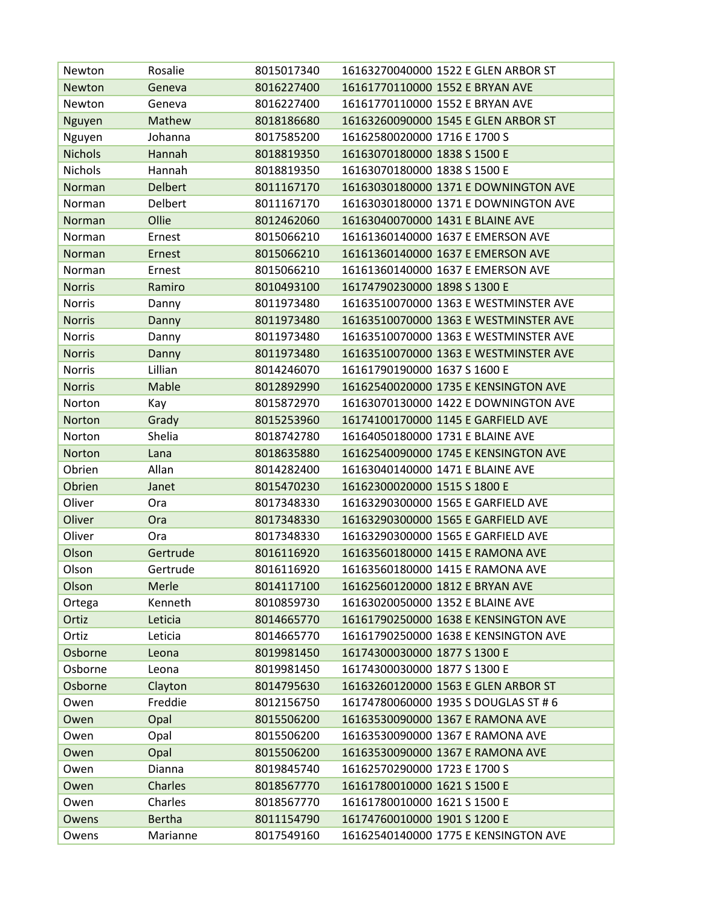| Newton         | Rosalie        | 8015017340 | 16163270040000 1522 E GLEN ARBOR ST   |
|----------------|----------------|------------|---------------------------------------|
| Newton         | Geneva         | 8016227400 | 16161770110000 1552 E BRYAN AVE       |
| Newton         | Geneva         | 8016227400 | 16161770110000 1552 E BRYAN AVE       |
| Nguyen         | Mathew         | 8018186680 | 16163260090000 1545 E GLEN ARBOR ST   |
| Nguyen         | Johanna        | 8017585200 | 16162580020000 1716 E 1700 S          |
| <b>Nichols</b> | Hannah         | 8018819350 | 16163070180000 1838 S 1500 E          |
| Nichols        | Hannah         | 8018819350 | 16163070180000 1838 S 1500 E          |
| Norman         | <b>Delbert</b> | 8011167170 | 16163030180000 1371 E DOWNINGTON AVE  |
| Norman         | Delbert        | 8011167170 | 16163030180000 1371 E DOWNINGTON AVE  |
| Norman         | Ollie          | 8012462060 | 16163040070000 1431 E BLAINE AVE      |
| Norman         | Ernest         | 8015066210 | 16161360140000 1637 E EMERSON AVE     |
| Norman         | Ernest         | 8015066210 | 16161360140000 1637 E EMERSON AVE     |
| Norman         | Ernest         | 8015066210 | 16161360140000 1637 E EMERSON AVE     |
| <b>Norris</b>  | Ramiro         | 8010493100 | 16174790230000 1898 S 1300 E          |
| <b>Norris</b>  | Danny          | 8011973480 | 16163510070000 1363 E WESTMINSTER AVE |
| <b>Norris</b>  | Danny          | 8011973480 | 16163510070000 1363 E WESTMINSTER AVE |
| <b>Norris</b>  | Danny          | 8011973480 | 16163510070000 1363 E WESTMINSTER AVE |
| <b>Norris</b>  | Danny          | 8011973480 | 16163510070000 1363 E WESTMINSTER AVE |
| <b>Norris</b>  | Lillian        | 8014246070 | 16161790190000 1637 S 1600 E          |
| <b>Norris</b>  | Mable          | 8012892990 | 16162540020000 1735 E KENSINGTON AVE  |
| Norton         | Kay            | 8015872970 | 16163070130000 1422 E DOWNINGTON AVE  |
| Norton         | Grady          | 8015253960 | 16174100170000 1145 E GARFIELD AVE    |
| Norton         | Shelia         | 8018742780 | 16164050180000 1731 E BLAINE AVE      |
| Norton         | Lana           | 8018635880 | 16162540090000 1745 E KENSINGTON AVE  |
| Obrien         | Allan          | 8014282400 | 16163040140000 1471 E BLAINE AVE      |
| Obrien         | Janet          | 8015470230 | 16162300020000 1515 S 1800 E          |
| Oliver         | Ora            | 8017348330 | 16163290300000 1565 E GARFIELD AVE    |
| Oliver         | Ora            | 8017348330 | 16163290300000 1565 E GARFIELD AVE    |
| Oliver         | Ora            | 8017348330 | 16163290300000 1565 E GARFIELD AVE    |
| Olson          | Gertrude       | 8016116920 | 16163560180000 1415 E RAMONA AVE      |
| Olson          | Gertrude       | 8016116920 | 16163560180000 1415 E RAMONA AVE      |
| Olson          | Merle          | 8014117100 | 16162560120000 1812 E BRYAN AVE       |
| Ortega         | Kenneth        | 8010859730 | 16163020050000 1352 E BLAINE AVE      |
| Ortiz          | Leticia        | 8014665770 | 16161790250000 1638 E KENSINGTON AVE  |
| Ortiz          | Leticia        | 8014665770 | 16161790250000 1638 E KENSINGTON AVE  |
| Osborne        | Leona          | 8019981450 | 16174300030000 1877 S 1300 E          |
| Osborne        | Leona          | 8019981450 | 16174300030000 1877 S 1300 E          |
| Osborne        | Clayton        | 8014795630 | 16163260120000 1563 E GLEN ARBOR ST   |
| Owen           | Freddie        | 8012156750 | 16174780060000 1935 S DOUGLAS ST # 6  |
| Owen           | Opal           | 8015506200 | 16163530090000 1367 E RAMONA AVE      |
| Owen           | Opal           | 8015506200 | 16163530090000 1367 E RAMONA AVE      |
| Owen           | Opal           | 8015506200 | 16163530090000 1367 E RAMONA AVE      |
| Owen           | Dianna         | 8019845740 | 16162570290000 1723 E 1700 S          |
| Owen           | <b>Charles</b> | 8018567770 | 16161780010000 1621 S 1500 E          |
| Owen           | Charles        | 8018567770 | 16161780010000 1621 S 1500 E          |
| Owens          | <b>Bertha</b>  | 8011154790 | 16174760010000 1901 S 1200 E          |
| Owens          | Marianne       | 8017549160 | 16162540140000 1775 E KENSINGTON AVE  |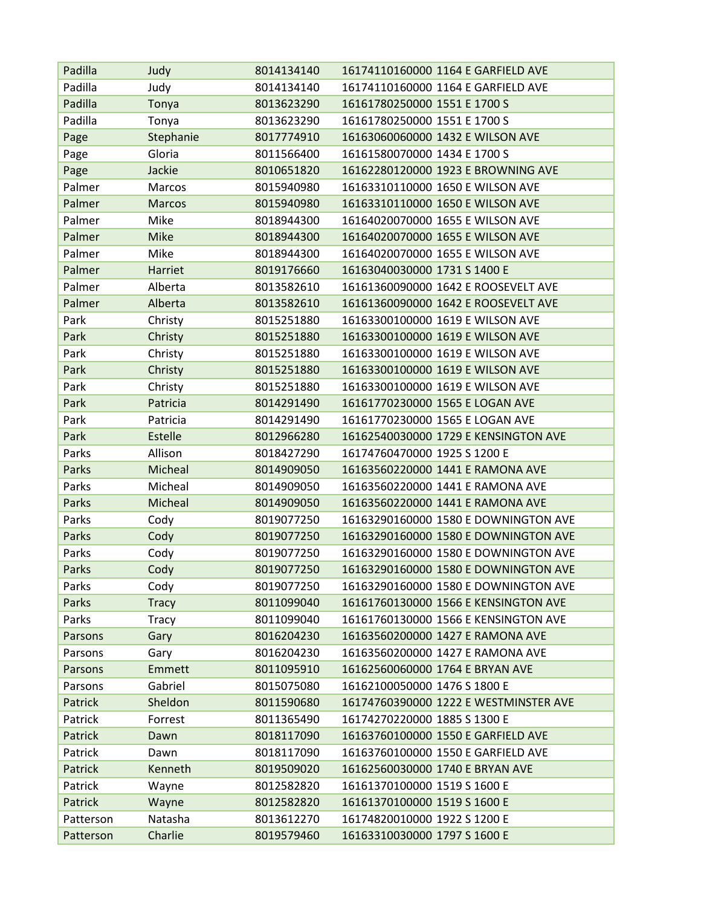| Padilla   | Judy          | 8014134140 | 16174110160000 1164 E GARFIELD AVE    |
|-----------|---------------|------------|---------------------------------------|
| Padilla   | Judy          | 8014134140 | 16174110160000 1164 E GARFIELD AVE    |
| Padilla   | Tonya         | 8013623290 | 16161780250000 1551 E 1700 S          |
| Padilla   | Tonya         | 8013623290 | 16161780250000 1551 E 1700 S          |
| Page      | Stephanie     | 8017774910 | 16163060060000 1432 E WILSON AVE      |
| Page      | Gloria        | 8011566400 | 16161580070000 1434 E 1700 S          |
| Page      | Jackie        | 8010651820 | 16162280120000 1923 E BROWNING AVE    |
| Palmer    | Marcos        | 8015940980 | 16163310110000 1650 E WILSON AVE      |
| Palmer    | <b>Marcos</b> | 8015940980 | 16163310110000 1650 E WILSON AVE      |
| Palmer    | Mike          | 8018944300 | 16164020070000 1655 E WILSON AVE      |
| Palmer    | <b>Mike</b>   | 8018944300 | 16164020070000 1655 E WILSON AVE      |
| Palmer    | Mike          | 8018944300 | 16164020070000 1655 E WILSON AVE      |
| Palmer    | Harriet       | 8019176660 | 16163040030000 1731 S 1400 E          |
| Palmer    | Alberta       | 8013582610 | 16161360090000 1642 E ROOSEVELT AVE   |
| Palmer    | Alberta       | 8013582610 | 16161360090000 1642 E ROOSEVELT AVE   |
| Park      | Christy       | 8015251880 | 16163300100000 1619 E WILSON AVE      |
| Park      | Christy       | 8015251880 | 16163300100000 1619 E WILSON AVE      |
| Park      | Christy       | 8015251880 | 16163300100000 1619 E WILSON AVE      |
| Park      | Christy       | 8015251880 | 16163300100000 1619 E WILSON AVE      |
| Park      | Christy       | 8015251880 | 16163300100000 1619 E WILSON AVE      |
| Park      | Patricia      | 8014291490 | 16161770230000 1565 E LOGAN AVE       |
| Park      | Patricia      | 8014291490 | 16161770230000 1565 E LOGAN AVE       |
| Park      | Estelle       | 8012966280 | 16162540030000 1729 E KENSINGTON AVE  |
| Parks     | Allison       | 8018427290 | 16174760470000 1925 S 1200 E          |
| Parks     | Micheal       | 8014909050 | 16163560220000 1441 E RAMONA AVE      |
| Parks     | Micheal       | 8014909050 | 16163560220000 1441 E RAMONA AVE      |
| Parks     | Micheal       | 8014909050 | 16163560220000 1441 E RAMONA AVE      |
| Parks     | Cody          | 8019077250 | 16163290160000 1580 E DOWNINGTON AVE  |
| Parks     | Cody          | 8019077250 | 16163290160000 1580 E DOWNINGTON AVE  |
| Parks     | Cody          | 8019077250 | 16163290160000 1580 E DOWNINGTON AVE  |
| Parks     | Cody          | 8019077250 | 16163290160000 1580 E DOWNINGTON AVE  |
| Parks     | Cody          | 8019077250 | 16163290160000 1580 E DOWNINGTON AVE  |
| Parks     | <b>Tracy</b>  | 8011099040 | 16161760130000 1566 E KENSINGTON AVE  |
| Parks     | <b>Tracy</b>  | 8011099040 | 16161760130000 1566 E KENSINGTON AVE  |
| Parsons   | Gary          | 8016204230 | 16163560200000 1427 E RAMONA AVE      |
| Parsons   | Gary          | 8016204230 | 16163560200000 1427 E RAMONA AVE      |
| Parsons   | Emmett        | 8011095910 | 16162560060000 1764 E BRYAN AVE       |
| Parsons   | Gabriel       | 8015075080 | 16162100050000 1476 S 1800 E          |
| Patrick   | Sheldon       | 8011590680 | 16174760390000 1222 E WESTMINSTER AVE |
| Patrick   | Forrest       | 8011365490 | 16174270220000 1885 S 1300 E          |
| Patrick   | Dawn          | 8018117090 | 16163760100000 1550 E GARFIELD AVE    |
| Patrick   | Dawn          | 8018117090 | 16163760100000 1550 E GARFIELD AVE    |
| Patrick   | Kenneth       | 8019509020 | 16162560030000 1740 E BRYAN AVE       |
| Patrick   | Wayne         | 8012582820 | 16161370100000 1519 S 1600 E          |
| Patrick   | Wayne         | 8012582820 | 16161370100000 1519 S 1600 E          |
| Patterson | Natasha       | 8013612270 | 16174820010000 1922 S 1200 E          |
| Patterson | Charlie       | 8019579460 | 16163310030000 1797 S 1600 E          |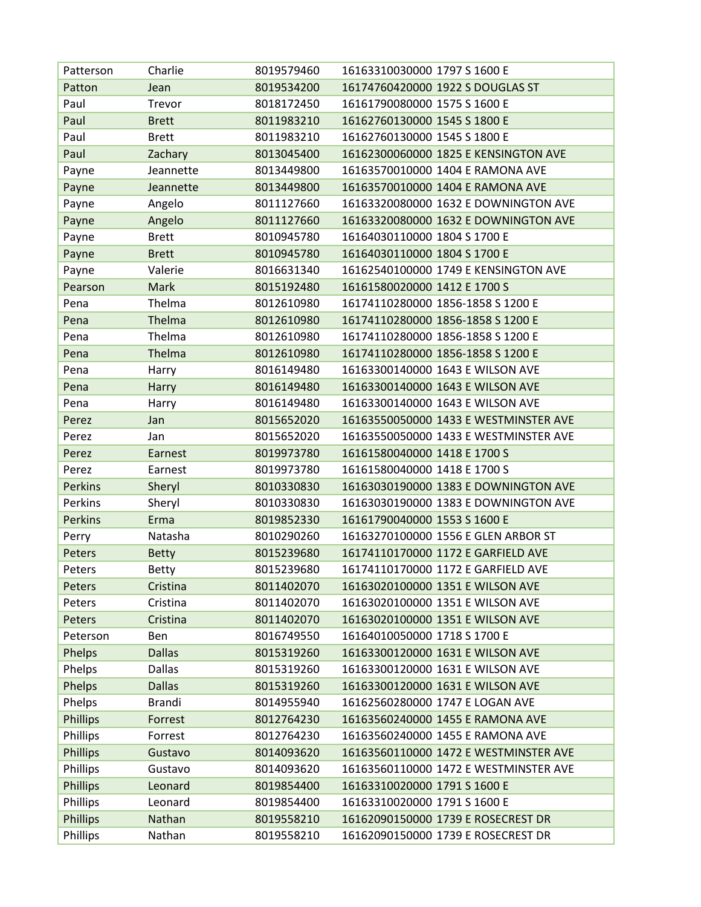| Patterson       | Charlie       | 8019579460 | 16163310030000 1797 S 1600 E          |
|-----------------|---------------|------------|---------------------------------------|
| Patton          | Jean          | 8019534200 | 16174760420000 1922 S DOUGLAS ST      |
| Paul            | Trevor        | 8018172450 | 16161790080000 1575 S 1600 E          |
| Paul            | <b>Brett</b>  | 8011983210 | 16162760130000 1545 S 1800 E          |
| Paul            | <b>Brett</b>  | 8011983210 | 16162760130000 1545 S 1800 E          |
| Paul            | Zachary       | 8013045400 | 16162300060000 1825 E KENSINGTON AVE  |
| Payne           | Jeannette     | 8013449800 | 16163570010000 1404 E RAMONA AVE      |
| Payne           | Jeannette     | 8013449800 | 16163570010000 1404 E RAMONA AVE      |
| Payne           | Angelo        | 8011127660 | 16163320080000 1632 E DOWNINGTON AVE  |
| Payne           | Angelo        | 8011127660 | 16163320080000 1632 E DOWNINGTON AVE  |
| Payne           | <b>Brett</b>  | 8010945780 | 16164030110000 1804 S 1700 E          |
| Payne           | <b>Brett</b>  | 8010945780 | 16164030110000 1804 S 1700 E          |
| Payne           | Valerie       | 8016631340 | 16162540100000 1749 E KENSINGTON AVE  |
| Pearson         | <b>Mark</b>   | 8015192480 | 16161580020000 1412 E 1700 S          |
| Pena            | Thelma        | 8012610980 | 16174110280000 1856-1858 S 1200 E     |
| Pena            | Thelma        | 8012610980 | 16174110280000 1856-1858 S 1200 E     |
| Pena            | Thelma        | 8012610980 | 16174110280000 1856-1858 S 1200 E     |
| Pena            | Thelma        | 8012610980 | 16174110280000 1856-1858 S 1200 E     |
| Pena            | Harry         | 8016149480 | 16163300140000 1643 E WILSON AVE      |
| Pena            | Harry         | 8016149480 | 16163300140000 1643 E WILSON AVE      |
| Pena            | Harry         | 8016149480 | 16163300140000 1643 E WILSON AVE      |
| Perez           | Jan           | 8015652020 | 16163550050000 1433 E WESTMINSTER AVE |
| Perez           | Jan           | 8015652020 | 16163550050000 1433 E WESTMINSTER AVE |
| Perez           | Earnest       | 8019973780 | 16161580040000 1418 E 1700 S          |
| Perez           | Earnest       | 8019973780 | 16161580040000 1418 E 1700 S          |
| <b>Perkins</b>  | Sheryl        | 8010330830 | 16163030190000 1383 E DOWNINGTON AVE  |
| Perkins         | Sheryl        | 8010330830 | 16163030190000 1383 E DOWNINGTON AVE  |
| <b>Perkins</b>  | Erma          | 8019852330 | 16161790040000 1553 S 1600 E          |
| Perry           | Natasha       | 8010290260 | 16163270100000 1556 E GLEN ARBOR ST   |
| Peters          | <b>Betty</b>  | 8015239680 | 16174110170000 1172 E GARFIELD AVE    |
| Peters          | <b>Betty</b>  | 8015239680 | 16174110170000 1172 E GARFIELD AVE    |
| Peters          | Cristina      | 8011402070 | 16163020100000 1351 E WILSON AVE      |
| Peters          | Cristina      | 8011402070 | 16163020100000 1351 E WILSON AVE      |
| Peters          | Cristina      | 8011402070 | 16163020100000 1351 E WILSON AVE      |
| Peterson        | Ben           | 8016749550 | 16164010050000 1718 S 1700 E          |
| Phelps          | <b>Dallas</b> | 8015319260 | 16163300120000 1631 E WILSON AVE      |
| Phelps          | <b>Dallas</b> | 8015319260 | 16163300120000 1631 E WILSON AVE      |
| Phelps          | <b>Dallas</b> | 8015319260 | 16163300120000 1631 E WILSON AVE      |
| Phelps          | Brandi        | 8014955940 | 16162560280000 1747 E LOGAN AVE       |
| <b>Phillips</b> | Forrest       | 8012764230 | 16163560240000 1455 E RAMONA AVE      |
| Phillips        | Forrest       | 8012764230 | 16163560240000 1455 E RAMONA AVE      |
| <b>Phillips</b> | Gustavo       | 8014093620 | 16163560110000 1472 E WESTMINSTER AVE |
| Phillips        | Gustavo       | 8014093620 | 16163560110000 1472 E WESTMINSTER AVE |
| <b>Phillips</b> | Leonard       | 8019854400 | 16163310020000 1791 S 1600 E          |
| Phillips        | Leonard       | 8019854400 | 16163310020000 1791 S 1600 E          |
| <b>Phillips</b> | Nathan        | 8019558210 | 16162090150000 1739 E ROSECREST DR    |
| Phillips        | Nathan        | 8019558210 | 16162090150000 1739 E ROSECREST DR    |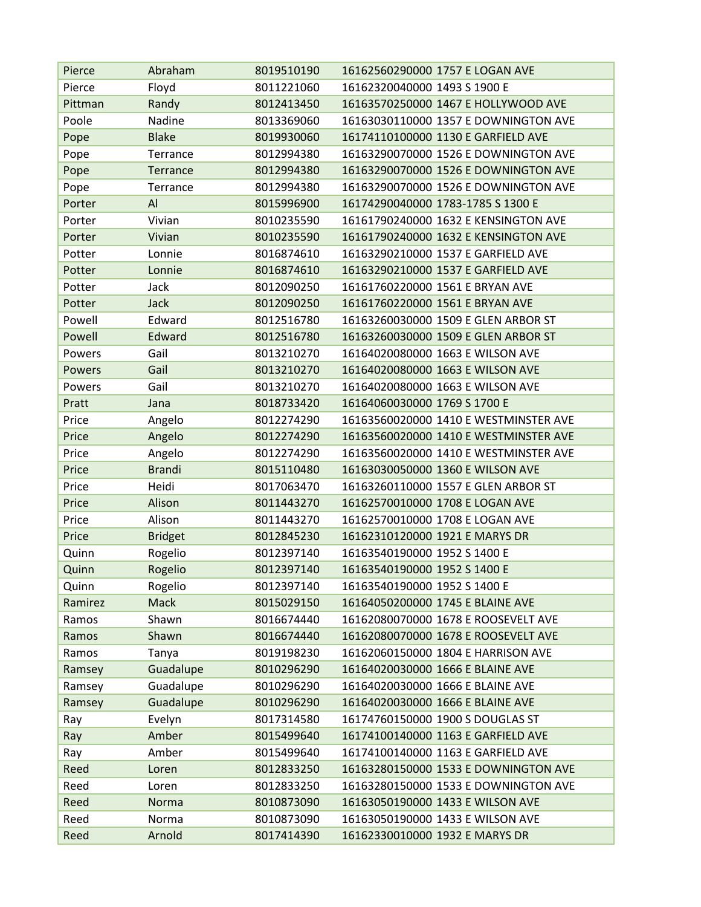| Pierce  | Abraham        | 8019510190 | 16162560290000 1757 E LOGAN AVE       |
|---------|----------------|------------|---------------------------------------|
| Pierce  | Floyd          | 8011221060 | 16162320040000 1493 S 1900 E          |
| Pittman | Randy          | 8012413450 | 16163570250000 1467 E HOLLYWOOD AVE   |
| Poole   | Nadine         | 8013369060 | 16163030110000 1357 E DOWNINGTON AVE  |
| Pope    | <b>Blake</b>   | 8019930060 | 16174110100000 1130 E GARFIELD AVE    |
| Pope    | Terrance       | 8012994380 | 16163290070000 1526 E DOWNINGTON AVE  |
| Pope    | Terrance       | 8012994380 | 16163290070000 1526 E DOWNINGTON AVE  |
| Pope    | Terrance       | 8012994380 | 16163290070000 1526 E DOWNINGTON AVE  |
| Porter  | AI             | 8015996900 | 16174290040000 1783-1785 S 1300 E     |
| Porter  | Vivian         | 8010235590 | 16161790240000 1632 E KENSINGTON AVE  |
| Porter  | Vivian         | 8010235590 | 16161790240000 1632 E KENSINGTON AVE  |
| Potter  | Lonnie         | 8016874610 | 16163290210000 1537 E GARFIELD AVE    |
| Potter  | Lonnie         | 8016874610 | 16163290210000 1537 E GARFIELD AVE    |
| Potter  | Jack           | 8012090250 | 16161760220000 1561 E BRYAN AVE       |
| Potter  | <b>Jack</b>    | 8012090250 | 16161760220000 1561 E BRYAN AVE       |
| Powell  | Edward         | 8012516780 | 16163260030000 1509 E GLEN ARBOR ST   |
| Powell  | Edward         | 8012516780 | 16163260030000 1509 E GLEN ARBOR ST   |
| Powers  | Gail           | 8013210270 | 16164020080000 1663 E WILSON AVE      |
| Powers  | Gail           | 8013210270 | 16164020080000 1663 E WILSON AVE      |
| Powers  | Gail           | 8013210270 | 16164020080000 1663 E WILSON AVE      |
| Pratt   | Jana           | 8018733420 | 16164060030000 1769 S 1700 E          |
| Price   | Angelo         | 8012274290 | 16163560020000 1410 E WESTMINSTER AVE |
| Price   | Angelo         | 8012274290 | 16163560020000 1410 E WESTMINSTER AVE |
| Price   | Angelo         | 8012274290 | 16163560020000 1410 E WESTMINSTER AVE |
| Price   | <b>Brandi</b>  | 8015110480 | 16163030050000 1360 E WILSON AVE      |
| Price   | Heidi          | 8017063470 | 16163260110000 1557 E GLEN ARBOR ST   |
| Price   | Alison         | 8011443270 | 16162570010000 1708 E LOGAN AVE       |
| Price   | Alison         | 8011443270 | 16162570010000 1708 E LOGAN AVE       |
| Price   | <b>Bridget</b> | 8012845230 | 16162310120000 1921 E MARYS DR        |
| Quinn   | Rogelio        | 8012397140 | 16163540190000 1952 S 1400 E          |
| Quinn   | Rogelio        | 8012397140 | 16163540190000 1952 S 1400 E          |
| Quinn   | Rogelio        | 8012397140 | 16163540190000 1952 S 1400 E          |
| Ramirez | <b>Mack</b>    | 8015029150 | 16164050200000 1745 E BLAINE AVE      |
| Ramos   | Shawn          | 8016674440 | 16162080070000 1678 E ROOSEVELT AVE   |
| Ramos   | Shawn          | 8016674440 | 16162080070000 1678 E ROOSEVELT AVE   |
| Ramos   | Tanya          | 8019198230 | 16162060150000 1804 E HARRISON AVE    |
| Ramsey  | Guadalupe      | 8010296290 | 16164020030000 1666 E BLAINE AVE      |
| Ramsey  | Guadalupe      | 8010296290 | 16164020030000 1666 E BLAINE AVE      |
| Ramsey  | Guadalupe      | 8010296290 | 16164020030000 1666 E BLAINE AVE      |
| Ray     | Evelyn         | 8017314580 | 16174760150000 1900 S DOUGLAS ST      |
| Ray     | Amber          | 8015499640 | 16174100140000 1163 E GARFIELD AVE    |
| Ray     | Amber          | 8015499640 | 16174100140000 1163 E GARFIELD AVE    |
| Reed    | Loren          | 8012833250 | 16163280150000 1533 E DOWNINGTON AVE  |
| Reed    | Loren          | 8012833250 | 16163280150000 1533 E DOWNINGTON AVE  |
| Reed    | Norma          | 8010873090 | 16163050190000 1433 E WILSON AVE      |
| Reed    | Norma          | 8010873090 | 16163050190000 1433 E WILSON AVE      |
| Reed    | Arnold         | 8017414390 | 16162330010000 1932 E MARYS DR        |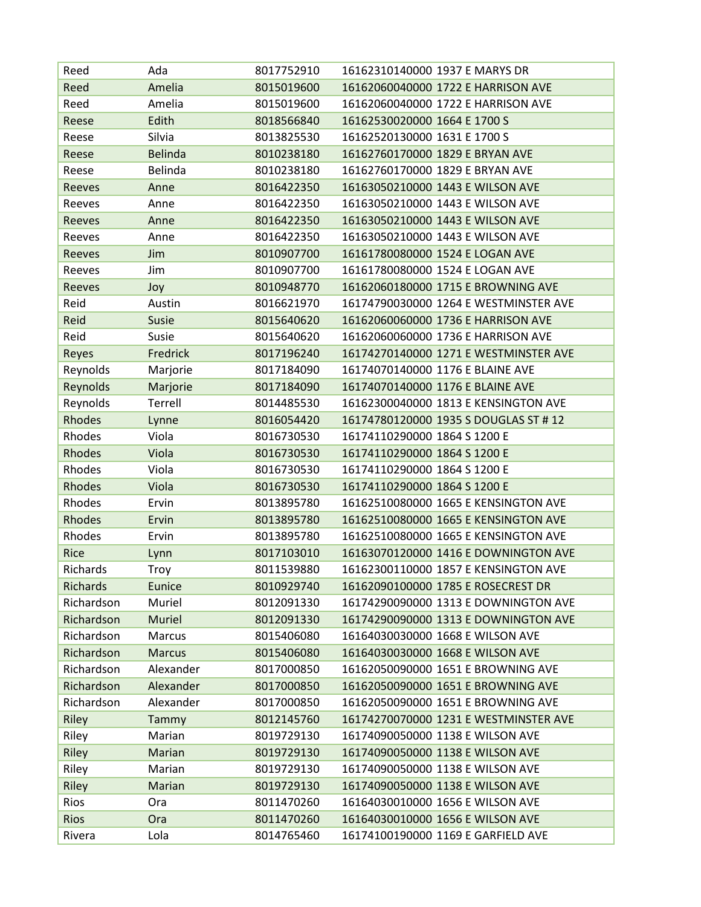| Reed            | Ada            | 8017752910 | 16162310140000 1937 E MARYS DR        |
|-----------------|----------------|------------|---------------------------------------|
| Reed            | Amelia         | 8015019600 | 16162060040000 1722 E HARRISON AVE    |
| Reed            | Amelia         | 8015019600 | 16162060040000 1722 E HARRISON AVE    |
| Reese           | Edith          | 8018566840 | 16162530020000 1664 E 1700 S          |
| Reese           | Silvia         | 8013825530 | 16162520130000 1631 E 1700 S          |
| Reese           | <b>Belinda</b> | 8010238180 | 16162760170000 1829 E BRYAN AVE       |
| Reese           | Belinda        | 8010238180 | 16162760170000 1829 E BRYAN AVE       |
| Reeves          | Anne           | 8016422350 | 16163050210000 1443 E WILSON AVE      |
| Reeves          | Anne           | 8016422350 | 16163050210000 1443 E WILSON AVE      |
| Reeves          | Anne           | 8016422350 | 16163050210000 1443 E WILSON AVE      |
| Reeves          | Anne           | 8016422350 | 16163050210000 1443 E WILSON AVE      |
| Reeves          | Jim            | 8010907700 | 16161780080000 1524 E LOGAN AVE       |
| Reeves          | Jim            | 8010907700 | 16161780080000 1524 E LOGAN AVE       |
| Reeves          | Joy            | 8010948770 | 16162060180000 1715 E BROWNING AVE    |
| Reid            | Austin         | 8016621970 | 16174790030000 1264 E WESTMINSTER AVE |
| Reid            | Susie          | 8015640620 | 16162060060000 1736 E HARRISON AVE    |
| Reid            | Susie          | 8015640620 | 16162060060000 1736 E HARRISON AVE    |
| Reyes           | Fredrick       | 8017196240 | 16174270140000 1271 E WESTMINSTER AVE |
| Reynolds        | Marjorie       | 8017184090 | 16174070140000 1176 E BLAINE AVE      |
| Reynolds        | Marjorie       | 8017184090 | 16174070140000 1176 E BLAINE AVE      |
| Reynolds        | Terrell        | 8014485530 | 16162300040000 1813 E KENSINGTON AVE  |
| <b>Rhodes</b>   | Lynne          | 8016054420 | 16174780120000 1935 S DOUGLAS ST # 12 |
| Rhodes          | Viola          | 8016730530 | 16174110290000 1864 S 1200 E          |
| <b>Rhodes</b>   | Viola          | 8016730530 | 16174110290000 1864 S 1200 E          |
| Rhodes          | Viola          | 8016730530 | 16174110290000 1864 S 1200 E          |
| Rhodes          | Viola          | 8016730530 | 16174110290000 1864 S 1200 E          |
| Rhodes          | Ervin          | 8013895780 | 16162510080000 1665 E KENSINGTON AVE  |
| <b>Rhodes</b>   | Ervin          | 8013895780 | 16162510080000 1665 E KENSINGTON AVE  |
| Rhodes          | Ervin          | 8013895780 | 16162510080000 1665 E KENSINGTON AVE  |
| <b>Rice</b>     | Lynn           | 8017103010 | 16163070120000 1416 E DOWNINGTON AVE  |
| Richards        | Troy           | 8011539880 | 16162300110000 1857 E KENSINGTON AVE  |
| <b>Richards</b> | Eunice         | 8010929740 | 16162090100000 1785 E ROSECREST DR    |
| Richardson      | Muriel         | 8012091330 | 16174290090000 1313 E DOWNINGTON AVE  |
| Richardson      | Muriel         | 8012091330 | 16174290090000 1313 E DOWNINGTON AVE  |
| Richardson      | Marcus         | 8015406080 | 16164030030000 1668 E WILSON AVE      |
| Richardson      | <b>Marcus</b>  | 8015406080 | 16164030030000 1668 E WILSON AVE      |
| Richardson      | Alexander      | 8017000850 | 16162050090000 1651 E BROWNING AVE    |
| Richardson      | Alexander      | 8017000850 | 16162050090000 1651 E BROWNING AVE    |
| Richardson      | Alexander      | 8017000850 | 16162050090000 1651 E BROWNING AVE    |
| Riley           | Tammy          | 8012145760 | 16174270070000 1231 E WESTMINSTER AVE |
| Riley           | Marian         | 8019729130 | 16174090050000 1138 E WILSON AVE      |
| Riley           | Marian         | 8019729130 | 16174090050000 1138 E WILSON AVE      |
| Riley           | Marian         | 8019729130 | 16174090050000 1138 E WILSON AVE      |
| Riley           | Marian         | 8019729130 | 16174090050000 1138 E WILSON AVE      |
| Rios            | Ora            | 8011470260 | 16164030010000 1656 E WILSON AVE      |
| <b>Rios</b>     | Ora            | 8011470260 | 16164030010000 1656 E WILSON AVE      |
| Rivera          | Lola           | 8014765460 | 16174100190000 1169 E GARFIELD AVE    |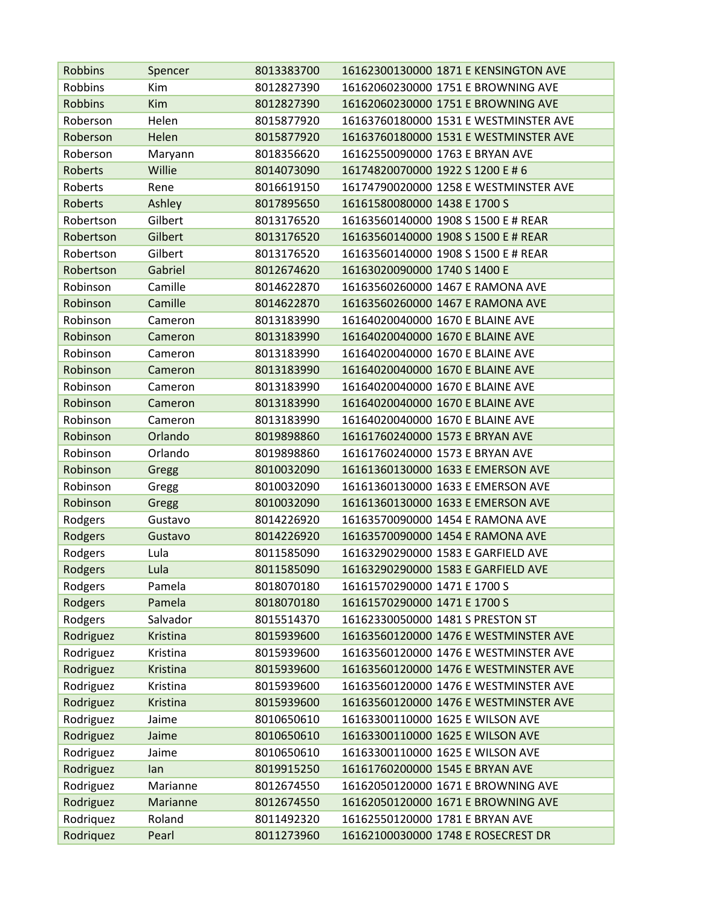| <b>Robbins</b> | Spencer  | 8013383700 | 16162300130000 1871 E KENSINGTON AVE  |
|----------------|----------|------------|---------------------------------------|
| Robbins        | Kim      | 8012827390 | 16162060230000 1751 E BROWNING AVE    |
| <b>Robbins</b> | Kim      | 8012827390 | 16162060230000 1751 E BROWNING AVE    |
| Roberson       | Helen    | 8015877920 | 16163760180000 1531 E WESTMINSTER AVE |
| Roberson       | Helen    | 8015877920 | 16163760180000 1531 E WESTMINSTER AVE |
| Roberson       | Maryann  | 8018356620 | 16162550090000 1763 E BRYAN AVE       |
| Roberts        | Willie   | 8014073090 | 16174820070000 1922 S 1200 E # 6      |
| Roberts        | Rene     | 8016619150 | 16174790020000 1258 E WESTMINSTER AVE |
| Roberts        | Ashley   | 8017895650 | 16161580080000 1438 E 1700 S          |
| Robertson      | Gilbert  | 8013176520 | 16163560140000 1908 S 1500 E # REAR   |
| Robertson      | Gilbert  | 8013176520 | 16163560140000 1908 S 1500 E # REAR   |
| Robertson      | Gilbert  | 8013176520 | 16163560140000 1908 S 1500 E # REAR   |
| Robertson      | Gabriel  | 8012674620 | 16163020090000 1740 S 1400 E          |
| Robinson       | Camille  | 8014622870 | 16163560260000 1467 E RAMONA AVE      |
| Robinson       | Camille  | 8014622870 | 16163560260000 1467 E RAMONA AVE      |
| Robinson       | Cameron  | 8013183990 | 16164020040000 1670 E BLAINE AVE      |
| Robinson       | Cameron  | 8013183990 | 16164020040000 1670 E BLAINE AVE      |
| Robinson       | Cameron  | 8013183990 | 16164020040000 1670 E BLAINE AVE      |
| Robinson       | Cameron  | 8013183990 | 16164020040000 1670 E BLAINE AVE      |
| Robinson       | Cameron  | 8013183990 | 16164020040000 1670 E BLAINE AVE      |
| Robinson       | Cameron  | 8013183990 | 16164020040000 1670 E BLAINE AVE      |
| Robinson       | Cameron  | 8013183990 | 16164020040000 1670 E BLAINE AVE      |
| Robinson       | Orlando  | 8019898860 | 16161760240000 1573 E BRYAN AVE       |
| Robinson       | Orlando  | 8019898860 | 16161760240000 1573 E BRYAN AVE       |
| Robinson       | Gregg    | 8010032090 | 16161360130000 1633 E EMERSON AVE     |
| Robinson       | Gregg    | 8010032090 | 16161360130000 1633 E EMERSON AVE     |
| Robinson       | Gregg    | 8010032090 | 16161360130000 1633 E EMERSON AVE     |
| Rodgers        | Gustavo  | 8014226920 | 16163570090000 1454 E RAMONA AVE      |
| Rodgers        | Gustavo  | 8014226920 | 16163570090000 1454 E RAMONA AVE      |
| Rodgers        | Lula     | 8011585090 | 16163290290000 1583 E GARFIELD AVE    |
| Rodgers        | Lula     | 8011585090 | 16163290290000 1583 E GARFIELD AVE    |
| Rodgers        | Pamela   | 8018070180 | 16161570290000 1471 E 1700 S          |
| Rodgers        | Pamela   | 8018070180 | 16161570290000 1471 E 1700 S          |
| Rodgers        | Salvador | 8015514370 | 16162330050000 1481 S PRESTON ST      |
| Rodriguez      | Kristina | 8015939600 | 16163560120000 1476 E WESTMINSTER AVE |
| Rodriguez      | Kristina | 8015939600 | 16163560120000 1476 E WESTMINSTER AVE |
| Rodriguez      | Kristina | 8015939600 | 16163560120000 1476 E WESTMINSTER AVE |
| Rodriguez      | Kristina | 8015939600 | 16163560120000 1476 E WESTMINSTER AVE |
| Rodriguez      | Kristina | 8015939600 | 16163560120000 1476 E WESTMINSTER AVE |
| Rodriguez      | Jaime    | 8010650610 | 16163300110000 1625 E WILSON AVE      |
| Rodriguez      | Jaime    | 8010650610 | 16163300110000 1625 E WILSON AVE      |
| Rodriguez      | Jaime    | 8010650610 | 16163300110000 1625 E WILSON AVE      |
| Rodriguez      | lan      | 8019915250 | 16161760200000 1545 E BRYAN AVE       |
| Rodriguez      | Marianne | 8012674550 | 16162050120000 1671 E BROWNING AVE    |
| Rodriguez      | Marianne | 8012674550 | 16162050120000 1671 E BROWNING AVE    |
| Rodriquez      | Roland   | 8011492320 | 16162550120000 1781 E BRYAN AVE       |
| Rodriquez      | Pearl    | 8011273960 | 16162100030000 1748 E ROSECREST DR    |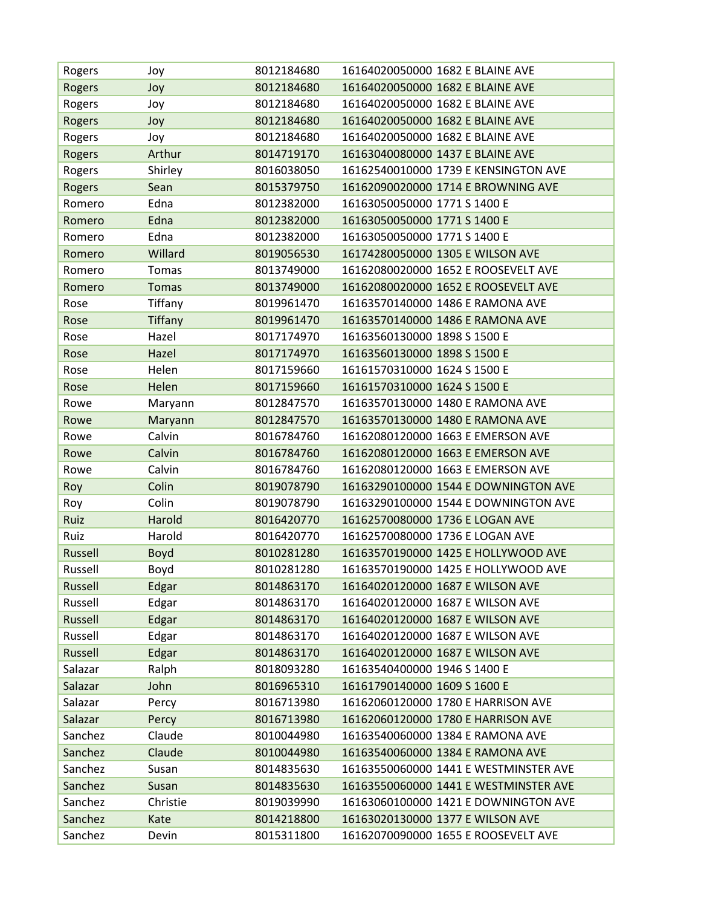| Rogers             | Joy           | 8012184680               | 16164020050000 1682 E BLAINE AVE                                        |
|--------------------|---------------|--------------------------|-------------------------------------------------------------------------|
| <b>Rogers</b>      | Joy           | 8012184680               | 16164020050000 1682 E BLAINE AVE                                        |
| Rogers             | Joy           | 8012184680               | 16164020050000 1682 E BLAINE AVE                                        |
| Rogers             | Joy           | 8012184680               | 16164020050000 1682 E BLAINE AVE                                        |
| Rogers             | Joy           | 8012184680               | 16164020050000 1682 E BLAINE AVE                                        |
| Rogers             | Arthur        | 8014719170               | 16163040080000 1437 E BLAINE AVE                                        |
| Rogers             | Shirley       | 8016038050               | 16162540010000 1739 E KENSINGTON AVE                                    |
| Rogers             | Sean          | 8015379750               | 16162090020000 1714 E BROWNING AVE                                      |
| Romero             | Edna          | 8012382000               | 16163050050000 1771 S 1400 E                                            |
| Romero             | Edna          | 8012382000               | 16163050050000 1771 S 1400 E                                            |
| Romero             | Edna          | 8012382000               | 16163050050000 1771 S 1400 E                                            |
| Romero             | Willard       | 8019056530               | 16174280050000 1305 E WILSON AVE                                        |
| Romero             | Tomas         | 8013749000               | 16162080020000 1652 E ROOSEVELT AVE                                     |
| Romero             | <b>Tomas</b>  | 8013749000               | 16162080020000 1652 E ROOSEVELT AVE                                     |
| Rose               | Tiffany       | 8019961470               | 16163570140000 1486 E RAMONA AVE                                        |
| Rose               | Tiffany       | 8019961470               | 16163570140000 1486 E RAMONA AVE                                        |
| Rose               | Hazel         | 8017174970               | 16163560130000 1898 S 1500 E                                            |
| Rose               | Hazel         | 8017174970               | 16163560130000 1898 S 1500 E                                            |
| Rose               | Helen         | 8017159660               | 16161570310000 1624 S 1500 E                                            |
| Rose               | Helen         | 8017159660               | 16161570310000 1624 S 1500 E                                            |
| Rowe               | Maryann       | 8012847570               | 16163570130000 1480 E RAMONA AVE                                        |
| Rowe               | Maryann       | 8012847570               | 16163570130000 1480 E RAMONA AVE                                        |
| Rowe               | Calvin        | 8016784760               | 16162080120000 1663 E EMERSON AVE                                       |
| Rowe               | Calvin        | 8016784760               | 16162080120000 1663 E EMERSON AVE                                       |
| Rowe               | Calvin        | 8016784760               | 16162080120000 1663 E EMERSON AVE                                       |
| Roy                | Colin         | 8019078790               | 16163290100000 1544 E DOWNINGTON AVE                                    |
| Roy                | Colin         | 8019078790               | 16163290100000 1544 E DOWNINGTON AVE                                    |
| Ruiz               | Harold        | 8016420770               | 16162570080000 1736 E LOGAN AVE                                         |
| Ruiz               | Harold        | 8016420770               | 16162570080000 1736 E LOGAN AVE                                         |
| Russell            | Boyd          | 8010281280               | 16163570190000 1425 E HOLLYWOOD AVE                                     |
| Russell            | Boyd          | 8010281280               | 16163570190000 1425 E HOLLYWOOD AVE                                     |
| Russell            | Edgar         | 8014863170               | 16164020120000 1687 E WILSON AVE                                        |
| Russell            | Edgar         | 8014863170               | 16164020120000 1687 E WILSON AVE                                        |
| Russell            | Edgar         | 8014863170               | 16164020120000 1687 E WILSON AVE                                        |
| Russell            | Edgar         | 8014863170               | 16164020120000 1687 E WILSON AVE                                        |
| Russell            | Edgar         | 8014863170               | 16164020120000 1687 E WILSON AVE                                        |
| Salazar            | Ralph         | 8018093280               | 16163540400000 1946 S 1400 E                                            |
| Salazar            | John          | 8016965310               | 16161790140000 1609 S 1600 E                                            |
| Salazar            | Percy         | 8016713980               | 16162060120000 1780 E HARRISON AVE                                      |
| Salazar            | Percy         | 8016713980               | 16162060120000 1780 E HARRISON AVE                                      |
| Sanchez            | Claude        | 8010044980               | 16163540060000 1384 E RAMONA AVE                                        |
| Sanchez            | Claude        | 8010044980               | 16163540060000 1384 E RAMONA AVE                                        |
| Sanchez            | Susan         | 8014835630               | 16163550060000 1441 E WESTMINSTER AVE                                   |
| Sanchez            | Susan         | 8014835630               | 16163550060000 1441 E WESTMINSTER AVE                                   |
| Sanchez            | Christie      | 8019039990               | 16163060100000 1421 E DOWNINGTON AVE                                    |
|                    |               |                          |                                                                         |
| Sanchez<br>Sanchez | Kate<br>Devin | 8014218800<br>8015311800 | 16163020130000 1377 E WILSON AVE<br>16162070090000 1655 E ROOSEVELT AVE |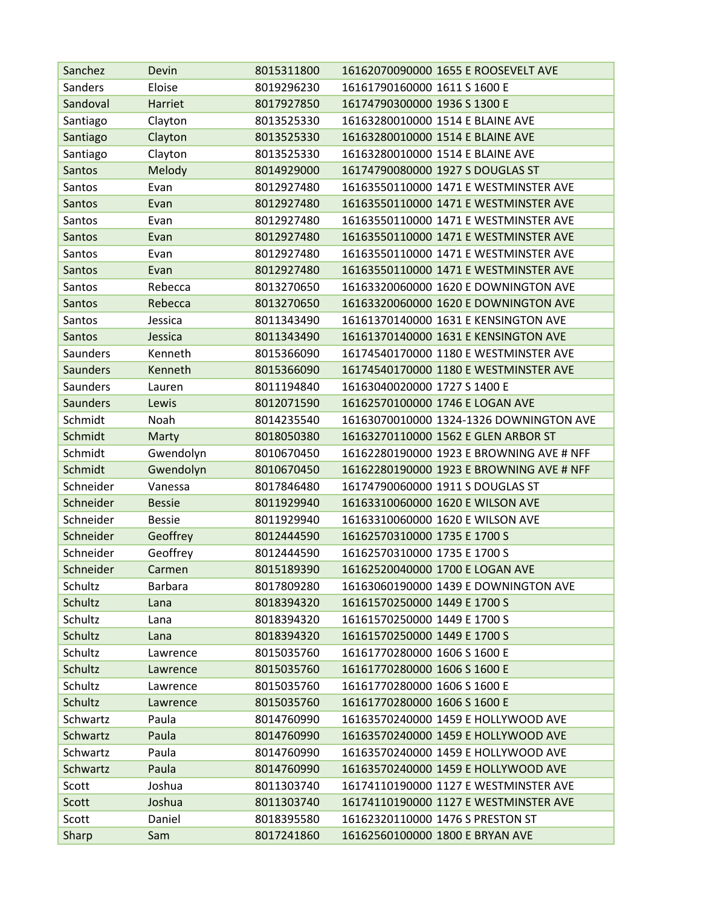| Sanchez         | Devin          | 8015311800 | 16162070090000 1655 E ROOSEVELT AVE      |
|-----------------|----------------|------------|------------------------------------------|
| Sanders         | Eloise         | 8019296230 | 16161790160000 1611 S 1600 E             |
| Sandoval        | Harriet        | 8017927850 | 16174790300000 1936 S 1300 E             |
| Santiago        | Clayton        | 8013525330 | 16163280010000 1514 E BLAINE AVE         |
| Santiago        | Clayton        | 8013525330 | 16163280010000 1514 E BLAINE AVE         |
| Santiago        | Clayton        | 8013525330 | 16163280010000 1514 E BLAINE AVE         |
| Santos          | Melody         | 8014929000 | 16174790080000 1927 S DOUGLAS ST         |
| Santos          | Evan           | 8012927480 | 16163550110000 1471 E WESTMINSTER AVE    |
| <b>Santos</b>   | Evan           | 8012927480 | 16163550110000 1471 E WESTMINSTER AVE    |
| Santos          | Evan           | 8012927480 | 16163550110000 1471 E WESTMINSTER AVE    |
| Santos          | Evan           | 8012927480 | 16163550110000 1471 E WESTMINSTER AVE    |
| Santos          | Evan           | 8012927480 | 16163550110000 1471 E WESTMINSTER AVE    |
| Santos          | Evan           | 8012927480 | 16163550110000 1471 E WESTMINSTER AVE    |
| Santos          | Rebecca        | 8013270650 | 16163320060000 1620 E DOWNINGTON AVE     |
| Santos          | Rebecca        | 8013270650 | 16163320060000 1620 E DOWNINGTON AVE     |
| Santos          | Jessica        | 8011343490 | 16161370140000 1631 E KENSINGTON AVE     |
| Santos          | Jessica        | 8011343490 | 16161370140000 1631 E KENSINGTON AVE     |
| Saunders        | Kenneth        | 8015366090 | 16174540170000 1180 E WESTMINSTER AVE    |
| <b>Saunders</b> | Kenneth        | 8015366090 | 16174540170000 1180 E WESTMINSTER AVE    |
| <b>Saunders</b> | Lauren         | 8011194840 | 16163040020000 1727 S 1400 E             |
| <b>Saunders</b> | Lewis          | 8012071590 | 16162570100000 1746 E LOGAN AVE          |
| Schmidt         | Noah           | 8014235540 | 16163070010000 1324-1326 DOWNINGTON AVE  |
| Schmidt         | Marty          | 8018050380 | 16163270110000 1562 E GLEN ARBOR ST      |
| Schmidt         | Gwendolyn      | 8010670450 | 16162280190000 1923 E BROWNING AVE # NFF |
| Schmidt         | Gwendolyn      | 8010670450 | 16162280190000 1923 E BROWNING AVE # NFF |
| Schneider       | Vanessa        | 8017846480 | 16174790060000 1911 S DOUGLAS ST         |
| Schneider       | <b>Bessie</b>  | 8011929940 | 16163310060000 1620 E WILSON AVE         |
| Schneider       | <b>Bessie</b>  | 8011929940 | 16163310060000 1620 E WILSON AVE         |
| Schneider       | Geoffrey       | 8012444590 | 16162570310000 1735 E 1700 S             |
| Schneider       | Geoffrey       | 8012444590 | 16162570310000 1735 E 1700 S             |
| Schneider       | Carmen         | 8015189390 | 16162520040000 1700 E LOGAN AVE          |
| Schultz         | <b>Barbara</b> | 8017809280 | 16163060190000 1439 E DOWNINGTON AVE     |
| Schultz         | Lana           | 8018394320 | 16161570250000 1449 E 1700 S             |
| Schultz         | Lana           | 8018394320 | 16161570250000 1449 E 1700 S             |
| Schultz         | Lana           | 8018394320 | 16161570250000 1449 E 1700 S             |
| Schultz         | Lawrence       | 8015035760 | 16161770280000 1606 S 1600 E             |
| Schultz         | Lawrence       | 8015035760 | 16161770280000 1606 S 1600 E             |
| Schultz         | Lawrence       | 8015035760 | 16161770280000 1606 S 1600 E             |
| <b>Schultz</b>  | Lawrence       | 8015035760 | 16161770280000 1606 S 1600 E             |
| Schwartz        | Paula          | 8014760990 | 16163570240000 1459 E HOLLYWOOD AVE      |
| Schwartz        | Paula          | 8014760990 | 16163570240000 1459 E HOLLYWOOD AVE      |
| Schwartz        | Paula          | 8014760990 | 16163570240000 1459 E HOLLYWOOD AVE      |
| Schwartz        | Paula          | 8014760990 | 16163570240000 1459 E HOLLYWOOD AVE      |
| Scott           | Joshua         | 8011303740 | 16174110190000 1127 E WESTMINSTER AVE    |
| Scott           | Joshua         | 8011303740 | 16174110190000 1127 E WESTMINSTER AVE    |
| Scott           | Daniel         | 8018395580 | 16162320110000 1476 S PRESTON ST         |
| Sharp           | Sam            | 8017241860 | 16162560100000 1800 E BRYAN AVE          |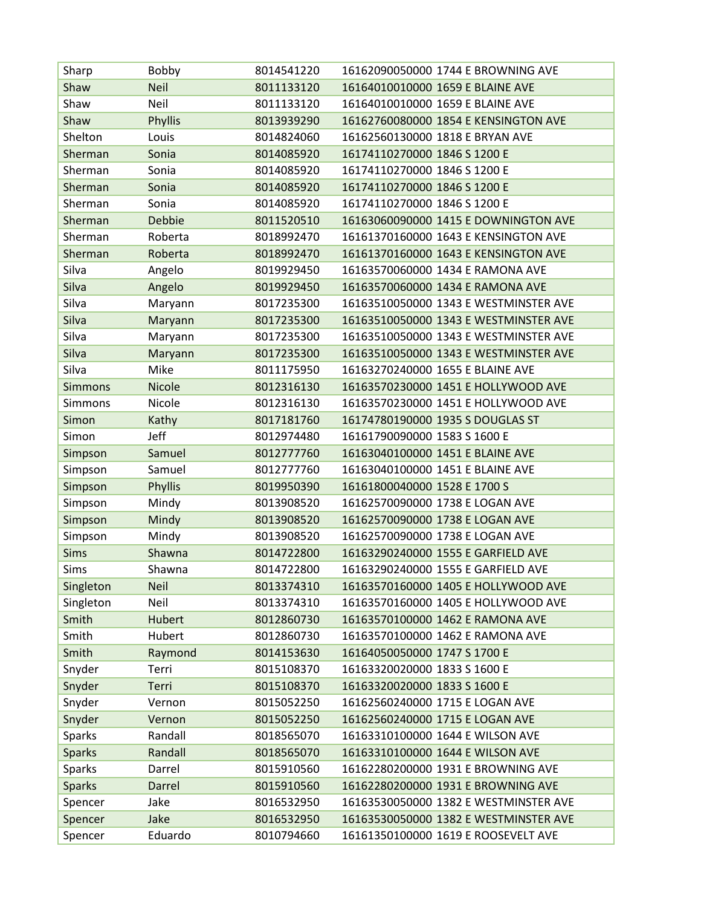| Sharp          | Bobby         | 8014541220 | 16162090050000 1744 E BROWNING AVE    |
|----------------|---------------|------------|---------------------------------------|
| Shaw           | <b>Neil</b>   | 8011133120 | 16164010010000 1659 E BLAINE AVE      |
| Shaw           | Neil          | 8011133120 | 16164010010000 1659 E BLAINE AVE      |
| Shaw           | Phyllis       | 8013939290 | 16162760080000 1854 E KENSINGTON AVE  |
| Shelton        | Louis         | 8014824060 | 16162560130000 1818 E BRYAN AVE       |
| Sherman        | Sonia         | 8014085920 | 16174110270000 1846 S 1200 E          |
| Sherman        | Sonia         | 8014085920 | 16174110270000 1846 S 1200 E          |
| Sherman        | Sonia         | 8014085920 | 16174110270000 1846 S 1200 E          |
| Sherman        | Sonia         | 8014085920 | 16174110270000 1846 S 1200 E          |
| Sherman        | <b>Debbie</b> | 8011520510 | 16163060090000 1415 E DOWNINGTON AVE  |
| Sherman        | Roberta       | 8018992470 | 16161370160000 1643 E KENSINGTON AVE  |
| Sherman        | Roberta       | 8018992470 | 16161370160000 1643 E KENSINGTON AVE  |
| Silva          | Angelo        | 8019929450 | 16163570060000 1434 E RAMONA AVE      |
| Silva          | Angelo        | 8019929450 | 16163570060000 1434 E RAMONA AVE      |
| Silva          | Maryann       | 8017235300 | 16163510050000 1343 E WESTMINSTER AVE |
| Silva          | Maryann       | 8017235300 | 16163510050000 1343 E WESTMINSTER AVE |
| Silva          | Maryann       | 8017235300 | 16163510050000 1343 E WESTMINSTER AVE |
| Silva          | Maryann       | 8017235300 | 16163510050000 1343 E WESTMINSTER AVE |
| Silva          | Mike          | 8011175950 | 16163270240000 1655 E BLAINE AVE      |
| <b>Simmons</b> | Nicole        | 8012316130 | 16163570230000 1451 E HOLLYWOOD AVE   |
| Simmons        | Nicole        | 8012316130 | 16163570230000 1451 E HOLLYWOOD AVE   |
| Simon          | Kathy         | 8017181760 | 16174780190000 1935 S DOUGLAS ST      |
| Simon          | Jeff          | 8012974480 | 16161790090000 1583 S 1600 E          |
| Simpson        | Samuel        | 8012777760 | 16163040100000 1451 E BLAINE AVE      |
| Simpson        | Samuel        | 8012777760 | 16163040100000 1451 E BLAINE AVE      |
| Simpson        | Phyllis       | 8019950390 | 16161800040000 1528 E 1700 S          |
| Simpson        | Mindy         | 8013908520 | 16162570090000 1738 E LOGAN AVE       |
| Simpson        | Mindy         | 8013908520 | 16162570090000 1738 E LOGAN AVE       |
| Simpson        | Mindy         | 8013908520 | 16162570090000 1738 E LOGAN AVE       |
| <b>Sims</b>    | Shawna        | 8014722800 | 16163290240000 1555 E GARFIELD AVE    |
| Sims           | Shawna        | 8014722800 | 16163290240000 1555 E GARFIELD AVE    |
| Singleton      | <b>Neil</b>   | 8013374310 | 16163570160000 1405 E HOLLYWOOD AVE   |
| Singleton      | Neil          | 8013374310 | 16163570160000 1405 E HOLLYWOOD AVE   |
| Smith          | Hubert        | 8012860730 | 16163570100000 1462 E RAMONA AVE      |
| Smith          | Hubert        | 8012860730 | 16163570100000 1462 E RAMONA AVE      |
| Smith          | Raymond       | 8014153630 | 16164050050000 1747 S 1700 E          |
| Snyder         | Terri         | 8015108370 | 16163320020000 1833 S 1600 E          |
| Snyder         | Terri         | 8015108370 | 16163320020000 1833 S 1600 E          |
| Snyder         | Vernon        | 8015052250 | 16162560240000 1715 E LOGAN AVE       |
| Snyder         | Vernon        | 8015052250 | 16162560240000 1715 E LOGAN AVE       |
| Sparks         | Randall       | 8018565070 | 16163310100000 1644 E WILSON AVE      |
| <b>Sparks</b>  | Randall       | 8018565070 | 16163310100000 1644 E WILSON AVE      |
| Sparks         | Darrel        | 8015910560 | 16162280200000 1931 E BROWNING AVE    |
| <b>Sparks</b>  | Darrel        | 8015910560 | 16162280200000 1931 E BROWNING AVE    |
| Spencer        | Jake          | 8016532950 | 16163530050000 1382 E WESTMINSTER AVE |
| Spencer        | Jake          | 8016532950 | 16163530050000 1382 E WESTMINSTER AVE |
| Spencer        | Eduardo       | 8010794660 | 16161350100000 1619 E ROOSEVELT AVE   |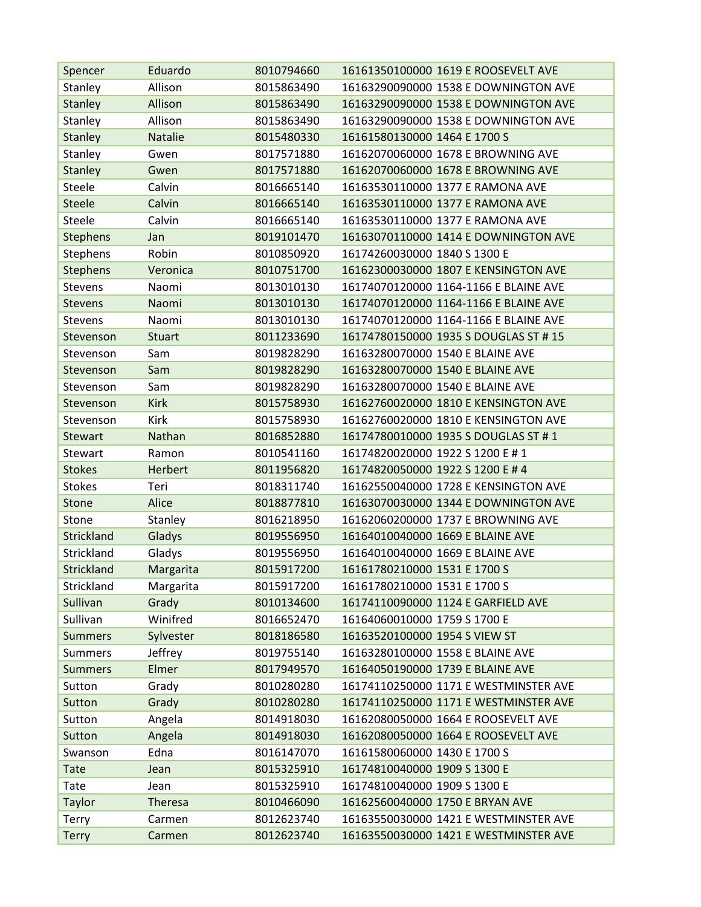| Spencer           | Eduardo        | 8010794660 | 16161350100000 1619 E ROOSEVELT AVE   |
|-------------------|----------------|------------|---------------------------------------|
| Stanley           | Allison        | 8015863490 | 16163290090000 1538 E DOWNINGTON AVE  |
| <b>Stanley</b>    | Allison        | 8015863490 | 16163290090000 1538 E DOWNINGTON AVE  |
| Stanley           | Allison        | 8015863490 | 16163290090000 1538 E DOWNINGTON AVE  |
| <b>Stanley</b>    | <b>Natalie</b> | 8015480330 | 16161580130000 1464 E 1700 S          |
| Stanley           | Gwen           | 8017571880 | 16162070060000 1678 E BROWNING AVE    |
| <b>Stanley</b>    | Gwen           | 8017571880 | 16162070060000 1678 E BROWNING AVE    |
| Steele            | Calvin         | 8016665140 | 16163530110000 1377 E RAMONA AVE      |
| <b>Steele</b>     | Calvin         | 8016665140 | 16163530110000 1377 E RAMONA AVE      |
| Steele            | Calvin         | 8016665140 | 16163530110000 1377 E RAMONA AVE      |
| <b>Stephens</b>   | Jan            | 8019101470 | 16163070110000 1414 E DOWNINGTON AVE  |
| Stephens          | Robin          | 8010850920 | 16174260030000 1840 S 1300 E          |
| <b>Stephens</b>   | Veronica       | 8010751700 | 16162300030000 1807 E KENSINGTON AVE  |
| <b>Stevens</b>    | Naomi          | 8013010130 | 16174070120000 1164-1166 E BLAINE AVE |
| <b>Stevens</b>    | Naomi          | 8013010130 | 16174070120000 1164-1166 E BLAINE AVE |
| <b>Stevens</b>    | Naomi          | 8013010130 | 16174070120000 1164-1166 E BLAINE AVE |
| Stevenson         | <b>Stuart</b>  | 8011233690 | 16174780150000 1935 S DOUGLAS ST # 15 |
| Stevenson         | Sam            | 8019828290 | 16163280070000 1540 E BLAINE AVE      |
| Stevenson         | Sam            | 8019828290 | 16163280070000 1540 E BLAINE AVE      |
| Stevenson         | Sam            | 8019828290 | 16163280070000 1540 E BLAINE AVE      |
| Stevenson         | <b>Kirk</b>    | 8015758930 | 16162760020000 1810 E KENSINGTON AVE  |
| Stevenson         | Kirk           | 8015758930 | 16162760020000 1810 E KENSINGTON AVE  |
| <b>Stewart</b>    | Nathan         | 8016852880 | 16174780010000 1935 S DOUGLAS ST #1   |
| Stewart           | Ramon          | 8010541160 | 16174820020000 1922 S 1200 E # 1      |
| <b>Stokes</b>     | Herbert        | 8011956820 | 16174820050000 1922 S 1200 E # 4      |
| <b>Stokes</b>     | Teri           | 8018311740 | 16162550040000 1728 E KENSINGTON AVE  |
| Stone             | Alice          | 8018877810 | 16163070030000 1344 E DOWNINGTON AVE  |
| Stone             | Stanley        | 8016218950 | 16162060200000 1737 E BROWNING AVE    |
| Strickland        | Gladys         | 8019556950 | 16164010040000 1669 E BLAINE AVE      |
| Strickland        | Gladys         | 8019556950 | 16164010040000 1669 E BLAINE AVE      |
| <b>Strickland</b> | Margarita      | 8015917200 | 16161780210000 1531 E 1700 S          |
| Strickland        | Margarita      | 8015917200 | 16161780210000 1531 E 1700 S          |
| Sullivan          | Grady          | 8010134600 | 16174110090000 1124 E GARFIELD AVE    |
| Sullivan          | Winifred       | 8016652470 | 16164060010000 1759 S 1700 E          |
| <b>Summers</b>    | Sylvester      | 8018186580 | 16163520100000 1954 S VIEW ST         |
| <b>Summers</b>    | Jeffrey        | 8019755140 | 16163280100000 1558 E BLAINE AVE      |
| <b>Summers</b>    | Elmer          | 8017949570 | 16164050190000 1739 E BLAINE AVE      |
| Sutton            | Grady          | 8010280280 | 16174110250000 1171 E WESTMINSTER AVE |
| Sutton            | Grady          | 8010280280 | 16174110250000 1171 E WESTMINSTER AVE |
| Sutton            | Angela         | 8014918030 | 16162080050000 1664 E ROOSEVELT AVE   |
| Sutton            | Angela         | 8014918030 | 16162080050000 1664 E ROOSEVELT AVE   |
| Swanson           | Edna           | 8016147070 | 16161580060000 1430 E 1700 S          |
| <b>Tate</b>       | Jean           | 8015325910 | 16174810040000 1909 S 1300 E          |
| Tate              | Jean           | 8015325910 | 16174810040000 1909 S 1300 E          |
| <b>Taylor</b>     | Theresa        | 8010466090 | 16162560040000 1750 E BRYAN AVE       |
| Terry             | Carmen         | 8012623740 | 16163550030000 1421 E WESTMINSTER AVE |
| <b>Terry</b>      | Carmen         | 8012623740 | 16163550030000 1421 E WESTMINSTER AVE |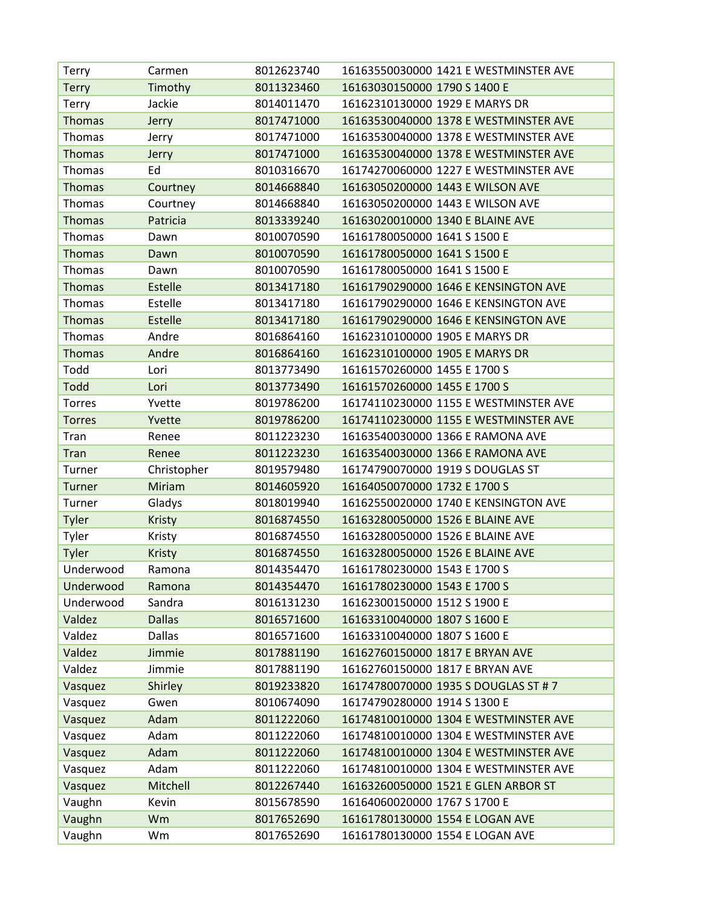| Terry         | Carmen         | 8012623740 | 16163550030000 1421 E WESTMINSTER AVE |
|---------------|----------------|------------|---------------------------------------|
| <b>Terry</b>  | Timothy        | 8011323460 | 16163030150000 1790 S 1400 E          |
| <b>Terry</b>  | Jackie         | 8014011470 | 16162310130000 1929 E MARYS DR        |
| <b>Thomas</b> | Jerry          | 8017471000 | 16163530040000 1378 E WESTMINSTER AVE |
| Thomas        | Jerry          | 8017471000 | 16163530040000 1378 E WESTMINSTER AVE |
| <b>Thomas</b> | Jerry          | 8017471000 | 16163530040000 1378 E WESTMINSTER AVE |
| Thomas        | Ed             | 8010316670 | 16174270060000 1227 E WESTMINSTER AVE |
| <b>Thomas</b> | Courtney       | 8014668840 | 16163050200000 1443 E WILSON AVE      |
| Thomas        | Courtney       | 8014668840 | 16163050200000 1443 E WILSON AVE      |
| <b>Thomas</b> | Patricia       | 8013339240 | 16163020010000 1340 E BLAINE AVE      |
| <b>Thomas</b> | Dawn           | 8010070590 | 16161780050000 1641 S 1500 E          |
| <b>Thomas</b> | Dawn           | 8010070590 | 16161780050000 1641 S 1500 E          |
| Thomas        | Dawn           | 8010070590 | 16161780050000 1641 S 1500 E          |
| <b>Thomas</b> | Estelle        | 8013417180 | 16161790290000 1646 E KENSINGTON AVE  |
| Thomas        | Estelle        | 8013417180 | 16161790290000 1646 E KENSINGTON AVE  |
| <b>Thomas</b> | <b>Estelle</b> | 8013417180 | 16161790290000 1646 E KENSINGTON AVE  |
| Thomas        | Andre          | 8016864160 | 16162310100000 1905 E MARYS DR        |
| <b>Thomas</b> | Andre          | 8016864160 | 16162310100000 1905 E MARYS DR        |
| Todd          | Lori           | 8013773490 | 16161570260000 1455 E 1700 S          |
| Todd          | Lori           | 8013773490 | 16161570260000 1455 E 1700 S          |
| <b>Torres</b> | Yvette         | 8019786200 | 16174110230000 1155 E WESTMINSTER AVE |
| <b>Torres</b> | Yvette         | 8019786200 | 16174110230000 1155 E WESTMINSTER AVE |
| Tran          | Renee          | 8011223230 | 16163540030000 1366 E RAMONA AVE      |
| <b>Tran</b>   | Renee          | 8011223230 | 16163540030000 1366 E RAMONA AVE      |
| Turner        | Christopher    | 8019579480 | 16174790070000 1919 S DOUGLAS ST      |
| <b>Turner</b> | Miriam         | 8014605920 | 16164050070000 1732 E 1700 S          |
| Turner        | Gladys         | 8018019940 | 16162550020000 1740 E KENSINGTON AVE  |
| Tyler         | Kristy         | 8016874550 | 16163280050000 1526 E BLAINE AVE      |
| Tyler         | Kristy         | 8016874550 | 16163280050000 1526 E BLAINE AVE      |
| <b>Tyler</b>  | <b>Kristy</b>  | 8016874550 | 16163280050000 1526 E BLAINE AVE      |
| Underwood     | Ramona         | 8014354470 | 16161780230000 1543 E 1700 S          |
| Underwood     | Ramona         | 8014354470 | 16161780230000 1543 E 1700 S          |
| Underwood     | Sandra         | 8016131230 | 16162300150000 1512 S 1900 E          |
| Valdez        | <b>Dallas</b>  | 8016571600 | 16163310040000 1807 S 1600 E          |
| Valdez        | <b>Dallas</b>  | 8016571600 | 16163310040000 1807 S 1600 E          |
| Valdez        | Jimmie         | 8017881190 | 16162760150000 1817 E BRYAN AVE       |
| Valdez        | Jimmie         | 8017881190 | 16162760150000 1817 E BRYAN AVE       |
| Vasquez       | Shirley        | 8019233820 | 16174780070000 1935 S DOUGLAS ST # 7  |
| Vasquez       | Gwen           | 8010674090 | 16174790280000 1914 S 1300 E          |
| Vasquez       | Adam           | 8011222060 | 16174810010000 1304 E WESTMINSTER AVE |
| Vasquez       | Adam           | 8011222060 | 16174810010000 1304 E WESTMINSTER AVE |
| Vasquez       | Adam           | 8011222060 | 16174810010000 1304 E WESTMINSTER AVE |
| Vasquez       | Adam           | 8011222060 | 16174810010000 1304 E WESTMINSTER AVE |
| Vasquez       | Mitchell       | 8012267440 | 16163260050000 1521 E GLEN ARBOR ST   |
| Vaughn        | Kevin          | 8015678590 | 16164060020000 1767 S 1700 E          |
| Vaughn        |                | 8017652690 | 16161780130000 1554 E LOGAN AVE       |
| Vaughn        | Wm<br>Wm       | 8017652690 | 16161780130000 1554 E LOGAN AVE       |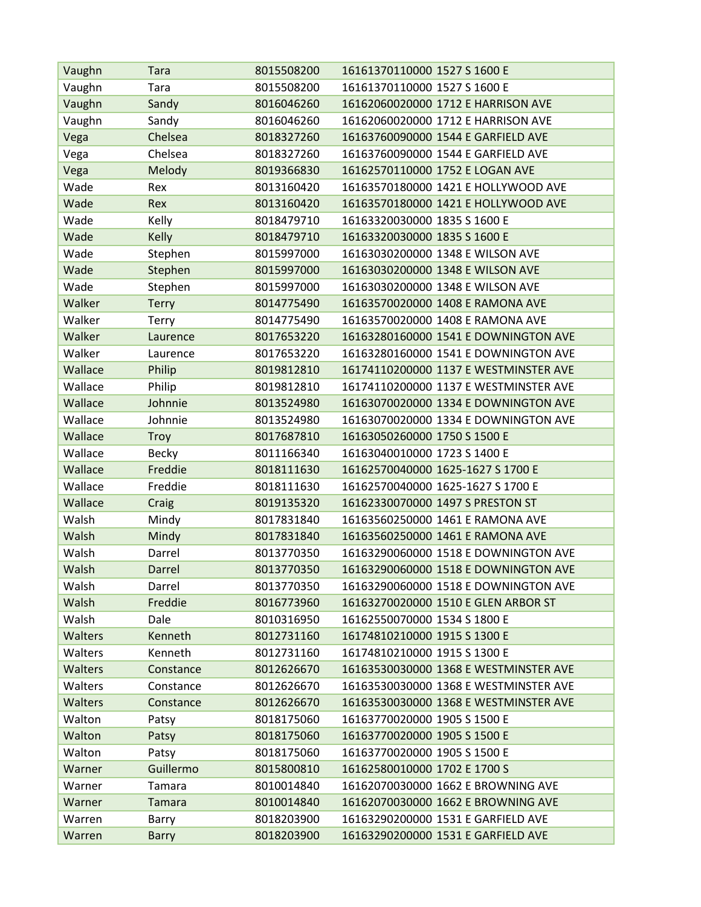| Vaughn         | <b>Tara</b>  | 8015508200 | 16161370110000 1527 S 1600 E          |
|----------------|--------------|------------|---------------------------------------|
| Vaughn         | Tara         | 8015508200 | 16161370110000 1527 S 1600 E          |
| Vaughn         | Sandy        | 8016046260 | 16162060020000 1712 E HARRISON AVE    |
| Vaughn         | Sandy        | 8016046260 | 16162060020000 1712 E HARRISON AVE    |
| Vega           | Chelsea      | 8018327260 | 16163760090000 1544 E GARFIELD AVE    |
| Vega           | Chelsea      | 8018327260 | 16163760090000 1544 E GARFIELD AVE    |
| Vega           | Melody       | 8019366830 | 16162570110000 1752 E LOGAN AVE       |
| Wade           | Rex          | 8013160420 | 16163570180000 1421 E HOLLYWOOD AVE   |
| Wade           | Rex          | 8013160420 | 16163570180000 1421 E HOLLYWOOD AVE   |
| Wade           | Kelly        | 8018479710 | 16163320030000 1835 S 1600 E          |
| Wade           | Kelly        | 8018479710 | 16163320030000 1835 S 1600 E          |
| Wade           | Stephen      | 8015997000 | 16163030200000 1348 E WILSON AVE      |
| Wade           | Stephen      | 8015997000 | 16163030200000 1348 E WILSON AVE      |
| Wade           | Stephen      | 8015997000 | 16163030200000 1348 E WILSON AVE      |
| Walker         | <b>Terry</b> | 8014775490 | 16163570020000 1408 E RAMONA AVE      |
| Walker         | Terry        | 8014775490 | 16163570020000 1408 E RAMONA AVE      |
| Walker         | Laurence     | 8017653220 | 16163280160000 1541 E DOWNINGTON AVE  |
| Walker         | Laurence     | 8017653220 | 16163280160000 1541 E DOWNINGTON AVE  |
| Wallace        | Philip       | 8019812810 | 16174110200000 1137 E WESTMINSTER AVE |
| Wallace        | Philip       | 8019812810 | 16174110200000 1137 E WESTMINSTER AVE |
| Wallace        | Johnnie      | 8013524980 | 16163070020000 1334 E DOWNINGTON AVE  |
| Wallace        | Johnnie      | 8013524980 | 16163070020000 1334 E DOWNINGTON AVE  |
| Wallace        | <b>Troy</b>  | 8017687810 | 16163050260000 1750 S 1500 E          |
| Wallace        | <b>Becky</b> | 8011166340 | 16163040010000 1723 S 1400 E          |
| Wallace        | Freddie      | 8018111630 | 16162570040000 1625-1627 S 1700 E     |
| Wallace        | Freddie      | 8018111630 | 16162570040000 1625-1627 S 1700 E     |
| Wallace        | Craig        | 8019135320 | 16162330070000 1497 S PRESTON ST      |
| Walsh          | Mindy        | 8017831840 | 16163560250000 1461 E RAMONA AVE      |
| Walsh          | Mindy        | 8017831840 | 16163560250000 1461 E RAMONA AVE      |
| Walsh          | Darrel       | 8013770350 | 16163290060000 1518 E DOWNINGTON AVE  |
| Walsh          | Darrel       | 8013770350 | 16163290060000 1518 E DOWNINGTON AVE  |
| Walsh          | Darrel       | 8013770350 | 16163290060000 1518 E DOWNINGTON AVE  |
| Walsh          | Freddie      | 8016773960 | 16163270020000 1510 E GLEN ARBOR ST   |
| Walsh          | Dale         | 8010316950 | 16162550070000 1534 S 1800 E          |
| <b>Walters</b> | Kenneth      | 8012731160 | 16174810210000 1915 S 1300 E          |
| Walters        | Kenneth      | 8012731160 | 16174810210000 1915 S 1300 E          |
| <b>Walters</b> | Constance    | 8012626670 | 16163530030000 1368 E WESTMINSTER AVE |
| Walters        | Constance    | 8012626670 | 16163530030000 1368 E WESTMINSTER AVE |
| Walters        | Constance    | 8012626670 | 16163530030000 1368 E WESTMINSTER AVE |
| Walton         | Patsy        | 8018175060 | 16163770020000 1905 S 1500 E          |
| Walton         | Patsy        | 8018175060 | 16163770020000 1905 S 1500 E          |
| Walton         | Patsy        | 8018175060 | 16163770020000 1905 S 1500 E          |
| Warner         | Guillermo    | 8015800810 | 16162580010000 1702 E 1700 S          |
| Warner         | Tamara       | 8010014840 | 16162070030000 1662 E BROWNING AVE    |
| Warner         | Tamara       | 8010014840 | 16162070030000 1662 E BROWNING AVE    |
| Warren         | Barry        | 8018203900 | 16163290200000 1531 E GARFIELD AVE    |
| Warren         | <b>Barry</b> | 8018203900 | 16163290200000 1531 E GARFIELD AVE    |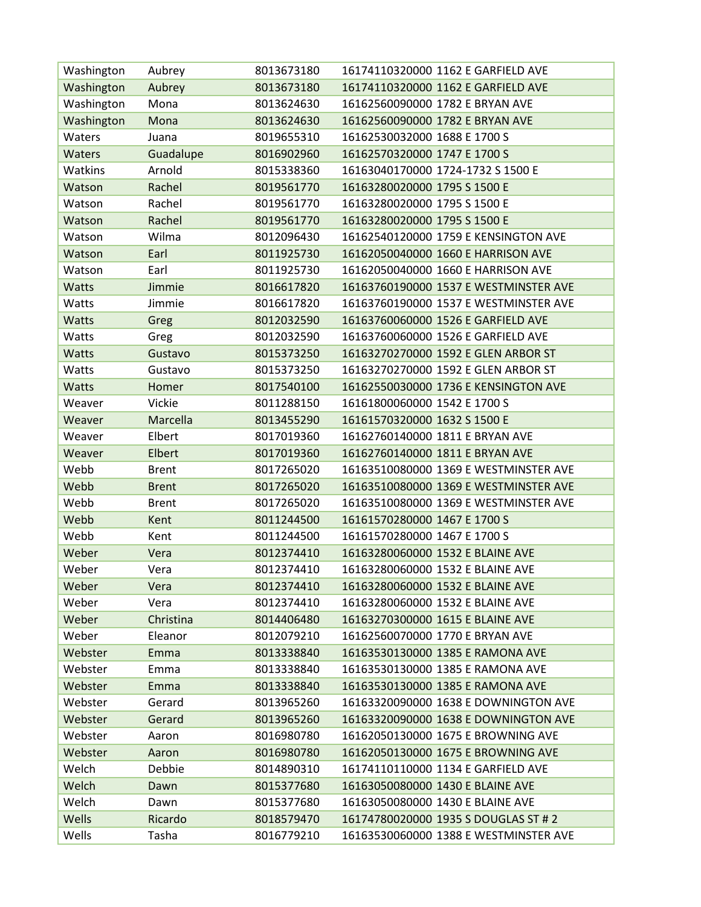| Washington    | Aubrey       | 8013673180 | 16174110320000 1162 E GARFIELD AVE    |
|---------------|--------------|------------|---------------------------------------|
| Washington    | Aubrey       | 8013673180 | 16174110320000 1162 E GARFIELD AVE    |
| Washington    | Mona         | 8013624630 | 16162560090000 1782 E BRYAN AVE       |
| Washington    | Mona         | 8013624630 | 16162560090000 1782 E BRYAN AVE       |
| Waters        | Juana        | 8019655310 | 16162530032000 1688 E 1700 S          |
| <b>Waters</b> | Guadalupe    | 8016902960 | 16162570320000 1747 E 1700 S          |
| Watkins       | Arnold       | 8015338360 | 16163040170000 1724-1732 S 1500 E     |
| Watson        | Rachel       | 8019561770 | 16163280020000 1795 S 1500 E          |
| Watson        | Rachel       | 8019561770 | 16163280020000 1795 S 1500 E          |
| Watson        | Rachel       | 8019561770 | 16163280020000 1795 S 1500 E          |
| Watson        | Wilma        | 8012096430 | 16162540120000 1759 E KENSINGTON AVE  |
| Watson        | Earl         | 8011925730 | 16162050040000 1660 E HARRISON AVE    |
| Watson        | Earl         | 8011925730 | 16162050040000 1660 E HARRISON AVE    |
| Watts         | Jimmie       | 8016617820 | 16163760190000 1537 E WESTMINSTER AVE |
| Watts         | Jimmie       | 8016617820 | 16163760190000 1537 E WESTMINSTER AVE |
| Watts         | Greg         | 8012032590 | 16163760060000 1526 E GARFIELD AVE    |
| Watts         | Greg         | 8012032590 | 16163760060000 1526 E GARFIELD AVE    |
| <b>Watts</b>  | Gustavo      | 8015373250 | 16163270270000 1592 E GLEN ARBOR ST   |
| Watts         | Gustavo      | 8015373250 | 16163270270000 1592 E GLEN ARBOR ST   |
| <b>Watts</b>  | Homer        | 8017540100 | 16162550030000 1736 E KENSINGTON AVE  |
| Weaver        | Vickie       | 8011288150 | 16161800060000 1542 E 1700 S          |
| Weaver        | Marcella     | 8013455290 | 16161570320000 1632 S 1500 E          |
| Weaver        | Elbert       | 8017019360 | 16162760140000 1811 E BRYAN AVE       |
| Weaver        | Elbert       | 8017019360 | 16162760140000 1811 E BRYAN AVE       |
| Webb          | <b>Brent</b> | 8017265020 | 16163510080000 1369 E WESTMINSTER AVE |
| Webb          | <b>Brent</b> | 8017265020 | 16163510080000 1369 E WESTMINSTER AVE |
| Webb          | <b>Brent</b> | 8017265020 | 16163510080000 1369 E WESTMINSTER AVE |
| Webb          | Kent         | 8011244500 | 16161570280000 1467 E 1700 S          |
| Webb          | Kent         | 8011244500 | 16161570280000 1467 E 1700 S          |
| Weber         | Vera         | 8012374410 | 16163280060000 1532 E BLAINE AVE      |
| Weber         | Vera         | 8012374410 | 16163280060000 1532 E BLAINE AVE      |
| Weber         | Vera         | 8012374410 | 16163280060000 1532 E BLAINE AVE      |
| Weber         | Vera         | 8012374410 | 16163280060000 1532 E BLAINE AVE      |
| Weber         | Christina    | 8014406480 | 16163270300000 1615 E BLAINE AVE      |
| Weber         | Eleanor      | 8012079210 | 16162560070000 1770 E BRYAN AVE       |
| Webster       | Emma         | 8013338840 | 16163530130000 1385 E RAMONA AVE      |
| Webster       | Emma         | 8013338840 | 16163530130000 1385 E RAMONA AVE      |
| Webster       | Emma         | 8013338840 | 16163530130000 1385 E RAMONA AVE      |
| Webster       | Gerard       | 8013965260 | 16163320090000 1638 E DOWNINGTON AVE  |
| Webster       | Gerard       | 8013965260 | 16163320090000 1638 E DOWNINGTON AVE  |
| Webster       | Aaron        | 8016980780 | 16162050130000 1675 E BROWNING AVE    |
| Webster       | Aaron        | 8016980780 | 16162050130000 1675 E BROWNING AVE    |
| Welch         | Debbie       | 8014890310 | 16174110110000 1134 E GARFIELD AVE    |
| Welch         | Dawn         | 8015377680 | 16163050080000 1430 E BLAINE AVE      |
| Welch         | Dawn         | 8015377680 | 16163050080000 1430 E BLAINE AVE      |
| Wells         | Ricardo      | 8018579470 | 16174780020000 1935 S DOUGLAS ST # 2  |
| Wells         | Tasha        | 8016779210 | 16163530060000 1388 E WESTMINSTER AVE |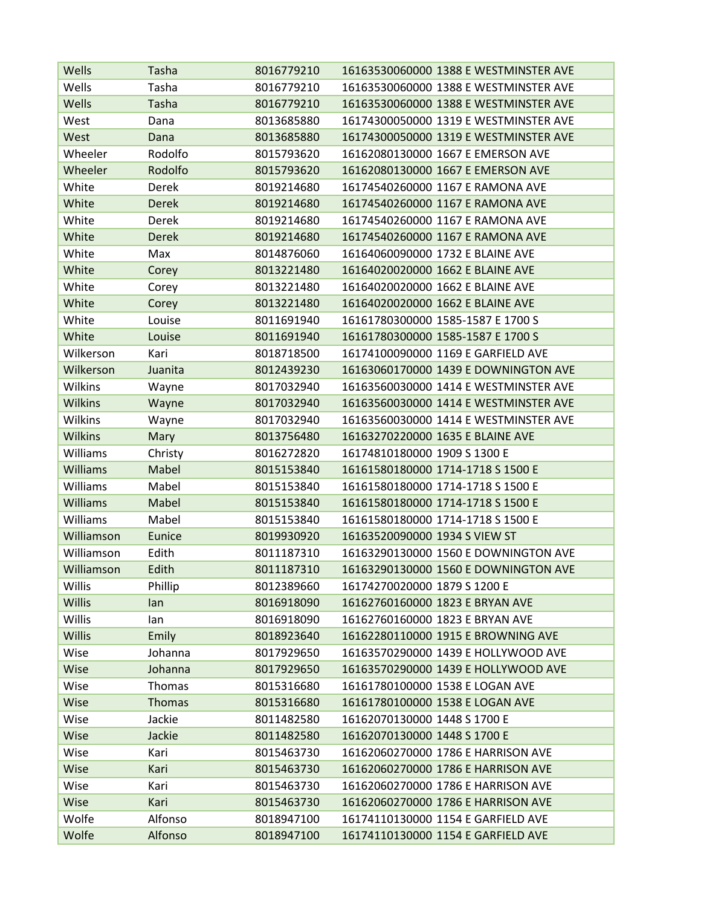| Wells           | Tasha         | 8016779210 | 16163530060000 1388 E WESTMINSTER AVE |
|-----------------|---------------|------------|---------------------------------------|
| Wells           | Tasha         | 8016779210 | 16163530060000 1388 E WESTMINSTER AVE |
| Wells           | Tasha         | 8016779210 | 16163530060000 1388 E WESTMINSTER AVE |
| West            | Dana          | 8013685880 | 16174300050000 1319 E WESTMINSTER AVE |
| West            | Dana          | 8013685880 | 16174300050000 1319 E WESTMINSTER AVE |
| Wheeler         | Rodolfo       | 8015793620 | 16162080130000 1667 E EMERSON AVE     |
| Wheeler         | Rodolfo       | 8015793620 | 16162080130000 1667 E EMERSON AVE     |
| White           | Derek         | 8019214680 | 16174540260000 1167 E RAMONA AVE      |
| White           | <b>Derek</b>  | 8019214680 | 16174540260000 1167 E RAMONA AVE      |
| White           | Derek         | 8019214680 | 16174540260000 1167 E RAMONA AVE      |
| White           | <b>Derek</b>  | 8019214680 | 16174540260000 1167 E RAMONA AVE      |
| White           | Max           | 8014876060 | 16164060090000 1732 E BLAINE AVE      |
| White           | Corey         | 8013221480 | 16164020020000 1662 E BLAINE AVE      |
| White           | Corey         | 8013221480 | 16164020020000 1662 E BLAINE AVE      |
| White           | Corey         | 8013221480 | 16164020020000 1662 E BLAINE AVE      |
| White           | Louise        | 8011691940 | 16161780300000 1585-1587 E 1700 S     |
| White           | Louise        | 8011691940 | 16161780300000 1585-1587 E 1700 S     |
| Wilkerson       | Kari          | 8018718500 | 16174100090000 1169 E GARFIELD AVE    |
| Wilkerson       | Juanita       | 8012439230 | 16163060170000 1439 E DOWNINGTON AVE  |
| Wilkins         | Wayne         | 8017032940 | 16163560030000 1414 E WESTMINSTER AVE |
| <b>Wilkins</b>  | Wayne         | 8017032940 | 16163560030000 1414 E WESTMINSTER AVE |
| Wilkins         | Wayne         | 8017032940 | 16163560030000 1414 E WESTMINSTER AVE |
| <b>Wilkins</b>  | Mary          | 8013756480 | 16163270220000 1635 E BLAINE AVE      |
| Williams        | Christy       | 8016272820 | 16174810180000 1909 S 1300 E          |
| <b>Williams</b> | Mabel         | 8015153840 | 16161580180000 1714-1718 S 1500 E     |
| Williams        | Mabel         | 8015153840 | 16161580180000 1714-1718 S 1500 E     |
| <b>Williams</b> | Mabel         | 8015153840 | 16161580180000 1714-1718 S 1500 E     |
| Williams        | Mabel         | 8015153840 | 16161580180000 1714-1718 S 1500 E     |
| Williamson      | Eunice        | 8019930920 | 16163520090000 1934 S VIEW ST         |
| Williamson      | Edith         | 8011187310 | 16163290130000 1560 E DOWNINGTON AVE  |
| Williamson      | Edith         | 8011187310 | 16163290130000 1560 E DOWNINGTON AVE  |
| Willis          | Phillip       | 8012389660 | 16174270020000 1879 S 1200 E          |
| <b>Willis</b>   | lan           | 8016918090 | 16162760160000 1823 E BRYAN AVE       |
| Willis          | lan           | 8016918090 | 16162760160000 1823 E BRYAN AVE       |
| <b>Willis</b>   | Emily         | 8018923640 | 16162280110000 1915 E BROWNING AVE    |
| Wise            | Johanna       | 8017929650 | 16163570290000 1439 E HOLLYWOOD AVE   |
| Wise            | Johanna       | 8017929650 | 16163570290000 1439 E HOLLYWOOD AVE   |
| Wise            | <b>Thomas</b> | 8015316680 | 16161780100000 1538 E LOGAN AVE       |
| Wise            | Thomas        | 8015316680 | 16161780100000 1538 E LOGAN AVE       |
| Wise            | Jackie        | 8011482580 | 16162070130000 1448 S 1700 E          |
| Wise            | Jackie        | 8011482580 | 16162070130000 1448 S 1700 E          |
| Wise            | Kari          | 8015463730 | 16162060270000 1786 E HARRISON AVE    |
| Wise            | Kari          | 8015463730 | 16162060270000 1786 E HARRISON AVE    |
| Wise            | Kari          | 8015463730 | 16162060270000 1786 E HARRISON AVE    |
| Wise            | Kari          | 8015463730 | 16162060270000 1786 E HARRISON AVE    |
| Wolfe           | Alfonso       | 8018947100 | 16174110130000 1154 E GARFIELD AVE    |
| Wolfe           | Alfonso       | 8018947100 | 16174110130000 1154 E GARFIELD AVE    |